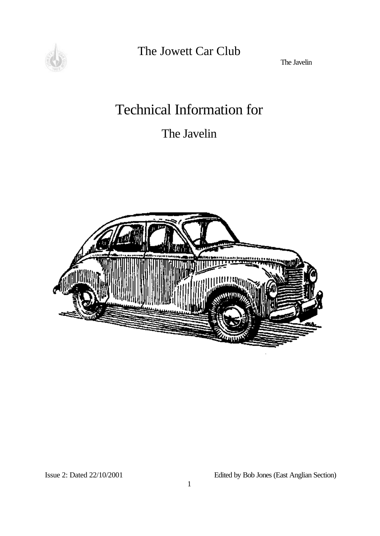

The Javelin

# Technical Information for

## The Javelin

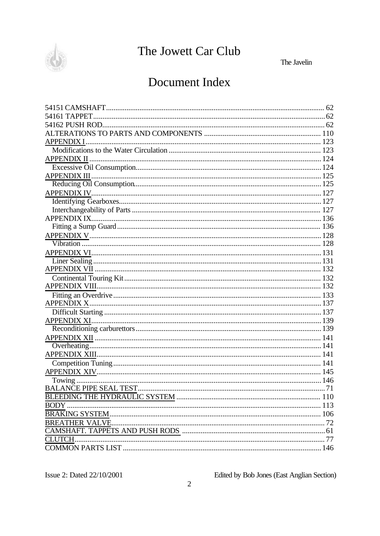

The Javelin

## Document Index

| <b>APPENDIX III</b>                 |  |
|-------------------------------------|--|
|                                     |  |
|                                     |  |
|                                     |  |
|                                     |  |
|                                     |  |
|                                     |  |
|                                     |  |
|                                     |  |
|                                     |  |
|                                     |  |
|                                     |  |
|                                     |  |
|                                     |  |
|                                     |  |
|                                     |  |
|                                     |  |
|                                     |  |
|                                     |  |
|                                     |  |
|                                     |  |
|                                     |  |
|                                     |  |
|                                     |  |
|                                     |  |
| <b>BALANCE PIPE SEAL TEST</b><br>71 |  |
|                                     |  |
| <b>BODY</b>                         |  |
| BRAKING SYSTEM.                     |  |
| <b>BREATHER VALVE.</b>              |  |
|                                     |  |
| <b>CLUTCH</b>                       |  |
|                                     |  |

Edited by Bob Jones (East Anglian Section)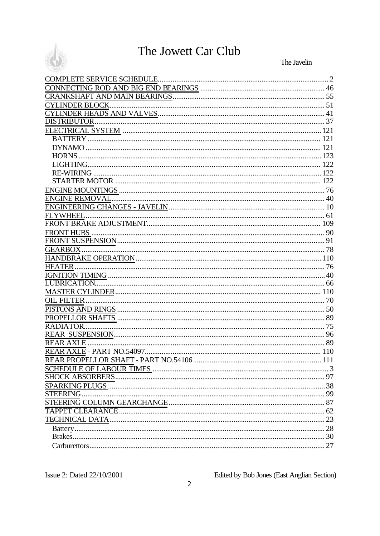

#### The Javelin

| FLYWHEEL        |  |
|-----------------|--|
|                 |  |
|                 |  |
|                 |  |
|                 |  |
|                 |  |
|                 |  |
|                 |  |
|                 |  |
|                 |  |
|                 |  |
|                 |  |
|                 |  |
|                 |  |
|                 |  |
|                 |  |
|                 |  |
|                 |  |
|                 |  |
|                 |  |
|                 |  |
| <b>STEERING</b> |  |
|                 |  |
|                 |  |
|                 |  |
|                 |  |
|                 |  |
|                 |  |

Edited by Bob Jones (East Anglian Section)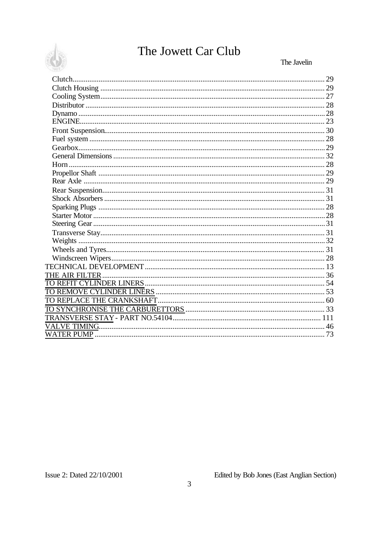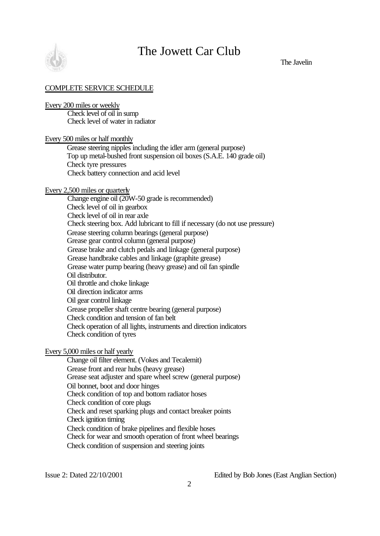

The Javelin

#### COMPLETE SERVICE SCHEDULE

#### Every 200 miles or weekly

Check level of oil in sump Check level of water in radiator

#### Every 500 miles or half monthly

Grease steering nipples including the idler arm (general purpose) Top up metal-bushed front suspension oil boxes (S.A.E. 140 grade oil) Check tyre pressures Check battery connection and acid level

#### Every 2,500 miles or quarterly

Change engine oil (20W-50 grade is recommended) Check level of oil in gearbox Check level of oil in rear axle Check steering box. Add lubricant to fill if necessary (do not use pressure) Grease steering column bearings (general purpose) Grease gear control column (general purpose) Grease brake and clutch pedals and linkage (general purpose) Grease handbrake cables and linkage (graphite grease) Grease water pump bearing (heavy grease) and oil fan spindle Oil distributor. Oil throttle and choke linkage Oil direction indicator arms Oil gear control linkage Grease propeller shaft centre bearing (general purpose) Check condition and tension of fan belt Check operation of all lights, instruments and direction indicators Check condition of tyres

#### Every 5,000 miles or half yearly

Change oil filter element. (Vokes and Tecalemit) Grease front and rear hubs (heavy grease) Grease seat adjuster and spare wheel screw (general purpose) Oil bonnet, boot and door hinges Check condition of top and bottom radiator hoses Check condition of core plugs Check and reset sparking plugs and contact breaker points Check ignition timing Check condition of brake pipelines and flexible hoses Check for wear and smooth operation of front wheel bearings Check condition of suspension and steering joints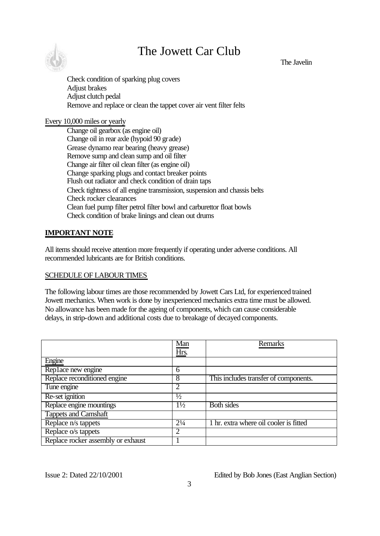

The Javelin

Check condition of sparking plug covers Adjust brakes Adjust clutch pedal Remove and replace or clean the tappet cover air vent filter felts

#### Every 10,000 miles or yearly

Change oil gearbox (as engine oil) Change oil in rear axle (hypoid 90 grade) Grease dynamo rear bearing (heavy grease) Remove sump and clean sump and oil filter Change air filter oil clean filter (as engine oil) Change sparking plugs and contact breaker points Flush out radiator and check condition of drain taps Check tightness of all engine transmission, suspension and chassis belts Check rocker clearances Clean fuel pump filter petrol filter bowl and carburettor float bowls Check condition of brake linings and clean out drums

#### **IMPORTANT NOTE**

All items should receive attention more frequently if operating under adverse conditions. All recommended lubricants are for British conditions.

#### SCHEDULE OF LABOUR TIMES

The following labour times are those recommended by Jowett Cars Ltd, for experienced trained Jowett mechanics. When work is done by inexperienced mechanics extra time must be allowed. No allowance has been made for the ageing of components, which can cause considerable delays, in strip-down and additional costs due to breakage of decayed components.

|                                    | Man            | Remarks                                |
|------------------------------------|----------------|----------------------------------------|
|                                    | Hrs.           |                                        |
| Engine                             |                |                                        |
| Replace new engine                 | 6              |                                        |
| Replace reconditioned engine       | 8              | This includes transfer of components.  |
| Tune engine                        | $\overline{2}$ |                                        |
| Re-set ignition                    | $\frac{1}{2}$  |                                        |
| Replace engine mountings           | $1\frac{1}{2}$ | <b>Both sides</b>                      |
| <b>Tappets and Camshaft</b>        |                |                                        |
| Replace n/s tappets                | $2^{1/4}$      | 1 hr. extra where oil cooler is fitted |
| Replace o/s tappets                | 2              |                                        |
| Replace rocker assembly or exhaust |                |                                        |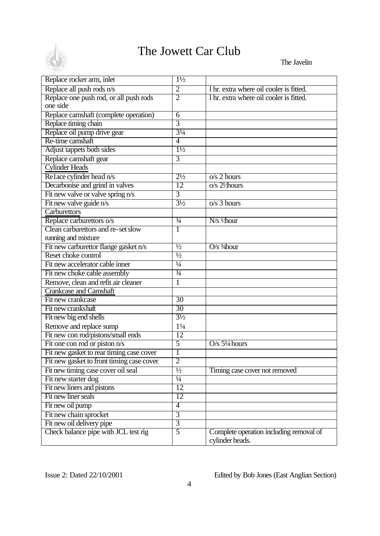

| Replace rocker arm, inlet                 | $1\frac{1}{2}$ |                                                            |
|-------------------------------------------|----------------|------------------------------------------------------------|
| Replace all push rods n/s                 | $\overline{2}$ | 1 hr. extra where oil cooler is fitted.                    |
| Replace one push rod, or all push rods    | $\overline{2}$ | 1 hr. extra where oil cooler is fitted.                    |
| one side                                  |                |                                                            |
| Replace camshaft (complete operation)     | $\overline{6}$ |                                                            |
| Replace timing chain                      | 3              |                                                            |
| Replace oil pump drive gear               | $3\frac{1}{4}$ |                                                            |
| Re-time camshaft                          | $\overline{4}$ |                                                            |
| Adjust tappets both sides                 | $1\frac{1}{2}$ |                                                            |
| Replace camshaft gear                     | $\overline{3}$ |                                                            |
| <b>Cylinder Heads</b>                     |                |                                                            |
| Relace cylinder head n/s                  | $2\frac{1}{2}$ | $o/s$ 2 hours                                              |
| Decarbonise and grind in valves           | 12             | $o/s$ 2 <sup>1</sup> /hours                                |
| Fit new valve or valve spring n/s         | $\overline{3}$ |                                                            |
| Fit new valve guide n/s                   | $3\frac{1}{2}$ | $o/s$ 3 hours                                              |
| Carburettors                              |                |                                                            |
| Replace carburettors o/s                  | $\frac{3}{4}$  | $N/s \frac{1}{2}$ hour                                     |
| Clean carburettors and re-set slow        | 1              |                                                            |
| running and mixture                       |                |                                                            |
| Fit new carburettor flange gasket n/s     | $\frac{1}{2}$  | $O/s$ 3/4 hour                                             |
| Reset choke control                       | $\frac{1}{2}$  |                                                            |
| Fit new accelerator cable inner           | $\frac{1}{4}$  |                                                            |
| Fit new choke cable assembly              | $\frac{3}{4}$  |                                                            |
| Remove, clean and refit air cleaner       | $\mathbf{1}$   |                                                            |
| <b>Crankcase and Camshaft</b>             |                |                                                            |
| Fit new crankcase                         | 30             |                                                            |
| Fit new crankshaft                        | 30             |                                                            |
| Fit new big end shells                    | $3\frac{1}{2}$ |                                                            |
| Remove and replace sump                   | $1\frac{1}{4}$ |                                                            |
| Fit new con rod/pistons/small ends        | 12             |                                                            |
| Fit one con rod or piston n/s             | 5              | $O/s$ 5½ hours                                             |
| Fit new gasket to rear timing case cover  | 1              |                                                            |
| Fit new gasket to front timing case cover | $\overline{2}$ |                                                            |
| Fit new timing case cover oil seal        | $\frac{1}{2}$  | Timing case cover not removed                              |
| Fit new starter dog                       | $\frac{1}{4}$  |                                                            |
| Fit new liners and pistons                | 12             |                                                            |
| Fit new liner seals                       | 12             |                                                            |
| Fit new oil pump                          | $\overline{4}$ |                                                            |
| Fit new chain sprocket                    | $\overline{3}$ |                                                            |
| Fit new oil delivery pipe                 | $\overline{3}$ |                                                            |
| Check balance pipe with JCL test rig      | $\overline{5}$ | Complete operation including removal of<br>cylinder heads. |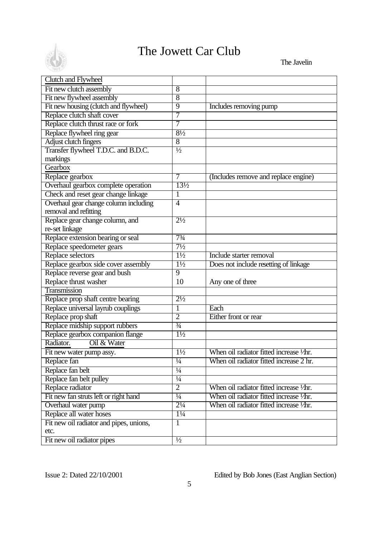

| Clutch and Flywheel                     |                 |                                         |
|-----------------------------------------|-----------------|-----------------------------------------|
| Fit new clutch assembly                 | $\overline{8}$  |                                         |
| Fit new flywheel assembly               | $\overline{8}$  |                                         |
| Fit new housing (clutch and flywheel)   | 9               | Includes removing pump                  |
| Replace clutch shaft cover              | 7               |                                         |
| Replace clutch thrust race or fork      | 7               |                                         |
| Replace flywheel ring gear              | $8\frac{1}{2}$  |                                         |
| Adjust clutch fingers                   | $\overline{8}$  |                                         |
| Transfer flywheel T.D.C. and B.D.C.     | $\frac{1}{2}$   |                                         |
| markings                                |                 |                                         |
| Gearbox                                 |                 |                                         |
| Replace gearbox                         | 7               | (Includes remove and replace engine)    |
| Overhaul gearbox complete operation     | $13\frac{1}{2}$ |                                         |
| Check and reset gear change linkage     | 1               |                                         |
| Overhaul gear change column including   | $\overline{4}$  |                                         |
| removal and refitting                   |                 |                                         |
| Replace gear change column, and         | $2\frac{1}{2}$  |                                         |
| re-set linkage                          |                 |                                         |
| Replace extension bearing or seal       | $7\frac{3}{4}$  |                                         |
| Replace speedometer gears               | $7\frac{1}{2}$  |                                         |
| Replace selectors                       | $1\frac{1}{2}$  | Include starter removal                 |
| Replace gearbox side cover assembly     | $1\frac{1}{2}$  | Does not include resetting of linkage   |
| Replace reverse gear and bush           | $\overline{9}$  |                                         |
| Replace thrust washer                   | 10              | Any one of three                        |
| Transmission                            |                 |                                         |
| Replace prop shaft centre bearing       | $2\frac{1}{2}$  |                                         |
| Replace universal layrub couplings      | 1               | Each                                    |
| Replace prop shaft                      | $\overline{2}$  | Either front or rear                    |
| Replace midship support rubbers         | $\frac{3}{4}$   |                                         |
| Replace gearbox companion flange        | $1\frac{1}{2}$  |                                         |
| Radiator.<br>Oil & Water                |                 |                                         |
| Fit new water pump assy.                | $1\frac{1}{2}$  | When oil radiator fitted increase 1/hr. |
| Replace fan                             | $\frac{1}{4}$   | When oil radiator fitted increase 2 hr. |
| Replace fan belt                        | $\frac{1}{4}$   |                                         |
| Replace fan belt pulley                 | $\frac{1}{4}$   |                                         |
| Replace radiator                        | $\overline{2}$  | When oil radiator fitted increase 1/hr. |
| Fit new fan struts left or right hand   | $\frac{1}{4}$   | When oil radiator fitted increase 1/hr. |
| Overhaul water pump                     | $2\frac{1}{4}$  | When oil radiator fitted increase 1/hr. |
| Replace all water hoses                 | $1\frac{1}{4}$  |                                         |
| Fit new oil radiator and pipes, unions, | 1               |                                         |
| etc.                                    |                 |                                         |
| Fit new oil radiator pipes              | $\frac{1}{2}$   |                                         |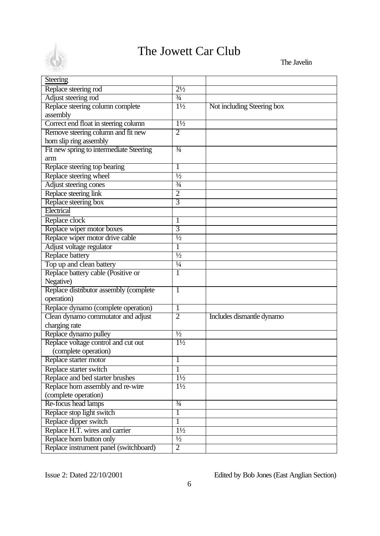

| Steering                                |                          |                            |
|-----------------------------------------|--------------------------|----------------------------|
| Replace steering rod                    | $2\frac{1}{2}$           |                            |
| Adjust steering rod                     | $\frac{3}{4}$            |                            |
| Replace steering column complete        | $1\frac{1}{2}$           | Not including Steering box |
| assembly                                |                          |                            |
| Correct end float in steering column    | $1\frac{1}{2}$           |                            |
| Remove steering column and fit new      | $\overline{2}$           |                            |
| horn slip ring assembly                 |                          |                            |
| Fit new spring to intermediate Steering | $\frac{3}{4}$            |                            |
| arm                                     |                          |                            |
| Replace steering top bearing            | 1                        |                            |
| Replace steering wheel                  | $\overline{\frac{1}{2}}$ |                            |
| Adjust steering cones                   | $\frac{3}{4}$            |                            |
| Replace steering link                   | $\overline{2}$           |                            |
| Replace steering box                    | $\overline{3}$           |                            |
| Electrical                              |                          |                            |
| Replace clock                           | $\mathbf{1}$             |                            |
| Replace wiper motor boxes               | $\overline{3}$           |                            |
| Replace wiper motor drive cable         | $\overline{\frac{1}{2}}$ |                            |
| Adjust voltage regulator                | $\mathbf{1}$             |                            |
| Replace battery                         | $\overline{\frac{1}{2}}$ |                            |
| Top up and clean battery                | $\frac{1}{4}$            |                            |
| Replace battery cable (Positive or      | $\overline{1}$           |                            |
| Negative)                               |                          |                            |
| Replace distributor assembly (complete  | 1                        |                            |
| operation)                              |                          |                            |
| Replace dynamo (complete operation)     | $\mathbf{1}$             |                            |
| Clean dynamo commutator and adjust      | $\overline{2}$           | Includes dismantle dynamo  |
| charging rate                           |                          |                            |
| Replace dynamo pulley                   | $\frac{1}{2}$            |                            |
| Replace voltage control and cut out     | $1\frac{1}{2}$           |                            |
| (complete operation)                    |                          |                            |
| Replace starter motor                   | $\overline{1}$           |                            |
| Replace starter switch                  | 1                        |                            |
| Replace and bed starter brushes         | $1\frac{1}{2}$           |                            |
| Replace horn assembly and re-wire       | $1\frac{1}{2}$           |                            |
| (complete operation)                    |                          |                            |
| Re-focus head lamps                     | $\frac{3}{4}$            |                            |
| Replace stop light switch               | 1                        |                            |
| Replace dipper switch                   | $\mathbf{1}$             |                            |
| Replace H.T. wires and carrier          | $1\frac{1}{2}$           |                            |
| Replace horn button only                | $\frac{1}{2}$            |                            |
| Replace instrument panel (switchboard)  | $\overline{2}$           |                            |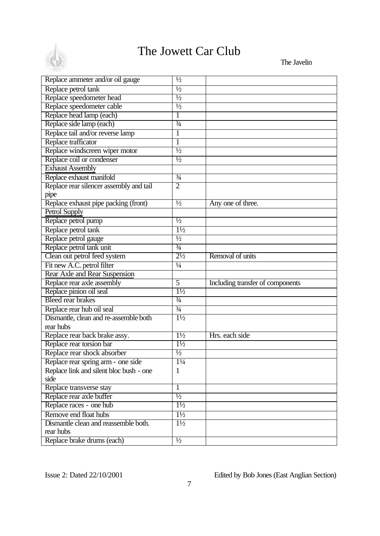

| Replace ammeter and/or oil gauge        | $\frac{1}{2}$            |                                  |
|-----------------------------------------|--------------------------|----------------------------------|
| Replace petrol tank                     | $\frac{1}{2}$            |                                  |
| Replace speedometer head                | $\frac{1}{2}$            |                                  |
| Replace speedometer cable               | $\frac{1}{2}$            |                                  |
| Replace head lamp (each)                | $\mathbf{1}$             |                                  |
| Replace side lamp (each)                | $\frac{3}{4}$            |                                  |
| Replace tail and/or reverse lamp        | $\mathbf{1}$             |                                  |
| Replace trafficator                     | $\mathbf{1}$             |                                  |
| Replace windscreen wiper motor          | $\frac{1}{2}$            |                                  |
| Replace coil or condenser               | $\frac{1}{2}$            |                                  |
| <b>Exhaust Assembly</b>                 |                          |                                  |
| Replace exhaust manifold                | $\frac{3}{4}$            |                                  |
| Replace rear silencer assembly and tail | $\overline{2}$           |                                  |
| pipe                                    |                          |                                  |
| Replace exhaust pipe packing (front)    | $\overline{\frac{1}{2}}$ | Any one of three.                |
| <b>Petrol Supply</b>                    |                          |                                  |
| Replace petrol pump                     | $\frac{1}{2}$            |                                  |
| Replace petrol tank                     | $1\frac{1}{2}$           |                                  |
| Replace petrol gauge                    | $\frac{1}{2}$            |                                  |
| Replace petrol tank unit                | $\frac{3}{4}$            |                                  |
| Clean out petrol feed system            | $2\frac{1}{2}$           | Removal of units                 |
| Fit new A.C. petrol filter              | $\frac{1}{4}$            |                                  |
| Rear Axle and Rear Suspension           |                          |                                  |
| Replace rear axle assembly              | 5                        | Including transfer of components |
| Replace pinion oil seal                 | $1\frac{1}{2}$           |                                  |
| <b>Bleed rear brakes</b>                | $\frac{3}{4}$            |                                  |
| Replace rear hub oil seal               | $\frac{3}{4}$            |                                  |
| Dismantle, clean and re-assemble both   | $1\frac{1}{2}$           |                                  |
| rear hubs                               |                          |                                  |
| Replace rear back brake assy.           | $1\frac{1}{2}$           | Hrs. each side                   |
| Replace rear torsion bar                | $1\frac{1}{2}$           |                                  |
| Replace rear shock absorber             | $\frac{1}{2}$            |                                  |
| Replace rear spring arm - one side      | $1\frac{1}{4}$           |                                  |
| Replace link and silent bloc bush - one | 1                        |                                  |
| side                                    |                          |                                  |
| Replace transverse stay                 | 1                        |                                  |
| Replace rear axle buffer                | $\frac{1}{2}$            |                                  |
| Replace races - one hub                 | $1\frac{1}{2}$           |                                  |
| Remove end float hubs                   | $1\frac{1}{2}$           |                                  |
| Dismantle clean and reassemble both.    | $1\frac{1}{2}$           |                                  |
| rear hubs                               |                          |                                  |
| Replace brake drums (each)              | $\frac{1}{2}$            |                                  |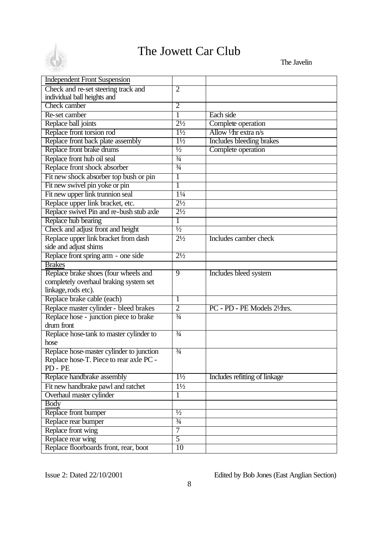

The Javelin

| <b>Independent Front Suspension</b>                        |                          |                               |
|------------------------------------------------------------|--------------------------|-------------------------------|
| Check and re-set steering track and                        | $\overline{2}$           |                               |
| individual ball heights and                                |                          |                               |
| Check camber                                               | $\overline{2}$           |                               |
| Re-set camber                                              | 1                        | Each side                     |
| Replace ball joints                                        | $2\frac{1}{2}$           | Complete operation            |
| Replace front torsion rod                                  | $1\frac{1}{2}$           | Allow 1/thr extra n/s         |
| Replace front back plate assembly                          | $1\frac{1}{2}$           | Includes bleeding brakes      |
| Replace front brake drums                                  | $\overline{\frac{1}{2}}$ | Complete operation            |
| Replace front hub oil seal                                 | $\frac{3}{4}$            |                               |
| Replace front shock absorber                               | $\frac{3}{4}$            |                               |
| Fit new shock absorber top bush or pin                     | $\mathbf{1}$             |                               |
| Fit new swivel pin yoke or pin                             | $\mathbf{1}$             |                               |
| Fit new upper link trunnion seal                           | $1\frac{1}{4}$           |                               |
| Replace upper link bracket, etc.                           | $2\frac{1}{2}$           |                               |
| Replace swivel Pin and re-bush stub axle                   | $2\frac{1}{2}$           |                               |
| Replace hub bearing                                        | 1                        |                               |
| Check and adjust front and height                          | $\frac{1}{2}$            |                               |
| Replace upper link bracket from dash                       | $2\frac{1}{2}$           | Includes camber check         |
| side and adjust shims                                      |                          |                               |
| Replace front spring arm - one side                        | $2\frac{1}{2}$           |                               |
| <b>Brakes</b>                                              |                          |                               |
| Replace brake shoes (four wheels and                       | $\overline{9}$           | Includes bleed system         |
| completely overhaul braking system set                     |                          |                               |
| linkage, rods etc).                                        |                          |                               |
| Replace brake cable (each)                                 | 1                        |                               |
| Replace master cylinder - bleed brakes                     | $\overline{2}$           | PC - PD - PE Models 21/hrs.   |
| Replace hose - junction piece to brake                     | $\frac{3}{4}$            |                               |
| drum front                                                 |                          |                               |
| Replace hose-tank to master cylinder to                    | $\frac{3}{4}$            |                               |
| hose                                                       |                          |                               |
| Replace hose-master cylinder to junction                   | $\frac{3}{4}$            |                               |
| Replace hose-T. Piece to rear axle PC -                    |                          |                               |
| PD - PE                                                    |                          |                               |
| Replace handbrake assembly                                 | $1\frac{1}{2}$           | Includes refitting of linkage |
| Fit new handbrake pawl and ratchet                         | $1\frac{1}{2}$           |                               |
| Overhaul master cylinder                                   | $\mathbf{1}$             |                               |
| <b>Body</b>                                                |                          |                               |
| Replace front bumper                                       | $\frac{1}{2}$            |                               |
| Replace rear bumper                                        | $\frac{3}{4}$            |                               |
| Replace front wing                                         | $\overline{7}$           |                               |
| Replace rear wing<br>Replace floorboards front, rear, boot | $\overline{5}$           |                               |
|                                                            | 10                       |                               |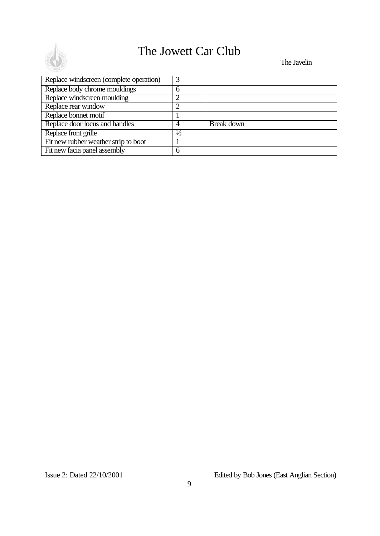

| Replace windscreen (complete operation) |               |            |
|-----------------------------------------|---------------|------------|
| Replace body chrome mouldings           | h             |            |
| Replace windscreen moulding             |               |            |
| Replace rear window                     |               |            |
| Replace bonnet motif                    |               |            |
| Replace door locus and handles          |               | Break down |
| Replace front grille                    | $\frac{1}{2}$ |            |
| Fit new rubber weather strip to boot    |               |            |
| Fit new facia panel assembly            | 6             |            |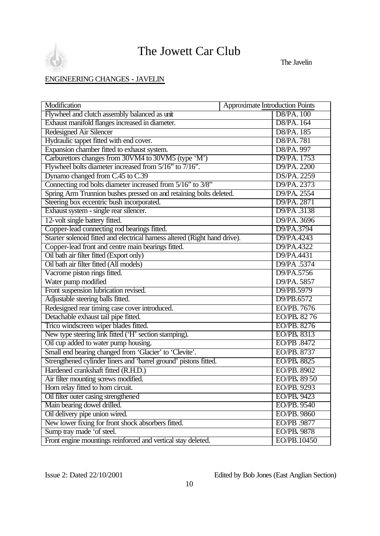

The Javelin

#### ENGINEERING CHANGES **-** JAVELIN

| Modification                                                               | <b>Approximate Introduction Points</b> |                          |
|----------------------------------------------------------------------------|----------------------------------------|--------------------------|
| Flywheel and clutch assembly balanced as unit                              |                                        | D8/PA. 100               |
| Exhaust manifold flanges increased in diameter.                            |                                        | D8/PA. 164               |
| Redesigned Air Silencer                                                    |                                        | D8/PA. 185               |
| Hydraulic tappet fitted with end cover.                                    |                                        | D8/PA.781                |
| Expansion chamber fitted to exhaust system.                                |                                        | D8/PA. 997               |
| Carburettors changes from 30VM4 to 30VM5 (type 'M')                        |                                        | D9/PA. 1753              |
| Flywheel bolts diameter increased from 5/16" to 7/16".                     |                                        | D9/PA. 2200              |
| Dynamo changed from C.45 to C.39                                           |                                        | <b>DS/PA. 2259</b>       |
| Connecting rod bolts diameter increased from 5/16" to 3/8"                 |                                        | D9/PA. 2373              |
| Spring Arm Trunnion bushes pressed on and retaining bolts deleted.         |                                        | D9/PA. 2554              |
| Steering box eccentric bush incorporated.                                  |                                        | D9/PA. 2871              |
| Exhaust system - single rear silencer.                                     |                                        | D9/PA .3138              |
| 12-volt single battery fitted.                                             |                                        | D <sub>9</sub> /PA. 3696 |
| Copper-lead connecting rod bearings fitted.                                |                                        | D9/PA.3794               |
| Starter solenoid fitted and electrical harness altered (Right hand drive). |                                        | D9/PA.4243               |
| Copper-lead front and centre main bearings fitted.                         |                                        | D9/PA.4322               |
| Oil bath air filter fitted (Export only)                                   |                                        | D9/PA.4431               |
| Oil bath air filter fitted (All models)                                    |                                        | D9/PA .5374              |
| Vacrome piston rings fitted.                                               |                                        | D9/PA.5756               |
| Water pump modified                                                        |                                        | D9/PA. 5857              |
| Front suspension lubrication revised.                                      |                                        | D9/PB.5979               |
| Adjustable steering balls fitted.                                          |                                        | D9/PB.6572               |
| Redesigned rear timing case cover introduced.                              |                                        | EO/PB. 7676              |
| Detachable exhaust tail pipe fitted.                                       |                                        | EO/PB. 8276              |
| Trico windscreen wiper blades fitted.                                      |                                        | EO/PB. 8276              |
| New type steering link fitted ('H' section stamping).                      |                                        | EO/PB. 8313              |
| Oil cup added to water pump housing.                                       |                                        | EO/PB .8472              |
| Small end bearing changed from 'Glacier' to 'Clevite'.                     |                                        | EO/PB. 8737              |
| Strengthened cylinder liners and 'barrel ground' pistons fitted.           |                                        | <b>EO/PB. 8825</b>       |
| Hardened crankshaft fitted (R.H.D.)                                        |                                        | EO/PB. 8902              |
| Air filter mounting screws modified.                                       |                                        | EO/PB. 89 50             |
| Horn relay fitted to horn circuit.                                         |                                        | EO/PB. 9293              |
| Oil filter outer casing strengthened                                       |                                        | EO/PB. 9423              |
| Main bearing dowel drilled.                                                |                                        | EO/PB. 9540              |
| Oil delivery pipe union wired.                                             |                                        | EO/PB. 9860              |
| New lower fixing for front shock absorbers fitted.                         |                                        | <b>EO/PB .9877</b>       |
| Sump tray made 'of steel.                                                  |                                        | <b>EO/PB. 9878</b>       |
| Front engine mountings reinforced and vertical stay deleted.               |                                        | EO/PB.10450              |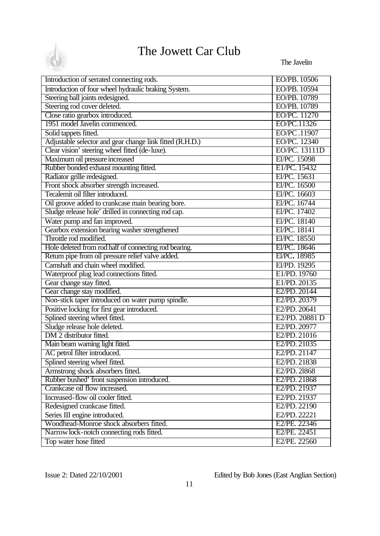

| Introduction of serrated connecting rods.                | EO/PB. 10506   |
|----------------------------------------------------------|----------------|
| Introduction of four wheel hydraulic braking System.     | EO/PB. 10594   |
| Steering ball joints redesigned.                         | EO/PB. 10789   |
| Steering rod cover deleted.                              | EO/PB. 10789   |
| Close ratio gearbox introduced.                          | EO/PC. 11270   |
| 1951 model Javelin commenced.                            | EO/PC.11326    |
| Solid tappets fitted.                                    | EO/PC.11907    |
| Adjustable selector and gear change link fitted (R.H.D.) | EO/PC. 12340   |
| Clear vision' steering wheel fitted (de-luxe).           | EO/PC. 13111D  |
| Maximum oil pressure increased                           | El/PC. 15098   |
| Rubber bonded exhaust mounting fitted.                   | E1/PC. 15432   |
| Radiator grille redesigned.                              | El/PC. 15631   |
| Front shock absorber strength increased.                 | El/PC. 16500   |
| Tecalemit oil filter introduced.                         | El/PC. 16603   |
| Oil groove added to crankcase main bearing bore.         | El/PC. 16744   |
| Sludge release hole' drilled in connecting rod cap.      | El/PC. 17402   |
| Water pump and fan improved.                             | El/PC. 18140   |
| Gearbox extension bearing washer strengthened            | El/PC. 18141   |
| Throttle rod modified.                                   | El/PC. 18550   |
| Hole deleted from rod half of connecting rod bearing.    | El/PC. 18646   |
| Return pipe from oil pressure relief valve added.        | El/PC. 18985   |
| Camshaft and chain wheel modified.                       | El/PD. 19295   |
| Waterproof plug lead connections fitted.                 | E1/PD. 19760   |
| Gear change stay fitted.                                 | E1/PD. 20135   |
| Gear change stay modified.                               | E2/PD. 20144   |
| Non-stick taper introduced on water pump spindle.        | E2/PD. 20379   |
| Positive locking for first gear introduced.              | E2/PD. 20641   |
| Splined steering wheel fitted.                           | E2/PD. 20881 D |
| Sludge release hole deleted.                             | E2/PD. 20977   |
| DM 2 distributor fitted.                                 | E2/PD. 21016   |
| Main beam warning light fitted.                          | E2/PD. 21035   |
| AC petrol filter introduced.                             | E2/PD. 21147   |
| Splined steering wheel fitted.                           | E2/PD. 21838   |
| Armstrong shock absorbers fitted.                        | E2/PD. 21868   |
| Rubber bushed' front suspension introduced.              | E2/PD. 21868   |
| Crankcase oil flow increased.                            | E2/PD. 21937   |
| Increased-flow oil cooler fitted.                        | E2/PD. 21937   |
| Redesigned crankcase fitted.                             | E2/PD. 22190   |
| Series III engine introduced.                            | E2/PD. 22221   |
| Woodhead-Monroe shock absorbers fitted.                  | E2/PE. 22346   |
| Narrow lock-notch connecting rods fitted.                | E2/PE. 22451   |
| Top water hose fitted                                    | E2/PE. 22560   |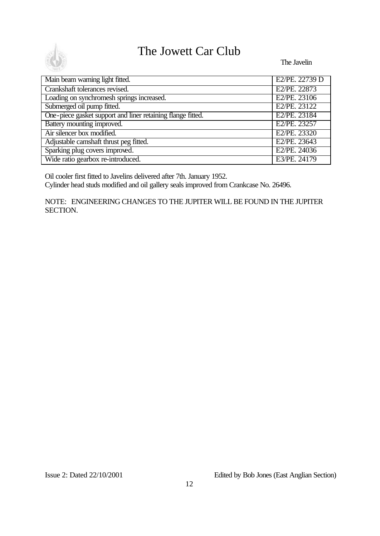

#### The Javelin

| Main beam warning light fitted.                             | E2/PE. 22739 D |
|-------------------------------------------------------------|----------------|
| Crankshaft tolerances revised.                              | E2/PE. 22873   |
| Loading on synchromesh springs increased.                   | E2/PE. 23106   |
| Submerged oil pump fitted.                                  | E2/PE. 23122   |
| One-piece gasket support and liner retaining flange fitted. | E2/PE. 23184   |
| Battery mounting improved.                                  | E2/PE. 23257   |
| Air silencer box modified.                                  | E2/PE. 23320   |
| Adjustable camshaft thrust peg fitted.                      | E2/PE. 23643   |
| Sparking plug covers improved.                              | E2/PE. 24036   |
| Wide ratio gearbox re-introduced.                           | E3/PE. 24179   |

Oil cooler first fitted to Javelins delivered after 7th. January 1952. Cylinder head studs modified and oil gallery seals improved from Crankcase No. 26496.

NOTE: ENGINEERING CHANGES TO THE JUPITER WILL BE FOUND IN THE JUPITER SECTION.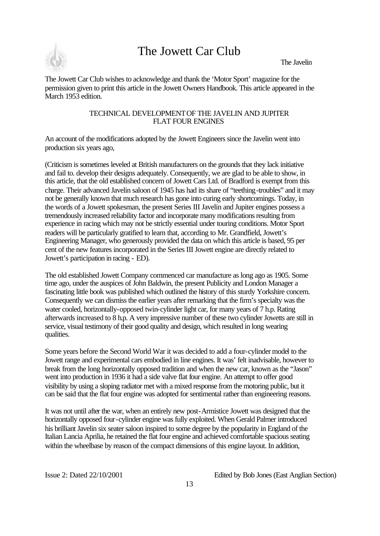

The Javelin

The Jowett Car Club wishes to acknowledge and thank the 'Motor Sport' magazine for the permission given to print this article in the Jowett Owners Handbook. This article appeared in the March 1953 edition.

#### TECHNICAL DEVELOPMENT OF THE JAVELIN AND JUPITER FLAT FOUR ENGINES

An account of the modifications adopted by the Jowett Engineers since the Javelin went into production six years ago,

(Criticism is sometimes leveled at British manufacturers on the grounds that they lack initiative and fail to. develop their designs adequately. Consequently, we are glad to be able to show, in this article, that the old established concern of Jowett Cars Ltd. of Bradford is exempt from this charge. Their advanced Javelin saloon of 1945 has had its share of "teething-troubles" and it may not be generally known that much research has gone into curing early shortcomings. Today, in the words of a Jowett spokesman, the present Series III Javelin and Jupiter engines possess a tremendously increased reliability factor and incorporate many modifications resulting from experience in racing which may not be strictly essential under touring conditions. Motor Sport readers will be particularly gratified to learn that, according to Mr. Grandfield, Jowett's Engineering Manager, who generously provided the data on which this article is based, 95 per cent of the new features incorporated in the Series III Jowett engine are directly related to Jowett's participation in racing - ED).

The old established Jowett Company commenced car manufacture as long ago as 1905. Some time ago, under the auspices of John Baldwin, the present Publicity and London Manager a fascinating little book was published which outlined the history of this sturdy Yorkshire concern. Consequently we can dismiss the earlier years after remarking that the firm's specialty was the water cooled, horizontally-opposed twin-cylinder light car, for many years of 7 h.p. Rating afterwards increased to 8 h.p. A very impressive number of these two cylinder Jowetts are still in service, visual testimony of their good quality and design, which resulted in long wearing qualities.

Some years before the Second World War it was decided to add a four-cylinder model to the Jowett range and experimental cars embodied in line engines. It was' felt inadvisable, however to break from the long horizontally opposed tradition and when the new car, known as the "Jason" went into production in 1936 it had a side valve flat four engine. An attempt to offer good visibility by using a sloping radiator met with a mixed response from the motoring public, but it can be said that the flat four engine was adopted for sentimental rather than engineering reasons.

It was not until after the war, when an entirely new post-Armistice Jowett was designed that the horizontally opposed four-cylinder engine was fully exploited. When Gerald Palmer introduced his brilliant Javelin six seater saloon inspired to some degree by the popularity in England of the Italian Lancia Aprilia, he retained the flat four engine and achieved comfortable spacious seating within the wheelbase by reason of the compact dimensions of this engine layout. In addition,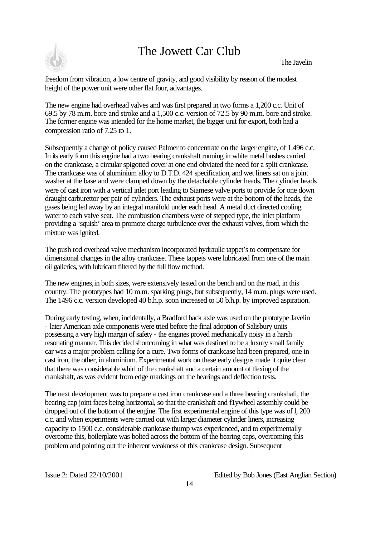

The Javelin

freedom from vibration, a low centre of gravity, and good visibility by reason of the modest height of the power unit were other flat four, advantages.

The new engine had overhead valves and was first prepared in two forms a 1,200 c.c. Unit of 69.5 by 78 m.m. bore and stroke and a 1,500 c.c. version of 72.5 by 90 m.m. bore and stroke. The former engine was intended for the home market, the bigger unit for export, both had a compression ratio of 7.25 to 1.

Subsequently a change of policy caused Palmer to concentrate on the larger engine, of 1.496 c.c. In its early form this engine had a two bearing crankshaft running in white metal bushes carried on the crankcase, a circular spigotted cover at one end obviated the need for a split crankcase. The crankcase was of aluminium alloy to D.T.D. 424 specification, and wet liners sat on a joint washer at the base and were clamped down by the detachable cylinder heads. The cylinder heads were of cast iron with a vertical inlet port leading to Siamese valve ports to provide for one down draught carburettor per pair of cylinders. The exhaust ports were at the bottom of the heads, the gases being led away by an integral manifold under each head. A metal duct directed cooling water to each valve seat. The combustion chambers were of stepped type, the inlet platform providing a 'squish' area to promote charge turbulence over the exhaust valves, from which the mixture was ignited.

The push rod overhead valve mechanism incorporated hydraulic tappet's to compensate for dimensional changes in the alloy crankcase. These tappets were lubricated from one of the main oil galleries, with lubricant filtered by the full flow method.

The new engines,in both sizes, were extensively tested on the bench and on the road, in this country. The prototypes had 10 m.m. sparking plugs, but subsequently, 14 m.m. plugs were used. The 1496 c.c. version developed 40 b.h.p. soon increased to 50 b.h.p. by improved aspiration.

During early testing, when, incidentally, a Bradford back axle was used on the prototype Javelin - later American axle components were tried before the final adoption of Salisbury units possessing a very high margin of safety **-** the engines proved mechanically noisy in a harsh resonating manner. This decided shortcoming in what was destined to be a luxury small family car was a major problem calling for a cure. Two forms of crankcase had been prepared, one in cast iron, the other, in aluminium. Experimental work on these early designs made it quite clear that there was considerable whirl of the crankshaft and a certain amount of flexing of the crankshaft, as was evident from edge markings on the bearings and deflection tests.

The next development was to prepare a cast iron crankcase and a three bearing crankshaft, the bearing cap joint faces being horizontal, so that the crankshaft and f1ywheel assembly could be dropped out of the bottom of the engine. The first experimental engine of this type was of l, 200 c.c. and when experiments were carried out with larger diameter cylinder liners, increasing capacity to 1500 c.c. considerable crankcase thump was experienced, and to experimentally overcome this, boilerplate was bolted across the bottom of the bearing caps, overcoming this problem and pointing out the inherent weakness of this crankcase design. Subsequent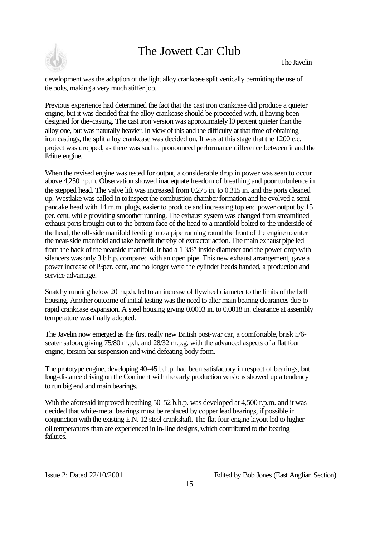

The Javelin

development was the adoption of the light alloy crankcase split vertically permitting the use of tie bolts, making a very much stiffer job.

Previous experience had determined the fact that the cast iron crankcase did produce a quieter engine, but it was decided that the alloy crankcase should be proceeded with, it having been designed for die-casting. The cast iron version was approximately l0 percent quieter than the alloy one, but was naturally heavier. In view of this and the difficulty at that time of obtaining iron castings, the split alloy crankcase was decided on. It was at this stage that the 1200 c.c. project was dropped, as there was such a pronounced performance difference between it and the l l<sup>1</sup>/<sub>d</sub>itre engine.

When the revised engine was tested for output, a considerable drop in power was seen to occur above 4,250 r.p.m. Observation showed inadequate freedom of breathing and poor turbulence in the stepped head. The valve lift was increased from 0.275 in. to 0.315 in. and the ports cleaned up. Westlake was called in to inspect the combustion chamber formation and he evolved a semi pancake head with 14 m.m. plugs, easier to produce and increasing top end power output by 15 per. cent, while providing smoother running. The exhaust system was changed from streamlined exhaust ports brought out to the bottom face of the head to a manifold bolted to the underside of the head, the off-side manifold feeding into a pipe running round the front of the engine to enter the near-side manifold and take benefit thereby of extractor action. The main exhaust pipe led from the back of the nearside manifold. It had a 1 3/8" inside diameter and the power drop with silencers was only 3 b.h.p. compared with an open pipe. This new exhaust arrangement, gave a power increase of l<sup>1</sup>/per. cent, and no longer were the cylinder heads handed, a production and service advantage.

Snatchy running below 20 m.p.h. led to an increase of flywheel diameter to the limits of the bell housing. Another outcome of initial testing was the need to alter main bearing clearances due to rapid crankcase expansion. A steel housing giving 0.0003 in. to 0.0018 in. clearance at assembly temperature was finally adopted.

The Javelin now emerged as the first really new British post-war car, a comfortable, brisk 5/6 seater saloon, giving 75/80 m.p.h. and 28/32 m.p.g. with the advanced aspects of a flat four engine, torsion bar suspension and wind defeating body form.

The prototype engine, developing 40-45 b.h.p. had been satisfactory in respect of bearings, but long-distance driving on the Continent with the early production versions showed up a tendency to run big end and main bearings.

With the aforesaid improved breathing 50-52 b.h.p. was developed at 4,500 r.p.m. and it was decided that white-metal bearings must be replaced by copper lead bearings, if possible in conjunction with the existing E.N. 12 steel crankshaft. The flat four engine layout led to higher oil temperatures than are experienced in in-line designs, which contributed to the bearing failures.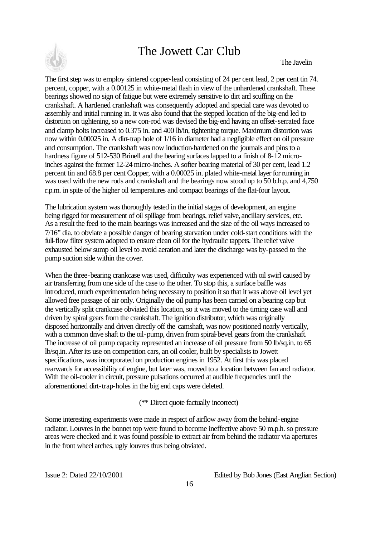

The Javelin

The first step was to employ sintered copper-lead consisting of 24 per cent lead, 2 per cent tin 74. percent, copper, with a 0.00125 in white-metal flash in view of the unhardened crankshaft. These bearings showed no sign of fatigue but were extremely sensitive to dirt and scuffing on the crankshaft. A hardened crankshaft was consequently adopted and special care was devoted to assembly and initial running in. It was also found that the stepped location of the big-end led to distortion on tightening, so a new con-rod was devised the big-end having an offset-serrated face and clamp bolts increased to 0.375 in. and 400 lb/in, tightening torque. Maximum distortion was now within 0.00025 in. A dirt-trap hole of 1/16 in diameter had a negligible effect on oil pressure and consumption. The crankshaft was now induction-hardened on the journals and pins to a hardness figure of 512-530 Brinell and the bearing surfaces lapped to a finish of 8-12 microinches against the former 12-24 micro-inches. A softer bearing material of 30 per cent, lead 1.2 percent tin and 68.8 per cent Copper, with a 0.00025 in. plated white-metal layer for running in was used with the new rods and crankshaft and the bearings now stood up to 50 b.h.p. and 4,750 r.p.m. in spite of the higher oil temperatures and compact bearings of the flat-four layout.

The lubrication system was thoroughly tested in the initial stages of development, an engine being rigged for measurement of oil spillage from bearings, relief valve, ancillary services, etc. As a result the feed to the main bearings was increased and the size of the oil ways increased to 7/16" dia. to obviate a possible danger of bearing starvation under cold-start conditions with the full-flow filter system adopted to ensure clean oil for the hydraulic tappets. The relief valve exhausted below sump oil level to avoid aeration and later the discharge was by-passed to the pump suction side within the cover.

When the three-bearing crankcase was used, difficulty was experienced with oil swirl caused by air transferring from one side of the case to the other. To stop this, a surface baffle was introduced, much experimentation being necessary to position it so that it was above oil level yet allowed free passage of air only. Originally the oil pump has been carried on a bearing cap but the vertically split crankcase obviated this location, so it was moved to the timing case wall and driven by spiral gears from the crankshaft. The ignition distributor, which was originally disposed horizontally and driven directly off the camshaft, was now positioned nearly vertically, with a common drive shaft to the oil-pump, driven from spiral-bevel gears from the crankshaft. The increase of oil pump capacity represented an increase of oil pressure from 50 lb/sq.in. to 65 lb/sq.in. After its use on competition cars, an oil cooler, built by specialists to Jowett specifications, was incorporated on production engines in 1952. At first this was placed rearwards for accessibility of engine, but later was, moved to a location between fan and radiator. With the oil-cooler in circuit, pressure pulsations occurred at audible frequencies until the aforementioned dirt-trap-holes in the big end caps were deleted.

(\*\* Direct quote factually incorrect)

Some interesting experiments were made in respect of airflow away from the behind-engine radiator. Louvres in the bonnet top were found to become ineffective above 50 m.p.h. so pressure areas were checked and it was found possible to extract air from behind the radiator via apertures in the front wheel arches, ugly louvres thus being obviated.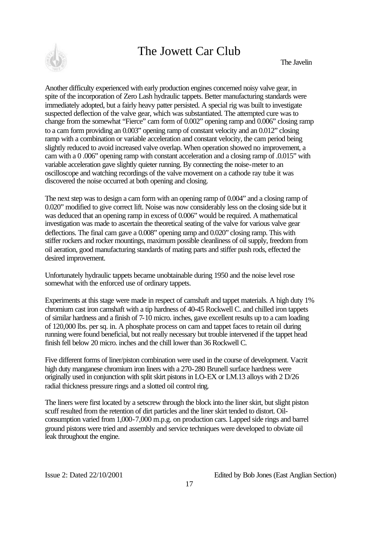

The Javelin

Another difficulty experienced with early production engines concerned noisy valve gear, in spite of the incorporation of Zero Lash hydraulic tappets. Better manufacturing standards were immediately adopted, but a fairly heavy patter persisted. A special rig was built to investigate suspected deflection of the valve gear, which was substantiated. The attempted cure was to change from the somewhat "Fierce" cam form of 0.002" opening ramp and 0.006" closing ramp to a cam form providing an 0.003" opening ramp of constant velocity and an 0.012" closing ramp with a combination or variable acceleration and constant velocity, the cam period being slightly reduced to avoid increased valve overlap. When operation showed no improvement, a cam with a 0 .006" opening ramp with constant acceleration and a closing ramp of .0.015" with variable acceleration gave slightly quieter running. By connecting the noise-meter to an oscilloscope and watching recordings of the valve movement on a cathode ray tube it was discovered the noise occurred at both opening and closing.

The next step was to design a cam form with an opening ramp of 0.004" and a closing ramp of 0.020" modified to give correct lift. Noise was now considerably less on the closing side but it was deduced that an opening ramp in excess of 0.006" would be required. A mathematical investigation was made to ascertain the theoretical seating of the valve for various valve gear deflections. The final cam gave a 0.008" opening ramp and 0.020" closing ramp. This with stiffer rockers and rocker mountings, maximum possible cleanliness of oil supply, freedom from oil aeration, good manufacturing standards of mating parts and stiffer push rods, effected the desired improvement.

Unfortunately hydraulic tappets became unobtainable during 1950 and the noise level rose somewhat with the enforced use of ordinary tappets.

Experiments at this stage were made in respect of camshaft and tappet materials. A high duty 1% chromium cast iron camshaft with a tip hardness of 40-45 Rockwell C. and chilled iron tappets of similar hardness and a finish of 7-10 micro. inches, gave excellent results up to a cam loading of 120,000 lbs. per sq. in. A phosphate process on cam and tappet faces to retain oil during running were found beneficial, but not really necessary but trouble intervened if the tappet head finish fell below 20 micro. inches and the chill lower than 36 Rockwell C.

Five different forms of liner/piston combination were used in the course of development. Vacrit high duty manganese chromium iron liners with a 270-280 Brunell surface hardness were originally used in conjunction with split skirt pistons in LO-EX or LM.13 alloys with 2 D/26 radial thickness pressure rings and a slotted oil control ring.

The liners were first located by a setscrew through the block into the liner skirt, but slight piston scuff resulted from the retention of dirt particles and the liner skirt tended to distort. Oilconsumption varied from 1,000-7,000 m.p.g. on production cars. Lapped side rings and barrel ground pistons were tried and assembly and service techniques were developed to obviate oil leak throughout the engine.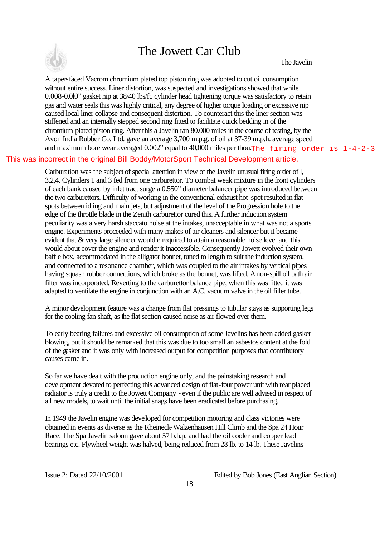

The Javelin

A taper-faced Vacrom chromium plated top piston ring was adopted to cut oil consumption without entire success. Liner distortion, was suspected and investigations showed that while 0.008-0.0l0" gasket nip at 38/40 lbs/ft. cylinder head tightening torque was satisfactory to retain gas and water seals this was highly critical, any degree of higher torque loading or excessive nip caused local liner collapse and consequent distortion. To counteract this the liner section was stiffened and an internally stepped second ring fitted to facilitate quick bedding in of the chromium-plated piston ring. After this a Javelin ran 80.000 miles in the course of testing, by the Avon India Rubber Co. Ltd. gave an average 3,700 m.p.g. of oil at 37-39 m.p.h. average speed and maximum bore wear averaged 0.002" equal to 40,000 miles per thou. The firing order is 1-4-2-3

#### This was incorrect in the original Bill Boddy/MotorSport Technical Development article.

Carburation was the subject of special attention in view of the Javelin unusual firing order of l, 3,2,4. Cylinders 1 and 3 fed from one carburettor. To combat weak mixture in the front cylinders of each bank caused by inlet tract surge a 0.550" diameter balancer pipe was introduced between the two carburettors. Difficulty of working in the conventional exhaust hot-spot resulted in flat spots between idling and main jets, but adjustment of the level of the Progression hole to the edge of the throttle blade in the Zenith carburettor cured this. A further induction system peculiarity was a very harsh staccato noise at the intakes, unacceptable in what was not a sports engine. Experiments proceeded with many makes of air cleaners and silencer but it became evident that & very large silencer would e required to attain a reasonable noise level and this would about cover the engine and render it inaccessible. Consequently Jowett evolved their own baffle box, accommodated in the alligator bonnet, tuned to length to suit the induction system, and connected to a resonance chamber, which was coupled to the air intakes by vertical pipes having squash rubber connections, which broke as the bonnet, was lifted. Anon-spill oil bath air filter was incorporated. Reverting to the carburettor balance pipe, when this was fitted it was adapted to ventilate the engine in conjunction with an A.C. vacuum valve in the oil filler tube.

A minor development feature was a change from flat pressings to tubular stays as supporting legs for the cooling fan shaft, as the flat section caused noise as air flowed over them.

To early bearing failures and excessive oil consumption of some Javelins has been added gasket blowing, but it should be remarked that this was due to too small an asbestos content at the fold of the gasket and it was only with increased output for competition purposes that contributory causes came in.

So far we have dealt with the production engine only, and the painstaking research and development devoted to perfecting this advanced design of flat-four power unit with rear placed radiator is truly a credit to the Jowett Company **-** even if the public are well advised in respect of all new models, to wait until the initial snags have been eradicated before purchasing.

In 1949 the Javelin engine was developed for competition motoring and class victories were obtained in events as diverse as the Rheineck-Walzenhausen Hill Climb and the Spa 24 Hour Race. The Spa Javelin saloon gave about 57 b.h.p. and had the oil cooler and copper lead bearings etc. Flywheel weight was halved, being reduced from 28 lb. to 14 lb. These Javelins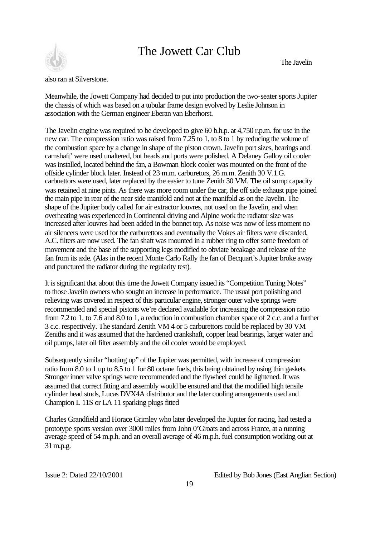

The Javelin

also ran at Silverstone.

Meanwhile, the Jowett Company had decided to put into production the two-seater sports Jupiter the chassis of which was based on a tubular frame design evolved by Leslie Johnson in association with the German engineer Eberan van Eberhorst.

The Javelin engine was required to be developed to give 60 b.h.p. at 4,750 r.p.m. for use in the new car. The compression ratio was raised from 7.25 to 1, to 8 to 1 by reducing the volume of the combustion space by a change in shape of the piston crown. Javelin port sizes, bearings and camshaft' were used unaltered, but heads and ports were polished. A Delaney Galloy oil cooler was installed, located behind the fan, a Bowman block cooler was mounted on the front of the offside cylinder block later. Instead of 23 m.m. carburetors, 26 m.m. Zenith 30 V.1.G. carbuettors were used, later replaced by the easier to tune Zenith 30 VM. The oil sump capacity was retained at nine pints. As there was more room under the car, the off side exhaust pipe joined the main pipe in rear of the near side manifold and not at the manifold as on the Javelin. The shape of the Jupiter body called for air extractor louvres, not used on the Javelin, and when overheating was experienced in Continental driving and Alpine work the radiator size was increased after louvres had been added in the bonnet top. As noise was now of less moment no air silencers were used for the carburettors and eventually the Vokes air filters were discarded, A.C. filters are now used. The fan shaft was mounted in a rubber ring to offer some freedom of movement and the base of the supporting legs modified to obviate breakage and release of the fan from its axle. (Alas in the recent Monte Carlo Rally the fan of Becquart's Jupiter broke away and punctured the radiator during the regularity test).

It is significant that about this time the Jowett Company issued its "Competition Tuning Notes" to those Javelin owners who sought an increase in performance. The usual port polishing and relieving was covered in respect of this particular engine, stronger outer valve springs were recommended and special pistons we're declared available for increasing the compression ratio from 7.2 to 1, to 7.6 and 8.0 to 1, a reduction in combustion chamber space of 2 c.c. and a further 3 c.c. respectively. The standard Zenith VM 4 or 5 carburettors could be replaced by 30 VM Zeniths and it was assumed that the hardened crankshaft, copper lead bearings, larger water and oil pumps, later oil filter assembly and the oil cooler would be employed.

Subsequently similar "hotting up" of the Jupiter was permitted, with increase of compression ratio from 8.0 to 1 up to 8.5 to 1 for 80 octane fuels, this being obtained by using thin gaskets. Stronger inner valve springs were recommended and the flywheel could be lightened. It was assumed that correct fitting and assembly would be ensured and that the modified high tensile cylinder head studs, Lucas DVX4A distributor and the later cooling arrangements used and Champion L 11S or LA 11 sparking plugs fitted

Charles Grandfield and Horace Grimley who later developed the Jupiter for racing, had tested a prototype sports version over 3000 miles from John 0'Groats and across France, at a running average speed of 54 m.p.h. and an overall average of 46 m.p.h. fuel consumption working out at 31 m.p.g.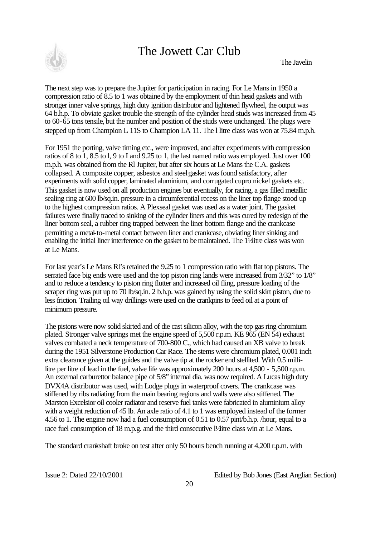

The Javelin

The next step was to prepare the Jupiter for participation in racing. For Le Mans in 1950 a compression ratio of 8.5 to 1 was obtained by the employment of thin head gaskets and with stronger inner valve springs, high duty ignition distributor and lightened flywheel, the output was 64 b.h.p. To obviate gasket trouble the strength of the cylinder head studs was increased from 45 to 60-65 tons tensile, but the number and position of the studs were unchanged. The plugs were stepped up from Champion L 11S to Champion LA 11. The l litre class was won at 75.84 m.p.h.

For 1951 the porting, valve timing etc., were improved, and after experiments with compression ratios of 8 to 1, 8.5 to l, 9 to I and 9.25 to 1, the last named ratio was employed. Just over 100 m.p.h. was obtained from the Rl Jupiter, but after six hours at Le Mans the C.A. gaskets collapsed. A composite copper, asbestos and steel gasket was found satisfactory, after experiments with solid copper, laminated aluminium, and corrugated cupro nickel gaskets etc. This gasket is now used on all production engines but eventually, for racing, a gas filled metallic sealing ring at 600 lb/sq.in. pressure in a circumferential recess on the liner top flange stood up to the highest compression ratios. A Plexseal gasket was used as a water joint. The gasket failures were finally traced to sinking of the cylinder liners and this was cured by redesign of the liner bottom seal, a rubber ring trapped between the liner bottom flange and the crankcase permitting a metal-to-metal contact between liner and crankcase, obviating liner sinking and enabling the initial liner interference on the gasket to be maintained. The 1½ litre class was won at Le Mans.

For last year's Le Mans Rl's retained the 9.25 to 1 compression ratio with flat top pistons. The serrated face big ends were used and the top piston ring lands were increased from  $3/32$ " to  $1/8$ " and to reduce a tendency to piston ring flutter and increased oil fling, pressure loading of the scraper ring was put up to 70 lb/sq.in. 2 b.h.p. was gained by using the solid skirt piston, due to less friction. Trailing oil way drillings were used on the crankpins to feed oil at a point of minimum pressure.

The pistons were now solid skirted and of die cast silicon alloy, with the top gas ring chromium plated. Stronger valve springs met the engine speed of 5,500 r.p.m. KE 965 (EN 54) exhaust valves combated a neck temperature of 700-800 C., which had caused an XB valve to break during the 1951 Silverstone Production Car Race. The stems were chromium plated, 0.001 inch extra clearance given at the guides and the valve tip at the rocker end stellited. With 0.5 millilitre per litre of lead in the fuel, valve life was approximately 200 hours at 4,500 - 5,500r.p.m. An external carburettor balance pipe of 5/8" internal dia. was now required. A Lucas high duty DVX4A distributor was used, with Lodge plugs in waterproof covers. The crankcase was stiffened by ribs radiating from the main bearing regions and walls were also stiffened. The Marston Excelsior oil cooler radiator and reserve fuel tanks were fabricated in aluminium alloy with a weight reduction of 45 lb. An axle ratio of 4.1 to 1 was employed instead of the former 4.56 to 1. The engine now had a fuel consumption of 0.51 to 0.57 pint/b.h.p. /hour, equal to a race fuel consumption of 18 m.p.g. and the third consecutive l<sup>1</sup>/litre class win at Le Mans.

The standard crankshaft broke on test after only 50 hours bench running at 4,200 r.p.m. with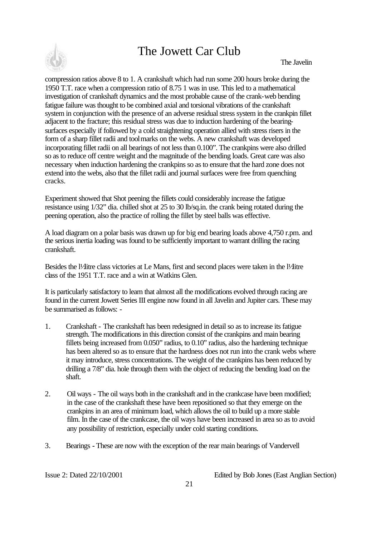

The Javelin

compression ratios above 8 to 1. A crankshaft which had run some 200 hours broke during the 1950 T.T. race when a compression ratio of 8.75 1 was in use. This led to a mathematical investigation of crankshaft dynamics and the most probable cause of the crank-web bending fatigue failure was thought to be combined axial and torsional vibrations of the crankshaft system in conjunction with the presence of an adverse residual stress system in the crankpin fillet adjacent to the fracture; this residual stress was due to induction hardening of the bearingsurfaces especially if followed by a cold straightening operation allied with stress risers in the form of a sharp fillet radii and tool marks on the webs. A new crankshaft was developed incorporating fillet radii on all bearings of not less than 0.100". The crankpins were also drilled so as to reduce off centre weight and the magnitude of the bending loads. Great care was also necessary when induction hardening the crankpins so as to ensure that the hard zone does not extend into the webs, also that the fillet radii and journal surfaces were free from quenching cracks.

Experiment showed that Shot peening the fillets could considerably increase the fatigue resistance using 1/32" dia. chilled shot at 25 to 30 lb/sq.in. the crank being rotated during the peening operation, also the practice of rolling the fillet by steel balls was effective.

A load diagram on a polar basis was drawn up for big end bearing loads above 4,750 r.pm. and the serious inertia loading was found to be sufficiently important to warrant drilling the racing crankshaft.

Besides the l<sup>1</sup>/<sub>d</sub>itre class victories at Le Mans, first and second places were taken in the l<sup>1</sup>/ditre class of the 1951 T.T. race and a win at Watkins Glen.

It is particularly satisfactory to learn that almost all the modifications evolved through racing are found in the current Jowett Series III engine now found in all Javelin and Jupiter cars. These may be summarised as follows: -

- 1. Crankshaft The crankshaft has been redesigned in detail so as to increase its fatigue strength. The modifications in this direction consist of the crankpins and main bearing fillets being increased from 0.050" radius, to 0.10" radius, also the hardening technique has been altered so as to ensure that the hardness does not run into the crank webs where it may introduce, stress concentrations. The weight of the crankpins has been reduced by drilling a 7/8" dia. hole through them with the object of reducing the bending load on the shaft.
- 2. Oil ways The oil ways both in the crankshaft and in the crankcase have been modified; in the case of the crankshaft these have been repositioned so that they emerge on the crankpins in an area of minimum load, which allows the oil to build up a more stable film. In the case of the crankcase, the oil ways have been increased in area so as to avoid any possibility of restriction, especially under cold starting conditions.
- 3. Bearings **-** These are now with the exception of the rear main bearings of Vandervell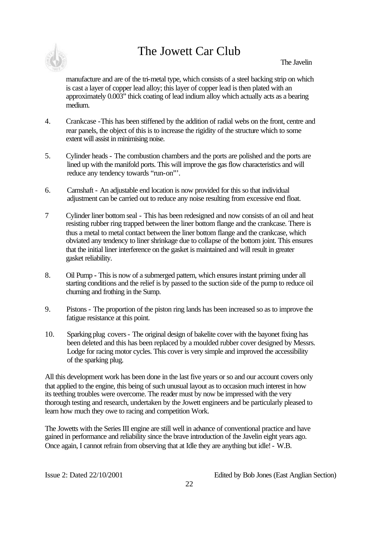

manufacture and are of the tri-metal type, which consists of a steel backing strip on which is cast a layer of copper lead alloy; this layer of copper lead is then plated with an approximately 0.003" thick coating of lead indium alloy which actually acts as a bearing medium.

- 4. Crankcase -This has been stiffened by the addition of radial webs on the front, centre and rear panels, the object of this is to increase the rigidity of the structure which to some extent will assist in minimising noise.
- 5. Cylinder heads The combustion chambers and the ports are polished and the ports are lined up with the manifold ports. This will improve the gas flow characteristics and will reduce any tendency towards "run-on"'.
- 6. Camshaft An adjustable end location is now provided for this so that individual adjustment can be carried out to reduce any noise resulting from excessive end float.
- 7 Cylinder liner bottom seal This has been redesigned and now consists of an oil and heat resisting rubber ring trapped between the liner bottom flange and the crankcase. There is thus a metal to metal contact between the liner bottom flange and the crankcase, which obviated any tendency to liner shrinkage due to collapse of the bottom joint. This ensures that the initial liner interference on the gasket is maintained and will result in greater gasket reliability.
- 8. Oil Pump **-** This is now of a submerged pattern, which ensures instant priming under all starting conditions and the relief is by passed to the suction side of the pump to reduce oil churning and frothing in the Sump.
- 9. Pistons The proportion of the piston ring lands has been increased so as to improve the fatigue resistance at this point.
- 10. Sparking plug covers The original design of bakelite cover with the bayonet fixing has been deleted and this has been replaced by a moulded rubber cover designed by Messrs. Lodge for racing motor cycles. This cover is very simple and improved the accessibility of the sparking plug.

All this development work has been done in the last five years or so and our account covers only that applied to the engine, this being of such unusual layout as to occasion much interest in how its teething troubles were overcome. The reader must by now be impressed with the very thorough testing and research, undertaken by the Jowett engineers and be particularly pleased to learn how much they owe to racing and competition Work.

The Jowetts with the Series III engine are still well in advance of conventional practice and have gained in performance and reliability since the brave introduction of the Javelin eight years ago. Once again, I cannot refrain from observing that at Idle they are anything but idle! - W.B.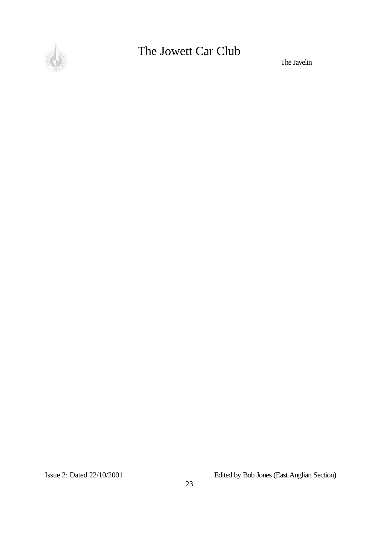

The Javelin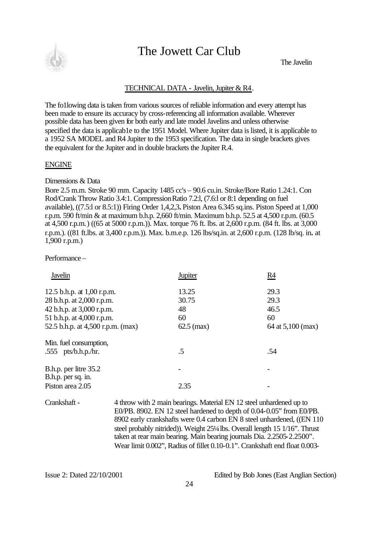

The Javelin

#### TECHNICAL DATA - Javelin, Jupiter & R4.

The fo1lowing data is taken from various sources of reliable information and every attempt has been made to ensure its accuracy by cross-referencing all information available. Wherever possible data has been given for both early and late model Javelins and unless otherwise specified the data is applicab1e to the 1951 Model. Where Jupiter data is listed, it is applicable to a 1952 SA MODEL and R4 Jupiter to the 1953 specification. The data in single brackets gives the equivalent for the Jupiter and in double brackets the Jupiter R.4.

#### ENGINE

Dimensions & Data

Bore 2.5 m.m. Stroke 90 mm. Capacity 1485 cc's – 90.6 cu.in. Stroke/Bore Ratio 1.24:1. Con Rod/Crank Throw Ratio 3.4:1. Compression Ratio 7.2:l, (7.6:l or 8:1 depending on fuel available), ((7.5:l or 8.5:1)) Firing Order 1,4,2,3**.** Piston Area 6.345 sq.ins. Piston Speed at 1,000 r.p.m. 590 ft/min & at maximum b.h.p. 2,660 ft/min. Maximum b.h.p. 52.5 at 4,500 r.p.m. (60.5 at 4,500 r.p.m.) ((65 at 5000 r.p.m.)). Max. torque 76 ft. lbs. at 2,600 r.p.m. (84 ft. lbs. at 3,000 r.p.m.). ((81 ft.lbs. at 3,400 r.p.m.)). Max. b.m.e.p. 126 lbs/sq.in. at 2,600 r.p.m. (128 lb/sq. in**.** at 1,900 r.p.m.)

Performance –

| Jupiter         | R4                |
|-----------------|-------------------|
| 13.25           | 29.3              |
| 30.75           | 29.3              |
| 48              | 46.5              |
| 60              | 60                |
| $62.5 \, (max)$ | 64 at 5,100 (max) |
|                 |                   |
| .5              | .54               |
|                 |                   |
| 2.35            |                   |
|                 |                   |

Crankshaft - 4 throw with 2 main bearings. Material EN 12 steel unhardened up to E0/PB. 8902. EN 12 steel hardened to depth of 0.04-0.05" from E0/PB. 8902 early crankshafts were 0.4 carbon EN 8 steel unhardened, ((EN 110 steel probably nitrided)). Weight 25¼ lbs. Overall length 15 1/16". Thrust taken at rear main bearing. Main bearing journals Dia. 2.2505-2.2500". Wear limit 0.002", Radius of fillet 0.10-0.1". Crankshaft end float 0.003-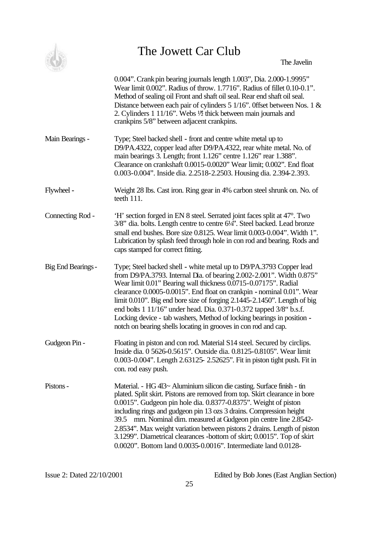

The Javelin

|                    | 0.004". Crank pin bearing journals length 1.003", Dia. 2.000-1.9995"<br>Wear limit 0.002". Radius of throw. 1.7716". Radius of fillet 0.10-0.1".<br>Method of sealing oil Front and shaft oil seal. Rear end shaft oil seal.<br>Distance between each pair of cylinders 5 $1/16$ ". Offset between Nos. 1 &<br>2. Cylinders 1 11/16". Webs <sup>1</sup> / <sub>2</sub> thick between main journals and<br>crankpins 5/8" between adjacent crankpins.                                                                                                                                           |
|--------------------|------------------------------------------------------------------------------------------------------------------------------------------------------------------------------------------------------------------------------------------------------------------------------------------------------------------------------------------------------------------------------------------------------------------------------------------------------------------------------------------------------------------------------------------------------------------------------------------------|
| Main Bearings -    | Type; Steel backed shell - front and centre white metal up to<br>D9/PA.4322, copper lead after D9/PA.4322, rear white metal. No. of<br>main bearings 3. Length; front 1.126" centre 1.126" rear 1.388".<br>Clearance on crankshaft 0.0015-0.0020" Wear limit; 0.002". End float<br>0.003-0.004". Inside dia. 2.2518-2.2503. Housing dia. 2.394-2.393.                                                                                                                                                                                                                                          |
| Flywheel -         | Weight 28 lbs. Cast iron. Ring gear in 4% carbon steel shrunk on. No. of<br>teeth 111.                                                                                                                                                                                                                                                                                                                                                                                                                                                                                                         |
| Connecting Rod -   | 'H' section forged in EN 8 steel. Serrated joint faces split at 47°. Two<br>3/8" dia. bolts. Length centre to centre 61/4". Steel backed. Lead bronze<br>small end bushes. Bore size 0.8125. Wear limit 0.003-0.004". Width 1".<br>Lubrication by splash feed through hole in con rod and bearing. Rods and<br>caps stamped for correct fitting.                                                                                                                                                                                                                                               |
| Big End Bearings - | Type; Steel backed shell - white metal up to D9/PA.3793 Copper lead<br>from D9/PA.3793. Internal Dia. of bearing 2.002-2.001". Width 0.875"<br>Wear limit 0.01" Bearing wall thickness 0.0715-0.07175". Radial<br>clearance 0.0005-0.0015". End float on crankpin - nominal 0.01". Wear<br>limit $0.010$ ". Big end bore size of forging $2.1445 - 2.1450$ ". Length of big<br>end bolts 1 11/16" under head. Dia. 0.371-0.372 tapped 3/8" b.s.f.<br>Locking device - tab washers, Method of locking bearings in position -<br>notch on bearing shells locating in grooves in con rod and cap. |
| Gudgeon Pin -      | Floating in piston and con rod. Material S14 steel. Secured by circlips.<br>Inside dia. 0 5626-0.5615". Outside dia. 0.8125-0.8105". Wear limit<br>0.003-0.004". Length 2.63125-2.52625". Fit in piston tight push. Fit in<br>con. rod easy push.                                                                                                                                                                                                                                                                                                                                              |
| Pistons -          | Material. - HG 413~ Aluminium silicon die casting. Surface finish - tin<br>plated. Split skirt. Pistons are removed from top. Skirt clearance in bore<br>0.0015". Gudgeon pin hole dia. 0.8377-0.8375". Weight of piston<br>including rings and gudgeon pin 13 ozs 3 drains. Compression height<br>39.5 mm. Nominal dim. measured at Gudgeon pin centre line 2.8542-<br>2.8534". Max weight variation between pistons 2 drains. Length of piston<br>3.1299". Diametrical clearances -bottom of skirt; 0.0015". Top of skirt<br>0.0020". Bottom land 0.0035-0.0016". Intermediate land 0.0128-  |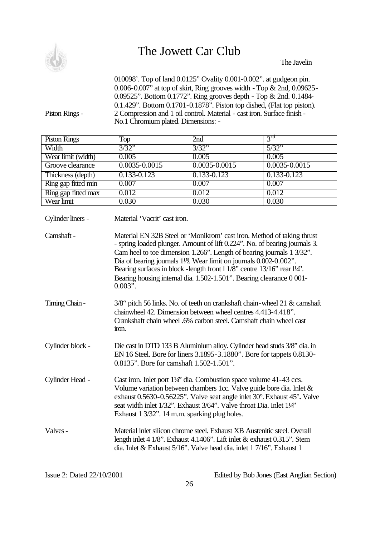

The Javelin

010098'. Top of land 0.0125" Ovality 0.001-0.002". at gudgeon pin. 0.006-0.007" at top of skirt, Ring grooves width **-** Top & 2nd, 0.09625- 0.09525". Bottom 0.1772". Ring grooves depth **-** Top & 2nd. 0.1484- 0.1.429". Bottom 0.1701-0.1878". Piston top dished, (Flat top piston). Piston Rings - 2 Compression and 1 oil control. Material **-** cast iron. Surface finish **-** No.1 Chromium plated. Dimensions: -

| Piston Rings        | $\overline{\text{Top}}$ | 2nd             | $2^{\text{rd}}$ |
|---------------------|-------------------------|-----------------|-----------------|
| Width               | 3/32"                   | 3/32"           | 5/32"           |
| Wear limit (width)  | 0.005                   | 0.005           | 0.005           |
| Groove clearance    | 0.0035-0.0015           | 0.0035-0.0015   | 0.0035-0.0015   |
| Thickness (depth)   | $0.133 - 0.123$         | $0.133 - 0.123$ | $0.133 - 0.123$ |
| Ring gap fitted min | 0.007                   | 0.007           | 0.007           |
| Ring gap fitted max | 0.012                   | 0.012           | 0.012           |
| Wear limit          | 0.030                   | 0.030           | 0.030           |

Cylinder liners - Material 'Vacrit' cast iron.

- Camshaft Material EN 32B Steel or 'Monikrom' cast iron. Method of taking thrust **-** spring loaded plunger. Amount of lift 0.224". No. of bearing journals 3. Cam heel to toe dimension 1.266". Length of bearing journals 1 3/32". Dia of bearing journals 1<sup>1</sup>/<sub>2</sub>. Wear limit on journals 0.002-0.002". Bearing surfaces in block **-**length front l 1/8" centre 13/16" rear 11/4". Bearing housing internal dia. 1.502-1.501". Bearing clearance 0 001- 0.003".
- Timing Chain 3/8" pitch 56 links. No. of teeth on crankshaft chain-wheel 21 & camshaft chainwheel 42. Dimension between wheel centres 4.413-4.418". Crankshaft chain wheel .6% carbon steel. Camshaft chain wheel cast iron.
- Cylinder block Die cast in DTD 133 B Aluminium alloy. Cylinder head studs 3/8" dia. in EN 16 Steel. Bore for liners 3.1895-3.1880". Bore for tappets 0.8130- 0.8135". Bore for camshaft 1.502-1.501".
- Cylinder Head Cast iron. Inlet port 1¼" dia. Combustion space volume 41-43 ccs. Volume variation between chambers 1cc. Valve guide bore dia. Inlet & exhaust 0.5630-0.56225". Valve seat angle inlet 30°.Exhaust 45°**.** Valve seat width inlet 1/32". Exhaust 3/64". Valve throat Dia. Inlet 1¼" Exhaust 1 3/32". 14 m.m. sparking plug holes.
- Valves **-** Material inlet silicon chrome steel. Exhaust XB Austenitic steel. Overall length inlet 4 1/8". Exhaust 4.1406". Lift inlet & exhaust 0.315". Stem dia. Inlet & Exhaust 5/16". Valve head dia. inlet 1 7/16". Exhaust 1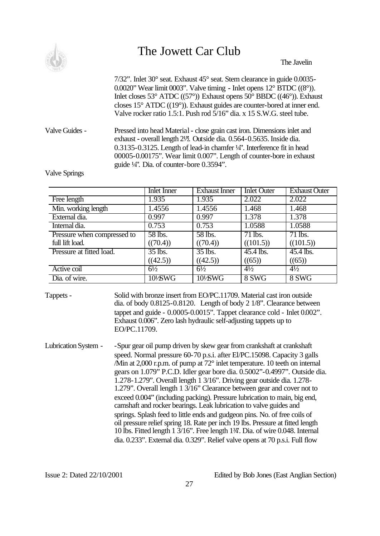

The Javelin

7/32". Inlet 30° seat. Exhaust 45° seat. Stem clearance in guide 0.0035- 0.0020" Wear limit 0003". Valve timing **-** Inlet opens 12° BTDC ((8°)). Inlet closes 53° ATDC ((57°)) Exhaust opens 50° BBDC ((46°)). Exhaust closes 15° ATDC ((19°)). Exhaust guides are counter-bored at inner end. Valve rocker ratio 1.5:1. Push rod 5/16" dia. x 15 S.W.G. steel tube.

Valve Guides - Pressed into head Material **-** close grain cast iron. Dimensions inlet and exhaust **-** overall length 2½"*.* Outside dia. 0.564-0.5635. Inside dia. 0.3135-0.3125. Length of lead-in chamfer ¼". Interference fit in head 00005-0.00175". Wear limit 0.007". Length of counter-bore in exhaust guide ¼"*.* Dia. of counter-bore 0.3594".

#### Valve Springs

|                             | Inlet Inner                  | <b>Exhaust Inner</b>         | <b>Inlet Outer</b>   | <b>Exhaust Outer</b> |
|-----------------------------|------------------------------|------------------------------|----------------------|----------------------|
| Free length                 | 1.935                        | 1.935                        | 2.022                | 2.022                |
| Min. working length         | 1.4556                       | 1.4556                       | 1.468                | 1.468                |
| External dia.               | 0.997                        | 0.997                        | 1.378                | 1.378                |
| Internal dia.               | 0.753                        | 0.753                        | 1.0588               | 1.0588               |
| Pressure when compressed to | 58 lbs.                      | 58 lbs.                      | $\overline{71}$ lbs. | 71 lbs.              |
| full lift load.             | ((70.4))                     | ((70.4))                     | ((101.5))            | ((101.5))            |
| Pressure at fitted load.    | 35 lbs.                      | $35$ lbs.                    | 45.4 lbs.            | 45.4 lbs.            |
|                             | ((42.5))                     | ((42.5))                     | ((65))               | ((65))               |
| Active coil                 | $6\frac{1}{2}$               | $6\frac{1}{2}$               | $4\frac{1}{2}$       | $4\frac{1}{2}$       |
| Dia. of wire.               | 10 <sup>1</sup> / <b>SWG</b> | 10 <sup>1</sup> / <b>SWG</b> | 8 SWG                | 8 SWG                |

Tappets - Solid with bronze insert from EO/PC.11709. Material cast iron outside dia. of body 0.8125-0.8120. Length of body 2 1/8". Clearance between tappet and guide - 0.0005-0.0015". Tappet clearance cold - Inlet 0.002". Exhaust 0.006". Zero lash hydraulic self-adjusting tappets up to EO/PC.11709.

Lubrication System - -Spur gear oil pump driven by skew gear from crankshaft at crankshaft speed. Normal pressure 60-70 p.s.i. after El/PC.15098. Capacity 3 galls /Min at 2,000 r.p.m. of pump at 72° inlet temperature. 10 teeth on internal gears on 1.079" P.C.D. Idler gear bore dia. 0.5002"-0.4997". Outside dia. 1.278-1.279". Overall length 1 3/16". Driving gear outside dia. 1.278- 1.279". Overall length 1 3/16" Clearance between gear and cover not to exceed 0.004" (including packing). Pressure lubrication to main, big end, camshaft and rocker bearings. Leak lubrication to valve guides and springs. Splash feed to little ends and gudgeon pins. No. of free coils of oil pressure relief spring 18. Rate per inch 19 lbs. Pressure at fitted length 10 lbs. Fitted length 1 3/16". Free length 1¾". Dia. of wire 0.048. Internal dia. 0.233". External dia. 0.329". Relief valve opens at 70 p.s.i. Full flow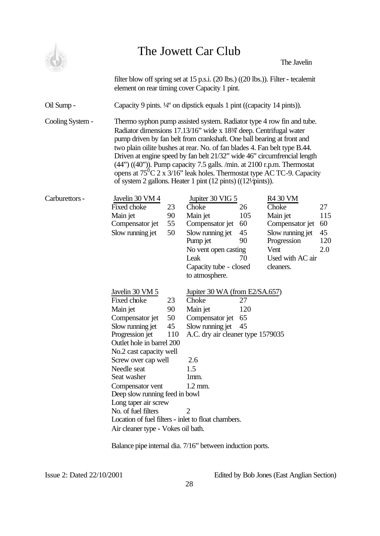

The Javelin

filter blow off spring set at 15 p.s.i. (20 lbs.) ((20 lbs.)). Filter **-** tecalemit element on rear timing cover Capacity 1 pint.

Oil Sump - Capacity 9 pints. <sup>1</sup>/<sub>4</sub><sup>\*</sup> on dipstick equals 1 pint ((capacity 14 pints)).

Cooling System - Thermo syphon pump assisted system. Radiator type 4 row fin and tube. Radiator dimensions 17.13/16" wide x 18¾" deep. Centrifugal water pump driven by fan belt from crankshaft. One ball bearing at front and two plain oilite bushes at rear. No. of fan blades 4. Fan belt type B.44. Driven at engine speed by fan belt 21/32" wide 46" circumfrencial length (44") ((40")). Pump capacity 7.5 galls. /min. at 2100 r.p.m. Thermostat opens at  $75^{\circ}$ C 2 x  $3/16$ " leak holes. Thermostat type AC TC-9. Capacity of system 2 gallons. Heater 1 pint  $(12 \text{ pints})$   $((12\frac{1}{2})$ nints).

| Carburettors - | Javelin 30 VM 4                    |                      | Jupiter 30 VIG 5                                    |     | <b>R4 30 VM</b>  |     |
|----------------|------------------------------------|----------------------|-----------------------------------------------------|-----|------------------|-----|
|                | Fixed choke                        | 23                   | Choke                                               | 26  | Choke            | 27  |
|                | Main jet                           | 90                   | Main jet                                            | 105 | Main jet         | 115 |
|                | Compensator jet                    | 55                   | Compensator jet                                     | 60  | Compensator jet  | 60  |
|                | Slow running jet                   | 50                   | Slow running jet                                    | 45  | Slow running jet | 45  |
|                |                                    |                      | Pump jet                                            | 90  | Progression      | 120 |
|                |                                    |                      | No vent open casting                                |     | Vent             | 2.0 |
|                |                                    |                      | Leak                                                | 70  | Used with AC air |     |
|                |                                    |                      | Capacity tube - closed                              |     | cleaners.        |     |
|                |                                    |                      | to atmosphere.                                      |     |                  |     |
|                | <u>Javelin 30 VM 5</u>             |                      | Jupiter 30 WA (from E2/SA.657)                      |     |                  |     |
|                | Fixed choke                        | 23                   | Choke                                               | 27  |                  |     |
|                | Main jet                           | 90                   | Main jet                                            | 120 |                  |     |
|                | Compensator jet                    | 50                   | Compensator jet                                     | 65  |                  |     |
|                | Slow running jet                   | 45                   | Slow running jet                                    | 45  |                  |     |
|                | Progression jet                    | 110                  | A.C. dry air cleaner type 1579035                   |     |                  |     |
|                | Outlet hole in barrel 200          |                      |                                                     |     |                  |     |
|                | No.2 cast capacity well            |                      |                                                     |     |                  |     |
|                | Screw over cap well                |                      | 2.6                                                 |     |                  |     |
|                | Needle seat                        |                      | 1.5                                                 |     |                  |     |
|                | Seat washer                        |                      | 1mm.                                                |     |                  |     |
|                | Compensator vent                   |                      | $1.2$ mm.                                           |     |                  |     |
|                | Deep slow running feed in bowl     |                      |                                                     |     |                  |     |
|                |                                    | Long taper air screw |                                                     |     |                  |     |
|                | No. of fuel filters                |                      |                                                     |     |                  |     |
|                |                                    |                      | Location of fuel filters - inlet to float chambers. |     |                  |     |
|                | Air cleaner type - Vokes oil bath. |                      |                                                     |     |                  |     |
|                |                                    |                      |                                                     |     |                  |     |

Balance pipe internal dia. 7/16" between induction ports.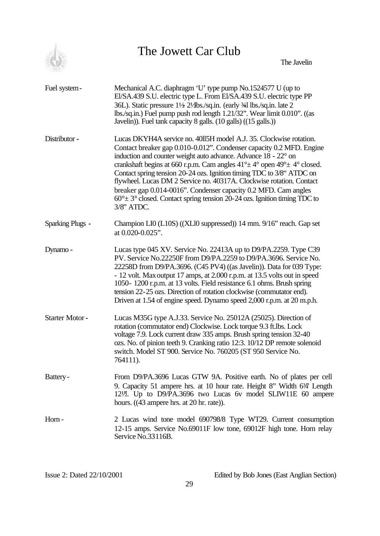

| Fuel system-            | Mechanical A.C. diaphragm 'U' type pump No.1524577 U (up to<br>El/SA.439 S.U. electric type L. From El/SA.439 S.U. electric type PP<br>36L). Static pressure 1½ 2½bs./sq.in. (early 3/4l lbs./sq.in. late 2<br>lbs./sq.in.) Fuel pump push rod length 1.21/32". Wear limit 0.010". ((as<br>Javelin)). Fuel tank capacity 8 galls. (10 galls) ((15 galls.))                                                                                                                                                                                                                                                                                               |
|-------------------------|----------------------------------------------------------------------------------------------------------------------------------------------------------------------------------------------------------------------------------------------------------------------------------------------------------------------------------------------------------------------------------------------------------------------------------------------------------------------------------------------------------------------------------------------------------------------------------------------------------------------------------------------------------|
| Distributor -           | Lucas DKYH4A service no. 40115H model A.J. 35. Clockwise rotation.<br>Contact breaker gap 0.010-0.012". Condenser capacity 0.2 MFD. Engine<br>induction and counter weight auto advance. Advance 18 - 22° on<br>crankshaft begins at 660 r.p.m. Cam angles $41^{\circ} \pm 4^{\circ}$ open $49^{\circ} \pm 4^{\circ}$ closed.<br>Contact spring tension 20-24 ozs. Ignition timing TDC to 3/8" ATDC on<br>flywheel. Lucas DM 2 Service no. 40317A. Clockwise rotation. Contact<br>breaker gap 0.014-0016". Condenser capacity 0.2 MFD. Cam angles<br>$60^{\circ}$ ± 3° closed. Contact spring tension 20-24 ozs. Ignition timing TDC to<br>$3/8$ " ATDC. |
| <b>Sparking Plugs -</b> | Champion LI0 (L10S) ((XLI0 suppressed)) 14 mm. 9/16" reach. Gap set<br>at 0.020-0.025".                                                                                                                                                                                                                                                                                                                                                                                                                                                                                                                                                                  |
| Dynamo-                 | Lucas type 045 XV. Service No. 22413A up to D9/PA.2259. Type C39<br>PV. Service No.22250F from D9/PA.2259 to D9/PA.3696. Service No.<br>22258D from D9/PA.3696. (C45 PV4) ((as Javelin)). Data for 039 Type:<br>- 12 volt. Max output 17 amps, at 2.000 r.p.m. at 13.5 volts out in speed<br>1050-1200 r.p.m. at 13 volts. Field resistance 6.1 ohms. Brush spring<br>tension 22-25 ozs. Direction of rotation clockwise (commutator end).<br>Driven at 1.54 of engine speed. Dynamo speed 2,000 r.p.m. at 20 m.p.h.                                                                                                                                     |
| Starter Motor -         | Lucas M35G type A.J.33. Service No. 25012A (25025). Direction of<br>rotation (commutator end) Clockwise. Lock torque 9.3 ft.lbs. Lock<br>voltage 7.9. Lock current draw 335 amps. Brush spring tension 32-40<br>ozs. No. of pinion teeth 9. Cranking ratio 12:3. 10/12 DP remote solenoid<br>switch. Model ST 900. Service No. 760205 (ST 950 Service No.<br>764111).                                                                                                                                                                                                                                                                                    |
| Battery-                | From D9/PA.3696 Lucas GTW 9A. Positive earth. No of plates per cell<br>9. Capacity 51 ampere hrs. at 10 hour rate. Height 8" Width 634 Length<br>121/2. Up to D9/PA.3696 two Lucas 6v model SLIW11E 60 ampere<br>hours. ((43 ampere hrs. at 20 hr. rate)).                                                                                                                                                                                                                                                                                                                                                                                               |
| Horn-                   | 2 Lucas wind tone model 690798/8 Type WT29. Current consumption<br>12-15 amps. Service No.69011F low tone, 69012F high tone. Horn relay<br>Service No.33116B.                                                                                                                                                                                                                                                                                                                                                                                                                                                                                            |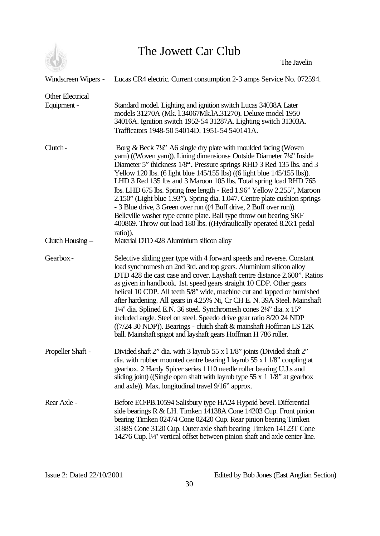

| Windscreen Wipers -                    | Lucas CR4 electric. Current consumption 2-3 amps Service No. 072594.                                                                                                                                                                                                                                                                                                                                                                                                                                                                                                                                                                                                                                                                                                                          |
|----------------------------------------|-----------------------------------------------------------------------------------------------------------------------------------------------------------------------------------------------------------------------------------------------------------------------------------------------------------------------------------------------------------------------------------------------------------------------------------------------------------------------------------------------------------------------------------------------------------------------------------------------------------------------------------------------------------------------------------------------------------------------------------------------------------------------------------------------|
| <b>Other Electrical</b><br>Equipment - | Standard model. Lighting and ignition switch Lucas 34038A Later<br>models 31270A (Mk. 1.34067Mk. 1A.31270). Deluxe model 1950<br>34016A. Ignition switch 1952-54 31287A. Lighting switch 31303A.<br>Trafficators 1948-50 54014D. 1951-54 540141A.                                                                                                                                                                                                                                                                                                                                                                                                                                                                                                                                             |
| Clutch-                                | Borg $\&$ Beck 7 <sup>1</sup> /4 <sup>2</sup> A6 single dry plate with moulded facing (Woven<br>yarn) ((Woven yarn)). Lining dimensions:- Outside Diameter 71/4' Inside<br>Diameter 5" thickness 1/8". Pressure springs RHD 3 Red 135 lbs. and 3<br>Yellow 120 lbs. (6 light blue 145/155 lbs) ((6 light blue 145/155 lbs)).<br>LHD 3 Red 135 lbs and 3 Maroon 105 lbs. Total spring load RHD 765<br>lbs. LHD 675 lbs. Spring free length - Red 1.96" Yellow 2.255", Maroon<br>2.150" (Light blue 1.93"). Spring dia. 1.047. Centre plate cushion springs<br>- 3 Blue drive, 3 Green over run ((4 Buff drive, 2 Buff over run)).<br>Belleville washer type centre plate. Ball type throw out bearing SKF<br>400869. Throw out load 180 lbs. ((Hydraulically operated 8.26:1 pedal<br>ratio)). |
| Clutch Housing -                       | Material DTD 428 Aluminium silicon alloy                                                                                                                                                                                                                                                                                                                                                                                                                                                                                                                                                                                                                                                                                                                                                      |
| Gearbox-                               | Selective sliding gear type with 4 forward speeds and reverse. Constant<br>load synchromesh on 2nd 3rd. and top gears. Aluminium silicon alloy<br>DTD 428 die cast case and cover. Layshaft centre distance 2.600". Ratios<br>as given in handbook. 1st. speed gears straight 10 CDP. Other gears<br>helical 10 CDP. All teeth 5/8" wide, machine cut and lapped or burnished<br>after hardening. All gears in 4.25% Ni, Cr CH E. N. 39A Steel. Mainshaft<br>1¼' dia. Splined E.N. 36 steel. Synchromesh cones 2¼' dia. x 15°<br>included angle. Steel on steel. Speedo drive gear ratio 8/20 24 NDP<br>((7/24 30 NDP)). Bearings - clutch shaft & mainshaft Hoffman LS 12K<br>ball. Mainshaft spigot and layshaft gears Hoffman H 786 roller.                                                |
| Propeller Shaft -                      | Divided shaft 2" dia. with 3 layrub 55 x 1 1/8" joints (Divided shaft 2"<br>dia. with rubber mounted centre bearing I layrub 55 x 1 1/8" coupling at<br>gearbox. 2 Hardy Spicer series 1110 needle roller bearing U.J.s and<br>sliding joint) ((Single open shaft with layrub type $55 \times 11/8$ " at gearbox<br>and axle)). Max. longitudinal travel 9/16" approx.                                                                                                                                                                                                                                                                                                                                                                                                                        |
| Rear Axle -                            | Before EO/PB.10594 Salisbury type HA24 Hypoid bevel. Differential<br>side bearings R & LH. Timken 14138A Cone 14203 Cup. Front pinion<br>bearing Timken 02474 Cone 02420 Cup. Rear pinion bearing Timken<br>3188S Cone 3120 Cup. Outer axle shaft bearing Timken 14123T Cone<br>14276 Cup. 11/4' vertical offset between pinion shaft and axle center-line.                                                                                                                                                                                                                                                                                                                                                                                                                                   |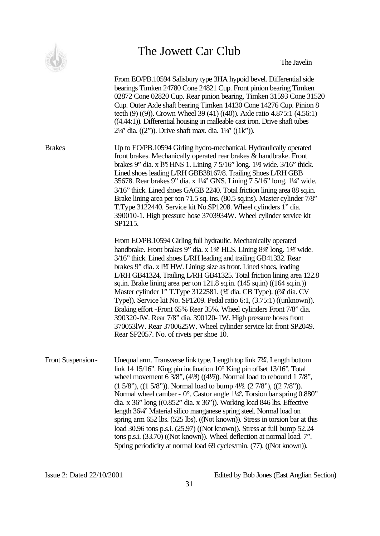

The Javelin

|                    | From EO/PB.10594 Salisbury type 3HA hypoid bevel. Differential side<br>bearings Timken 24780 Cone 24821 Cup. Front pinion bearing Timken<br>02872 Cone 02820 Cup. Rear pinion bearing, Timken 31593 Cone 31520<br>Cup. Outer Axle shaft bearing Timken 14130 Cone 14276 Cup. Pinion 8<br>teeth (9) ((9)). Crown Wheel 39 (41) ((40)). Axle ratio 4.875:1 (4.56:1)<br>$((4.44:1))$ . Differential housing in malleable cast iron. Drive shaft tubes<br>$2\frac{1}{4}$ dia. ((2")). Drive shaft max. dia. $1\frac{1}{4}$ ((1k")).                                                                                                                                                                                                                                                                                                                                                                               |
|--------------------|---------------------------------------------------------------------------------------------------------------------------------------------------------------------------------------------------------------------------------------------------------------------------------------------------------------------------------------------------------------------------------------------------------------------------------------------------------------------------------------------------------------------------------------------------------------------------------------------------------------------------------------------------------------------------------------------------------------------------------------------------------------------------------------------------------------------------------------------------------------------------------------------------------------|
| <b>Brakes</b>      | Up to EO/PB.10594 Girling hydro-mechanical. Hydraulically operated<br>front brakes. Mechanically operated rear brakes & handbrake. Front<br>brakes 9" dia. x 11/2 HNS 1. Lining 7 5/16" long. 11/2 wide. 3/16" thick.<br>Lined shoes leading L/RH GBB38167/8. Trailing Shoes L/RH GBB<br>35678. Rear brakes 9" dia. x 11⁄4" GNS. Lining 7 5/16" long. 11⁄4" wide.<br>3/16" thick. Lined shoes GAGB 2240. Total friction lining area 88 sq.in.<br>Brake lining area per ton 71.5 sq. ins. (80.5 sq.ins). Master cylinder 7/8"<br>T.Type 3122440. Service kit No.SP1208. Wheel cylinders 1" dia.<br>390010-1. High pressure hose 3703934W. Wheel cylinder service kit<br>SP1215.                                                                                                                                                                                                                                |
|                    | From EO/PB.10594 Girling full hydraulic. Mechanically operated<br>handbrake. Front brakes 9" dia. x 13/4 HLS. Lining 83/4 long. 13/4 wide.<br>3/16" thick. Lined shoes L/RH leading and trailing GB41332. Rear<br>brakes 9" dia. x 13⁄4 HW. Lining: size as front. Lined shoes, leading<br>L/RH GB41324, Trailing L/RH GB41325. Total friction lining area 122.8<br>sq.in. Brake lining area per ton 121.8 sq.in. (145 sq.in) ((164 sq.in.))<br>Master cylinder 1" T.Type 3122581. (3⁄4 dia. CB Type). ((3⁄4 dia. CV<br>Type)). Service kit No. SP1209. Pedal ratio 6:1, (3.75:1) ((unknown)).<br>Braking effort - Front 65% Rear 35%. Wheel cylinders Front 7/8" dia.<br>390320-IW. Rear 7/8" dia. 390120-1W. High pressure hoses front<br>370053IW. Rear 3700625W. Wheel cylinder service kit front SP2049.<br>Rear SP2057. No. of rivets per shoe 10.                                                      |
| Front Suspension - | Unequal arm. Transverse link type. Length top link 73%. Length bottom<br>link 14 15/16". King pin inclination 10° King pin offset 13/16". Total<br>wheel movement 6 $3/8$ ", $(4\frac{1}{2}) ((4\frac{1}{2}))$ . Normal load to rebound 1 7/8",<br>$(1\ 5/8)$ , $((1\ 5/8)$ . Normal load to bump 4 <sup>1</sup> / <sub>2</sub> . $(2\ 7/8)$ , $((2\ 7/8)$ .<br>Normal wheel camber - 0°. Castor angle 1¼°. Torsion bar spring 0.880"<br>dia. x $36$ " long $((0.852"$ dia. x $36")$ ). Working load 846 lbs. Effective<br>length 361/4' Material silico manganese spring steel. Normal load on<br>spring arm 652 lbs. (525 lbs). ((Not known)). Stress in torsion bar at this<br>load 30.96 tons p.s.i. (25.97) ((Not known)). Stress at full bump 52.24<br>tons p.s.i. (33.70) ((Not known)). Wheel deflection at normal load. 7".<br>Spring periodicity at normal load 69 cycles/min. (77). ((Not known)). |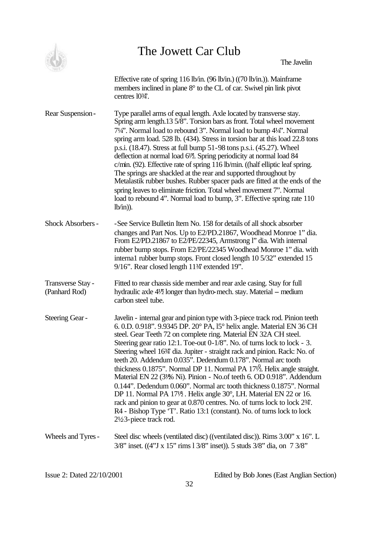

The Javelin

Effective rate of spring 116 lb/in. (96 lb/in.) ((70 lb/in.)). Mainframe members inclined in plane 8° to the CL of car. Swivel pin link pivot centres  $10\frac{3}{4}$ .

Rear Suspension - Type parallel arms of equal length. Axle located by transverse stay. Spring arm length.13 5/8". Torsion bars as front. Total wheel movement 7¼". Normal load to rebound 3". Normal load to bump 4¼". Normal spring arm load. 528 lb. (434). Stress in torsion bar at this load 22.8 tons p.s.i. (18.47). Stress at full bump 51-98 tons p.s.i. (45.27). Wheel deflection at normal load 6½. Spring periodicity at normal load 84 c/min. (92). Effective rate of spring 116 lb/min. ((half elliptic leaf spring. The springs are shackled at the rear and supported throughout by Metalastik rubber bushes. Rubber spacer pads are fitted at the ends of the spring leaves to eliminate friction. Total wheel movement 7". Normal load to rebound 4". Normal load to bump, 3". Effective spring rate 110  $lb/in)$ ).

Shock Absorbers- -See Service Bulletin Item No. 158 for details of all shock absorber changes and Part Nos. Up to E2/PD.21867, Woodhead Monroe 1" dia. From E2/PD.21867 to E2/PE/22345, Armstrong l" dia. With internal rubber bump stops. From E2/PE/22345 Woodhead Monroe 1" dia. with interna1 rubber bump stops. Front closed length 10 5/32" extended 15 9/16". Rear closed length 11<sup>3</sup>/4<sup>2</sup> extended 19".

- Transverse Stay Fitted to rear chassis side member and rear axle casing. Stay for full (Panhard Rod) hydraulic axle 4½" longer than hydro-mech. stay. Material **–** medium carbon steel tube.
- Steering Gear- Javelin internal gear and pinion type with 3-piece track rod. Pinion teeth 6. 0.D. 0.918". 9.9345 DP. 20° PA, l5° helix angle. Material EN 36 CH steel. Gear Teeth 72 on complete ring. Material EN 32A CH steel. Steering gear ratio 12:1. Toe-out 0-1/8". No. of turns lock to lock - 3. Steering wheel 16<sup>3</sup>/<sub>4</sub><sup>2</sup> dia. Jupiter - straight rack and pinion. Rack: No. of teeth 20. Addendum 0.035". Dedendum 0.178". Normal arc tooth thickness  $0.1875$ ". Normal DP 11. Normal PA  $17\frac{9}{2}$ . Helix angle straight. Material EN 22 (3½% Ni). Pinion - No.of teeth 6. OD 0.918". Addendum 0.144". Dedendum 0.060". Normal arc tooth thickness 0.1875". Normal DP 11. Normal PA 17<sup>1</sup>/2. Helix angle 30°, LH. Material EN 22 or 16. rack and pinion to gear at 0.870 centres. No. of turns lock to lock  $2\frac{3}{4}$ . R4 - Bishop Type 'T'. Ratio 13:1 (constant). No. of turns lock to lock 2½3-piece track rod.

Wheels and Tyres - Steel disc wheels (ventilated disc) ((ventilated disc)). Rims 3.00" x 16". L 3/8" inset. ((4"J x 15" rims l 3/8" inset)). 5 studs 3/8" dia, on 7 3/8"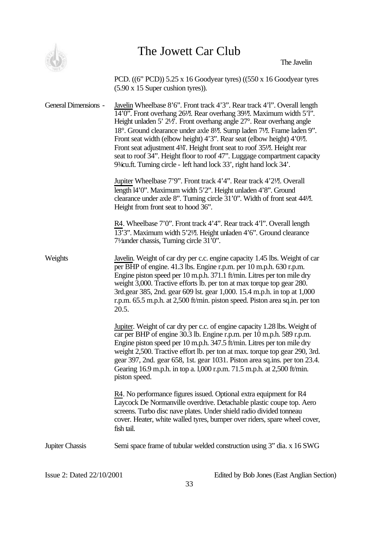

The Javelin

| PCD. $((6' PCD))$ 5.25 x 16 Goodyear tyres) $((550 \times 16 \text{ Goodyear}$ tyres |  |
|--------------------------------------------------------------------------------------|--|
| $(5.90 \times 15$ Super cushion tyres)).                                             |  |

General Dimensions - Javelin Wheelbase 8'6". Front track 4'3". Rear track 4'l". Overall length 14'0". Front overhang 26<sup>1</sup>/<sub>2</sub>. Rear overhang 39<sup>1</sup>/<sub>2</sub>. Maximum width 5'l". Height unladen 5' 2½*".* Front overhang angle 27°. Rear overhang angle 18°. Ground clearance under axle 8½. Sump laden 7½. Frame laden 9". Front seat width (elbow height) 4'3". Rear seat (elbow height) 4'0<sup>1</sup>/<sub>2</sub>. Front seat adjustment 4<sup>3</sup>/<sub>4</sub>. Height front seat to roof 35<sup>*y*</sup><sub>2</sub>. Height rear seat to roof 34". Height floor to roof 47". Luggage compartment capacity 9¾ cu.ft. Turning circle - left hand lock 33', right hand lock 34'. Jupiter Wheelbase 7'9". Front track 4'4". Rear track 4'21/2. Overall length l4'0". Maximum width 5'2". Height unladen 4'8". Ground clearance under axle  $8$ ". Turning circle  $31'0$ ". Width of front seat  $44\frac{1}{2}$ . Height from front seat to hood 36". R4. Wheelbase 7'0". Front track 4'4". Rear track 4'l". Overall length 13'3". Maximum width 5'2½". Height unladen 4'6". Ground clearance 7½ under chassis, Turning circle 31'0". Weights Javelin. Weight of car dry per c.c. engine capacity 1.45 lbs. Weight of car per BHP of engine. 41.3 lbs. Engine r.p.m. per 10 m.p.h. 630 r.p.m. Engine piston speed per 10 m.p.h. 371.1 ft/min. Litres per ton mile dry weight 3,000. Tractive efforts lb. per ton at max torque top gear 280. 3rd.gear 385, 2nd. gear 609 lst. gear 1,000. 15.4 m.p.h. in top at 1,000 r.p.m. 65.5 m.p.h. at 2,500 ft/min. piston speed. Piston area sq.in. per ton 20.5. Jupiter. Weight of car dry per c.c. of engine capacity 1.28 lbs. Weight of car per BHP of engine 30.3 lb. Engine r.p.m. per 10 m.p.h. 589 r.p.m. Engine piston speed per 10 m.p.h. 347.5 ft/min. Litres per ton mile dry weight 2,500. Tractive effort lb. per ton at max. torque top gear 290, 3rd. gear 397, 2nd. gear 658, 1st. gear 1031. Piston area sq.ins. per ton 23.4. Gearing 16.9 m.p.h. in top a. l,000 r.p.m. 71.5 m.p.h. at 2,500 ft/min. piston speed. R4. No performance figures issued. Optional extra equipment for R4 Laycock De Normanville overdrive. Detachable plastic coupe top. Aero screens. Turbo disc nave plates. Under shield radio divided tonneau cover. Heater, white walled tyres, bumper over riders, spare wheel cover, fish tail. Jupiter Chassis Semi space frame of tubular welded construction using 3" dia. x 16 SWG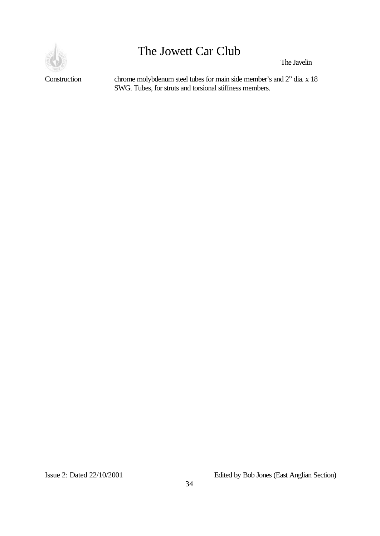

The Javelin

Construction chrome molybdenum steel tubes for main side member's and 2" dia. x 18 SWG. Tubes, for struts and torsional stiffness members.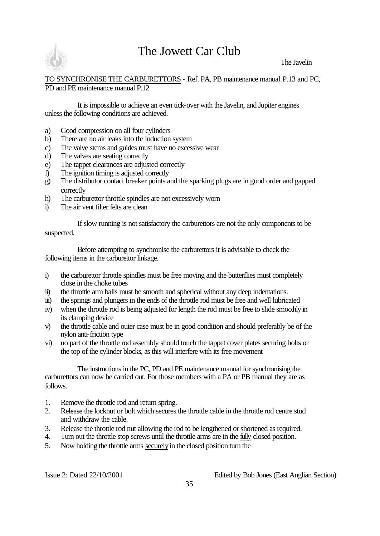The Javelin

TO SYNCHRONISE THE CARBURETTORS - Ref. PA, PB maintenance manual P.13 and PC, PD and PE maintenance manual P.12

It is impossible to achieve an even tick-over with the Javelin, and Jupiter engines unless the following conditions are achieved.

- a) Good compression on all four cylinders
- b) There are no air leaks into the induction system
- c) The valve stems and guides must have no excessive wear
- d) The valves are seating correctly
- e) The tappet clearances are adjusted correctly
- f) The ignition timing is adjusted correctly
- g) The distributor contact breaker points and the sparking plugs are in good order and gapped correctly
- h) The carburettor throttle spindles are not excessively worn
- i) The air vent filter felts are clean

If slow running is not satisfactory the carburettors are not the only components to be suspected.

Before attempting to synchronise the carburettors it is advisable to check the following items in the carburettor linkage.

- i) the carburettor throttle spindles must be free moving and the butterflies must completely close in the choke tubes
- ii) the throttle arm balls must be smooth and spherical without any deep indentations.
- iii) the springs and plungers in the ends of the throttle rod must be free and well lubricated
- iv) when the throttle rod is being adjusted for length the rod must be free to slide smoothly in its clamping device
- v) the throttle cable and outer case must be in good condition and should preferably be of the nylon anti-friction type
- vi) no part of the throttle rod assembly should touch the tappet cover plates securing bolts or the top of the cylinder blocks, as this will interfere with its free movement

The instructions in the PC, PD and PE maintenance manual for synchronising the carburettors can now be carried out. For those members with a PA or PB manual they are as follows.

- 1. Remove the throttle rod and return spring.
- 2. Release the locknut or bolt which secures the throttle cable in the throttle rod centre stud and withdraw the cable.
- 3. Release the throttle rod nut allowing the rod to be lengthened or shortened as required.
- 4. Turn out the throttle stop screws until the throttle arms are in the fully closed position.
- 5. Now holding the throttle arms securely in the closed position turn the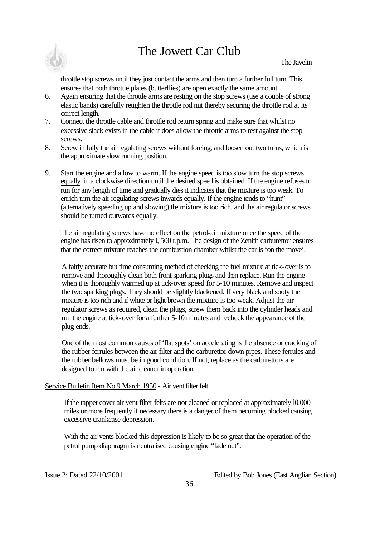

throttle stop screws until they just contact the arms and then turn a further full turn. This ensures that both throttle plates (butterflies) are open exactly the same amount.

- 6. Again ensuring that the throttle arms are resting on the stop screws (use a couple of strong elastic bands) carefully retighten the throttle rod nut thereby securing the throttle rod at its correct length.
- 7. Connect the throttle cable and throttle rod return spring and make sure that whilst no excessive slack exists in the cable it does allow the throttle arms to rest against the stop screws.
- 8. Screw in fully the air regulating screws without forcing, and loosen out two turns, which is the approximate slow running position.
- 9. Start the engine and allow to warm. If the engine speed is too slow turn the stop screws equally, in a clockwise direction until the desired speed is obtained. If the engine refuses to run for any length of time and gradually dies it indicates that the mixture is too weak. To enrich turn the air regulating screws inwards equally. If the engine tends to "hunt" (alternatively speeding up and slowing) the mixture is too rich, and the air regulator screws should be turned outwards equally.

The air regulating screws have no effect on the petrol-air mixture once the speed of the engine has risen to approximately l, 500 r.p.m. The design of the Zenith carburettor ensures that the correct mixture reaches the combustion chamber whilst the car is 'on the move'.

A fairly accurate but time consuming method of checking the fuel mixture at tick-over is to remove and thoroughly clean both front sparking plugs and then replace. Run the engine when it is thoroughly warmed up at tick-over speed for 5-10 minutes. Remove and inspect the two sparking plugs. They should be slightly blackened. If very black and sooty the mixture is too rich and if white or light brown the mixture is too weak. Adjust the air regulator screws as required, clean the plugs, screw them back into the cylinder heads and run the engine at tick-over for a further 5-10 minutes and recheck the appearance of the plug ends.

One of the most common causes of 'flat spots' on accelerating is the absence or cracking of the rubber ferrules between the air filter and the carburettor down pipes. These ferrules and the rubber bellows must be in good condition. If not, replace as the carburettors are designed to run with the air cleaner in operation.

#### Service Bulletin Item No.9 March 1950 *-* Air vent filter felt

If the tappet cover air vent filter felts are not cleaned or replaced at approximately l0.000 miles or more frequently if necessary there is a danger of them becoming blocked causing excessive crankcase depression.

With the air vents blocked this depression is likely to be so great that the operation of the petrol pump diaphragm is neutralised causing engine "fade out".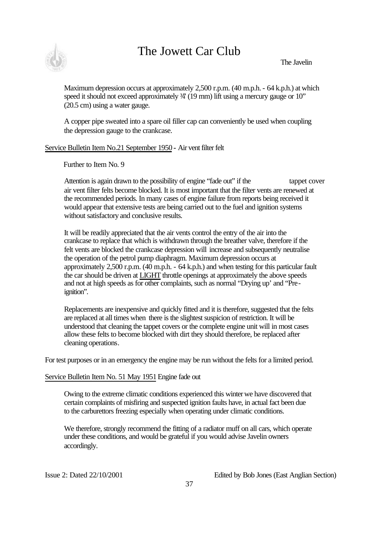

The Javelin

Maximum depression occurs at approximately 2,500 r.p.m. (40 m.p.h. - 64 k.p.h.) at which speed it should not exceed approximately  $\frac{3}{4}$  (19 mm) lift using a mercury gauge or 10" (20.5 cm) using a water gauge.

A copper pipe sweated into a spare oil filler cap can conveniently be used when coupling the depression gauge to the crankcase.

### Service Bulletin Item No.21 September 1950 *-* Air vent filter felt

Further to Item No. 9

Attention is again drawn to the possibility of engine "fade out" if the tappet cover air vent filter felts become blocked. It is most important that the filter vents are renewed at the recommended periods. In many cases of engine failure from reports being received it would appear that extensive tests are being carried out to the fuel and ignition systems without satisfactory and conclusive results.

It will be readily appreciated that the air vents control the entry of the air into the crankcase to replace that which is withdrawn through the breather valve, therefore if the felt vents are blocked the crankcase depression will increase and subsequently neutralise the operation of the petrol pump diaphragm. Maximum depression occurs at approximately 2,500 r.p.m. (40 m.p.h. - 64 k.p.h.) and when testing for this particular fault the car should be driven at LIGHT throttle openings at approximately the above speeds and not at high speeds as for other complaints, such as normal "Drying up' and "Preignition".

Replacements are inexpensive and quickly fitted and it is therefore, suggested that the felts are replaced at all times when there is the slightest suspicion of restriction. It will be understood that cleaning the tappet covers or the complete engine unit will in most cases allow these felts to become blocked with dirt they should therefore, be replaced after cleaning operations.

For test purposes or in an emergency the engine may be run without the felts for a limited period.

#### Service Bulletin Item No. 51 May 1951 Engine fade out

Owing to the extreme climatic conditions experienced this winterwe have discovered that certain complaints of misfiring and suspected ignition faults have, in actual fact been due to the carburettors freezing especially when operating under climatic conditions.

We therefore, strongly recommend the fitting of a radiator muff on all cars, which operate under these conditions, and would be grateful if you would advise Javelin owners accordingly.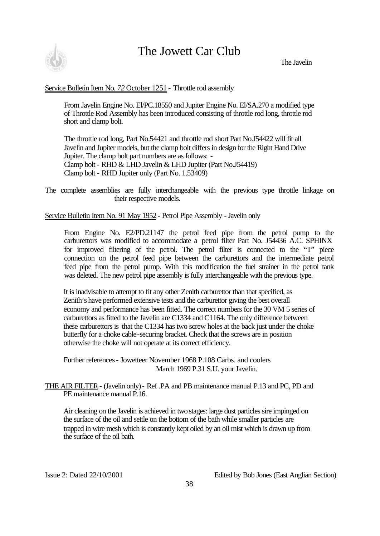

The Javelin

### Service Bulletin Item No. *72* October 1251 - Throttle rod assembly

From Javelin Engine No. El/PC.18550 and Jupiter Engine No. El/SA.270 a modified type of Throttle Rod Assembly has been introduced consisting of throttle rod long, throttle rod short and clamp bolt.

The throttle rod long, Part No.54421 and throttle rod short Part No.J54422 will fit all Javelin and Jupiter models, but the clamp bolt differs in design for the Right Hand Drive Jupiter. The clamp bolt part numbers are as follows: - Clamp bolt *-* RHD & LHD Javelin & LHD Jupiter (Part No.J54419) Clamp bolt - RHD Jupiter only (Part No. 1.53409)

The complete assemblies are fully interchangeable with the previous type throttle linkage on their respective models.

Service Bulletin Item No. 91 May 1952 *-* Petrol Pipe Assembly *-*Javelin only

From Engine No. E2/PD.21147 the petrol feed pipe from the petrol pump to the carburettors was modified to accommodate a petrol filter Part No. J54436 A.C. SPHINX for improved filtering of the petrol. The petrol filter is connected to the "T" piece connection on the petrol feed pipe between the carburettors and the intermediate petrol feed pipe from the petrol pump. With this modification the fuel strainer in the petrol tank was deleted. The new petrol pipe assembly is fully interchangeable with the previous type.

It is inadvisable to attempt to fit any other Zenith carburettor than that specified, as Zenith's have performed extensive tests and the carburettor giving the best overall economy and performance has been fitted. The correct numbers for the 30 VM 5 series of carburettors as fitted to the Javelin are C1334 and C1164. The only difference between these carburettors is that the C1334 has two screw holes at the back just under the choke butterfly for a choke cable-securing bracket. Check that the screws are in position otherwise the choke will not operate at its correct efficiency.

Further references *-* Jowetteer November 1968 P.108 Carbs. and coolers March 1969 P.31 S.U. your Javelin.

THE AIR FILTER*-* (Javelin only) - Ref .PA and PB maintenance manual P.13 and PC, PD and PE maintenance manual P.16.

Air cleaning on the Javelin is achieved in two stages: large dust particles sire impinged on the surface of the oil and settle on the bottom of the bath while smaller particles are trapped in wire mesh which is constantly kept oiled by an oil mist which is drawn up from the surface of the oil bath.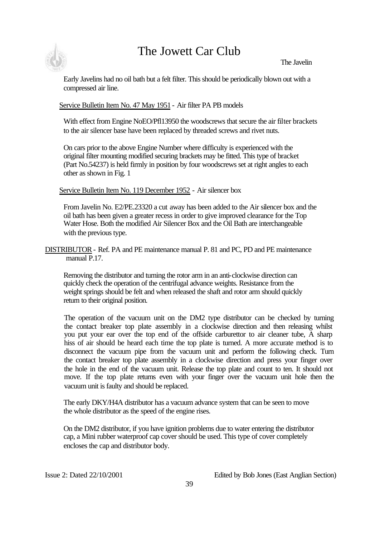

The Javelin

Early Javelins had no oil bath but a felt filter. This should be periodically blown out with a compressed air line.

### Service Bulletin Item No. 47 May 1951 - Air filter PA PB models

With effect from Engine NoEO/Pfl13950 the woodscrews that secure the air filter brackets to the air silencer base have been replaced by threaded screws and rivet nuts.

On cars prior to the above Engine Number where difficulty is experienced with the original filter mounting modified securing brackets may be fitted. This type of bracket (Part No.54237) is held firmly in position by four woodscrews set at right angles to each other as shown in Fig. 1

Service Bulletin Item No. 119 December 1952 - Air silencer box

From Javelin No. E2/PE.23320 a cut away has been added to the Air silencer box and the oil bath has been given a greater recess in order to give improved clearance for the Top Water Hose. Both the modified Air Silencer Box and the Oil Bath are interchangeable with the previous type.

DISTRIBUTOR- Ref. PA and PE maintenance manual P. 81 and PC, PD and PE maintenance manual P.17.

Removing the distributor and turning the rotor arm in an anti-clockwise direction can quickly check the operation of the centrifugal advance weights. Resistance from the weight springs should be felt and when released the shaft and rotor arm should quickly return to their original position.

The operation of the vacuum unit on the DM2 type distributor can be checked by turning the contact breaker top plate assembly in a clockwise direction and then releasing whilst you put your ear over the top end of the offside carburettor to air cleaner tube, A sharp hiss of air should be heard each time the top plate is turned. A more accurate method is to disconnect the vacuum pipe from the vacuum unit and perform the following check. Turn the contact breaker top plate assembly in a clockwise direction and press your finger over the hole in the end of the vacuum unit. Release the top plate and count to ten. It should not move. If the top plate returns even with your finger over the vacuum unit hole then the vacuum unit is faulty and should be replaced.

The early DKY/H4A distributor has a vacuum advance system that can be seen to move the whole distributor as the speed of the engine rises.

On the DM2 distributor, if you have ignition problems due to water entering the distributor cap, a Mini rubber waterproof cap cover should be used. This type of cover completely encloses the cap and distributor body.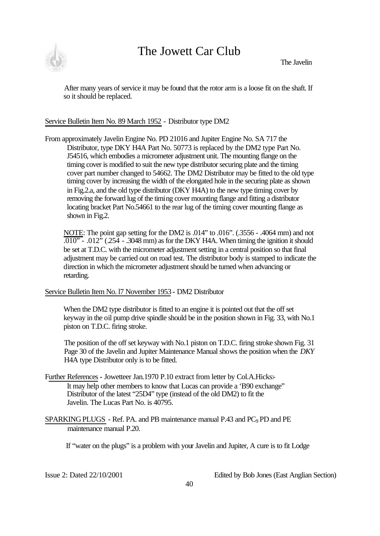

The Javelin

After many years of service it may be found that the rotor arm is a loose fit on the shaft. If so it should be replaced.

Service Bulletin Item No. 89 March 1952 - Distributor type DM2

From approximately Javelin Engine No. PD 21016 and Jupiter Engine No. SA 717 the Distributor, type DKY H4A Part No. 50773 is replaced by the DM2 type Part No. J54516, which embodies a micrometer adjustment unit. The mounting flange on the timing cover is modified to suit the new type distributor securing plate and the timing cover part number changed to 54662. The DM2 Distributor may be fitted to the old type timing cover by increasing the width of the elongated hole in the securing plate as shown in Fig.2.a, and the old type distributor (DKY H4A) to the new type timing cover by removing the forward lug of the timing cover mounting flange and fitting a distributor locating bracket Part No.54661 to the rear lug of the timing cover mounting flange as shown in Fig.2.

NOTE: The point gap setting for the DM2 is .014" to .016". (.3556 - .4064 mm) and not  $.010"$  - .012" (.254 - .3048 mm) as for the DKY H4A. When timing the ignition it should be set at T.D.C. with the micrometer adjustment setting in a central position so that final adjustment may be carried out on road test. The distributor body is stamped to indicate the direction in which the micrometer adjustment should be turned when advancing or retarding.

Service Bulletin Item No. l7 November 1953 *-* DM2 Distributor

When the DM2 type distributor is fitted to an engine it is pointed out that the off set keyway in the oil pump drive spindle should be in the position shown in Fig. 33, with No.1 piston on T.D.C. firing stroke.

The position of the off set keyway with No.1 piston on T.D.C. firing stroke shown Fig. 31 Page 30 of the Javelin and Jupiter Maintenance Manual shows the position when the *DKY*  H4A type Distributor only is to be fitted.

- Further References *-* Jowetteer Jan.1970 P.10 extract from letter by Col.A.Hicks:- It may help other members to know that Lucas can provide a 'B90 exchange" Distributor of the latest "25D4" type (instead of the old DM2) to fit the Javelin. The Lucas Part No. is 40795.
- SPARKING PLUGS Ref. PA. and PB maintenance manual P.43 and PC<sub>9</sub> PD and PE maintenance manual P.20.

If "water on the plugs" is a problem with your Javelin and Jupiter, A cure is to fit Lodge

|  |  |  | Issue 2: Dated 22/10/2001 |  |
|--|--|--|---------------------------|--|
|--|--|--|---------------------------|--|

Edited by Bob Jones (East Anglian Section)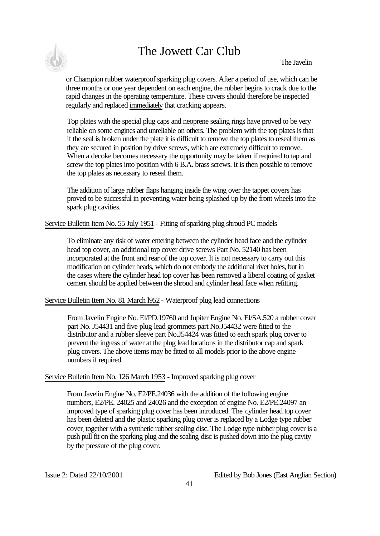

The Javelin

or Champion rubber waterproof sparking plug covers. After a period of use, which can be three months or one year dependent on each engine, the rubber begins to crack due to the rapid changes in the operating temperature. These covers should therefore be inspected regularly and replaced immediately that cracking appears.

Top plates with the special plug caps and neoprene sealing rings have proved to be very reliable on some engines and unreliable on others. The problem with the top plates is that if the seal is broken under the plate it is difficult to remove the top plates to reseal them as they are secured in position by drive screws, which are extremely difficult to remove. When a decoke becomes necessary the opportunity may be taken if required to tap and screw the top plates into position with 6 B.A. brass screws. It is then possible to remove the top plates as necessary to reseal them.

The addition of large rubber flaps hanging inside the wing over the tappet covers has proved to be successful in preventing water being splashed up by the front wheels into the spark plug cavities.

Service Bulletin Item No. 55 July 1951 - Fitting of sparking plug shroud PC models

To eliminate any risk of water entering between the cylinder head face and the cylinder head top cover, an additional top cover drive screws Part No. 52140 has been incorporated at the front and rear of the top cover. It is not necessary to carry out this modification on cylinder heads, which do not embody the additional rivet holes, but in the cases where the cylinder head top cover has been removed a liberal coating of gasket cement should be applied between the shroud and cylinder head face when refitting.

Service Bulletin Item No. 81 March l952 *-* Waterproof plug lead connections

From Javelin Engine No. El/PD.19760 and Jupiter Engine No. El/SA.520 a rubber cover part No. J54431 and five plug lead grommets part No.J54432 were fitted to the distributor and a rubber sleeve part No.J54424 was fitted to each spark plug cover to prevent the ingress of water at the plug lead locations in the distributor cap and spark plug covers. The above items may be fitted to all models prior to the above engine numbers if required.

### Service Bulletin Item No. 126 March 1953 *-* Improved sparking plug cover

From Javelin Engine No. E2/PE.24036 with the addition of the following engine numbers, E2/PE. 24025 and 24026 and the exception of engine No. E2/PE.24097 an improved type of sparking plug cover has been introduced. The cylinder head top cover has been deleted and the plastic sparking plug cover is replaced by a Lodge type rubber cover, together with a synthetic rubber sealing disc. The Lodge type rubber plug cover is a push pull fit on the sparking plug and the sealing disc is pushed down into the plug cavity by the pressure of the plug cover.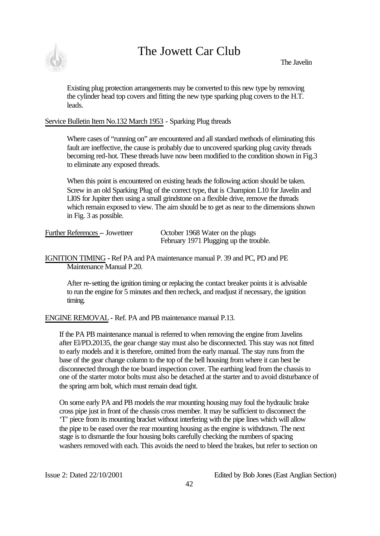

The Javelin

Existing plug protection arrangements may be converted to this new type by removing the cylinder head top covers and fitting the new type sparking plug covers to the H.T. leads.

### Service Bulletin Item No.132 March 1953 - Sparking Plug threads

Where cases of "running on" are encountered and all standard methods of eliminating this fault are ineffective, the cause is probably due to uncovered sparking plug cavity threads becoming red-hot. These threads have now been modified to the condition shown in Fig.3 to eliminate any exposed threads.

When this point is encountered on existing heads the following action should be taken. Screw in an old Sparking Plug of the correct type, that is Champion L10 for Javelin and Ll0S for Jupiter then using a small grindstone on a flexible drive, remove the threads which remain exposed to view. The aim should be to get as near to the dimensions shown in Fig. 3 as possible.

| Further References – Jowetteer | October 1968 Water on the plugs        |
|--------------------------------|----------------------------------------|
|                                | February 1971 Plugging up the trouble. |

IGNITION TIMING *-* Ref PA and PA maintenance manual P. 39 and PC, PD and PE Maintenance Manual P.20.

After re-setting the ignition timing or replacing the contact breaker points it is advisable to run the engine for 5 minutes and then recheck, and readjust if necessary, the ignition timing.

ENGINE REMOVAL*-* Ref. PA and PB maintenance manual P.13.

If the PA PB maintenance manual is referred to when removing the engine from Javelins after El/PD.20135, the gear change stay must also be disconnected. This stay was not fitted to early models and it is therefore, omitted from the early manual. The stay runs from the base of the gear change column to the top of the bell housing from where it can best be disconnected through the toe board inspection cover. The earthing lead from the chassis to one of the starter motor bolts must also be detached at the starter and to avoid disturbance of the spring arm bolt, which must remain dead tight.

On some early PA and PB models the rear mounting housing may foul the hydraulic brake cross pipe just in front of the chassis cross member. It may be sufficient to disconnect the 'T' piece from its mounting bracket without interfering with the pipe lines which will allow the pipe to be eased over the rear mounting housing as the engine is withdrawn. The next stage is to dismantle the four housing bolts carefully checking the numbers of spacing washers removed with each. This avoids the need to bleed the brakes, but refer to section on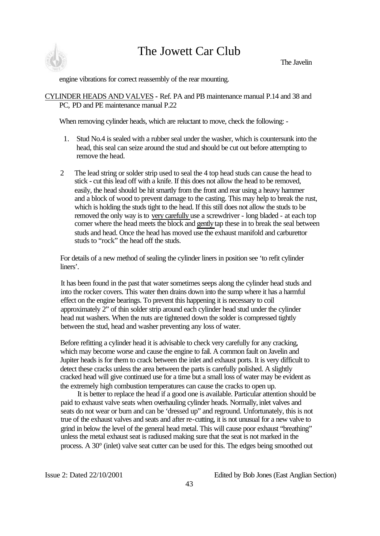

The Javelin

engine vibrations for correct reassembly of the rear mounting.

CYLINDER HEADS AND VALVES *-* Ref. PA and PB maintenance manual P.14 and 38 and PC, PD and PE maintenance manual P.22

When removing cylinder heads, which are reluctant to move, check the following: -

- 1. Stud No.4 is sealed with a rubber seal under the washer, which is countersunk into the head, this seal can seize around the stud and should be cut out before attempting to remove the head.
- 2 The lead string or solder strip used to seal the 4 top head studs can cause the head to stick *-* cut this lead off with a knife. If this does not allow the head to be removed, easily, the head should be hit smartly from the front and rear using a heavy hammer and a block of wood to prevent damage to the casting. This may help to break the rust, which is holding the studs tight to the head. If this still does not allow the studs to be removed the only way is to very carefully use a screwdriver - long bladed - at each top corner where the head meets the block and gently tap these in to break the seal between studs and head. Once the head has moved use the exhaust manifold and carburettor studs to "rock" the head off the studs.

For details of a new method of sealing the cylinder liners in position see 'to refit cylinder liners'.

It has been found in the past that water sometimes seeps along the cylinder head studs and into the rocker covers. This water then drains down into the sump where it has a harmful effect on the engine bearings. To prevent this happening it is necessary to coil approximately 2" of thin solder strip around each cylinder head stud under the cylinder head nut washers. When the nuts are tightened down the solder is compressed tightly between the stud, head and washer preventing any loss of water.

Before refitting a cylinder head it is advisable to check very carefully for any cracking, which may become worse and cause the engine to fail. A common fault on Javelin and Jupiter heads is for them to crack between the inlet and exhaust ports. It is very difficult to detect these cracks unless the area between the parts is carefully polished. A slightly cracked head will give continued use for a time but a small loss of water may be evident as the extremely high combustion temperatures can cause the cracks to open up.

It is better to replace the head if a good one is available. Particular attention should be paid to exhaust valve seats when overhauling cylinder heads. Normally, inlet valves and seats do not wear or burn and can be 'dressed up" and reground. Unfortunately, this is not true of the exhaust valves and seats and after re-cutting, it is not unusual for a new valve to grind in below the level of the general head metal. This will cause poor exhaust "breathing" unless the metal exhaust seat is radiused making sure that the seat is not marked in the process. A 30° (inlet) valve seat cutter can be used for this. The edges being smoothed out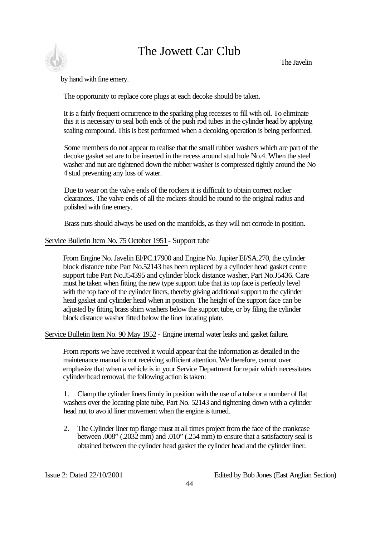

The Javelin

by hand with fine emery.

The opportunity to replace core plugs at each decoke should be taken.

It is a fairly frequent occurrence to the sparking plug recesses to fill with oil. To eliminate this it is necessary to seal both ends of the push rod tubes in the cylinder head by applying sealing compound. This is best performed when a decoking operation is being performed.

Some members do not appear to realise that the small rubber washers which are part of the decoke gasket set are to be inserted in the recess around stud hole No.4. When the steel washer and nut are tightened down the rubber washer is compressed tightly around the No 4 stud preventing any loss of water.

Due to wear on the valve ends of the rockers it is difficult to obtain correct rocker clearances. The valve ends of all the rockers should be round to the original radius and polished with fine emery.

Brass nuts should always be used on the manifolds, as they will not corrode in position.

### Service Bulletin Item No. 75 October 1951 *-* Support tube

From Engine No. Javelin El/PC.17900 and Engine No. Jupiter EI/SA.270, the cylinder block distance tube Part No.52143 has been replaced by a cylinder head gasket centre support tube Part No.J54395 and cylinder block distance washer, Part No.J5436. Care must he taken when fitting the new type support tube that its top face is perfectly level with the top face of the cylinder liners, thereby giving additional support to the cylinder head gasket and cylinder head when in position. The height of the support face can be adjusted by fitting brass shim washers below the support tube, or by filing the cylinder block distance washer fitted below the liner locating plate.

Service Bulletin Item No. 90 May 1952 - Engine internal water leaks and gasket failure.

From reports we have received it would appear that the information as detailed in the maintenance manual is not receiving sufficient attention. We therefore, cannot over emphasize that when a vehicle is in your Service Department for repair which necessitates cylinder head removal, the following action is taken:

1. Clamp the cylinder liners firmly in position with the use of a tube or a number of flat washers over the locating plate tube, Part No. 52143 and tightening down with a cylinder head nut to avo id liner movement when the engine is turned.

2. The Cylinder liner top flange must at all times project from the face of the crankcase between .008" (.2032 mm) and .010" (.254 mm) to ensure that a satisfactory seal is obtained between the cylinder head gasket the cylinder head and the cylinder liner.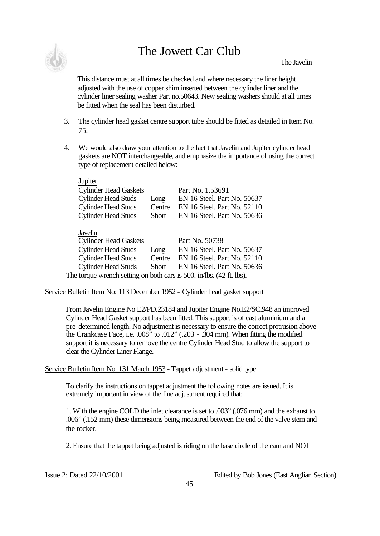

 $\mathbf{I}$   $\mathbf{I}$ 

# The Jowett Car Club

This distance must at all times be checked and where necessary the liner height adjusted with the use of copper shim inserted between the cylinder liner and the cylinder liner sealing washer Part no.50643. New sealing washers should at all times be fitted when the seal has been disturbed.

- 3. The cylinder head gasket centre support tube should be fitted as detailed in Item No. 75.
- 4. We would also draw your attention to the fact that Javelin and Jupiter cylinder head gaskets are NOT interchangeable, and emphasize the importance of using the correct type of replacement detailed below:

| Jupiter                      |        |                             |
|------------------------------|--------|-----------------------------|
| <b>Cylinder Head Gaskets</b> |        | Part No. 1.53691            |
| <b>Cylinder Head Studs</b>   | Long   | EN 16 Steel. Part No. 50637 |
| <b>Cylinder Head Studs</b>   | Centre | EN 16 Steel. Part No. 52110 |
| <b>Cylinder Head Studs</b>   | Short  | EN 16 Steel. Part No. 50636 |
|                              |        |                             |
| Javelin                      |        |                             |
| <b>Cylinder Head Gaskets</b> |        | Part No. 50738              |
| <b>Cylinder Head Studs</b>   | Long   | EN 16 Steel. Part No. 50637 |
| <b>Cylinder Head Studs</b>   | Centre | EN 16 Steel. Part No. 52110 |
| <b>Cylinder Head Studs</b>   | Short  | EN 16 Steel. Part No. 50636 |

The torque wrench setting on both cars is 500. in/lbs. (42 ft. lbs).

#### Service Bulletin Item No: 113 December 1952 - Cylinder head gasket support

From Javelin Engine No E2/PD.23184 and Jupiter Engine No.E2/SC.948 an improved Cylinder Head Gasket support has been fitted. This support is of cast aluminium and a pre-determined length. No adjustment is necessary to ensure the correct protrusion above the Crankcase Face, i.e. .008" to .012" (.203 - .304 mm). When fitting the modified support it is necessary to remove the centre Cylinder Head Stud to allow the support to clear the Cylinder Liner Flange.

### Service Bulletin Item No. 131 March 1953 *-* Tappet adjustment - solid type

To clarify the instructions on tappet adjustment the following notes are issued. It is extremely important in view of the fine adjustment required that:

1. With the engine COLD the inlet clearance is set to .003" (.076 mm) and the exhaust to .006" (.152 mm) these dimensions being measured between the end of the valve stem and the rocker.

2. Ensure that the tappet being adjusted is riding on the base circle of the cam and NOT

|  |  | Issue 2: Dated 22/10/2001 |
|--|--|---------------------------|
|--|--|---------------------------|

Edited by Bob Jones (East Anglian Section)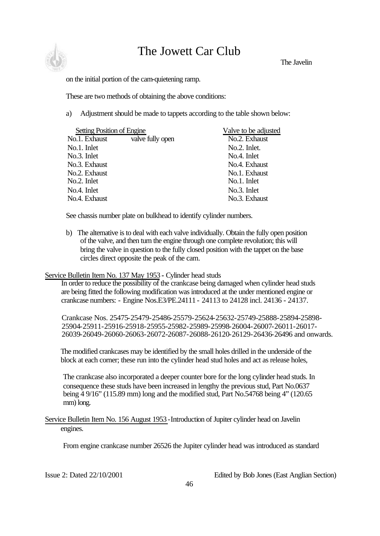

#### The Javelin

on the initial portion of the cam-quietening ramp.

These are two methods of obtaining the above conditions:

a) Adjustment should be made to tappets according to the table shown below:

| Setting Position of Engine |                  | Valve to be adjusted |
|----------------------------|------------------|----------------------|
| No.1. Exhaust              | valve fully open | No.2. Exhaust        |
| No.1. Inlet                |                  | No.2. Inlet.         |
| No.3. Inlet                |                  | No.4. Inlet          |
| No.3. Exhaust              |                  | No.4. Exhaust        |
| No.2. Exhaust              |                  | No.1. Exhaust        |
| No.2. Inlet                |                  | No.1. Inlet          |
| No.4. Inlet                |                  | No.3. Inlet          |
| No.4. Exhaust              |                  | No.3. Exhaust        |

See chassis number plate on bulkhead to identify cylinder numbers.

b) The alternative is to deal with each valve individually. Obtain the fully open position of the valve, and then turn the engine through one complete revolution; this will bring the valve in question to the fully closed position with the tappet on the base circles direct opposite the peak of the cam.

### Service Bulletin Item No. 137 May 1953 *-* Cylinder head studs

In order to reduce the possibility of the crankcase being damaged when cylinder head studs are being fitted the following modification was introduced at the under mentioned engine or crankcase numbers: - Engine Nos.E3/PE.24111 - 24113 to 24128 incl. 24136 - 24137.

Crankcase Nos. 25475-25479-25486-25579-25624-25632-25749-25888-25894-25898- 25904-25911-25916-25918-25955-25982-25989-25998-26004-26007-26011-26017- 26039-26049-26060-26063-26072-26087-26088-26120-26129-26436-26496 and onwards.

The modified crankcases may be identified by the small holes drilled in the underside of the block at each corner; these run into the cylinder head stud holes and act as release holes,

The crankcase also incorporated a deeper counter bore for the long cylinder head studs. In consequence these studs have been increased in lengthy the previous stud, Part No.0637 being 4 9/16" (115.89 mm) long and the modified stud, Part No.54768 being 4" (120.65 mm) long.

Service Bulletin Item No. 156 August 1953 -Introduction of Jupiter cylinder head on Javelin engines.

From engine crankcase number 26526 the Jupiter cylinder head was introduced as standard

|  |  | Issue 2: Dated 22/10/2001 |
|--|--|---------------------------|
|--|--|---------------------------|

Edited by Bob Jones (East Anglian Section)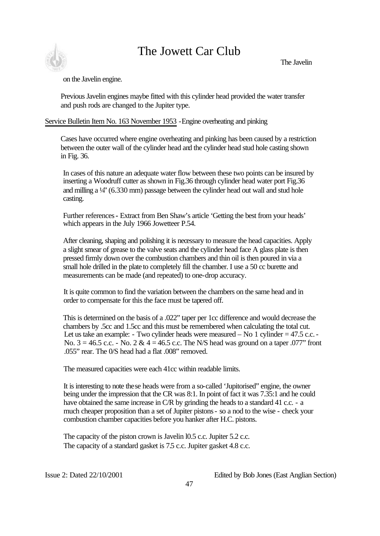

The Javelin

on the Javelin engine.

Previous Javelin engines maybe fitted with this cylinder head provided the water transfer and push rods are changed to the Jupiter type.

Service Bulletin Item No. 163 November 1953 -Engine overheating and pinking

Cases have occurred where engine overheating and pinking has been caused by a restriction between the outer wall of the cylinder head and the cylinder head stud hole casting shown in Fig. 36.

In cases of this nature an adequate water flow between these two points can be insured by inserting a Woodruff cutter as shown in Fig.36 through cylinder head water port Fig.36 and milling a ¼" (6.330 mm) passage between the cylinder head out wall and stud hole casting.

Further references *-* Extract from Ben Shaw's article 'Getting the best from your heads' which appears in the July 1966 Jowetteer P.54.

After cleaning, shaping and polishing it is necessary to measure the head capacities. Apply a slight smear of grease to the valve seats and the cylinder head face A glass plate is then pressed firmly down over the combustion chambers and thin oil is then poured in via a small hole drilled in the plate to completely fill the chamber. I use a 50 cc burette and measurements can be made (and repeated) to one-drop accuracy.

It is quite common to find the variation between the chambers on the same head and in order to compensate for this the face must be tapered off.

This is determined on the basis of a .022" taper per 1cc difference and would decrease the chambers by .5cc and 1.5cc and this must be remembered when calculating the total cut. Let us take an example: - Two cylinder heads were measured – No 1 cylinder = 47.5 c.c. -No.  $3 = 46.5$  c.c. - No.  $2 \& 4 = 46.5$  c.c. The N/S head was ground on a taper .077" front .055" rear. The 0/S head had a flat .008" removed.

The measured capacities were each 41cc within readable limits.

It is interesting to note these heads were from a so-called 'Jupitorised" engine, the owner being under the impression that the CR was 8:1. In point of fact it was 7.35:1 and he could have obtained the same increase in C/R by grinding the heads to a standard 41 c.c. - a much cheaper proposition than a set of Jupiter pistons - so a nod to the wise - check your combustion chamber capacities before you hanker after H.C. pistons.

The capacity of the piston crown is Javelin 10.5 c.c. Jupiter 5.2 c.c. The capacity of a standard gasket is 7.5 c.c. Jupiter gasket 4.8 c.c.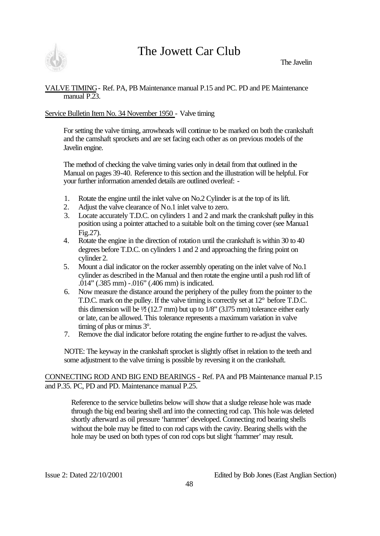

The Javelin

### VALVE TIMING- Ref. PA, PB Maintenance manual P.15 and PC. PD and PE Maintenance manual P.23.

### Service Bulletin Item No. 34 November 1950 - Valve timing

For setting the valve timing, arrowheads will continue to be marked on both the crankshaft and the camshaft sprockets and are set facing each other as on previous models of the Javelin engine.

The method of checking the valve timing varies only in detail from that outlined in the Manual on pages 39-40. Reference to this section and the illustration will be helpful. For your further information amended details are outlined overleaf: -

- 1. Rotate the engine until the inlet valve on No.2 Cylinder is at the top of its lift.
- 2. Adjust the valve clearance of No.1 inlet valve to zero.
- 3. Locate accurately T.D.C. on cylinders 1 and 2 and mark the crankshaft pulley in this position using a pointer attached to a suitable bolt on the timing cover (see Manua1 Fig.27).
- 4. Rotate the engine in the direction of rotation until the crankshaft is within 30 to 40 degrees before T.D.C. on cylinders 1 and 2 and approaching the firing point on cylinder 2.
- 5. Mount a dial indicator on the rocker assembly operating on the inlet valve of No.1 cylinder as described in the Manual and then rotate the engine until a push rod lift of .014" (.385 mm) -.016" (.406 mm) is indicated.
- 6. Now measure the distance around the periphery of the pulley from the pointer to the T.D.C. mark on the pulley. If the valve timing is correctly set at 12° before T.D.C. this dimension will be  $\frac{1}{2}$  (12.7 mm) but up to 1/8" (3.175 mm) tolerance either early or late, can be allowed. This tolerance represents a maximum variation in valve timing of plus or minus 3°.
- 7. Remove the dial indicator before rotating the engine further to re-adjust the valves.

NOTE: The keyway in the crankshaft sprocket is slightly offset in relation to the teeth and some adjustment to the valve timing is possible by reversing it on the crankshaft.

### CONNECTING ROD AND BIG END BEARINGS - Ref. PA and PB Maintenance manual P.15 and P.35. PC, PD and PD. Maintenance manual P.25.

Reference to the service bulletins below will show that a sludge release hole was made through the big end bearing shell and into the connecting rod cap. This hole was deleted shortly afterward as oil pressure 'hammer' developed. Connecting rod bearing shells without the bole may be fitted to con rod caps with the cavity. Bearing shells with the hole may be used on both types of con rod cops but slight 'hammer' may result.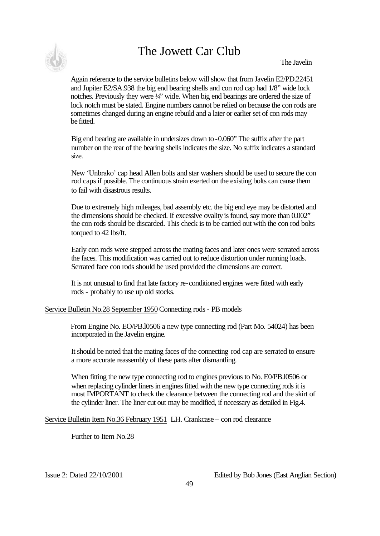

The Javelin

Again reference to the service bulletins below will show that from Javelin E2/PD.22451 and Jupiter E2/SA.938 the big end bearing shells and con rod cap had 1/8" wide lock notches. Previously they were <sup>1</sup>/4' wide. When big end bearings are ordered the size of lock notch must be stated. Engine numbers cannot be relied on because the con rods are sometimes changed during an engine rebuild and a later or earlier set of con rods may be fitted.

Big end bearing are available in undersizes down to -0.060" The suffix after the part number on the rear of the bearing shells indicates the size. No suffix indicates a standard size.

New 'Unbrako' cap head Allen bolts and star washers should be used to secure the con rod caps if possible. The continuous strain exerted on the existing bolts can cause them to fail with disastrous results.

Due to extremely high mileages, bad assembly etc. the big end eye may be distorted and the dimensions should be checked. If excessive ovality is found, say more than 0.002" the con rods should be discarded. This check is to be carried out with the con rod bolts torqued to 42 lbs/ft.

Early con rods were stepped across the mating faces and later ones were serrated across the faces. This modification was carried out to reduce distortion under running loads. Serrated face con rods should be used provided the dimensions are correct.

It is not unusual to find that late factory re-conditioned engines were fitted with early rods - probably to use up old stocks.

Service Bulletin No.28 September 1950 Connecting rods *-* PB models

From Engine No. EO/PB.l0506 a new type connecting rod (Part Mo. 54024) has been incorporated in the Javelin engine.

It should be noted that the mating faces of the connecting rod cap are serrated to ensure a more accurate reassembly of these parts after dismantling.

When fitting the new type connecting rod to engines previous to No. E0/PB.l0506 or when replacing cylinder liners in engines fitted with the new type connecting rods it is most IMPORTANT to check the clearance between the connecting rod and the skirt of the cylinder liner. The liner cut out may be modified, if necessary as detailed in Fig.4.

Service Bulletin Item No.36 February 1951 LH. Crankcase – con rod clearance

Further to Item No.28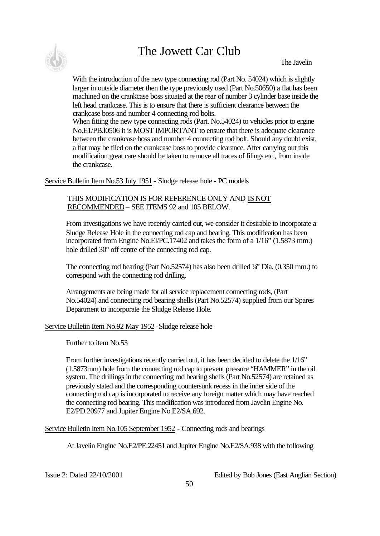

The Javelin

With the introduction of the new type connecting rod (Part No. 54024) which is slightly larger in outside diameter then the type previously used (Part No.50650) a flat has been machined on the crankcase boss situated at the rear of number 3 cylinder base inside the left head crankcase. This is to ensure that there is sufficient clearance between the crankcase boss and number 4 connecting rod bolts.

When fitting the new type connecting rods (Part. No.54024) to vehicles prior to engine No.E1/PB.l0506 it is MOST IMPORTANT to ensure that there is adequate clearance between the crankcase boss and number 4 connecting rod bolt. Should any doubt exist, a flat may be filed on the crankcase boss to provide clearance. After carrying out this modification great care should be taken to remove all traces of filings etc., from inside the crankcase.

Service Bulletin Item No.53 July 1951 - Sludge release hole *-* PC models

THIS MODIFICATION IS FOR REFERENCE ONLY AND IS NOT RECOMMENDED – SEE ITEMS 92 and 105 BELOW.

From investigations we have recently carried out, we consider it desirable to incorporate a Sludge Release Hole in the connecting rod cap and bearing. This modification has been incorporated from Engine No.El/PC.17402 and takes the form of a 1/16" (1.5873 mm.) hole drilled 30° off centre of the connecting rod cap.

The connecting rod bearing (Part No.52574) has also been drilled ¼" Dia. (0.350 mm.) to correspond with the connecting rod drilling.

Arrangements are being made for all service replacement connecting rods, (Part No.54024) and connecting rod bearing shells (Part No.52574) supplied from our Spares Department to incorporate the Sludge Release Hole.

Service Bulletin Item No.92 May 1952 -Sludge release hole

Further to item No.53

From further investigations recently carried out, it has been decided to delete the 1/16" (1.5873mm) hole from the connecting rod cap to prevent pressure "HAMMER" in the oil system. The drillings in the connecting rod bearing shells (Part No.52574) are retained as previously stated and the corresponding countersunk recess in the inner side of the connecting rod cap is incorporated to receive any foreign matter which may have reached the connecting rod bearing. This modification was introduced from Javelin Engine No. E2/PD.20977 and Jupiter Engine No.E2/SA.692.

Service Bulletin Item No.105 September 1952 *-* Connecting rods and bearings

At Javelin Engine No.E2/PE.22451 and Jupiter Engine No.E2/SA.938 with the following

Edited by Bob Jones (East Anglian Section)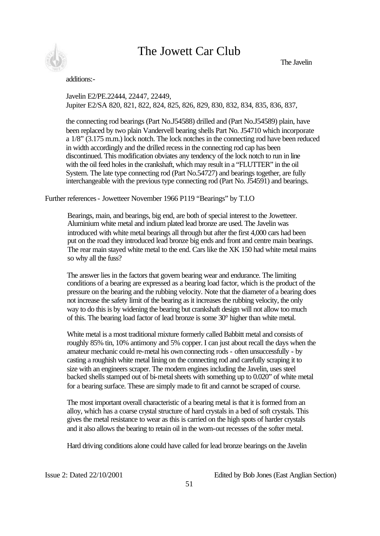

The Javelin

additions:-

Javelin E2/PE.22444, 22447, 22449, Jupiter E2/SA 820, 821, 822, 824, 825, 826, 829, 830, 832, 834, 835, 836, 837,

the connecting rod bearings (Part No.J54588) drilled and (Part No.J54589) plain, have been replaced by two plain Vandervell bearing shells Part No. J54710 which incorporate a 1/8" (3.175 m.m.) lock notch. The lock notches in the connecting rod have been reduced in width accordingly and the drilled recess in the connecting rod cap has been discontinued. This modification obviates any tendency of the lock notch to run in line with the oil feed holes in the crankshaft, which may result in a "FLUTTER" in the oil System. The late type connecting rod (Part No.54727) and bearings together, are fully interchangeable with the previous type connecting rod (Part No. J54591) and bearings.

Further references - Jowetteer November 1966 P119 "Bearings" by T.I.O

Bearings, main, and bearings, big end, are both of special interest to the Jowetteer. Aluminium white metal and indium plated lead bronze are used. The Javelin was introduced with white metal bearings all through but after the first 4,000 cars had been put on the road they introduced lead bronze big ends and front and centre main bearings. The rear main stayed white metal to the end. Cars like the XK 150 had white metal mains so why all the fuss?

The answer lies in the factors that govern bearing wear and endurance. The limiting conditions of a bearing are expressed as a bearing load factor, which is the product of the pressure on the bearing and the rubbing velocity. Note that the diameter of a bearing does not increase the safety limit of the bearing as it increases the rubbing velocity, the only way to do this is by widening the bearing but crankshaft design will not allow too much of this. The bearing load factor of lead bronze is some 30° higher than white metal.

White metal is a most traditional mixture formerly called Babbitt metal and consists of roughly 85% tin, 10% antimony and 5% copper. I can just about recall the days when the amateur mechanic could re-metal his own connecting rods - often unsuccessfully - by casting a roughish white metal lining on the connecting rod and carefully scraping it to size with an engineers scraper. The modern engines including the Javelin, uses steel backed shells stamped out of bi-metal sheets with something up to 0.020" of white metal for a bearing surface. These are simply made to fit and cannot be scraped of course.

The most important overall characteristic of a bearing metal is that it is formed from an alloy, which has a coarse crystal structure of hard crystals in a bed of soft crystals. This gives the metal resistance to wear as this is carried on the high spots of harder crystals and it also allows the bearing to retain oil in the worn-out recesses of the softer metal.

Hard driving conditions alone could have called for lead bronze bearings on the Javelin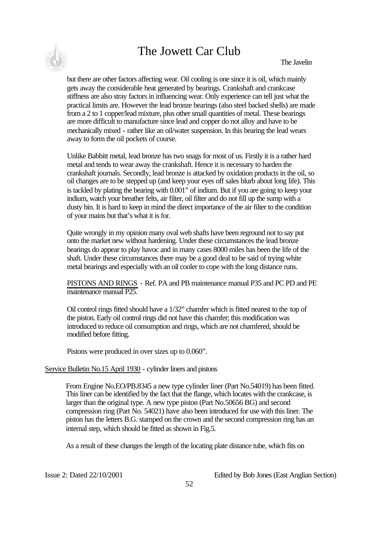

The Javelin

but there are other factors affecting wear. Oil cooling is one since it is oil, which mainly gets away the considerable heat generated by bearings. Crankshaft and crankcase stiffness are also stray factors in influencing wear. Only experience can tell just what the practical limits are. However the lead bronze bearings (also steel backed shells) are made from a 2 to 1 copper/lead mixture, plus other small quantities of metal. These bearings are more difficult to manufacture since lead and copper do not alloy and have to be mechanically mixed - rather like an oil/water suspension. In this bearing the lead wears away to form the oil pockets of course.

Unlike Babbitt metal, lead bronze has two snags for most of us. Firstly it is a rather hard metal and tends to wear away the crankshaft. Hence it is necessary to harden the crankshaft journals. Secondly, lead bronze is attacked by oxidation products in the oil, so oil changes are to be stepped up (and keep your eyes off sales blurb about long life). This is tackled by plating the bearing with 0.001" of indium. But if you are going to keep your indium, watch your breather felts, air filter, oil filter and do not fill up the sump with a dusty bin. It is hard to keep in mind the direct importance of the air filter to the condition of your mains but that's what it is for.

Quite wrongly in my opinion many oval web shafts have been reground not to say put onto the market new without hardening. Under these circumstances the lead bronze bearings do appear to play havoc and in many cases 8000 miles has been the life of the shaft. Under these circumstances there may be a good deal to be said of trying white metal bearings and especially with an oil cooler to cope with the long distance runs.

PISTONS AND RINGS - Ref. PA and PB maintenance manual P35 and PC PD and PE maintenance manual P25.

Oil control rings fitted should have a 1/32" chamfer which is fitted nearest to the top of the piston. Early oil control rings did not have this chamfer; this modification was introduced to reduce oil consumption and rings, which are not chamfered, should be modified before fitting.

Pistons were produced in over sizes up to 0.060".

### Service Bulletin No.15 April 1930 *-* cylinder liners and pistons

From Engine No.EO/PB.8345 a new type cylinder liner (Part No.54019) has been fitted. This liner can be identified by the fact that the flange, which locates with the crankcase, is larger than the original type. A new type piston (Part No.50656 BG) and second compression ring (Part No. 54021) have also been introduced for use with this liner. The piston has the letters B.G. stamped on the crown and the second compression ring has an internal step, which should be fitted as shown in Fig.5.

As a result of these changes the length of the locating plate distance tube, which fits on

Edited by Bob Jones (East Anglian Section)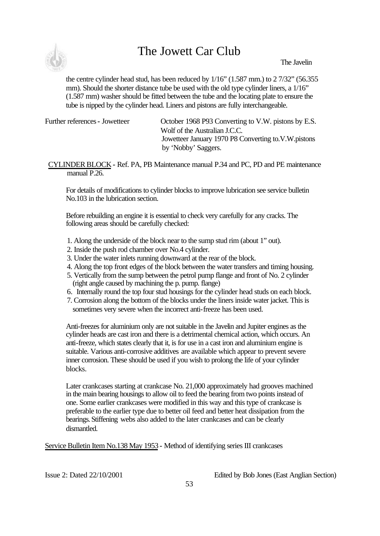

The Javelin

the centre cylinder head stud, has been reduced by 1/16" (1.587 mm.) to 2 7/32" (56.355 mm). Should the shorter distance tube be used with the old type cylinder liners, a  $1/16$ " (1.587 mm) washer should be fitted between the tube and the locating plate to ensure the tube is nipped by the cylinder head. Liners and pistons are fully interchangeable.

Further references - Jowetteer October 1968 P93 Converting to V.W. pistons by E.S. Wolf of the Australian J.C.C. Jowetteer January 1970 P8 Converting to.V.W.pistons by 'Nobby' Saggers.

CYLINDER BLOCK *-* Ref. PA, PB Maintenance manual P.34 and PC, PD and PE maintenance manual P.26.

For details of modifications to cylinder blocks to improve lubrication see service bulletin No.103 in the lubrication section.

Before rebuilding an engine it is essential to check very carefully for any cracks. The following areas should be carefully checked:

- 1. Along the underside of the block near to the sump stud rim (about 1" out).
- 2. Inside the push rod chamber over No.4 cylinder.
- 3. Under the water inlets running downward at the rear of the block.
- 4. Along the top front edges of the block between the water transfers and timing housing.
- 5. Vertically from the sump between the petrol pump flange and front of No. 2 cylinder (right angle caused by machining the p. pump. flange)
- 6. Internally round the top four stud housings for the cylinder head studs on each block.
- 7. Corrosion along the bottom of the blocks under the liners inside water jacket. This is sometimes very severe when the incorrect anti-freeze has been used.

Anti-freezes for aluminium only are not suitable in the Javelin and Jupiter engines as the cylinder heads are cast iron and there is a detrimental chemical action, which occurs. An anti-freeze, which states clearly that it, is for use in a cast iron and aluminium engine is suitable. Various anti-corrosive additives are available which appear to prevent severe inner corrosion. These should be used if you wish to prolong the life of your cylinder blocks.

Later crankcases starting at crankcase No. 21,000 approximately had grooves machined in the main bearing housings to allow oil to feed the bearing from two points instead of one. Some earlier crankcases were modified in this way and this type of crankcase is preferable to the earlier type due to better oil feed and better heat dissipation from the bearings. Stiffening webs also added to the later crankcases and can be clearly dismantled.

Service Bulletin Item No.138 May 1953 *-* Method of identifying series III crankcases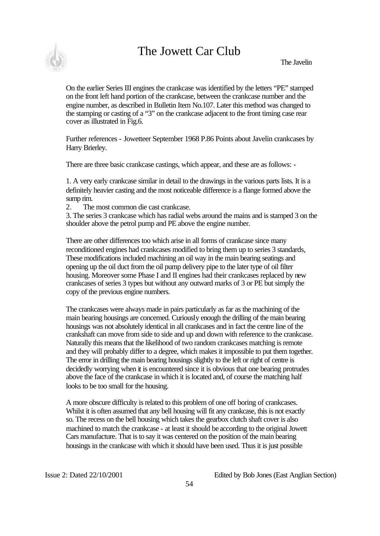

The Javelin

On the earlier Series III engines the crankcase was identified by the letters "PE" stamped on the front left hand portion of the crankcase, between the crankcase number and the engine number, as described in Bulletin Item No.107. Later this method was changed to the stamping or casting of a "3" on the crankcase adjacent to the front timing case rear cover as illustrated in Fig.6.

Further references - Jowetteer September 1968 P.86 Points about Javelin crankcases by Harry Brierley.

There are three basic crankcase castings, which appear, and these are as follows: -

1. A very early crankcase similar in detail to the drawings in the various parts lists. It is a definitely heavier casting and the most noticeable difference is a flange formed above the sump rim.

2. The most common die cast crankcase.

3. The series 3 crankcase which has radial webs around the mains and is stamped 3 on the shoulder above the petrol pump and PE above the engine number.

There are other differences too which arise in all forms of crankcase since many reconditioned engines had crankcases modified to bring them up to series 3 standards, These modifications included machining an oil way in the main bearing seatings and opening up the oil duct from the oil pump delivery pipe to the later type of oil filter housing. Moreover some Phase I and II engines had their crankcases replaced by new crankcases of series 3 types but without any outward marks of 3 or PE but simply the copy of the previous engine numbers.

The crankcases were always made in pairs particularly as far as the machining of the main bearing housings are concerned. Curiously enough the drilling of the main bearing housings was not absolutely identical in all crankcases and in fact the centre line of the crankshaft can move from side to side and up and down with reference to the crankcase. Naturally this means that the likelihood of two random crankcases matching is remote and they will probably differ to a degree, which makes it impossible to put them together. The error in drilling the main bearing housings slightly to the left or right of centre is decidedly worrying when it is encountered since it is obvious that one bearing protrudes above the face of the crankcase in which it is located and, of course the matching half looks to be too small for the housing.

A more obscure difficulty is related to this problem of one off boring of crankcases. Whilst it is often assumed that any bell housing will fit any crankcase, this is not exactly so. The recess on the bell housing which takes the gearbox clutch shaft cover is also machined to match the crankcase *-* at least it should be according to the original Jowett Cars manufacture. That is to say it was centered on the position of the main bearing housings in the crankcase with which it should have been used. Thus it is just possible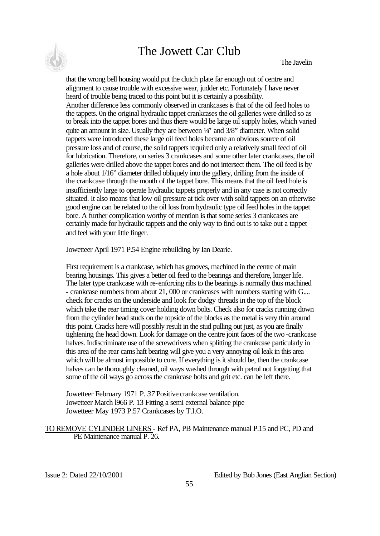

The Javelin

that the wrong bell housing would put the clutch plate far enough out of centre and alignment to cause trouble with excessive wear, judder etc. Fortunately I have never heard of trouble being traced to this point but it is certainly a possibility. Another difference less commonly observed in crankcases is that of the oil feed holes to the tappets. 0n the original hydraulic tappet crankcases the oil galleries were drilled so as to break into the tappet bores and thus there would be large oil supply holes, which varied quite an amount in size. Usually they are between  $\frac{1}{4}$  and  $\frac{3}{8}$  diameter. When solid tappets were introduced these large oil feed holes became an obvious source of oil pressure loss and of course, the solid tappets required only a relatively small feed of oil for lubrication. Therefore, on series 3 crankcases and some other later crankcases, the oil galleries were drilled above the tappet bores and do not intersect them. The oil feed is by a hole about 1/16" diameter drilled obliquely into the gallery, drilling from the inside of the crankcase through the mouth of the tappet bore. This means that the oil feed hole is insufficiently large to operate hydraulic tappets properly and in any case is not correctly situated. It also means that low oil pressure at tick over with solid tappets on an otherwise good engine can be related to the oil loss from hydraulic type oil feed holes in the tappet bore. A further complication worthy of mention is that some series 3 crankcases are certainly made for hydraulic tappets and the only way to find out is to take out a tappet and feel with your little finger.

Jowetteer April 1971 P.54 Engine rebuilding by Ian Dearie.

First requirement is a crankcase, which has grooves, machined in the centre of main bearing housings. This gives a better oil feed to the bearings and therefore, longer life. The later type crankcase with re-enforcing ribs to the bearings is normally thus machined *-* crankcase numbers from about 21, 000 or crankcases with numbers starting with G.... check for cracks on the underside and look for dodgy threads in the top of the block which take the rear timing cover holding down bolts. Check also for cracks running down from the cylinder head studs on the topside of the blocks as the metal is very thin around this point. Cracks here will possibly result in the stud pulling out just, as you are finally tightening the head down. Look for damage on the centre joint faces of the two -crankcase halves. Indiscriminate use of the screwdrivers when splitting the crankcase particularly in this area of the rear cams haft bearing will give you a very annoying oil leak in this area which will be almost impossible to cure. If everything is it should be, then the crankcase halves can be thoroughly cleaned, oil ways washed through with petrol not forgetting that some of the oil ways go across the crankcase bolts and grit etc. can be left there.

Jowetteer February 1971 P. *37* Positive crankcase ventilation. Jowetteer March l966 P. 13 Fitting a semi external balance pipe Jowetteer May 1973 P.57 Crankcases by T.I.O.

TO REMOVE CYLINDER LINERS *-* Ref PA, PB Maintenance manual P.15 and PC, PD and PE Maintenance manual P. 26.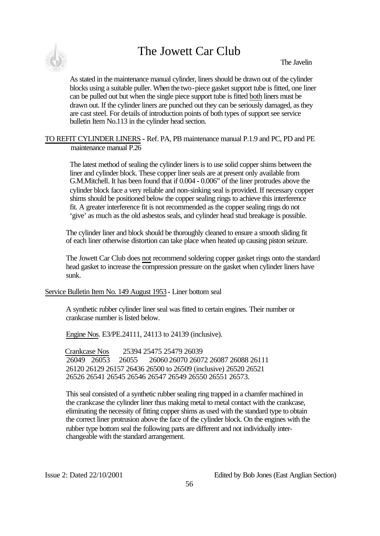

The Javelin

As stated in the maintenance manual cylinder, liners should be drawn out of the cylinder blocks using a suitable puller. When the two-piece gasket support tube is fitted, one liner can be pulled out but when the single piece support tube is fitted both liners must be drawn out. If the cylinder liners are punched out they can be seriously damaged, as they are cast steel. For details of introduction points of both types of support see service bulletin Item No.113 in the cylinder head section.

TO REFIT CYLINDER LINERS *-* Ref. PA, PB maintenance manual P.1.9 and PC, PD and PE maintenance manual P.26

The latest method of sealing the cylinder liners is to use solid copper shims between the liner and cylinder block. These copper liner seals are at present only available from G.M.Mitchell. It has been found that if 0.004 *-* 0.006" of the liner protrudes above the cylinder block face a very reliable and non-sinking seal is provided. If necessary copper shims should be positioned below the copper sealing rings to achieve this interference fit. A greater interference fit is not recommended as the copper sealing rings do not 'give' as much as the old asbestos seals, and cylinder head stud breakage is possible.

The cylinder liner and block should be thoroughly cleaned to ensure a smooth sliding fit of each liner otherwise distortion can take place when heated up causing piston seizure.

The Jowett Car Club does not recommend soldering copper gasket rings onto the standard head gasket to increase the compression pressure on the gasket when cylinder liners have sunk.

Service Bulletin Item No. 149 August 1953 *-* Liner bottom seal

A synthetic rubber cylinder liner seal was fitted to certain engines. Their number or crankcase number is listed below.

Engine Nos. E3/PE.24111, 24113 to 24139 (inclusive).

Crankcase Nos 25394 25475 25479 26039 26049 26053 26055 26060 26070 26072 26087 26088 26111 26120 26129 26157 26436 26500 to 26509 (inclusive) 26520 26521 26526 26541 26545 26546 26547 26549 26550 26551 26573.

This seal consisted of a synthetic rubber sealing ring trapped in a chamfer machined in the crankcase the cylinder liner thus making metal to metal contact with the crankcase, eliminating the necessity of fitting copper shims as used with the standard type to obtain the correct liner protrusion above the face of the cylinder block. On the engines with the rubber type bottom seal the following parts are different and not individually interchangeable with the standard arrangement.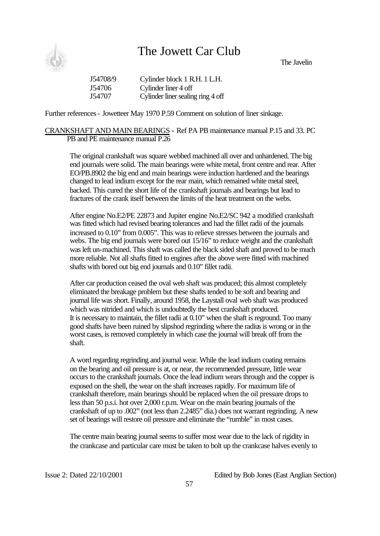

The Javelin

| J54708/9 | Cylinder block 1 R.H. 1 L.H.      |
|----------|-----------------------------------|
| J54706   | Cylinder liner 4 off              |
| J54707   | Cylinder liner sealing ring 4 off |

Further references - Jowetteer May 1970 P.59 Comment on solution of liner sinkage.

### CRANKSHAFT AND MAIN BEARINGS - Ref PA PB maintenance manual P.15 and 33. PC PB and PE maintenance manual P.26

The original crankshaft was square webbed machined all over and unhardened. The big end journals were solid. The main bearings were white metal, front centre and rear. After EO/PB.8902 the big end and main bearings were induction hardened and the bearings changed to lead indium except for the rear main, which remained white metal steel, backed. This cured the short life of the crankshaft journals and bearings but lead to fractures of the crank itself between the limits of the heat treatment on the webs.

After engine No.E2/PE 22873 and Jupiter engine No.E2/SC 942 a modified crankshaft was fitted which had revised bearing tolerances and had the fillet radii of the journals increased to 0.10" from 0.005". This was to relieve stresses between the journals and webs. The big end journals were bored out 15/16" to reduce weight and the crankshaft was left un-machined. This shaft was called the black sided shaft and proved to be much more reliable. Not all shafts fitted to engines after the above were fitted with machined shafts with bored out big end journals and 0.10" fillet radii.

After car production ceased the oval web shaft was produced; this almost completely eliminated the breakage problem but these shafts tended to be soft and bearing and journal life was short. Finally, around 1958, the Laystall oval web shaft was produced which was nitrided and which is undoubtedly the best crankshaft produced. It is necessary to maintain, the fillet radii at 0.10" when the shaft is reground. Too many good shafts have been ruined by slipshod regrinding where the radius is wrong or in the worst cases, is removed completely in which case the journal will break off from the shaft.

A word regarding regrinding and journal wear. While the lead indium coating remains on the bearing and oil pressure is at, or near, the recommended pressure, little wear occurs to the crankshaft journals. Once the lead indium wears through and the copper is exposed on the shell, the wear on the shaft increases rapidly. For maximum life of crankshaft therefore, main bearings should be replaced when the oil pressure drops to less than 50 p.s.i. hot over 2,000 r.p.m. Wear on the main bearing journals of the crankshaft of up to .002" (not less than 2.2485" dia.) does not warrant regrinding. A new set of bearings will restore oil pressure and eliminate the "rumble" in most cases.

The centre main bearing journal seems to suffer most wear due to the lack of rigidity in the crankcase and particular care must be taken to bolt up the crankcase halves evenly to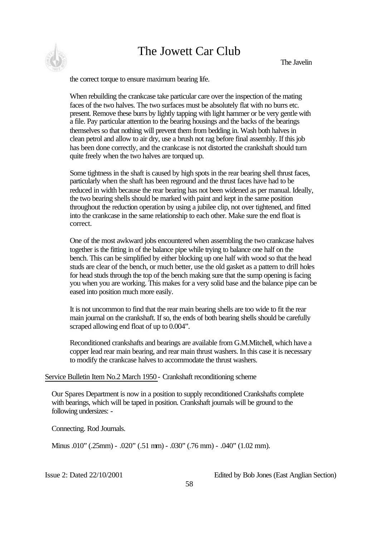

The Javelin

the correct torque to ensure maximum bearing life.

When rebuilding the crankcase take particular care over the inspection of the mating faces of the two halves. The two surfaces must be absolutely flat with no burrs etc. present. Remove these burrs by lightly tapping with light hammer or be very gentle with a file. Pay particular attention to the bearing housings and the backs of the bearings themselves so that nothing will prevent them from bedding in. Wash both halves in clean petrol and allow to air dry, use a brush not rag before final assembly. If this job has been done correctly, and the crankcase is not distorted the crankshaft should turn quite freely when the two halves are torqued up.

Some tightness in the shaft is caused by high spots in the rear bearing shell thrust faces, particularly when the shaft has been reground and the thrust faces have had to be reduced in width because the rear bearing has not been widened as per manual. Ideally, the two bearing shells should be marked with paint and kept in the same position throughout the reduction operation by using a jubilee clip, not over tightened, and fitted into the crankcase in the same relationship to each other. Make sure the end float is correct.

One of the most awkward jobs encountered when assembling the two crankcase halves together is the fitting in of the balance pipe while trying to balance one half on the bench. This can be simplified by either blocking up one half with wood so that the head studs are clear of the bench, or much better, use the old gasket as a pattern to drill holes for head studs through the top of the bench making sure that the sump opening is facing you when you are working. This makes for a very solid base and the balance pipe can be eased into position much more easily.

It is not uncommon to find that the rear main bearing shells are too wide to fit the rear main journal on the crankshaft. If so, the ends of both bearing shells should be carefully scraped allowing end float of up to 0.004".

Reconditioned crankshafts and bearings are available from G.M.Mitchell, which have a copper lead rear main bearing, and rear main thrust washers. In this case it is necessary to modify the crankcase halves to accommodate the thrust washers.

#### Service Bulletin Item No.2 March 1950 - Crankshaft reconditioning scheme

Our Spares Department is now in a position to supply reconditioned Crankshafts complete with bearings, which will be taped in position. Crankshaft journals will be ground to the following undersizes: -

Connecting. Rod Journals.

Minus .010" (.25mm) - .020" (.51 mm) - .030" (.76 mm) - .040" (1.02 mm).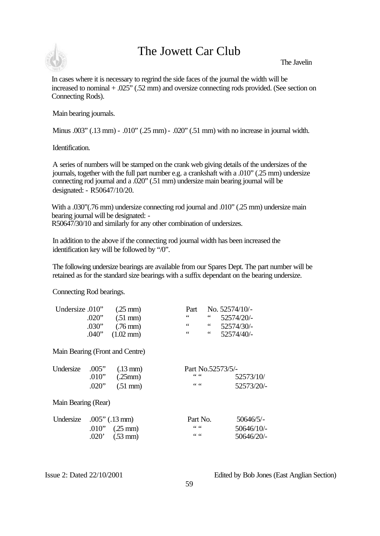

The Javelin

In cases where it is necessary to regrind the side faces of the journal the width will be increased to nominal + .025" (.52 mm) and oversize connecting rods provided. (See section on Connecting Rods).

Main bearing journals.

Minus .003" (.13 mm) - .010" (.25 mm) - .020" (.51 mm) with no increase in journal width.

Identification.

A series of numbers will be stamped on the crank web giving details of the undersizes of the journals, together with the full part number e.g. a crankshaft with a .010" (.25 mm) undersize connecting rod journal and a .020" (.51 mm) undersize main bearing journal will be designated: - R50647/10/20.

With a .030"(.76 mm) undersize connecting rod journal and .010" (.25 mm) undersize main bearing journal will be designated: - R50647/30/10 and similarly for any other combination of undersizes.

In addition to the above if the connecting rod journal width has been increased the identification key will be followed by "/0".

The following undersize bearings are available from our Spares Dept. The part number will be retained as for the standard size bearings with a suffix dependant on the bearing undersize.

Connecting Rod bearings.

| Undersize .010"     |       | $(.25 \text{ mm})$              | Part                  |                 | No. 52574/10/- |
|---------------------|-------|---------------------------------|-----------------------|-----------------|----------------|
|                     | .020" | $(51$ mm $)$                    | $\mbox{4}$ $\mbox{4}$ | $\,$ 6 6 $\,$   | 52574/20/-     |
|                     | .030" | $(.76 \text{ mm})$              | 66                    | 66              | 52574/30/-     |
|                     | .040" | $(1.02 \text{ mm})$             | $\,66$                | $\zeta$ $\zeta$ | 52574/40/-     |
|                     |       | Main Bearing (Front and Centre) |                       |                 |                |
| Undersize           | .005" | $(.13 \text{ mm})$              | Part No.52573/5/-     |                 |                |
|                     | .010" | (.25mm)                         | 66, 66                |                 | 52573/10/      |
|                     | .020" | $(.51$ mm $)$                   | 66, 66                |                 | 52573/20/-     |
| Main Bearing (Rear) |       |                                 |                       |                 |                |
| Undersize           |       | $.005$ " (.13 mm)               | Part No.              |                 | $50646/5/-$    |
|                     |       | $.010"$ $(.25 \text{ mm})$      | 66, 66                |                 | 50646/10/      |
|                     | .020' | $(.53 \text{ mm})$              | 6666                  |                 | 50646/20/-     |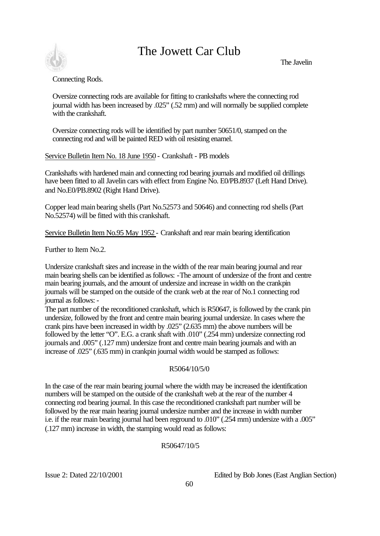

The Javelin

### Connecting Rods.

Oversize connecting rods are available for fitting to crankshafts where the connecting rod journal width has been increased by .025" (.52 mm) and will normally be supplied complete with the crankshaft.

Oversize connecting rods will be identified by part number 50651/0, stamped on the connecting rod and will be painted RED with oil resisting enamel.

### Service Bulletin Item No. 18 June 1950 - Crankshaft - PB models

Crankshafts with hardened main and connecting rod bearing journals and modified oil drillings have been fitted to all Javelin cars with effect from Engine No. E0/PB.8937 (Left Hand Drive). and No.E0/PB.8902 (Right Hand Drive).

Copper lead main bearing shells (Part No.52573 and 50646) and connecting rod shells (Part No.52574) will be fitted with this crankshaft.

Service Bulletin Item No.95 May 1952 - Crankshaft and rear main bearing identification

Further to Item No.2.

Undersize crankshaft sizes and increase in the width of the rear main bearing journal and rear main bearing shells can be identified as follows: -The amount of undersize of the front and centre main bearing journals, and the amount of undersize and increase in width on the crankpin journals will be stamped on the outside of the crank web at the rear of No.1 connecting rod journal as follows: -

The part number of the reconditioned crankshaft, which is R50647, is followed by the crank pin undersize, followed by the front and centre main bearing journal undersize. In cases where the crank pins have been increased in width by .025" (2.635 mm) the above numbers will be followed by the letter "O". E.G. a crank shaft with .010" (.254 mm) undersize connecting rod journals and .005" (.127 mm) undersize front and centre main bearing journals and with an increase of .025" (.635 mm) in crankpin journal width would be stamped as follows:

### R5064/10/5/0

In the case of the rear main bearing journal where the width may be increased the identification numbers will be stamped on the outside of the crankshaft web at the rear of the number 4 connecting rod bearing journal. In this case the reconditioned crankshaft part number will be followed by the rear main hearing journal undersize number and the increase in width number i.e. if the rear main bearing journal had been reground to .010" (.254 mm) undersize with a .005" (.127 mm) increase in width, the stamping would read as follows:

### R50647/10/5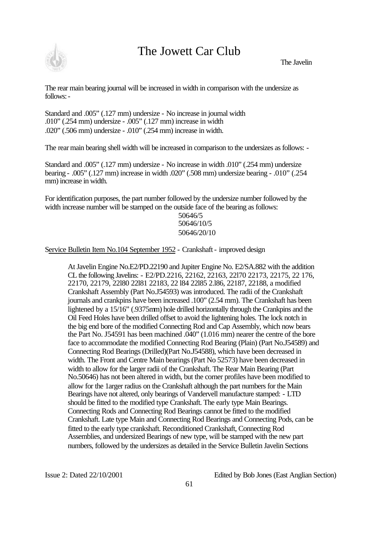

The Javelin

The rear main bearing journal will be increased in width in comparison with the undersize as follows: -

Standard and .005" (.127 mm) undersize - No increase in journal width .010" (.254 mm) undersize - .005" (.127 mm) increase in width .020" (.506 mm) undersize - .010" (.254 mm) increase in width.

The rear main bearing shell width will be increased in comparison to the undersizes as follows: -

Standard and .005" (.127 mm) undersize - No increase in width .010" (.254 mm) undersize bearing - .005" (.127 mm) increase in width .020" (.508 mm) undersize bearing - .010" (.254 mm) increase in width.

For identification purposes, the part number followed by the undersize number followed by the width increase number will be stamped on the outside face of the bearing as follows:

> 50646/5 50646/10/5 50646/20/10

Service Bulletin Item No.104 September 1952 - Crankshaft - improved design

At Javelin Engine No.E2/PD.22190 and Jupiter Engine No. E2/SA.882 with the addition CL the following Javelins: - E2/PD.2216, 22162, 22163, 22l70 22173, 22175, 22 176, 22170, 22179, 22l80 22l81 22183, 22 l84 22l85 2.l86, 22187, 22188, a modified Crankshaft Assembly (Part No.J54593) was introduced. The radii of the Crankshaft journals and crankpins have been increased .100" (2.54 mm). The Crankshaft has been lightened by a 15/16" (.9375mm) hole drilled horizontally through the Crankpins and the Oil Feed Holes have been drilled offset to avoid the lightening holes. The lock notch in the big end bore of the modified Connecting Rod and Cap Assembly, which now bears the Part No. J54591 has been machined .040" (1.016 mm) nearer the centre of the bore face to accommodate the modified Connecting Rod Bearing (Plain) (Part No.J54589) and Connecting Rod Bearings (Drilled)(Part No.J54588), which have been decreased in width. The Front and Centre Main bearings (Part No 52573) have been decreased in width to allow for the larger radii of the Crankshaft. The Rear Main Bearing (Part No.50646) has not been altered in width, but the corner profiles have been modified to allow for the 1arger radius on the Crankshaft although the part numbers for the Main Bearings have not altered, only bearings of Vandervell manufacture stamped: - LTD should be fitted to the modified type Crankshaft. The early type Main Bearings. Connecting Rods and Connecting Rod Bearings cannot be fitted to the modified Crankshaft. Late type Main and Connecting Rod Bearings and Connecting Pods, can be fitted to the early type crankshaft. Reconditioned Crankshaft, Connecting Rod Assemblies, and undersized Bearings of new type, will be stamped with the new part numbers, followed by the undersizes as detailed in the Service Bulletin Javelin Sections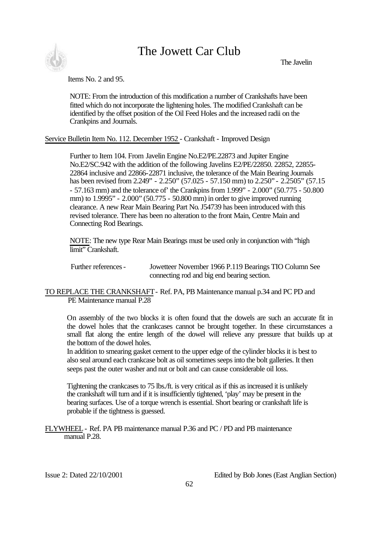

The Javelin

Items No. 2 and 95.

NOTE: From the introduction of this modification a number of Crankshafts have been fitted which do not incorporate the lightening holes. The modified Crankshaft can be identified by the offset position of the Oil Feed Holes and the increased radii on the Crankpins and Journals.

Service Bulletin Item No. 112. December 1952 - Crankshaft - Improved Design

Further to Item 104. From Javelin Engine No.E2/PE.22873 and Jupiter Engine No.E2/SC.942 with the addition of the following Javelins E2/PE/22850. 22852, 22855- 22864 inclusive and 22866-22871 inclusive, the tolerance of the Main Bearing Journals has been revised from 2.249" - 2.250" (57.025 - 57.150 mm) to 2.250" - 2.2505" (57.15 - 57.163 mm) and the tolerance of' the Crankpins from 1.999" - 2.000" (50.775 - 50.800 mm) to 1.9995" - 2.000" (50.775 - 50.800 mm) in order to give improved running clearance. A new Rear Main Bearing Part No. J54739 has been introduced with this revised tolerance. There has been no alteration to the front Main, Centre Main and Connecting Rod Bearings.

NOTE: The new type Rear Main Bearings must be used only in conjunction with "high limit" Crankshaft

Further references - Jowetteer November 1966 P.119 Bearings TIO Column See connecting rod and big end bearing section.

TO REPLACE THE CRANKSHAFT- Ref. PA, PB Maintenance manual p.34 and PC PD and PE Maintenance manual P.28

On assembly of the two blocks it is often found that the dowels are such an accurate fit in the dowel holes that the crankcases cannot be brought together. In these circumstances a small flat along the entire length of the dowel will relieve any pressure that builds up at the bottom of the dowel holes.

In addition to smearing gasket cement to the upper edge of the cylinder blocks it is best to also seal around each crankcase bolt as oil sometimes seeps into the bolt galleries. It then seeps past the outer washer and nut or bolt and can cause considerable oil loss.

Tightening the crankcases to 75 lbs./ft. is very critical as if this as increased it is unlikely the crankshaft will turn and if it is insufficiently tightened, 'play' may be present in the bearing surfaces. Use of a torque wrench is essential. Short bearing or crankshaft life is probable if the tightness is guessed.

FLYWHEEL- Ref. PA PB maintenance manual P.36 and PC / PD and PB maintenance manual P.28.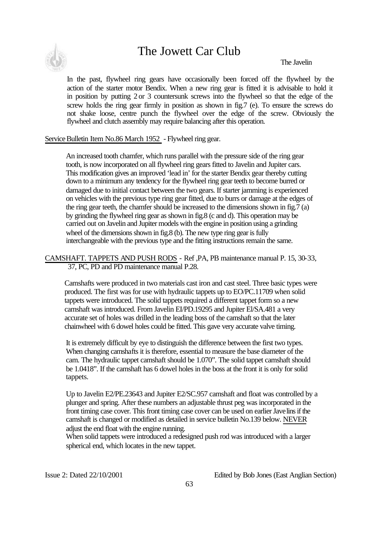

The Javelin

In the past, flywheel ring gears have occasionally been forced off the flywheel by the action of the starter motor Bendix. When a new ring gear is fitted it is advisable to hold it in position by putting 2 or 3 countersunk screws into the flywheel so that the edge of the screw holds the ring gear firmly in position as shown in fig.7 (e). To ensure the screws do not shake loose, centre punch the flywheel over the edge of the screw. Obviously the flywheel and clutch assembly may require balancing after this operation.

#### Service Bulletin Item No.86 March 1952 *-* Flywheel ring gear.

An increased tooth chamfer, which runs parallel with the pressure side of the ring gear tooth, is now incorporated on all flywheel ring gears fitted to Javelin and Jupiter cars. This modification gives an improved 'lead in' for the starter Bendix gear thereby cutting down to a minimum any tendency for the flywheel ring gear teeth to become burred or damaged due to initial contact between the two gears. If starter jamming is experienced on vehicles with the previous type ring gear fitted, due to burrs or damage at the edges of the ring gear teeth, the chamfer should be increased to the dimensions shown in fig.7 (a) by grinding the flywheel ring gear as shown in fig.8 (c and d). This operation may be carried out on Javelin and Jupiter models with the engine in position using a grinding wheel of the dimensions shown in fig.8 (b). The new type ring gear is fully interchangeable with the previous type and the fitting instructions remain the same.

CAMSHAFT. TAPPETS AND PUSH RODS - Ref ,PA, PB maintenance manual P. 15, 30-33, 37, PC, PD and PD maintenance manual P.28.

Camshafts were produced in two materials cast iron and cast steel. Three basic types were produced. The first was for use with hydraulic tappets up to EO/PC.11709 when solid tappets were introduced. The solid tappets required a different tappet form so a new camshaft was introduced. From Javelin EI/PD.19295 and Jupiter El/SA.481 a very accurate set of holes was drilled in the leading boss of the camshaft so that the later chainwheel with 6 dowel holes could be fitted. This gave very accurate valve timing.

It is extremely difficult by eye to distinguish the difference between the first two types. When changing camshafts it is therefore, essential to measure the base diameter of the cam. The hydraulic tappet camshaft should be 1.070". The solid tappet camshaft should be 1.0418". If the camshaft has 6 dowel holes in the boss at the front it is only for solid tappets.

Up to Javelin E2/PE.23643 and Jupiter E2/SC.957 camshaft and float was controlled by a plunger and spring. After these numbers an adjustable thrust peg was incorporated in the front timing case cover. This front timing case cover can be used on earlier Javelins if the camshaft is changed or modified as detailed in service bulletin No.139 below. NEVER adjust the end float with the engine running.

When solid tappets were introduced a redesigned push rod was introduced with a larger spherical end, which locates in the new tappet.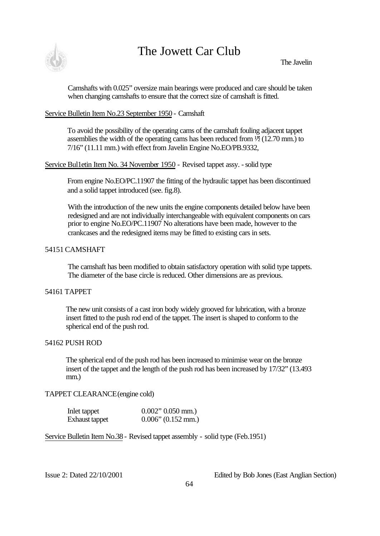

The Javelin

Camshafts with 0.025" oversize main bearings were produced and care should be taken when changing camshafts to ensure that the correct size of camshaft is fitted.

#### Service Bulletin Item No.23 September 1950 - Camshaft

To avoid the possibility of the operating cams of the camshaft fouling adjacent tappet assemblies the width of the operating cams has been reduced from  $\frac{1}{2}$  (12.70 mm.) to 7/16" (11.11 mm.) with effect from Javelin Engine No.EO/PB.9332,

### Service Bul1etin Item No. 34 November 1950 - Revised tappet assy. *-*solid type

From engine No.EO/PC.11907 the fitting of the hydraulic tappet has been discontinued and a solid tappet introduced (see. fig.8).

With the introduction of the new units the engine components detailed below have been redesigned and are not individually interchangeable with equivalent components on cars prior to engine No.EO/PC.11907 No alterations have been made, however to the crankcases and the redesigned items may be fitted to existing cars in sets.

#### 54151 CAMSHAFT

The camshaft has been modified to obtain satisfactory operation with solid type tappets. The diameter of the base circle is reduced. Other dimensions are as previous.

#### 54161 TAPPET

The new unit consists of a cast iron body widely grooved for lubrication, with a bronze insert fitted to the push rod end of the tappet. The insert is shaped to conform to the spherical end of the push rod.

#### 54162 PUSH ROD

The spherical end of the push rod has been increased to minimise wear on the bronze insert of the tappet and the length of the push rod has been increased by 17/32" (13.493 mm.

#### TAPPET CLEARANCE (engine cold)

| Inlet tappet   | $0.002$ " $0.050$ mm.)          |
|----------------|---------------------------------|
| Exhaust tappet | $0.006$ " $(0.152 \text{ mm.})$ |

Service Bulletin Item No.38 - Revised tappet assembly - solid type (Feb.1951)

| Issue 2: Dated 22/10/2001 |  |
|---------------------------|--|
|---------------------------|--|

Edited by Bob Jones (East Anglian Section)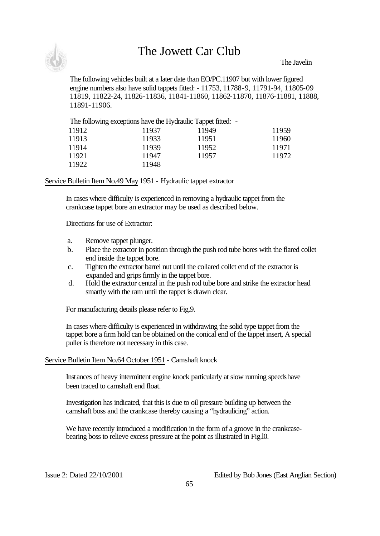

The Javelin

The following vehicles built at a later date than EO/PC.11907 but with lower figured engine numbers also have solid tappets fitted: - 11753, 11788-9, 11791-94, 11805-09 11819, 11822-24, 11826-11836, 11841-11860, 11862-11870, 11876-11881, 11888, 11891-11906.

The following exceptions have the Hydraulic Tappet fitted: -

| 11912 | 11937 | 11949 | 11959 |
|-------|-------|-------|-------|
| 11913 | 11933 | 11951 | 11960 |
| 11914 | 11939 | 11952 | 11971 |
| 11921 | 11947 | 11957 | 11972 |
| 11922 | 11948 |       |       |

Service Bulletin Item No.49 May 1951 - Hydraulic tappet extractor

In cases where difficulty is experienced in removing a hydraulic tappet from the crankcase tappet bore an extractor may be used as described below.

Directions for use of Extractor:

- a. Remove tappet plunger.
- b. Place the extractor in position through the push rod tube bores with the flared collet end inside the tappet bore.
- c. Tighten the extractor barrel nut until the collared collet end of the extractor is expanded and grips firmly in the tappet bore.
- d. Hold the extractor central in the push rod tube bore and strike the extractor head smartly with the ram until the tappet is drawn clear.

For manufacturing details please refer to Fig.9.

In cases where difficulty is experienced in withdrawing the solid type tappet from the tappet bore a firm hold can be obtained on the conical end of the tappet insert, A special puller is therefore not necessary in this case.

#### Service Bulletin Item No.64 October 1951 - Camshaft knock

Instances of heavy intermittent engine knock particularly at slow running speedshave been traced to camshaft end float.

Investigation has indicated, that this is due to oil pressure building up between the camshaft boss and the crankcase thereby causing a "hydraulicing" action.

We have recently introduced a modification in the form of a groove in the crankcasebearing boss to relieve excess pressure at the point as illustrated in Fig.l0.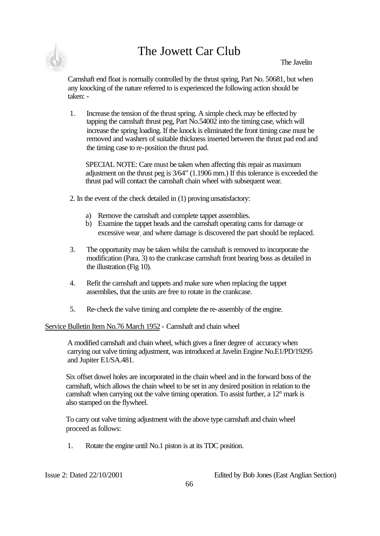

Camshaft end float is normally controlled by the thrust spring, Part No. 50681, but when any knocking of the nature referred to is experienced the following action should be taken: -

1. Increase the tension of the thrust spring. A simple check may be effected by tapping the camshaft thrust peg, Part No.54002 into the timing case, which will increase the spring loading. If the knock is eliminated the front timing case must be removed and washers of suitable thickness inserted between the thrust pad end and the timing case to re-position the thrust pad.

SPECIAL NOTE: Care must be taken when affecting this repair as maximum adjustment on the thrust peg is 3/64" (1.1906 mm.) If this tolerance is exceeded the thrust pad will contact the camshaft chain wheel with subsequent wear.

2. In the event of the check detailed in (1) proving unsatisfactory:

- a) Remove the camshaft and complete tappet assemblies.
- b) Examine the tappet heads and the camshaft operating cams for damage or excessive wear, and where damage is discovered the part should be replaced.
- 3. The opportunity may be taken whilst the camshaft is removed to incorporate the modification (Para. 3) to the crankcase camshaft front bearing boss as detailed in the illustration (Fig 10).
- 4. Refit the camshaft and tappets and make sure when replacing the tappet assemblies, that the units are free to rotate in the crankcase.
- 5. Re-check the valve timing and complete the re-assembly of the engine.

### Service Bulletin Item No.76 March 1952 - Camshaft and chain wheel

A modified camshaft and chain wheel, which gives a finer degree of accuracy when carrying out valve timing adjustment, was introduced at Javelin Engine No.E1/PD/19295 and Jupiter E1/SA.481.

Six offset dowel holes are incorporated in the chain wheel and in the forward boss of the camshaft, which allows the chain wheel to be set in any desired position in relation to the camshaft when carrying out the valve timing operation. To assist further, a 12° mark is also stamped on the flywheel.

To carry out valve timing adjustment with the above type camshaft and chain wheel proceed as follows:

1. Rotate the engine until No.1 piston is at its TDC position.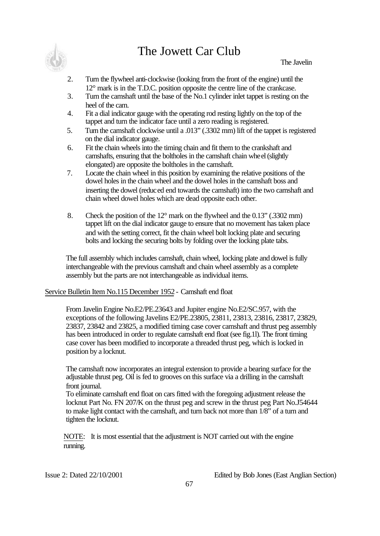

- 2. Turn the flywheel anti-clockwise (looking from the front of the engine) until the 12° mark is in the T.D.C. position opposite the centre line of the crankcase.
- 3. Turn the camshaft until the base of the No.1 cylinder inlet tappet is resting on the heel of the cam.
- 4. Fit a dial indicator gauge with the operating rod resting lightly on the top of the tappet and turn the indicator face until a zero reading is registered.
- 5. Turn the camshaft clockwise until a .013" (.3302 mm) lift of the tappet is registered on the dial indicator gauge.
- 6. Fit the chain wheels into the timing chain and fit them to the crankshaft and camshafts, ensuring that the boltholes in the camshaft chain wheel (slightly elongated) are opposite the boltholes in the camshaft.
- 7. Locate the chain wheel in this position by examining the relative positions of the dowel holes in the chain wheel and the dowel holes in the camshaft boss and inserting the dowel (reduced end towards the camshaft) into the two camshaft and chain wheel dowel holes which are dead opposite each other.
- 8. Check the position of the 12° mark on the flywheel and the 0.13" (.3302 mm) tappet lift on the dial indicator gauge to ensure that no movement has taken place and with the setting correct, fit the chain wheel bolt locking plate and securing bolts and locking the securing bolts by folding over the locking plate tabs.

The full assembly which includes camshaft, chain wheel, locking plate and dowel is fully interchangeable with the previous camshaft and chain wheel assembly as a complete assembly but the parts are not interchangeable as individual items.

### Service Bulletin Item No.115 December 1952 - Camshaft end float

From Javelin Engine No.E2/PE.23643 and Jupiter engine No.E2/SC.957, with the exceptions of the following Javelins E2/PE.23805, 23811, 23813, 23816, 23817, 23829, 23837, 23842 and 23825, a modified timing case cover camshaft and thrust peg assembly has been introduced in order to regulate camshaft end float (see fig.1l). The front timing case cover has been modified to incorporate a threaded thrust peg, which is locked in position by a locknut.

The camshaft now incorporates an integral extension to provide a bearing surface for the adjustable thrust peg. Oil is fed to grooves on this surface via a drilling in the camshaft front journal.

To eliminate camshaft end float on cars fitted with the foregoing adjustment release the locknut Part No. FN 207/K on the thrust peg and screw in the thrust peg Part No.J54644 to make light contact with the camshaft, and turn back not more than 1/8" of a turn and tighten the locknut.

NOTE: It is most essential that the adjustment is NOT carried out with the engine running.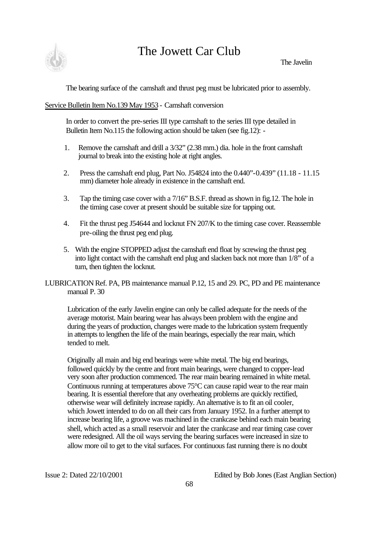

The bearing surface of the camshaft and thrust peg must be lubricated prior to assembly.

#### Service Bulletin Item No.139 May 1953 - Camshaft conversion

In order to convert the pre-series III type camshaft to the series III type detailed in Bulletin Item No.115 the following action should be taken (see fig.12): -

- 1. Remove the camshaft and drill a 3/32" (2.38 mm.) dia. hole in the front camshaft journal to break into the existing hole at right angles.
- 2. Press the camshaft end plug, Part No. J54824 into the 0.440"-0.439" (11.18 11.15 mm) diameter hole already in existence in the camshaft end.
- 3. Tap the timing case cover with a 7/16" B.S.F. thread as shown in fig.12. The hole in the timing case cover at present should be suitable size for tapping out.
- 4. Fit the thrust peg J54644 and locknut FN 207/K to the timing case cover. Reassemble pre-oiling the thrust peg end plug.
- 5. With the engine STOPPED adjust the camshaft end float by screwing the thrust peg into light contact with the camshaft end plug and slacken back not more than 1/8" of a turn, then tighten the locknut.

LUBRICATION Ref. PA, PB maintenance manual P.12, 15 and 29. PC, PD and PE maintenance manual P. 30

Lubrication of the early Javelin engine can only be called adequate for the needs of the average motorist. Main bearing wear has always been problem with the engine and during the years of production, changes were made to the lubrication system frequently in attempts to lengthen the life of the main bearings, especially the rear main, which tended to melt.

Originally all main and big end bearings were white metal. The big end bearings, followed quickly by the centre and front main bearings, were changed to copper-lead very soon after production commenced. The rear main bearing remained in white metal. Continuous running at temperatures above 75°C can cause rapid wear to the rear main bearing. It is essential therefore that any overheating problems are quickly rectified, otherwise wear will definitely increase rapidly. An alternative is to fit an oil cooler, which Jowett intended to do on all their cars from January 1952. In a further attempt to increase bearing life, a groove was machined in the crankcase behind each main bearing shell, which acted as a small reservoir and later the crankcase and rear timing case cover were redesigned. All the oil ways serving the bearing surfaces were increased in size to allow more oil to get to the vital surfaces. For continuous fast running there is no doubt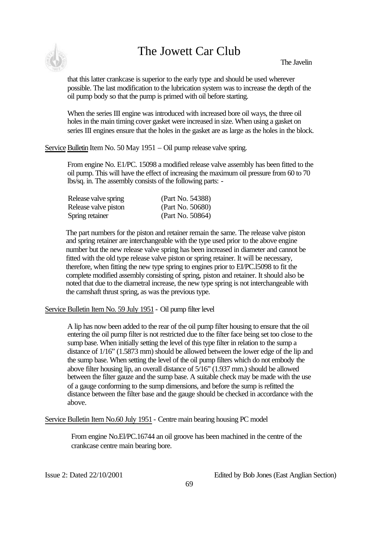

The Javelin

that this latter crankcase is superior to the early type and should be used wherever possible. The last modification to the lubrication system was to increase the depth of the oil pump body so that the pump is primed with oil before starting.

When the series III engine was introduced with increased bore oil ways, the three oil holes in the main timing cover gasket were increased in size. When using a gasket on series III engines ensure that the holes in the gasket are as large as the holes in the block.

Service Bulletin Item No. 50 May 1951 – Oil pump release valve spring.

From engine No. E1/PC. 15098 a modified release valve assembly has been fitted to the oil pump. This will have the effect of increasing the maximum oil pressure from 60 to 70 lbs/sq. in. The assembly consists of the following parts: -

| Release valve spring | (Part No. 54388) |
|----------------------|------------------|
| Release valve piston | (Part No. 50680) |
| Spring retainer      | (Part No. 50864) |

The part numbers for the piston and retainer remain the same. The release valve piston and spring retainer are interchangeable with the type used prior to the above engine number but the new release valve spring has been increased in diameter and cannot be fitted with the old type release valve piston or spring retainer. It will be necessary, therefore, when fitting the new type spring to engines prior to EI/PC.l5098 to fit the complete modified assembly consisting of spring, piston and retainer. It should also be noted that due to the diametral increase, the new type spring is not interchangeable with the camshaft thrust spring, as was the previous type.

Service Bulletin Item No. 59 July 1951 - Oil pump filter level

A lip has now been added to the rear of the oil pump filter housing to ensure that the oil entering the oil pump filter is not restricted due to the filter face being set too close to the sump base. When initially setting the level of this type filter in relation to the sump a distance of 1/16" (1.5873 mm) should be allowed between the lower edge of the lip and the sump base. When setting the level of the oil pump filters which do not embody the above filter housing lip, an overall distance of 5/16" (1.937 mm.) should be allowed between the filter gauze and the sump base. A suitable check may be made with the use of a gauge conforming to the sump dimensions, and before the sump is refitted the distance between the filter base and the gauge should be checked in accordance with the above.

Service Bulletin Item No.60 July 1951 - Centre main bearing housing PC model

From engine No.El/PC.16744 an oil groove has been machined in the centre of the crankcase centre main bearing bore.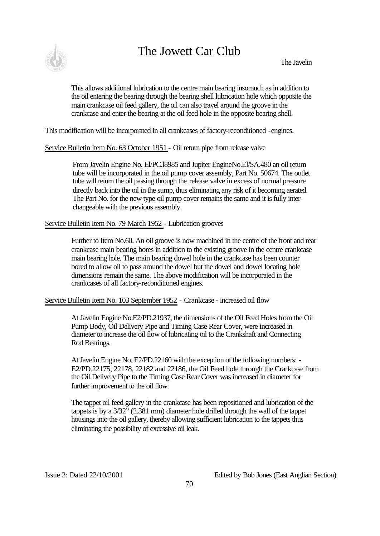

The Javelin

This allows additional lubrication to the centre main bearing insomuch as in addition to the oil entering the bearing through the bearing shell lubrication hole which opposite the main crankcase oil feed gallery, the oil can also travel around the groove in the crankcase and enter the bearing at the oil feed hole in the opposite bearing shell.

This modification will be incorporated in all crankcases of factory-reconditioned -engines.

### Service Bulletin Item No. 63 October 1951 - Oil return pipe from release valve

From Javelin Engine No. El/PC.l8985 and Jupiter EngineNo.El/SA.480 an oil return tube will be incorporated in the oil pump cover assembly, Part No. 50674. The outlet tube will return the oil passing through the release valve in excess of normal pressure directly back into the oil in the sump, thus eliminating any risk of it becoming aerated. The Part No. for the new type oil pump cover remains the same and it is fully interchangeable with the previous assembly.

Service Bulletin Item No. 79 March 1952 - Lubrication grooves

Further to Item No.60. An oil groove is now machined in the centre of the front and rear crankcase main bearing bores in addition to the existing groove in the centre crankcase main bearing hole. The main bearing dowel hole in the crankcase has been counter bored to allow oil to pass around the dowel but the dowel and dowel locating hole dimensions remain the same. The above modification will be incorporated in the crankcases of all factory-reconditioned engines.

Service Bulletin Item No. 103 September 1952 - Crankcase **-** increased oil flow

At Javelin Engine No.E2/PD.21937, the dimensions of the Oil Feed Holes from the Oil Pump Body, Oil Delivery Pipe and Timing Case Rear Cover, were increased in diameter to increase the oil flow of lubricating oil to the Crankshaft and Connecting Rod Bearings.

At Javelin Engine No. E2/PD.22160 with the exception of the following numbers: - E2/PD.22175, 22178, 22182 and 22186, the Oil Feed hole through the Crankcase from the Oil Delivery Pipe to the Timing Case Rear Cover was increased in diameter for further improvement to the oil flow.

The tappet oil feed gallery in the crankcase has been repositioned and lubrication of the tappets is by a 3/32" (2.381 mm) diameter hole drilled through the wall of the tappet housings into the oil gallery, thereby allowing sufficient lubrication to the tappets thus eliminating the possibility of excessive oil leak.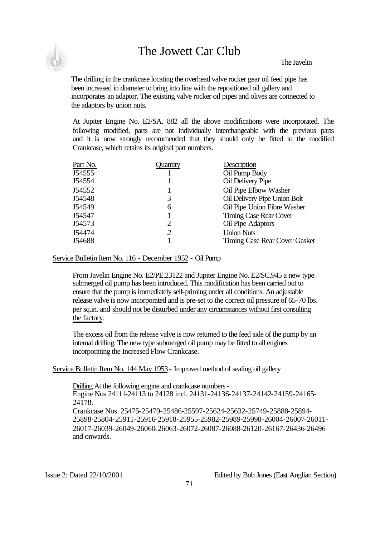

The Javelin

The drilling in the crankcase locating the overhead valve rocker gear oil feed pipe has been increased in diameter to bring into line with the repositioned oil gallery and incorporates an adaptor. The existing valve rocker oil pipes and olives are connected to the adaptors by union nuts.

At Jupiter Engine No. E2/SA. 882 all the above modifications were incorporated. The following modified, parts are not individually interchangeable with the previous parts and it is now strongly recommended that they should only be fitted to the modified Crankcase, which retains its original part numbers.

| Part No. | Ouantity      | Description                          |
|----------|---------------|--------------------------------------|
| J54555   |               | Oil Pump Body                        |
| J54554   |               | Oil Delivery Pipe                    |
| J54552   |               | Oil Pipe Elbow Washer                |
| J54548   | 3             | Oil Delivery Pipe Union Bolt         |
| J54549   | 6             | Oil Pipe Union Fibre Washer          |
| J54547   |               | <b>Timing Case Rear Cover</b>        |
| J54573   | 2             | Oil Pipe Adaptors                    |
| J54474   | $\mathcal{P}$ | <b>Union Nuts</b>                    |
| J54688   |               | <b>Timing Case Rear Cover Gasket</b> |

#### Service Bulletin Item No. 116 - December 1952 - Oil Pump

From Javelin Engine No. E2/PE.23122 and Jupiter Engine No. E2/SC.945 a new type submerged oil pump has been introduced. This modification has been carried out to ensure that the pump is immediately self-priming under all conditions. An adjustable release valve is now incorporated and is pre-set to the correct oil pressure of 65-70 lbs. per sq.in. and should not be disturbed under any circumstances without first consulting the factory.

The excess oil from the release valve is now returned to the feed side of the pump by an internal drilling. The new type submerged oil pump may be fitted to all engines incorporating the Increased Flow Crankcase.

Service Bulletin Item No. 144 May 1953 - Improved method of sealing oil gallery

Drilling At the following engine and crankcase numbers - Engine Nos 24111**-**24113 to 24128 incl. 24131-24136-24137-24142-24159-24165- 24178. Crankcase Nos. 25475-25479-25486-25597-25624-25632-25749-25888-25894- 25898-25804-25911-25916-25918-25955-25982-25989-25998-26004-26007-26011- 26017-26039-26049-26060-26063-26072-26087-26088-26120-26167-26436-26496 and onwards.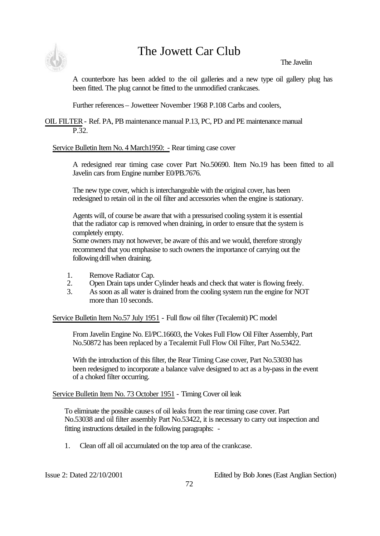

The Javelin

A counterbore has been added to the oil galleries and a new type oil gallery plug has been fitted. The plug cannot be fitted to the unmodified crankcases.

Further references – Jowetteer November 1968 P.108 Carbs and coolers,

OIL FILTER- Ref. PA, PB maintenance manual P.13, PC, PD and PE maintenance manual P.32.

#### Service Bulletin Item No. 4 March1950: - Rear timing case cover

A redesigned rear timing case cover Part No.50690. Item No.19 has been fitted to all Javelin cars from Engine number E0/PB.7676.

The new type cover, which is interchangeable with the original cover, has been redesigned to retain oil in the oil filter and accessories when the engine is stationary.

Agents will, of course be aware that with a pressurised cooling system it is essential that the radiator cap is removed when draining, in order to ensure that the system is completely empty.

Some owners may not however, be aware of this and we would, therefore strongly recommend that you emphasise to such owners the importance of carrying out the following drill when draining.

- 1. Remove Radiator Cap.<br>2. Open Drain tans under
- 2. Open Drain taps under Cylinder heads and check that water is flowing freely.
- 3. As soon as all water is drained from the cooling system run the engine for NOT more than 10 seconds.

Service Bulletin Item No.57 July 1951 - Full flow oil filter (Tecalemit) PC model

From Javelin Engine No. El/PC.16603, the Vokes Full Flow Oil Filter Assembly, Part No.50872 has been replaced by a Tecalemit Full Flow Oil Filter, Part No.53422.

With the introduction of this filter, the Rear Timing Case cover, Part No.53030 has been redesigned to incorporate a balance valve designed to act as a by-pass in the event of a choked filter occurring.

Service Bulletin Item No. 73 October 1951 - Timing Cover oil leak

To eliminate the possible causes of oil leaks from the rear timing case cover. Part No.53038 and oil filter assembly Part No.53422, it is necessary to carry out inspection and fitting instructions detailed in the following paragraphs: -

1. Clean off all oil accumulated on the top area of the crankcase.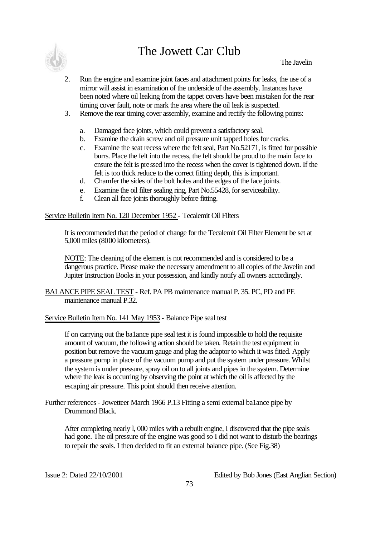

- 2. Run the engine and examine joint faces and attachment points for leaks, the use of a mirror will assist in examination of the underside of the assembly. Instances have been noted where oil leaking from the tappet covers have been mistaken for the rear timing cover fault, note or mark the area where the oil leak is suspected.
- 3. Remove the rear timing cover assembly, examine and rectify the following points:
	- a. Damaged face joints, which could prevent a satisfactory seal.
	- b. Examine the drain screw and oil pressure unit tapped holes for cracks.
	- c. Examine the seat recess where the felt seal, Part No.52171, is fitted for possible burrs. Place the felt into the recess, the felt should be proud to the main face to ensure the felt is pressed into the recess when the cover is tightened down. If the felt is too thick reduce to the correct fitting depth, this is important.
	- d. Chamfer the sides of the bolt holes and the edges of the face joints.
	- e. Examine the oil filter sealing ring, Part No.55428, for serviceability.
	- f. Clean all face joints thoroughly before fitting.

#### Service Bulletin Item No. 120 December 1952 - Tecalemit Oil Filters

It is recommended that the period of change for the Tecalemit Oil Filter Element be set at 5,000 miles (8000 kilometers).

NOTE: The cleaning of the element is not recommended and is considered to be a dangerous practice. Please make the necessary amendment to all copies of the Javelin and Jupiter Instruction Books in your possession, and kindly notify all owners accordingly.

BALANCE PIPE SEAL TEST - Ref. PA PB maintenance manual P. 35. PC, PD and PE maintenance manual P.32.

#### Service Bulletin Item No. 141 May 1953 *-* Balance Pipe seal test

If on carrying out the ba1ance pipe seal test it is found impossible to hold the requisite amount of vacuum, the following action should be taken. Retain the test equipment in position but remove the vacuum gauge and plug the adaptor to which it was fitted. Apply a pressure pump in place of the vacuum pump and put the system under pressure. Whilst the system is under pressure, spray oil on to all joints and pipes in the system. Determine where the leak is occurring by observing the point at which the oil is affected by the escaping air pressure. This point should then receive attention.

Further references - Jowetteer March 1966 P.13 Fitting a semi external ba1ance pipe by Drummond Black.

After completing nearly l, 000 miles with a rebuilt engine, I discovered that the pipe seals had gone. The oil pressure of the engine was good so I did not want to disturb the bearings to repair the seals. I then decided to fit an external balance pipe. (See Fig.38)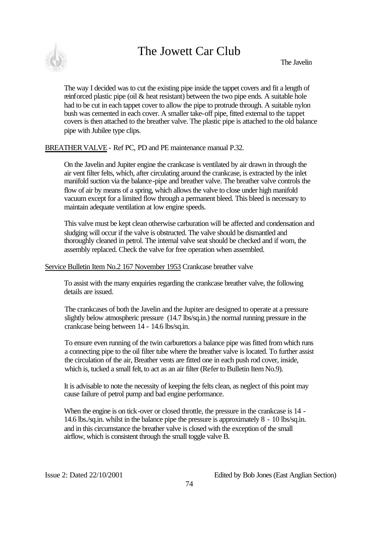

The Javelin

The way I decided was to cut the existing pipe inside the tappet covers and fit a length of reinforced plastic pipe (oil & heat resistant) between the two pipe ends. A suitable hole had to be cut in each tappet cover to allow the pipe to protrude through. A suitable nylon bush was cemented in each cover. A smaller take-off pipe, fitted external to the tappet covers is then attached to the breather valve. The plastic pipe is attached to the old balance pipe with Jubilee type clips.

BREATHER VALVE- Ref PC, PD and PE maintenance manual P.32.

On the Javelin and Jupiter engine the crankcase is ventilated by air drawn in through the air vent filter felts, which, after circulating around the crankcase, is extracted by the inlet manifold suction via the balance-pipe and breather valve. The breather valve controls the flow of air by means of a spring, which allows the valve to close under high manifold vacuum except for a limited flow through a permanent bleed. This bleed is necessary to maintain adequate ventilation at low engine speeds.

This valve must be kept clean otherwise carburation will be affected and condensation and sludging will occur if the valve is obstructed. The valve should be dismantled and thoroughly cleaned in petrol. The internal valve seat should be checked and if worn, the assembly replaced. Check the valve for free operation when assembled.

Service Bulletin Item No.2 167 November 1953 Crankcase breather valve

To assist with the many enquiries regarding the crankcase breather valve, the following details are issued.

The crankcases of both the Javelin and the Jupiter are designed to operate at a pressure slightly below atmospheric pressure (14.7 lbs/sq.in.) the normal running pressure in the crankcase being between 14 - 14.6 lbs/sq.in.

To ensure even running of the twin carburettors a balance pipe was fitted from which runs a connecting pipe to the oil filter tube where the breather valve is located. To further assist the circulation of the air, Breather vents are fitted one in each push rod cover, inside, which is, tucked a small felt, to act as an air filter (Refer to Bulletin Item No.9).

It is advisable to note the necessity of keeping the felts clean, as neglect of this point may cause failure of petrol pump and bad engine performance.

When the engine is on tick-over or closed throttle, the pressure in the crankcase is 14 - 14.6 lbs./sq.in. whilst in the balance pipe the pressure is approximately 8 - 10 lbs/sq.in. and in this circumstance the breather valve is closed with the exception of the small airflow, which is consistent through the small toggle valve B.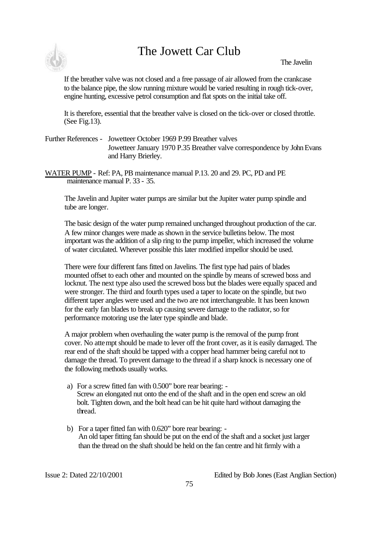

The Javelin

If the breather valve was not closed and a free passage of air allowed from the crankcase to the balance pipe, the slow running mixture would be varied resulting in rough tick-over, engine hunting, excessive petrol consumption and flat spots on the initial take off.

It is therefore, essential that the breather valve is closed on the tick-over or closed throttle. (See Fig.13).

Further References - Jowetteer October 1969 P.99 Breather valves Jowetteer January 1970 P.35 Breather valve correspondence by John Evans and Harry Brierley.

WATER PUMP - Ref: PA, PB maintenance manual P.13. 20 and 29. PC, PD and PE maintenance manual P. 33 - 35.

The Javelin and Jupiter water pumps are similar but the Jupiter water pump spindle and tube are longer.

The basic design of the water pump remained unchanged throughout production of the car. A few minor changes were made as shown in the service bulletins below. The most important was the addition of a slip ring to the pump impeller, which increased the volume of water circulated. Wherever possible this later modified impellor should be used.

There were four different fans fitted on Javelins. The first type had pairs of blades mounted offset to each other and mounted on the spindle by means of screwed boss and locknut. The next type also used the screwed boss but the blades were equally spaced and were stronger. The third and fourth types used a taper to locate on the spindle, but two different taper angles were used and the two are not interchangeable. It has been known for the early fan blades to break up causing severe damage to the radiator, so for performance motoring use the later type spindle and blade.

A major problem when overhauling the water pump is the removal of the pump front cover. No attempt should be made to lever off the front cover, as it is easily damaged. The rear end of the shaft should be tapped with a copper head hammer being careful not to damage the thread. To prevent damage to the thread if a sharp knock is necessary one of the following methods usually works.

- a) For a screw fitted fan with 0.500" bore rear bearing: Screw an elongated nut onto the end of the shaft and in the open end screw an old bolt. Tighten down, and the bolt head can be hit quite hard without damaging the thread.
- b) For a taper fitted fan with 0.620" bore rear bearing: An old taper fitting fan should be put on the end of the shaft and a socket just larger than the thread on the shaft should be held on the fan centre and hit firmly with a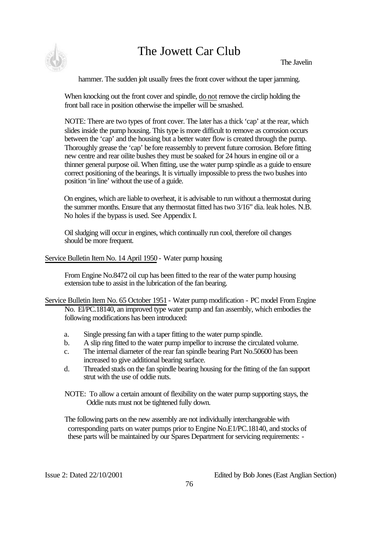

The Javelin

hammer. The sudden jolt usually frees the front cover without the taper jamming.

When knocking out the front cover and spindle, do not remove the circlip holding the front ball race in position otherwise the impeller will be smashed.

NOTE: There are two types of front cover. The later has a thick 'cap' at the rear, which slides inside the pump housing. This type is more difficult to remove as corrosion occurs between the 'cap' and the housing but a better water flow is created through the pump. Thoroughly grease the 'cap' before reassembly to prevent future corrosion. Before fitting new centre and rear oilite bushes they must be soaked for 24 hours in engine oil or a thinner general purpose oil. When fitting, use the water pump spindle as a guide to ensure correct positioning of the bearings. It is virtually impossible to press the two bushes into position 'in line' without the use of a guide.

On engines, which are liable to overheat, it is advisable to run without a thermostat during the summer months. Ensure that any thermostat fitted has two 3/16" dia. leak holes. N.B. No holes if the bypass is used. See Appendix I.

Oil sludging will occur in engines, which continually run cool, therefore oil changes should be more frequent.

Service Bulletin Item No. 14 April 1950 - Water pump housing

From Engine No.8472 oil cup has been fitted to the rear of the water pump housing extension tube to assist in the lubrication of the fan bearing.

- Service Bulletin Item No. 65 October 1951 Water pump modification PC model From Engine No. El/PC.18140, an improved type water pump and fan assembly, which embodies the following modifications has been introduced:
	- a. Single pressing fan with a taper fitting to the water pump spindle.
	- b. A slip ring fitted to the water pump impellor to increase the circulated volume.
	- c. The internal diameter of the rear fan spindle bearing Part No.50600 has been increased to give additional bearing surface.
	- d. Threaded studs on the fan spindle bearing housing for the fitting of the fan support strut with the use of oddie nuts.
	- NOTE: To allow a certain amount of flexibility on the water pump supporting stays, the Oddie nuts must not be tightened fully down.

The following parts on the new assembly are not individually interchangeable with corresponding parts on water pumps prior to Engine No.E1/PC.18140, and stocks of these parts will be maintained by our Spares Department for servicing requirements: -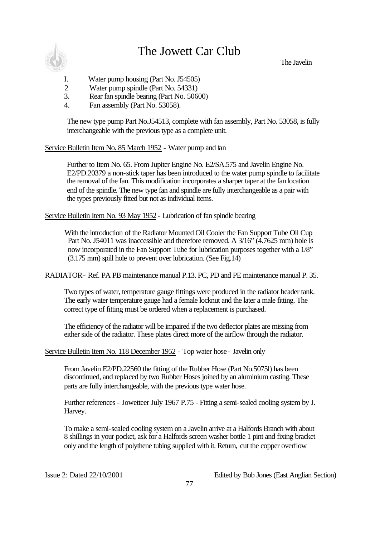

The Javelin

- I. Water pump housing (Part No. J54505)
- 2 Water pump spindle (Part No. 54331)<br>3. Rear fan spindle bearing (Part No. 5060
- 3. Rear fan spindle bearing (Part No. 50600)
- 4. Fan assembly (Part No. 53058).

The new type pump Part No.J54513, complete with fan assembly, Part No. 53058, is fully interchangeable with the previous type as a complete unit.

Service Bulletin Item No. 85 March 1952 - Water pump and fan

Further to Item No. 65. From Jupiter Engine No. E2/SA.575 and Javelin Engine No. E2/PD.20379 a non-stick taper has been introduced to the water pump spindle to facilitate the removal of the fan. This modification incorporates a sharper taper at the fan location end of the spindle. The new type fan and spindle are fully interchangeable as a pair with the types previously fitted but not as individual items.

Service Bulletin Item No. 93 May 1952 - Lubrication of fan spindle bearing

With the introduction of the Radiator Mounted Oil Cooler the Fan Support Tube Oil Cup Part No. J54011 was inaccessible and therefore removed. A 3/16" (4.7625 mm) hole is now incorporated in the Fan Support Tube for lubrication purposes together with a 1/8" (3.175 mm) spill hole to prevent over lubrication. (See Fig.14)

RADIATOR- Ref. PA PB maintenance manual P.13. PC, PD and PE maintenance manual P. 35.

Two types of water, temperature gauge fittings were produced in the radiator header tank. The early water temperature gauge had a female locknut and the later a male fitting. The correct type of fitting must be ordered when a replacement is purchased.

The efficiency of the radiator will be impaired if the two deflector plates are missing from either side of the radiator. These plates direct more of the airflow through the radiator.

### Service Bulletin Item No. 118 December 1952 - Top water hose - Javelin only

From Javelin E2/PD.22560 the fitting of the Rubber Hose (Part No.5075l) has been discontinued, and replaced by two Rubber Hoses joined by an aluminium casting. These parts are fully interchangeable, with the previous type water hose.

Further references - Jowetteer July 1967 P.75 - Fitting a semi-sealed cooling system by J. Harvey.

To make a semi-sealed cooling system on a Javelin arrive at a Halfords Branch with about 8 shillings in your pocket, ask for a Halfords screen washer bottle 1 pint and fixing bracket only and the length of polythene tubing supplied with it. Return, cut the copper overflow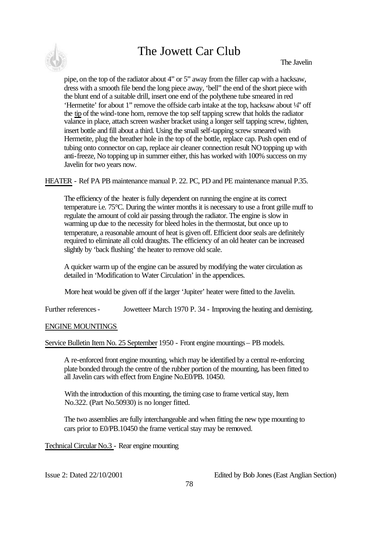

The Javelin

pipe, on the top of the radiator about 4" or 5" away from the filler cap with a hacksaw, dress with a smooth file bend the long piece away, 'bell" the end of the short piece with the blunt end of a suitable drill, insert one end of the polythene tube smeared in red 'Hermetite' for about 1" remove the offside carb intake at the top, hacksaw about ¼" off the tip of the wind-tone horn, remove the top self tapping screw that holds the radiator valance in place, attach screen washer bracket using a longer self tapping screw, tighten, insert bottle and fill about a third. Using the small self-tapping screw smeared with Hermetite, plug the breather hole in the top of the bottle, replace cap. Push open end of tubing onto connector on cap, replace air cleaner connection result NO topping up with anti-freeze, No topping up in summer either, this has worked with 100% success on my Javelin for two years now.

HEATER - Ref PA PB maintenance manual P. 22. PC, PD and PE maintenance manual P.35.

The efficiency of the heater is fully dependent on running the engine at its correct temperature i.e. 75°C. During the winter months it is necessary to use a front grille muff to regulate the amount of cold air passing through the radiator. The engine is slow in warming up due to the necessity for bleed holes in the thermostat, but once up to temperature, a reasonable amount of heat is given off. Efficient door seals are definitely required to eliminate all cold draughts. The efficiency of an old heater can be increased slightly by 'back flushing' the heater to remove old scale.

A quicker warm up of the engine can be assured by modifying the water circulation as detailed in 'Modification to Water Circulation' in the appendices.

More heat would be given off if the larger 'Jupiter' heater were fitted to the Javelin.

Further references - Jowetteer March 1970 P. 34 - Improving the heating and demisting.

### ENGINE MOUNTINGS

Service Bulletin Item No. 25 September 1950 - Front engine mountings – PB models.

A re-enforced front engine mounting, which may be identified by a central re-enforcing plate bonded through the centre of the rubber portion of the mounting, has been fitted to all Javelin cars with effect from Engine No.E0/PB. 10450.

With the introduction of this mounting, the timing case to frame vertical stay, Item No.322. (Part No.50930) is no longer fitted.

The two assemblies are fully interchangeable and when fitting the new type mounting to cars prior to E0/PB.10450 the frame vertical stay may be removed.

Technical Circular No.3 - Rear engine mounting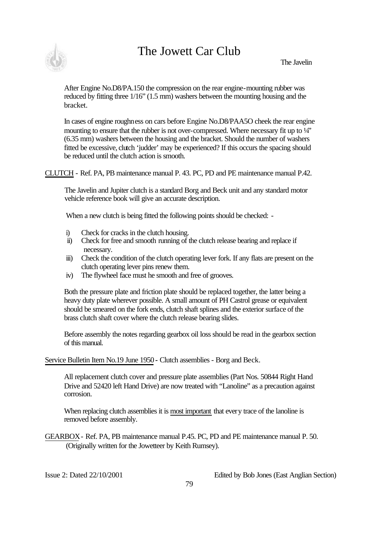

The Javelin

After Engine No.D8/PA.150 the compression on the rear engine-mounting rubber was reduced by fitting three 1/16" (1.5 mm) washers between the mounting housing and the bracket.

In cases of engine roughness on cars before Engine No.D8/PAA5O cheek the rear engine mounting to ensure that the rubber is not over-compressed. Where necessary fit up to  $\frac{1}{4}$ " (6.35 mm) washers between the housing and the bracket. Should the number of washers fitted be excessive, clutch 'judder' may be experienced? If this occurs the spacing should be reduced until the clutch action is smooth.

CLUTCH - Ref. PA, PB maintenance manual P. 43. PC, PD and PE maintenance manual P.42.

The Javelin and Jupiter clutch is a standard Borg and Beck unit and any standard motor vehicle reference book will give an accurate description.

When a new clutch is being fitted the following points should be checked: -

- i) Check for cracks in the clutch housing.
- ii) Check for free and smooth running of the clutch release bearing and replace if necessary.
- iii) Check the condition of the clutch operating lever fork. If any flats are present on the clutch operating lever pins renew them.
- iv) The flywheel face must he smooth and free of grooves.

Both the pressure plate and friction plate should be replaced together, the latter being a heavy duty plate wherever possible. A small amount of PH Castrol grease or equivalent should be smeared on the fork ends, clutch shaft splines and the exterior surface of the brass clutch shaft cover where the clutch release bearing slides.

Before assembly the notes regarding gearbox oil loss should be read in the gearbox section of this manual.

Service Bulletin Item No.19 June 1950 *-* Clutch assemblies - Borg and Beck.

All replacement clutch cover and pressure plate assemblies (Part Nos. 50844 Right Hand Drive and 52420 left Hand Drive) are now treated with "Lanoline" as a precaution against corrosion.

When replacing clutch assemblies it is most important that every trace of the lanoline is removed before assembly.

GEARBOX- Ref. PA, PB maintenance manual P.45. PC, PD and PE maintenance manual P. 50. (Originally written for the Jowetteer by Keith Rumsey).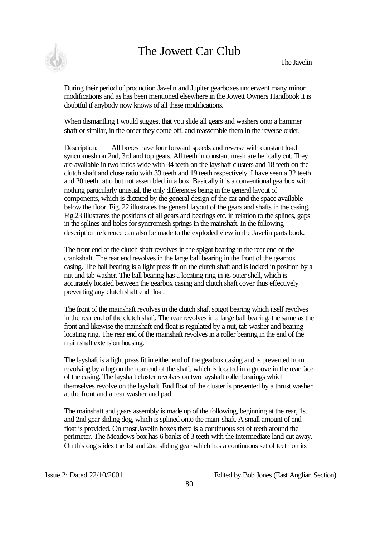

The Javelin

During their period of production Javelin and Jupiter gearboxes underwent many minor modifications and as has been mentioned elsewhere in the Jowett Owners Handbook it is doubtful if anybody now knows of all these modifications.

When dismantling I would suggest that you slide all gears and washers onto a hammer shaft or similar, in the order they come off, and reassemble them in the reverse order,

Description: All boxes have four forward speeds and reverse with constant load syncromesh on 2nd, 3rd and top gears. All teeth in constant mesh are helically cut. They are available in two ratios wide with 34 teeth on the layshaft clusters and 18 teeth on the clutch shaft and close ratio with 33 teeth and 19 teeth respectively. I have seen a 32 teeth and 20 teeth ratio but not assembled in a box. Basically it is a conventional gearbox with nothing particularly unusual, the only differences being in the general layout of components, which is dictated by the general design of the car and the space available below the floor. Fig. 22 illustrates the general layout of the gears and shafts in the casing. Fig.23 illustrates the positions of all gears and bearings etc. in relation to the splines, gaps in the splines and holes for syncromesh springs in the mainshaft. In the following description reference can also be made to the exploded view in the Javelin parts book.

The front end of the clutch shaft revolves in the spigot bearing in the rear end of the crankshaft. The rear end revolves in the large ball bearing in the front of the gearbox casing. The ball bearing is a light press fit on the clutch shaft and is locked in position by a nut and tab washer. The ball bearing has a locating ring in its outer shell, which is accurately located between the gearbox casing and clutch shaft cover thus effectively preventing any clutch shaft end float.

The front of the mainshaft revolves in the clutch shaft spigot bearing which itself revolves in the rear end of the clutch shaft. The rear revolves in a large ball bearing, the same as the front and likewise the mainshaft end float is regulated by a nut, tab washer and bearing locating ring. The rear end of the mainshaft revolves in a roller bearing in the end of the main shaft extension housing.

The layshaft is a light press fit in either end of the gearbox casing and is prevented from revolving by a lug on the rear end of the shaft, which is located in a groove in the rear face of the casing. The layshaft cluster revolves on two layshaft roller bearings which themselves revolve on the layshaft. End float of the cluster is prevented by a thrust washer at the front and a rear washer and pad.

The mainshaft and gears assembly is made up of the following, beginning at the rear, 1st and 2nd gear sliding dog, which is splined onto the main-shaft. A small amount of end float is provided. On most Javelin boxes there is a continuous set of teeth around the perimeter. The Meadows box has 6 banks of 3 teeth with the intermediate land cut away. On this dog slides the 1st and 2nd sliding gear which has a continuous set of teeth on its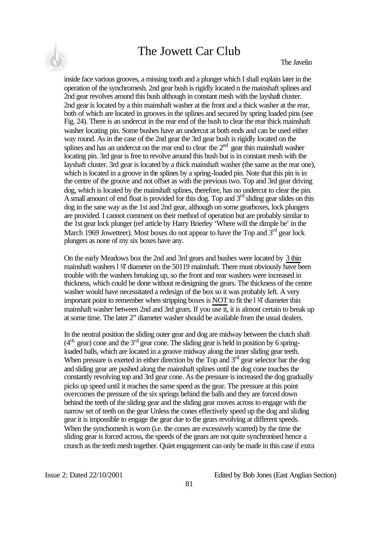

The Javelin

inside face various grooves, a missing tooth and a plunger which I shall explain later in the operation of the synchromesh. 2nd gear bush is rigidly located n the mainshaft splines and 2nd gear revolves around this bush although in constant mesh with the layshaft cluster. 2nd gear is located by a thin mainshaft washer at the front and a thick washer at the rear, both of which are located in grooves in the splines and secured by spring loaded pins (see Fig. 24). There is an undercut in the rear end of the bush to clear the rear thick mainshaft washer locating pin. Some bushes have an undercut at both ends and can be used either way round. As in the case of the 2nd gear the 3rd gear bush is rigidly located on the splines and has an undercut on the rear end to clear the  $2<sup>nd</sup>$  gear thin mainshaft washer locating pin. 3rd gear is free to revolve around this bush but is in constant mesh with the layshaft cluster. 3rd gear is located by a thick mainshaft washer (the same as the rear one), which is located in a groove in the splines by a spring-loaded pin. Note that this pin is in the centre of the groove and not offset as with the previous two. Top and 3rd gear driving dog, which is located by the mainshaft splines, therefore, has no undercut to clear the pin. A small amount of end float is provided for this dog. Top and  $3<sup>rd</sup>$  sliding gear slides on this dog in the sane way as the 1st and 2nd gear, although on some gearboxes, lock plungers are provided. I cannot comment on their method of operation but are probably similar to the 1st gear lock plunger (ref article by Harry Brierley 'Where will the dimple be' in the March 1969 Jowetteer). Most boxes do not appear to have the Top and  $3<sup>rd</sup>$  gear lock plungers as none of my six boxes have any.

On the early Meadows box the 2nd and 3rd gears and bushes were located by 3 thin mainshaft washers 1 3<sup>2</sup> diameter on the 50119 mainshaft. There must obviously have been trouble with the washers breaking up, so the front and rear washers were increased in thickness, which could be done without redesigning the gears. The thickness of the centre washer would have necessitated a redesign of the box so it was probably left. A very important point to remember when stripping boxes is NOT to fit the 1<sup>3</sup>/<sub>4</sub><sup>2</sup> diameter thin mainshaft washer between 2nd and 3rd gears. If you use it, it is almost certain to break up at some time. The later 2" diameter washer should be available from the usual dealers.

In the neutral position the sliding outer gear and dog are midway between the clutch shaft  $(4<sup>th</sup>$  gear) cone and the 3<sup>rd</sup> gear cone. The sliding gear is held in position by 6 springloaded balls, which are located in a groove midway along the inner sliding gear teeth. When pressure is exerted in either direction by the Top and 3<sup>rd</sup> gear selector bar the dog and sliding gear are pushed along the mainshaft splines until the dog cone touches the constantly revolving top and 3rd gear cone. As the pressure is increased the dog gradually picks up speed until it reaches the same speed as the gear. The pressure at this point overcomes the pressure of the six springs behind the balls and they are forced down behind the teeth of the sliding gear and the sliding gear moves across to engage with the narrow set of teeth on the gear Unless the cones effectively speed up the dog and sliding gear it is impossible to engage the gear due to the gears revolving at different speeds. When the synchomesh is worn (i.e. the cones are excessively scarred) by the time the sliding gear is forced across, the speeds of the gears are not quite synchronised hence a crunch as the teeth mesh together. Quiet engagement can only be made in this case if extra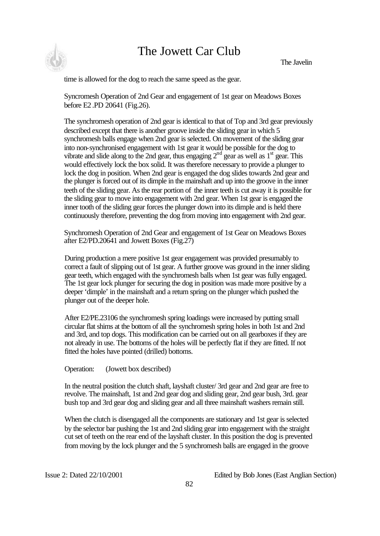

The Javelin

time is allowed for the dog to reach the same speed as the gear.

Syncromesh Operation of 2nd Gear and engagement of 1st gear on Meadows Boxes before E2 .PD 20641 (Fig.26).

The synchromesh operation of 2nd gear is identical to that of Top and 3rd gear previously described except that there is another groove inside the sliding gear in which 5 synchromesh balls engage when 2nd gear is selected. On movement of the sliding gear into non-synchronised engagement with 1st gear it would be possible for the dog to vibrate and slide along to the 2nd gear, thus engaging  $2<sup>nd</sup>$  gear as well as  $1<sup>st</sup>$  gear. This would effectively lock the box solid. It was therefore necessary to provide a plunger to lock the dog in position. When 2nd gear is engaged the dog slides towards 2nd gear and the plunger is forced out of its dimple in the mainshaft and up into the groove in the inner teeth of the sliding gear. As the rear portion of the inner teeth is cut away it is possible for the sliding gear to move into engagement with 2nd gear. When 1st gear is engaged the inner tooth of the sliding gear forces the plunger down into its dimple and is held there continuously therefore, preventing the dog from moving into engagement with 2nd gear.

Synchromesh Operation of 2nd Gear and engagement of 1st Gear on Meadows Boxes after E2/PD.20641 and Jowett Boxes (Fig.27)

During production a mere positive 1st gear engagement was provided presumably to correct a fault of slipping out of 1st gear. A further groove was ground in the inner sliding gear teeth, which engaged with the synchromesh balls when 1st gear was fully engaged. The 1st gear lock plunger for securing the dog in position was made more positive by a deeper 'dimple' in the mainshaft and a return spring on the plunger which pushed the plunger out of the deeper hole.

After E2/PE.23106 the synchromesh spring loadings were increased by putting small circular flat shims at the bottom of all the synchromesh spring holes in both 1st and 2nd and 3rd, and top dogs. This modification can be carried out on all gearboxes if they are not already in use. The bottoms of the holes will be perfectly flat if they are fitted. If not fitted the holes have pointed (drilled) bottoms.

Operation: (Jowett box described)

In the neutral position the clutch shaft, layshaft cluster/ 3rd gear and 2nd gear are free to revolve. The mainshaft, 1st and 2nd gear dog and sliding gear, 2nd gear bush, 3rd. gear bush top and 3rd gear dog and sliding gear and all three mainshaft washers remain still.

When the clutch is disengaged all the components are stationary and 1st gear is selected by the selector bar pushing the 1st and 2nd sliding gear into engagement with the straight cut set of teeth on the rear end of the layshaft cluster. In this position the dog is prevented from moving by the lock plunger and the 5 synchromesh balls are engaged in the groove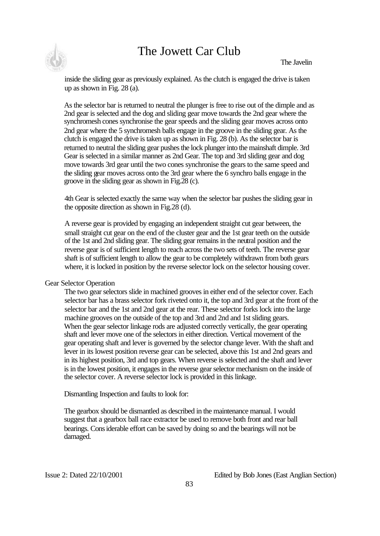

The Javelin

inside the sliding gear as previously explained. As the clutch is engaged the drive is taken up as shown in Fig. 28 (a).

As the selector bar is returned to neutral the plunger is free to rise out of the dimple and as 2nd gear is selected and the dog and sliding gear move towards the 2nd gear where the synchromesh cones synchronise the gear speeds and the sliding gear moves across onto 2nd gear where the 5 synchromesh balls engage in the groove in the sliding gear. As the clutch is engaged the drive is taken up as shown in Fig. 28 (b). As the selector bar is returned to neutral the sliding gear pushes the lock plunger into the mainshaft dimple. 3rd Gear is selected in a similar manner as 2nd Gear. The top and 3rd sliding gear and dog move towards 3rd gear until the two cones synchronise the gears to the same speed and the sliding gear moves across onto the 3rd gear where the 6 synchro balls engage in the groove in the sliding gear as shown in Fig.28 (c).

4th Gear is selected exactly the same way when the selector bar pushes the sliding gear in the opposite direction as shown in Fig.28 (d).

A reverse gear is provided by engaging an independent straight cut gear between, the small straight cut gear on the end of the cluster gear and the 1st gear teeth on the outside of the 1st and 2nd sliding gear. The sliding gear remains in the neutral position and the reverse gear is of sufficient length to reach across the two sets of teeth. The reverse gear shaft is of sufficient length to allow the gear to be completely withdrawn from both gears where, it is locked in position by the reverse selector lock on the selector housing cover.

Gear Selector Operation

The two gear selectors slide in machined grooves in either end of the selector cover. Each selector bar has a brass selector fork riveted onto it, the top and 3rd gear at the front of the selector bar and the 1st and 2nd gear at the rear. These selector forks lock into the large machine grooves on the outside of the top and 3rd and 2nd and 1st sliding gears. When the gear selector linkage rods are adjusted correctly vertically, the gear operating shaft and lever move one of the selectors in either direction. Vertical movement of the gear operating shaft and lever is governed by the selector change lever. With the shaft and lever in its lowest position reverse gear can be selected, above this 1st and 2nd gears and in its highest position, 3rd and top gears. When reverse is selected and the shaft and lever is in the lowest position, it engages in the reverse gear selector mechanism on the inside of the selector cover. A reverse selector lock is provided in this linkage.

Dismantling Inspection and faults to look for:

The gearbox should be dismantled as described in the maintenance manual. I would suggest that a gearbox ball race extractor be used to remove both front and rear ball bearings. Considerable effort can be saved by doing so and the bearings will not be damaged.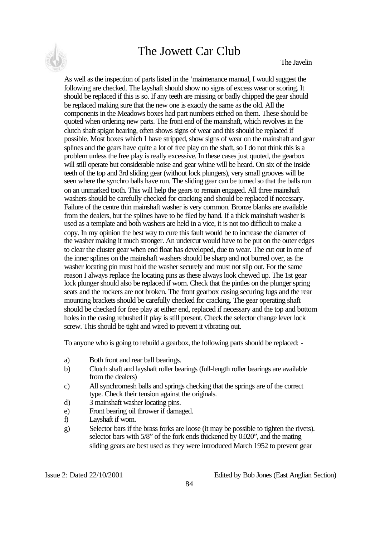

The Javelin

As well as the inspection of parts listed in the 'maintenance manual, I would suggest the following are checked. The layshaft should show no signs of excess wear or scoring. It should be replaced if this is so. If any teeth are missing or badly chipped the gear should be replaced making sure that the new one is exactly the same as the old. All the components in the Meadows boxes had part numbers etched on them. These should be quoted when ordering new parts. The front end of the mainshaft, which revolves in the clutch shaft spigot bearing, often shows signs of wear and this should be replaced if possible. Most boxes which I have stripped, show signs of wear on the mainshaft and gear splines and the gears have quite a lot of free play on the shaft, so I do not think this is a problem unless the free play is really excessive. In these cases just quoted, the gearbox will still operate but considerable noise and gear whine will be heard. On six of the inside teeth of the top and 3rd sliding gear (without lock plungers), very small grooves will be seen where the synchro balls have run. The sliding gear can be turned so that the balls run on an unmarked tooth. This will help the gears to remain engaged. All three mainshaft washers should be carefully checked for cracking and should be replaced if necessary. Failure of the centre thin mainshaft washer is very common. Bronze blanks are available from the dealers, but the splines have to be filed by hand. If a thick mainshaft washer is used as a template and both washers are held in a vice, it is not too difficult to make a copy. In my opinion the best way to cure this fault would be to increase the diameter of the washer making it much stronger. An undercut would have to be put on the outer edges to clear the cluster gear when end float has developed, due to wear. The cut out in one of the inner splines on the mainshaft washers should be sharp and not burred over, as the washer locating pin must hold the washer securely and must not slip out. For the same reason I always replace the locating pins as these always look chewed up. The 1st gear lock plunger should also be replaced if worn. Check that the pintles on the plunger spring seats and the rockers are not broken. The front gearbox casing securing lugs and the rear mounting brackets should be carefully checked for cracking. The gear operating shaft should be checked for free play at either end, replaced if necessary and the top and bottom holes in the casing rebushed if play is still present. Check the selector change lever lock screw. This should be tight and wired to prevent it vibrating out.

To anyone who is going to rebuild a gearbox, the following parts should be replaced: -

- a) Both front and rear ball bearings.
- b) Clutch shaft and layshaft roller bearings (full-length roller bearings are available from the dealers)
- c) All synchromesh balls and springs checking that the springs are of the correct type. Check their tension against the originals.
- d) 3 mainshaft washer locating pins.
- e) Front bearing oil thrower if damaged.
- f) Layshaft if worn.
- g) Selector bars if the brass forks are loose (it may be possible to tighten the rivets). selector bars with 5/8" of the fork ends thickened by 0.020", and the mating sliding gears are best used as they were introduced March 1952 to prevent gear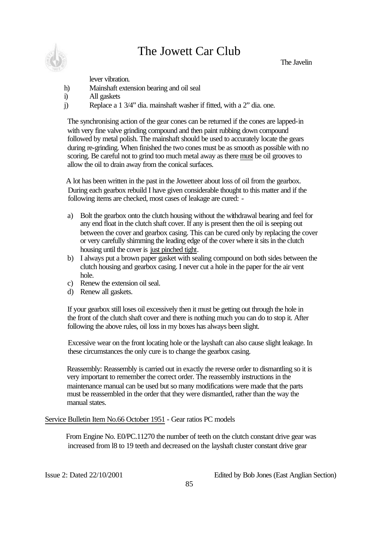

The Javelin

lever vibration.

- h) Mainshaft extension bearing and oil seal
- i) All gaskets

j) Replace a 1 3/4" dia. mainshaft washer if fitted, with a 2" dia. one.

The synchronising action of the gear cones can be returned if the cones are lapped-in with very fine valve grinding compound and then paint rubbing down compound followed by metal polish. The mainshaft should be used to accurately locate the gears during re-grinding. When finished the two cones must be as smooth as possible with no scoring. Be careful not to grind too much metal away as there must be oil grooves to allow the oil to drain away from the conical surfaces.

A lot has been written in the past in the Jowetteer about loss of oil from the gearbox. During each gearbox rebuild I have given considerable thought to this matter and if the following items are checked, most cases of leakage are cured: -

- a) Bolt the gearbox onto the clutch housing without the withdrawal bearing and feel for any end float in the clutch shaft cover. If any is present then the oil is seeping out between the cover and gearbox casing. This can be cured only by replacing the cover or very carefully shimming the leading edge of the cover where it sits in the clutch housing until the cover is just pinched tight.
- b) I always put a brown paper gasket with sealing compound on both sides between the clutch housing and gearbox casing. I never cut a hole in the paper for the air vent hole.
- c) Renew the extension oil seal.
- d) Renew all gaskets.

If your gearbox still loses oil excessively then it must be getting out through the hole in the front of the clutch shaft cover and there is nothing much you can do to stop it. After following the above rules, oil loss in my boxes has always been slight.

Excessive wear on the front locating hole or the layshaft can also cause slight leakage. In these circumstances the only cure is to change the gearbox casing.

Reassembly: Reassembly is carried out in exactly the reverse order to dismantling so it is very important to remember the correct order. The reassembly instructions in the maintenance manual can be used but so many modifications were made that the parts must be reassembled in the order that they were dismantled, rather than the way the manual states.

Service Bulletin Item No.66 October 1951 - Gear ratios PC models

From Engine No. E0/PC.11270 the number of teeth on the clutch constant drive gear was increased from l8 to 19 teeth and decreased on the layshaft cluster constant drive gear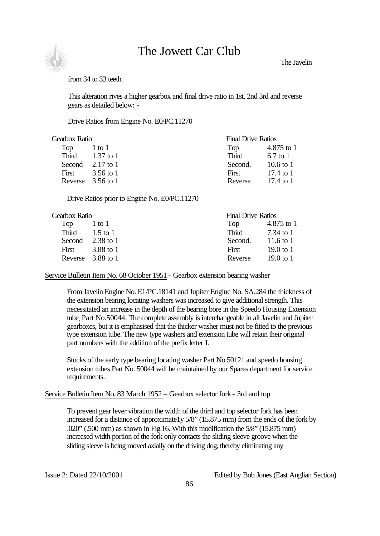

The Javelin

from 34 to 33 teeth.

This alteration rives a higher gearbox and final drive ratio in 1st, 2nd 3rd and reverse gears as detailed below: -

Drive Ratios from Engine No. E0/PC.11270

| Gearbox Ratio       | <b>Final Drive Ratios</b> |                      |
|---------------------|---------------------------|----------------------|
| Top<br>$1$ to $1$   | Top                       | 4.875 to 1           |
| Third $1.37$ to 1   | Third                     | 6.7 to 1             |
| Second $2.17$ to 1  | Second.                   | 10.6 to 1            |
| First $3.56$ to 1   | First                     | $17.4 \text{ to } 1$ |
| Reverse $3.56$ to 1 | Reverse                   | $17.4 \text{ to } 1$ |

Drive Ratios prior to Engine No. E0/PC.11270

| <b>Final Drive Ratios</b> |            |
|---------------------------|------------|
| Top                       | 4.875 to 1 |
| Third                     | 7.34 to 1  |
| Second.                   | 11.6 to 1  |
| First                     | 19.0 to 1  |
| Reverse                   | 19.0 to 1  |
|                           |            |

Service Bulletin Item No. 68 October 1951 - Gearbox extension bearing washer

From Javelin Engine No. E1/PC.18141 and Jupiter Engine No. SA.284 the thickness of the extension bearing locating washers was increased to give additional strength. This necessitated an increase in the depth of the bearing bore in the Speedo Housing Extension tube, Part No.50044. The complete assembly is interchangeable in all Javelin and Jupiter gearboxes, but it is emphasised that the thicker washer must not be fitted to the previous type extension tube. The new type washers and extension tube will retain their original part numbers with the addition of the prefix letter J.

Stocks of the early type bearing locating washer Part No.50121 and speedo housing extension tubes Part No. 50044 will he maintained by our Spares department for service requirements.

Service Bulletin Item No. 83 March 1952 – Gearbox selector fork - 3rd and top

To prevent gear lever vibration the width of the third and top selector fork has been increased for a distance of approximate1y 5/8" (15.875 mm) from the ends of the fork by .020" (.500 mm) as shown in Fig.16. With this modification the 5/8" (15.875 mm) increased width portion of the fork only contacts the sliding sleeve groove when the sliding sleeve is being moved axially on the driving dog, thereby eliminating any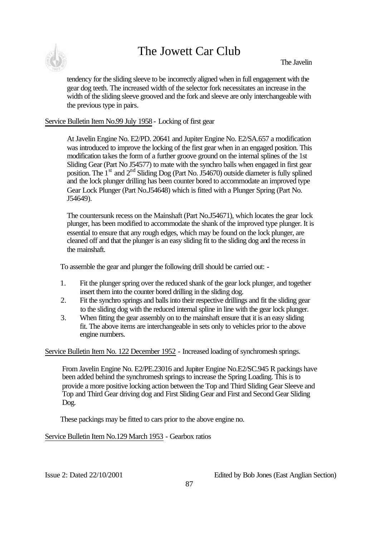

The Javelin

tendency for the sliding sleeve to be incorrectly aligned when in full engagement with the gear dog teeth. The increased width of the selector fork necessitates an increase in the width of the sliding sleeve grooved and the fork and sleeve are only interchangeable with the previous type in pairs.

### Service Bulletin Item No.99 July 1958 - Locking of first gear

At Javelin Engine No. E2/PD. 20641 and Jupiter Engine No. E2/SA.657 a modification was introduced to improve the locking of the first gear when in an engaged position. This modification takes the form of a further groove ground on the internal splines of the 1st Sliding Gear (Part No J54577) to mate with the synchro balls when engaged in first gear position. The  $1<sup>st</sup>$  and  $2<sup>nd</sup>$  Sliding Dog (Part No. J54670) outside diameter is fully splined and the lock plunger drilling has been counter bored to accommodate an improved type Gear Lock Plunger (Part No.J54648) which is fitted with a Plunger Spring (Part No. J54649).

The countersunk recess on the Mainshaft (Part No.J54671), which locates the gear lock plunger, has been modified to accommodate the shank of the improved type plunger. It is essential to ensure that any rough edges, which may be found on the lock plunger, are cleaned off and that the plunger is an easy sliding fit to the sliding dog and the recess in the mainshaft.

To assemble the gear and plunger the following drill should be carried out: -

- 1. Fit the plunger spring over the reduced shank of the gear lock plunger, and together insert them into the counter bored drilling in the sliding dog.
- 2. Fit the synchro springs and balls into their respective drillings and fit the sliding gear to the sliding dog with the reduced internal spline in line with the gear lock plunger.
- 3. When fitting the gear assembly on to the mainshaft ensure that it is an easy sliding fit. The above items are interchangeable in sets only to vehicles prior to the above engine numbers.

Service Bulletin Item No. 122 December 1952 - Increased loading of synchromesh springs.

From Javelin Engine No. E2/PE.23016 and Jupiter Engine No.E2/SC.945 R packings have been added behind the synchromesh springs to increase the Spring Loading. This is to provide a more positive locking action between the Top and Third Sliding Gear Sleeve and Top and Third Gear driving dog and First Sliding Gear and First and Second Gear Sliding Dog.

These packings may be fitted to cars prior to the above engine no.

Service Bulletin Item No.129 March 1953 - Gearbox ratios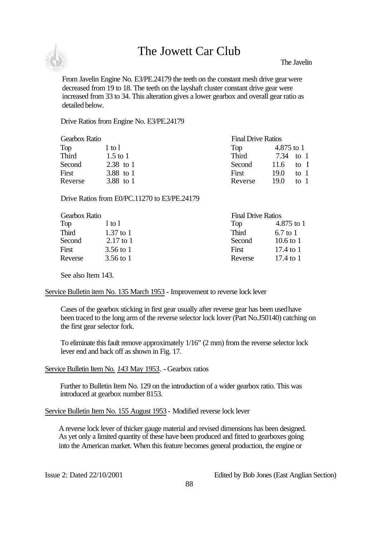

The Javelin

From Javelin Engine No. E3/PE.24179 the teeth on the constant mesh drive gear were decreased from 19 to 18. The teeth on the layshaft cluster constant drive gear were increased from 33 to 34. This alteration gives a lower gearbox and overall gear ratio as detailed below.

Drive Ratios from Engine No. E3/PE.24179

| Gearbox Ratio |              | <b>Final Drive Ratios</b> |            |        |
|---------------|--------------|---------------------------|------------|--------|
| Top           | 1 to 1       | Top                       | 4.875 to 1 |        |
| Third         | $1.5$ to $1$ | <b>Third</b>              | 7.34       | to $1$ |
| Second        | 2.38 to 1    | Second                    | 11.6       | to I   |
| First         | 3.88 to 1    | First                     | 19.0       | to I   |
| Reverse       | 3.88 to 1    | Reverse                   | 19.0       | to I   |

Drive Ratios from E0/PC.11270 to E3/PE.24179

| <b>Gearbox Ratio</b> |             |              | <b>Final Drive Ratios</b> |  |
|----------------------|-------------|--------------|---------------------------|--|
| Top                  | l to l      | Top          | 4.875 to 1                |  |
| <b>Third</b>         | 1.37 to 1   | <b>Third</b> | 6.7 to 1                  |  |
| Second               | $2.17$ to 1 | Second       | 10.6 to 1                 |  |
| First                | 3.56 to 1   | First        | 17.4 to $1$               |  |
| Reverse              | 3.56 to 1   | Reverse      | 17.4 to 1                 |  |

See also Item 143.

Service Bulletin item No. 135 March 1953 - Improvement to reverse lock lever

Cases of the gearbox sticking in first gear usually after reverse gear has been usedhave been traced to the long arm of the reverse selector lock lover (Part No.J50140) catching on the first gear selector fork.

To eliminate this fault remove approximately 1/16" (2 mm) from the reverse selector lock lever end and back off as shown in Fig. 17.

Service Bulletin Item No. *143* May 1953. *-* Gearbox ratios

Further to Bulletin Item No. 129 on the introduction of a wider gearbox ratio. This was introduced at gearbox number 8153.

Service Bulletin Item No. 155 August 1953 - Modified reverse lock lever

A reverse lock lever of thicker gauge material and revised dimensions has been designed. As yet only a limited quantity of these have been produced and fitted to gearboxes going into the American market. When this feature becomes general production, the engine or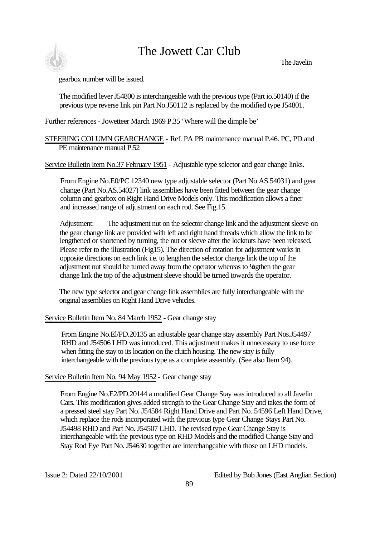

The Javelin

gearbox number will be issued.

The modified lever J54800 is interchangeable with the previous type (Part io.50140) if the previous type reverse link pin Part No.J50112 is replaced by the modified type J54801.

Further references - Jowetteer March 1969 P.35 'Where will the dimple be'

STEERING COLUMN GEARCHANGE - Ref. PA PB maintenance manual P.46. PC, PD and PE maintenance manual P.52

Service Bulletin Item No.37 February 1951 - Adjustable type selector and gear change links.

From Engine No.E0/PC 12340 new type adjustable selector (Part No.AS.54031) and gear change (Part No.AS.54027) link assemblies have been fitted between the gear change column and gearbox on Right Hand Drive Models only. This modification allows a finer and increased range of adjustment on each rod. See Fig.15.

Adjustment: The adjustment nut on the selector change link and the adjustment sleeve on the gear change link are provided with left and right hand threads which allow the link to be lengthened or shortened by turning, the nut or sleeve after the locknuts have been released. Please refer to the illustration (Fig15). The direction of rotation for adjustment works in opposite directions on each link i.e. to lengthen the selector change link the top of the adjustment nut should be turned away from the operator whereas to ½ngthen the gear change link the top of the adjustment sleeve should be turned towards the operator.

The new type selector and gear change link assemblies are fully interchangeable with the original assemblies on Right Hand Drive vehicles.

Service Bulletin Item No. 84 March 1952 *-* Gear change stay

From Engine No.El/PD.20135 an adjustable gear change stay assembly Part Nos.J54497 RHD and J54506 LHD was introduced. This adjustment makes it unnecessary to use force when fitting the stay to its location on the clutch housing. The new stay is fully interchangeable with the previous type as a complete assembly. (See also Item 94).

### Service Bulletin Item No. 94 May 1952 - Gear change stay

From Engine No.E2/PD.20144 a modified Gear Change Stay was introduced to all Javelin Cars. This modification gives added strength to the Gear Change Stay and takes the form of a pressed steel stay Part No. J54584 Right Hand Drive and Part No. 54596 Left Hand Drive, which replace the rods incorporated with the previous type Gear Change Stays Part No. J54498 RHD and Part No. J54507 LHD. The revised type Gear Change Stay is interchangeable with the previous type on RHD Models and the modified Change Stay and Stay Rod Eye Part No. J54630 together are interchangeable with those on LHD models.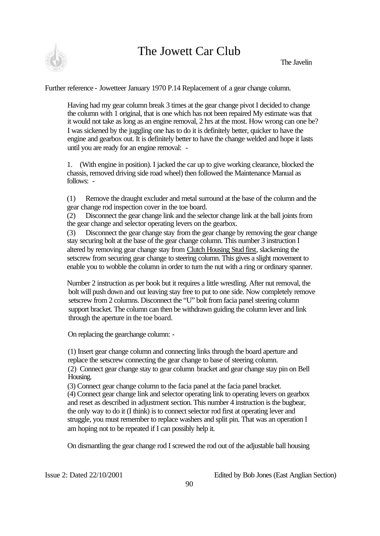

The Javelin

Further reference - Jowetteer January 1970 P.14 Replacement of a gear change column.

Having had my gear column break 3 times at the gear change pivot I decided to change the column with 1 original, that is one which has not been repaired My estimate was that it would not take as long as an engine removal, 2 hrs at the most. How wrong can one be? I was sickened by the juggling one has to do it is definitely better, quicker to have the engine and gearbox out. It is definitely better to have the change welded and hope it lasts until you are ready for an engine removal: -

1. (With engine in position). I jacked the car up to give working clearance, blocked the chassis, removed driving side road wheel) then followed the Maintenance Manual as follows: -

(1) Remove the draught excluder and metal surround at the base of the column and the gear change rod inspection cover in the toe board.

(2) Disconnect the gear change link and the selector change link at the ball joints from the gear change and selector operating levers on the gearbox.

(3) Disconnect the gear change stay from the gear change by removing the gear change stay securing bolt at the base of the gear change column. This number 3 instruction I altered by removing gear change stay from Clutch Housing Stud first, slackening the setscrew from securing gear change to steering column. This gives a slight movement to enable you to wobble the column in order to turn the nut with a ring or ordinary spanner.

Number 2 instruction as per book but it requires a little wrestling. After nut removal, the bolt will push down and out leaving stay free to put to one side. Now completely remove setscrew from 2 columns. Disconnect the "U" bolt from facia panel steering column support bracket. The column can then be withdrawn guiding the column lever and link through the aperture in the toe board.

On replacing the gearchange column: -

(1) Insert gear change column and connecting links through the board aperture and replace the setscrew connecting the gear change to base of steering column. (2) Connect gear change stay to gear column bracket and gear change stay pin on Bell Housing.

(3) Connect gear change column to the facia panel at the facia panel bracket.

(4) Connect gear change link and selector operating link to operating levers on gearbox and reset as described in adjustment section. This number 4 instruction is the bugbear, the only way to do it (I think) is to connect selector rod first at operating lever and struggle, you must remember to replace washers and split pin. That was an operation I am hoping not to be repeated if I can possibly help it.

On dismantling the gear change rod I screwed the rod out of the adjustable ball housing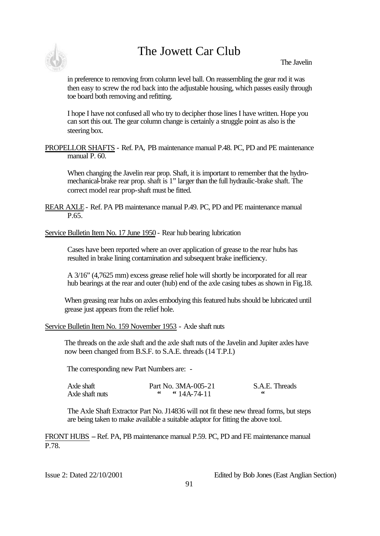

The Javelin

in preference to removing from column level ball. On reassembling the gear rod it was then easy to screw the rod back into the adjustable housing, which passes easily through toe board both removing and refitting.

I hope I have not confused all who try to decipher those lines I have written. Hope you can sort this out. The gear column change is certainly a struggle point as also is the steering box.

PROPELLOR SHAFTS - Ref. PA, PB maintenance manual P.48. PC, PD and PE maintenance manual P. 60.

When changing the Javelin rear prop. Shaft, it is important to remember that the hydromechanical-brake rear prop. shaft is 1" larger than the full hydraulic-brake shaft. The correct model rear prop-shaft must be fitted.

REAR AXLE- Ref. PA PB maintenance manual P.49. PC, PD and PE maintenance manual P.65.

Service Bulletin Item No. 17 June 1950 - Rear hub bearing lubrication

Cases have been reported where an over application of grease to the rear hubs has resulted in brake lining contamination and subsequent brake inefficiency.

A 3/16" (4,7625 mm) excess grease relief hole will shortly be incorporated for all rear hub bearings at the rear and outer (hub) end of the axle casing tubes as shown in Fig.18.

When greasing rear hubs on axles embodying this featured hubs should be lubricated until grease just appears from the relief hole.

Service Bulletin Item No. 159 November 1953 - Axle shaft nuts

The threads on the axle shaft and the axle shaft nuts of the Javelin and Jupiter axles have now been changed from B.S.F. to S.A.E. threads (14 T.P.I.)

The corresponding new Part Numbers are: -

| Axle shaft      | Part No. 3MA-005-21 | S.A.E. Threads |
|-----------------|---------------------|----------------|
| Axle shaft nuts | $\frac{14A-74}{11}$ | -66            |

The Axle Shaft Extractor Part No. J14836 will not fit these new thread forms, but steps are being taken to make available a suitable adaptor for fitting the above tool.

FRONT HUBS *–* Ref. PA, PB maintenance manual P.59. PC, PD and FE maintenance manual P.78.

| <b>Issue 2: Dated 22/10/2001</b> |  |
|----------------------------------|--|
|----------------------------------|--|

Edited by Bob Jones (East Anglian Section)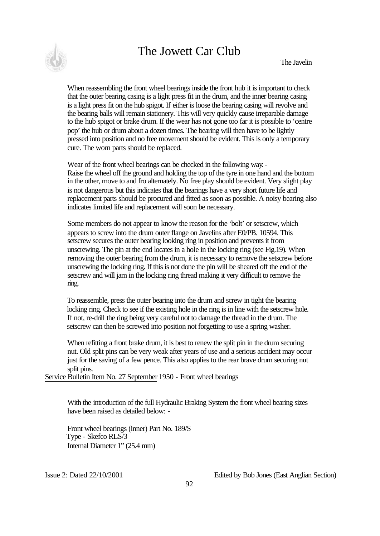

The Javelin

When reassembling the front wheel bearings inside the front hub it is important to check that the outer bearing casing is a light press fit in the drum, and the inner bearing casing is a light press fit on the hub spigot. If either is loose the bearing casing will revolve and the bearing balls will remain stationery. This will very quickly cause irreparable damage to the hub spigot or brake drum. If the wear has not gone too far it is possible to 'centre pop' the hub or drum about a dozen times. The bearing will then have to be lightly pressed into position and no free movement should be evident. This is only a temporary cure. The worn parts should be replaced.

Wear of the front wheel bearings can be checked in the following way: - Raise the wheel off the ground and holding the top of the tyre in one hand and the bottom in the other, move to and fro alternately. No free play should be evident. Very slight play is not dangerous but this indicates that the bearings have a very short future life and replacement parts should be procured and fitted as soon as possible. A noisy bearing also indicates limited life and replacement will soon be necessary.

Some members do not appear to know the reason for the 'bolt' or setscrew, which appears to screw into the drum outer flange on Javelins after E0/PB. 10594. This setscrew secures the outer bearing looking ring in position and prevents it from unscrewing. The pin at the end locates in a hole in the locking ring (see Fig.19). When removing the outer bearing from the drum, it is necessary to remove the setscrew before unscrewing the locking ring. If this is not done the pin will be sheared off the end of the setscrew and will jam in the locking ring thread making it very difficult to remove the ring.

To reassemble, press the outer bearing into the drum and screw in tight the bearing locking ring. Check to see if the existing hole in the ring is in line with the setscrew hole. If not, re-drill the ring being very careful not to damage the thread in the drum. The setscrew can then be screwed into position not forgetting to use a spring washer.

When refitting a front brake drum, it is best to renew the split pin in the drum securing nut. Old split pins can be very weak after years of use and a serious accident may occur just for the saving of a few pence. This also applies to the rear brave drum securing nut split pins.

Service Bulletin Item No. 27 September 1950 - Front wheel bearings

With the introduction of the full Hydraulic Braking System the front wheel bearing sizes have been raised as detailed below: -

Front wheel bearings (inner) Part No. 189/S Type - Skefco RLS/3 Internal Diameter 1" (25.4 mm)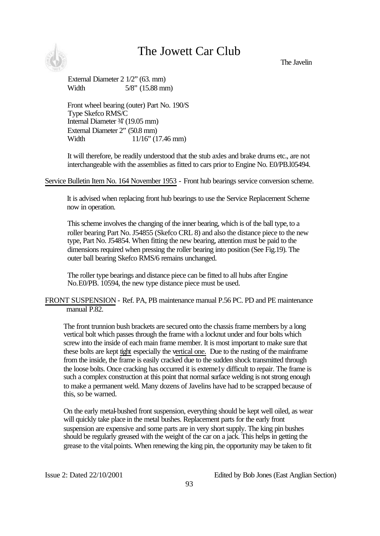

The Javelin

External Diameter 2 1/2" (63. mm) Width 5/8" (15.88 mm)

Front wheel bearing (outer) Part No. 190/S Type Skefco RMS/C Internal Diameter ¾" (19.05 mm) External Diameter 2" (50.8 mm) Width 11/16" (17.46 mm)

It will therefore, be readily understood that the stub axles and brake drums etc., are not interchangeable with the assemblies as fitted to cars prior to Engine No. E0/PB.l05494.

Service Bulletin Item No. 164 November 1953 - Front hub bearings service conversion scheme.

It is advised when replacing front hub bearings to use the Service Replacement Scheme now in operation.

This scheme involves the changing of the inner bearing, which is of the ball type,to a roller bearing Part No. J54855 (Skefco CRL 8) and also the distance piece to the new type, Part No. J54854. When fitting the new bearing, attention must be paid to the dimensions required when pressing the roller bearing into position (See Fig.19). The outer ball bearing Skefco RMS/6 remains unchanged.

The roller type bearings and distance piece can be fitted to all hubs after Engine No.E0/PB. 10594, the new type distance piece must be used.

FRONT SUSPENSION - Ref. PA, PB maintenance manual P.56 PC. PD and PE maintenance manual P.82.

The front trunnion bush brackets are secured onto the chassis frame members by a long vertical bolt which passes through the frame with a locknut under and four bolts which screw into the inside of each main frame member. It is most important to make sure that these bolts are kept tight especially the vertical one. Due to the rusting of the mainframe from the inside, the frame is easily cracked due to the sudden shock transmitted through the loose bolts. Once cracking has occurred it is exteme1y difficult to repair. The frame is such a complex construction at this point that normal surface welding is not strong enough to make a permanent weld. Many dozens of Javelins have had to be scrapped because of this, so be warned.

On the early metal-bushed front suspension, everything should be kept well oiled, as wear will quickly take place in the metal bushes. Replacement parts for the early front suspension are expensive and some parts are in very short supply. The king pin bushes should be regularly greased with the weight of the car on a jack. This helps in getting the grease to the vital points. When renewing the king pin, the opportunity may be taken to fit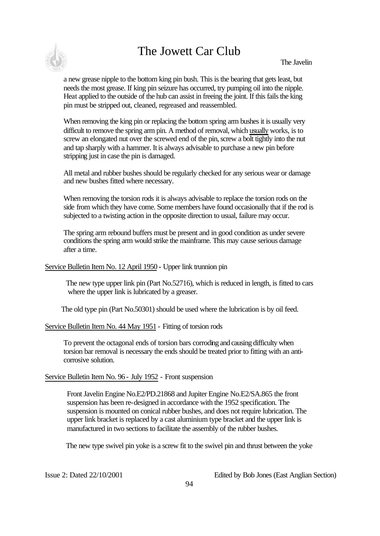

The Javelin

a new grease nipple to the bottom king pin bush. This is the bearing that gets least, but needs the most grease. If king pin seizure has occurred, try pumping oil into the nipple. Heat applied to the outside of the hub can assist in freeing the joint. If this fails the king pin must be stripped out, cleaned, regreased and reassembled.

When removing the king pin or replacing the bottom spring arm bushes it is usually very difficult to remove the spring arm pin. A method of removal, which usually works, is to screw an elongated nut over the screwed end of the pin, screw a bolt tightly into the nut and tap sharply with a hammer. It is always advisable to purchase a new pin before stripping just in case the pin is damaged.

All metal and rubber bushes should be regularly checked for any serious wear or damage and new bushes fitted where necessary.

When removing the torsion rods it is always advisable to replace the torsion rods on the side from which they have come. Some members have found occasionally that if the rod is subjected to a twisting action in the opposite direction to usual, failure may occur.

The spring arm rebound buffers must be present and in good condition as under severe conditions the spring arm would strike the mainframe. This may cause serious damage after a time.

Service Bulletin Item No. 12 April 1950 *-* Upper link trunnion pin

The new type upper link pin (Part No.52716), which is reduced in length, is fitted to cars where the upper link is lubricated by a greaser.

The old type pin (Part No.50301) should be used where the lubrication is by oil feed.

Service Bulletin Item No. 44 May 1951 - Fitting of torsion rods

To prevent the octagonal ends of torsion bars corroding and causing difficulty when torsion bar removal is necessary the ends should be treated prior to fitting with an anticorrosive solution.

### Service Bulletin Item No. 96 - July 1952 - Front suspension

Front Javelin Engine No.E2/PD.21868 and Jupiter Engine No.E2/SA.865 the front suspension has been re-designed in accordance with the 1952 specification. The suspension is mounted on conical rubber bushes, and does not require lubrication. The upper link bracket is replaced by a cast aluminium type bracket and the upper link is manufactured in two sections to facilitate the assembly of the rubber bushes.

The new type swivel pin yoke is a screw fit to the swivel pin and thrust between the yoke

| Issue 2: Dated 22/10/2001 |  |
|---------------------------|--|
|---------------------------|--|

Edited by Bob Jones (East Anglian Section)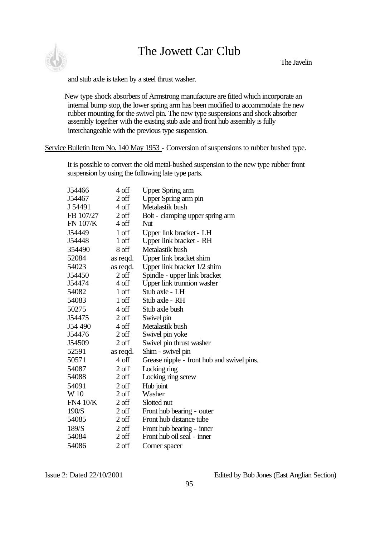

The Javelin

and stub axle is taken by a steel thrust washer.

New type shock absorbers of Armstrong manufacture are fitted which incorporate an internal bump stop, the lower spring arm has been modified to accommodate the new rubber mounting for the swivel pin. The new type suspensions and shock absorber assembly together with the existing stub axle and front hub assembly is fully interchangeable with the previous type suspension.

Service Bulletin Item No. 140 May 1953 - Conversion of suspensions to rubber bushed type.

It is possible to convert the old metal-bushed suspension to the new type rubber front suspension by using the following late type parts.

| J54466          | 4 off           | <b>Upper Spring arm</b>                    |
|-----------------|-----------------|--------------------------------------------|
| J54467          | $2$ off         | Upper Spring arm pin                       |
| J 54491         | 4 off           | Metalastik bush                            |
| FB 107/27       | $2$ off         | Bolt - clamping upper spring arm           |
| <b>FN 107/K</b> | 4 off           | Nut                                        |
| J54449          | $1$ off         | Upper link bracket - LH                    |
| J54448          | $1$ off         | Upper link bracket - RH                    |
| 354490          | 8 off           | Metalastik bush                            |
| 52084           | as regd.        | Upper link bracket shim                    |
| 54023           | as reqd.        | Upper link bracket 1/2 shim                |
| J54450          | $2$ off         | Spindle - upper link bracket               |
| J54474          | 4 off           | Upper link trunnion washer                 |
| 54082           | $1$ off         | Stub axle - LH                             |
| 54083           | $1$ off         | Stub axle - RH                             |
| 50275           | 4 off           | Stub axle bush                             |
| J54475          | $2$ off         | Swivel pin                                 |
| J54 490         | 4 off           | Metalastik bush                            |
| J54476          | $2$ off         | Swivel pin yoke                            |
| J54509          | $2$ off         | Swivel pin thrust washer                   |
| 52591           | as regd.        | Shim - swivel pin                          |
| 50571           | 4 off           | Grease nipple - front hub and swivel pins. |
| 54087           | $2$ off         | Locking ring                               |
| 54088           | $2 \text{ off}$ | Locking ring screw                         |
| 54091           | $2$ off         | Hub joint                                  |
| W <sub>10</sub> | $2 \text{ off}$ | Washer                                     |
| <b>FN4 10/K</b> | $2$ off         | Slotted nut                                |
| 190/S           | $2$ off         | Front hub bearing - outer                  |
| 54085           | $2$ off         | Front hub distance tube                    |
| 189/S           | $2$ off         | Front hub bearing - inner                  |
| 54084           | $2$ off         | Front hub oil seal - inner                 |
| 54086           | $2$ off         | Corner spacer                              |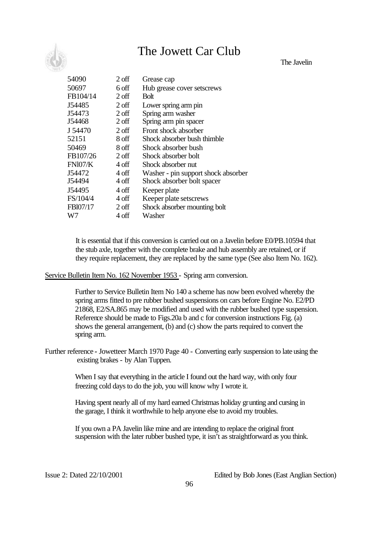The Javelin

| $2 \text{ off}$ | Grease cap                          |
|-----------------|-------------------------------------|
| 6 off           | Hub grease cover setscrews          |
| 2 off           | <b>Bolt</b>                         |
| $2 \text{ off}$ | Lower spring arm pin                |
| 2 off           | Spring arm washer                   |
| 2 off           | Spring arm pin spacer               |
| 2 off           | Front shock absorber                |
| 8 off           | Shock absorber bush thimble         |
| 8 off           | Shock absorber bush                 |
| $2 \text{ off}$ | Shock absorber bolt                 |
| 4 off           | Shock absorber nut                  |
| 4 off           | Washer - pin support shock absorber |
| 4 off           | Shock absorber bolt spacer          |
| 4 off           | Keeper plate                        |
| 4 off           | Keeper plate setscrews              |
| 2 off           | Shock absorber mounting bolt        |
| 4 off           | Washer                              |
|                 |                                     |

It is essential that if this conversion is carried out on a Javelin before E0/PB.10594 that the stub axle, together with the complete brake and hub assembly are retained, or if they require replacement, they are replaced by the same type (See also Item No. 162).

Service Bulletin Item No. 162 November 1953 - Spring arm conversion.

Further to Service Bulletin Item No 140 a scheme has now been evolved whereby the spring arms fitted to pre rubber bushed suspensions on cars before Engine No. E2/PD 21868, E2/SA.865 may be modified and used with the rubber bushed type suspension. Reference should be made to Figs.20a b and c for conversion instructions Fig. (a) shows the general arrangement, (b) and (c) show the parts required to convert the spring arm.

Further reference *-* Jowetteer March 1970 Page 40 - Converting early suspension to late using the existing brakes - by Alan Tuppen.

> When I say that everything in the article I found out the hard way, with only four freezing cold days to do the job, you will know why I wrote it.

Having spent nearly all of my hard earned Christmas holiday grunting and cursing in the garage, I think it worthwhile to help anyone else to avoid my troubles.

If you own a PA Javelin like mine and are intending to replace the original front suspension with the later rubber bushed type, it isn't as straightforward as you think.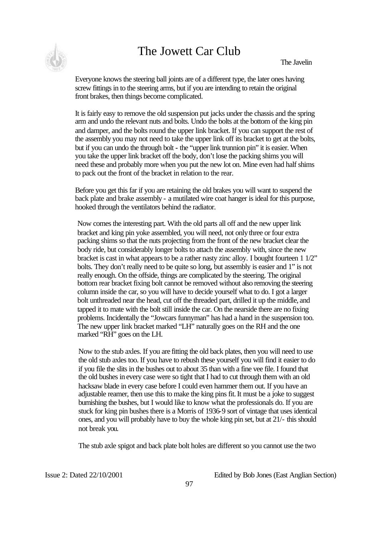

The Javelin

Everyone knows the steering ball joints are of a different type, the later ones having screw fittings in to the steering arms, but if you are intending to retain the original front brakes, then things become complicated.

It is fairly easy to remove the old suspension put jacks under the chassis and the spring arm and undo the relevant nuts and bolts. Undo the bolts at the bottom of the king pin and damper, and the bolts round the upper link bracket. If you can support the rest of the assembly you may not need to take the upper link off its bracket to get at the bolts, but if you can undo the through bolt *-* the "upper link trunnion pin" it is easier. When you take the upper link bracket off the body, don't lose the packing shims you will need these and probably more when you put the new lot on. Mine even had half shims to pack out the front of the bracket in relation to the rear.

Before you get this far if you are retaining the old brakes you will want to suspend the back plate and brake assembly - a mutilated wire coat hanger is ideal for this purpose, hooked through the ventilators behind the radiator.

Now comes the interesting part. With the old parts all off and the new upper link bracket and king pin yoke assembled, you will need, not only three or four extra packing shims so that the nuts projecting from the front of the new bracket clear the body ride, but considerably longer bolts to attach the assembly with, since the new bracket is cast in what appears to be a rather nasty zinc alloy. I bought fourteen 1 1/2" bolts. They don't really need to be quite so long, but assembly is easier and 1" is not really enough. On the offside, things are complicated by the steering. The original bottom rear bracket fixing bolt cannot be removed without also removing the steering column inside the car, so you will have to decide yourself what to do. I got a larger bolt unthreaded near the head, cut off the threaded part, drilled it up the middle, and tapped it to mate with the bolt still inside the car. On the nearside there are no fixing problems. Incidentally the "Jowcars funnyman" has had a hand in the suspension too. The new upper link bracket marked "LH" naturally goes on the RH and the one marked "RH" goes on the LH.

Now to the stub axles. If you are fitting the old back plates, then you will need to use the old stub axles too. If you have to rebush these yourself you will find it easier to do if you file the slits in the bushes out to about 35 than with a fine vee file. I found that the old bushes in every case were so tight that I had to cut through them with an old hacksaw blade in every case before I could even hammer them out. If you have an adjustable reamer, then use this to make the king pins fit.It must be a joke to suggest burnishing the bushes, but I would like to know what the professionals do. If you are stuck for king pin bushes there is a Morris of 1936-9 sort of vintage that uses identical ones, and you will probably have to buy the whole king pin set, but at 21/- this should not break you.

The stub axle spigot and back plate bolt holes are different so you cannot use the two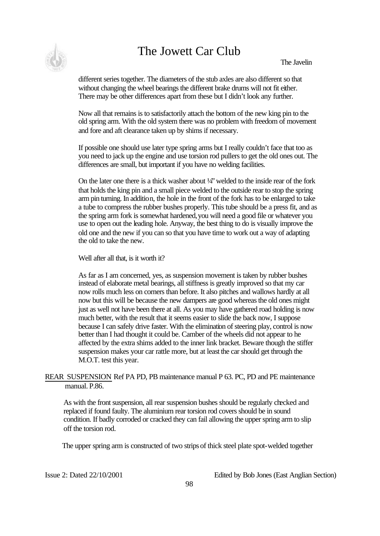

The Javelin

different series together. The diameters of the stub axles are also different so that without changing the wheel bearings the different brake drums will not fit either. There may be other differences apart from these but I didn't look any further.

Now all that remains is to satisfactorily attach the bottom of the new king pin to the old spring arm. With the old system there was no problem with freedom of movement and fore and aft clearance taken up by shims if necessary.

If possible one should use later type spring arms but I really couldn't face that too as you need to jack up the engine and use torsion rod pullers to get the old ones out. The differences are small, but important if you have no welding facilities.

On the later one there is a thick washer about ¼" welded to the inside rear of the fork that holds the king pin and a small piece welded to the outside rear to stop the spring arm pin turning. In addition, the hole in the front of the fork has to be enlarged to take a tube to compress the rubber bushes properly. This tube should be a press fit, and as the spring arm fork is somewhat hardened,you will need a good file or whatever you use to open out the leading hole. Anyway, the best thing to do is visually improve the old one and the new if you can so that you have time to work out a way of adapting the old to take the new.

Well after all that, is it worth it?

As far as I am concerned, yes, as suspension movement is taken by rubber bushes instead of elaborate metal bearings, all stiffness is greatly improved so that my car now rolls much less on corners than before. It also pitches and wallows hardly at all now but this will be because the new dampers are good whereas the old ones might just as well not have been there at all. As you may have gathered road holding is now much better, with the result that it seems easier to slide the back now, I suppose because I can safely drive faster. With the elimination of steering play, control is now better than I had thought it could be. Camber of the wheels did not appear to he affected by the extra shims added to the inner link bracket. Beware though the stiffer suspension makes your car rattle more, but at least the car should get through the M.O.T. test this year.

### REAR SUSPENSION Ref PA PD, PB maintenance manual P 63. PC, PD and PE maintenance manual. P.86.

As with the front suspension, all rear suspension bushes should be regularly checked and replaced if found faulty. The aluminium rear torsion rod covers should be in sound condition. If badly corroded or cracked they can fail allowing the upper spring arm to slip off the torsion rod.

The upper spring arm is constructed of two strips of thick steel plate spot-welded together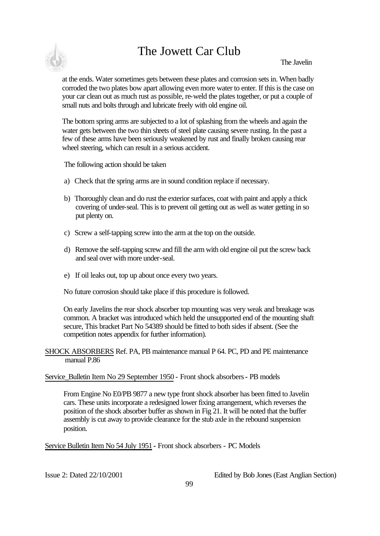

The Javelin

at the ends. Water sometimes gets between these plates and corrosion sets in. When badly corroded the two plates bow apart allowing even more water to enter. If this is the case on your car clean out as much rust as possible, re-weld the plates together, or put a couple of small nuts and bolts through and lubricate freely with old engine oil.

The bottom spring arms are subjected to a lot of splashing from the wheels and again the water gets between the two thin sheets of steel plate causing severe rusting. In the past a few of these arms have been seriously weakened by rust and finally broken causing rear wheel steering, which can result in a serious accident.

The following action should be taken

- a) Check that the spring arms are in sound condition replace if necessary.
- b) Thoroughly clean and do rust the exterior surfaces, coat with paint and apply a thick covering of under-seal. This is to prevent oil getting out as well as water getting in so put plenty on.
- c) Screw a self-tapping screw into the arm at the top on the outside.
- d) Remove the self-tapping screw and fill the arm with old engine oil put the screw back and seal over with more under-seal.
- e) If oil leaks out, top up about once every two years.

No future corrosion should take place if this procedure is followed.

On early Javelins the rear shock absorber top mounting was very weak and breakage was common. A bracket was introduced which held the unsupported end of the mounting shaft secure, This bracket Part No 54389 should be fitted to both sides if absent. (See the competition notes appendix for further information).

SHOCK ABSORBERS Ref. PA, PB maintenance manual P 64. PC, PD and PE maintenance manual P.86

Service\_Bulletin Item No 29 September 1950 - Front shock absorbers *-* PB models

From Engine No E0/PB 9877 a new type front shock absorber has been fitted to Javelin cars. These units incorporate a redesigned lower fixing arrangement, which reverses the position of the shock absorber buffer as shown in Fig 21. It will be noted that the buffer assembly is cut away to provide clearance for the stub axle in the rebound suspension position.

Service Bulletin Item No 54 July 1951 *-* Front shock absorbers - PC Models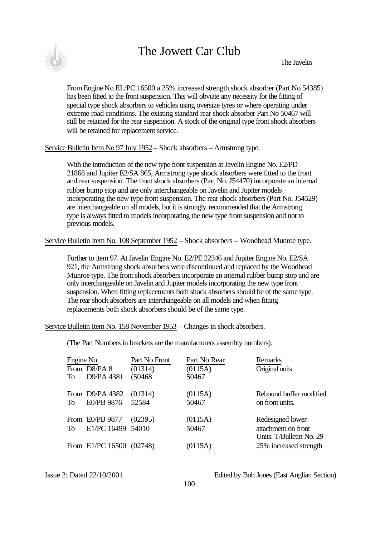

The Javelin

From Engine No EL/PC.16500 a 25% increased strength shock absorber (Part No 54385) has been fitted to the front suspension. This will obviate any necessity for the fitting of special type shock absorbers to vehicles using oversize tyres or where operating under extreme road conditions. The existing standard rear shock absorber Part No 50467 will still be retained for the rear suspension. A stock of the original type front shock absorbers will be retained for replacement service.

Service Bulletin Item No 97 July 1952 – Shock absorbers – Armstrong type.

With the introduction of the new type front suspension at Javelin Engine No. E2/PD 21868 and Jupiter E2/SA 865, Armstrong type shock absorbers were fitted to the front and rear suspension. The front shock absorbers (Part No. J54470) incorporate an internal rubber bump stop and are only interchangeable on Javelin and Jupiter models incorporating the new type front suspension. The rear shock absorbers (Part No. J54529) are interchangeable on all models, but it is strongly recommended that the Armstrong type is always fitted to models incorporating the new type front suspension and not to previous models.

Service Bulletin Item No. 108 September 1952 – Shock absorbers – Woodhead Munroe type.

Further to item 97. At Javelin Engine No. E2/PE 22346 and Jupiter Engine No. E2/SA 921, the Armstrong shock absorbers were discontinued and replaced by the Woodhead Munroe type. The front shock absorbers incorporate an internal rubber bump stop and are only interchangeable on Javelin and Jupiter models incorporating the new type front suspension. When fitting replacements both shock absorbers should be of the same type. The rear shock absorbers are interchangeable on all models and when fitting replacements both shock absorbers should be of the same type.

Service Bulletin Item No. 158 November 1953 – Changes in shock absorbers.

(The Part Numbers in brackets are the manufacturers assembly numbers).

| Engine No. |                            | Part No Front     | Part No Rear     | Remarks                                         |
|------------|----------------------------|-------------------|------------------|-------------------------------------------------|
| To         | From D8/PA 8<br>D9/PA 4381 | (01314)<br>(50468 | (0115A)<br>50467 | Original units                                  |
|            |                            |                   |                  |                                                 |
|            | From D9/PA 4382            | (01314)           | (0115A)          | Rebound buffer modified                         |
| To         | E0/PB 9876                 | 52584             | 50467            | on front units.                                 |
|            | From E0/PB 9877            | (02395)           | (0115A)          | Redesigned lower                                |
| To         | E1/PC 16499 54010          |                   | 50467            | attachment on front<br>Units. T/Bulletin No. 29 |
|            | From E1/PC 16500 (02748)   |                   | (0115A)          | 25% increased strength                          |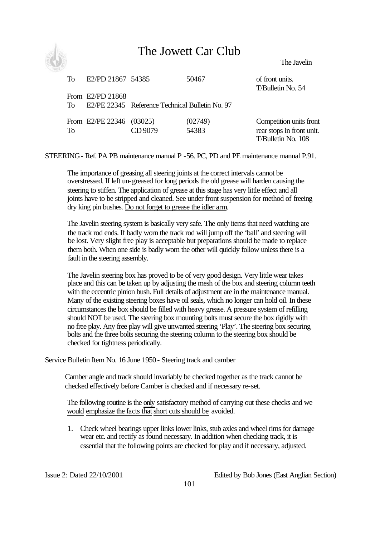The Javelin

| To | E2/PD 21867 54385        |                                                 | 50467   | of front units.<br>T/Bulletin No. 54            |
|----|--------------------------|-------------------------------------------------|---------|-------------------------------------------------|
|    | From E2/PD 21868         |                                                 |         |                                                 |
| To |                          | E2/PE 22345 Reference Technical Bulletin No. 97 |         |                                                 |
|    | From E2/PE 22346 (03025) |                                                 | (02749) | Competition units front                         |
| To |                          | CD 9079                                         | 54383   | rear stops in front unit.<br>T/Bulletin No. 108 |

STEERING**-** Ref. PA PB maintenance manual P -56. PC, PD and PE maintenance manual P.91.

The importance of greasing all steering joints at the correct intervals cannot be overstressed. If left un-greased for long periods the old grease will harden causing the steering to stiffen. The application of grease at this stage has very little effect and all joints have to be stripped and cleaned. See under front suspension for method of freeing dry king pin bushes. Do not forget to grease the idler arm.

The Javelin steering system is basically very safe. The only items that need watching are the track rod ends. If badly worn the track rod will jump off the 'ball' and steering will be lost. Very slight free play is acceptable but preparations should be made to replace them both. When one side is badly worn the other will quickly follow unless there is a fault in the steering assembly.

The Javelin steering box has proved to be of very good design. Very little wear takes place and this can be taken up by adjusting the mesh of the box and steering column teeth with the eccentric pinion bush. Full details of adjustment are in the maintenance manual. Many of the existing steering boxes have oil seals, which no longer can hold oil. In these circumstances the box should be filled with heavy grease. A pressure system of refilling should NOT be used. The steering box mounting bolts must secure the box rigidly with no free play. Any free play will give unwanted steering 'Play'. The steering box securing bolts and the three bolts securing the steering column to the steering box should be checked for tightness periodically.

Service Bulletin Item No. 16 June 1950 *-* Steering track and camber

Camber angle and track should invariably be checked together as the track cannot be checked effectively before Camber is checked and if necessary re-set.

The following routine is the only satisfactory method of carrying out these checks and we would emphasize the facts that short cuts should be avoided.

1. Check wheel bearings upper links lower links, stub axles and wheel rims for damage wear etc. and rectify as found necessary. In addition when checking track, it is essential that the following points are checked for play and if necessary, adjusted.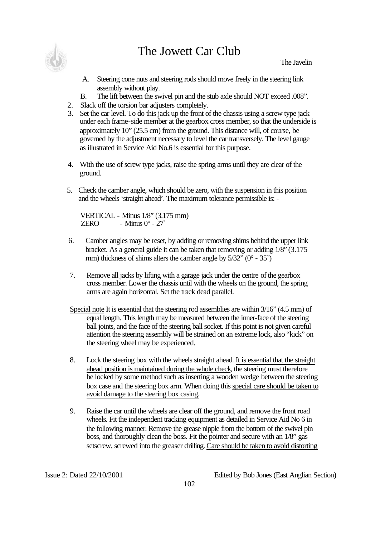

- A. Steering cone nuts and steering rods should move freely in the steering link assembly without play.
- B. The lift between the swivel pin and the stub axle should NOT exceed .008".
- 2. Slack off the torsion bar adjusters completely.
- 3. Set the car level. To do this jack up the front of the chassis using a screw type jack under each frame-side member at the gearbox cross member, so that the underside is approximately 10" (25.5 cm) from the ground. This distance will, of course, be governed by the adjustment necessary to level the car transversely. The level gauge as illustrated in Service Aid No.6 is essential for this purpose.
- 4. With the use of screw type jacks, raise the spring arms until they are clear of the ground.
- 5. Check the camber angle, which should be zero, with the suspension in this position and the wheels 'straight ahead'. The maximum tolerance permissible is: -

VERTICAL - Minus 1/8" (3.175 mm)  $ZERO$  - Minus  $0^{\circ}$  - 27<sup> $\circ$ </sup>

- 6. Camber angles may be reset, by adding or removing shims behind the upper link bracket. As a general guide it can be taken that removing or adding 1/8" (3.175 mm) thickness of shims alters the camber angle by  $5/32$ " (0° - 35<sup>o</sup>)
- 7. Remove all jacks by lifting with a garage jack under the centre of the gearbox cross member. Lower the chassis until with the wheels on the ground, the spring arms are again horizontal. Set the track dead parallel.
- Special note It is essential that the steering rod assemblies are within  $3/16$ <sup>"</sup> (4.5 mm) of equal length. This length may be measured between the inner-face of the steering ball joints, and the face of the steering ball socket. If this point is not given careful attention the steering assembly will be strained on an extreme lock, also "kick" on the steering wheel may be experienced.
- 8. Lock the steering box with the wheels straight ahead. It is essential that the straight ahead position is maintained during the whole check, the steering must therefore be locked by some method such as inserting a wooden wedge between the steering box case and the steering box arm. When doing this special care should be taken to avoid damage to the steering box casing.
- 9. Raise the car until the wheels are clear off the ground, and remove the front road wheels. Fit the independent tracking equipment as detailed in Service Aid No 6 in the following manner. Remove the grease nipple from the bottom of the swivel pin boss, and thoroughly clean the boss. Fit the pointer and secure with an 1/8" gas setscrew, screwed into the greaser drilling. Care should be taken to avoid distorting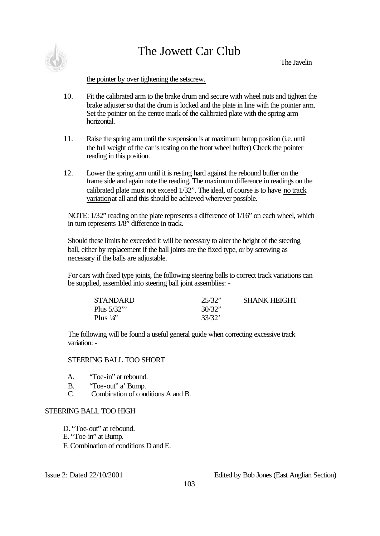

The Javelin

#### the pointer by over tightening the setscrew.

- 10. Fit the calibrated arm to the brake drum and secure with wheel nuts and tighten the brake adjuster so that the drum is locked and the plate in line with the pointer arm. Set the pointer on the centre mark of the calibrated plate with the spring arm horizontal.
- 11. Raise the spring arm until the suspension is at maximum bump position (i.e. until the full weight of the car is resting on the front wheel buffer) Check the pointer reading in this position.
- 12. Lower the spring arm until it is resting hard against the rebound buffer on the frame side and again note the reading. The maximum difference in readings on the calibrated plate must not exceed 1/32". The ideal, of course is to have no track variation at all and this should be achieved wherever possible.

NOTE:  $1/32$ " reading on the plate represents a difference of  $1/16$ " on each wheel, which in turn represents 1/8" difference in track.

Should these limits be exceeded it will be necessary to alter the height of the steering ball, either by replacement if the ball joints are the fixed type, or by screwing as necessary if the balls are adjustable.

For cars with fixed type joints, the following steering balls to correct track variations can be supplied, assembled into steering ball joint assemblies: -

| <b>STANDARD</b>          | 25/32" | <b>SHANK HEIGHT</b> |
|--------------------------|--------|---------------------|
| Plus $5/32$ <sup>"</sup> | 30/32" |                     |
| Plus $\frac{1}{4}$       | 33/32' |                     |

The following will be found a useful general guide when correcting excessive track variation: -

#### STEERING BALL TOO SHORT

- A. "Toe-in" at rebound.
- B. "Toe-out" a' Bump.<br>C. Combination of con-
- Combination of conditions A and B.

### STEERING BALL TOO HIGH

- D. "Toe-out" at rebound.
- E. "Toe-in" at Bump.
- F. Combination of conditions D and E.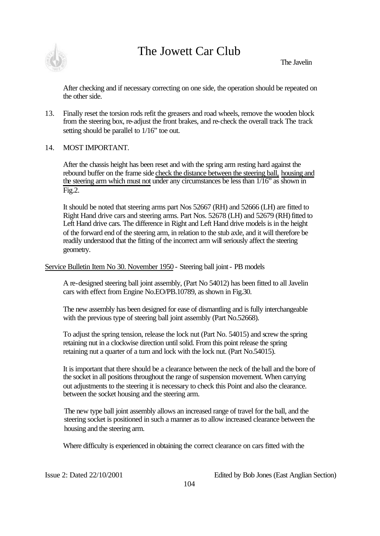

The Javelin

After checking and if necessary correcting on one side, the operation should be repeated on the other side.

- 13. Finally reset the torsion rods refit the greasers and road wheels, remove the wooden block from the steering box, re-adjust the front brakes, and re-check the overall track The track setting should be parallel to 1/16" toe out.
- 14. MOST IMPORTANT.

After the chassis height has been reset and with the spring arm resting hard against the rebound buffer on the frame side check the distance between the steering ball, housing and the steering arm which must not under any circumstances be less than 1/16" as shown in Fig.2.

It should be noted that steering arms part Nos 52667 (RH) and 52666 (LH) are fitted to Right Hand drive cars and steering arms. Part Nos. 52678 (LH) and 52679 (RH) fitted to Left Hand drive cars. The difference in Right and Left Hand drive models is in the height of the forward end of the steering arm, in relation to the stub axle, and it will therefore be readily understood that the fitting of the incorrect arm will seriously affect the steering geometry.

Service Bulletin Item No 30. November 1950 - Steering ball joint - PB models

A re-designed steering ball joint assembly, (Part No 54012) has been fitted to all Javelin cars with effect from Engine No.EO/PB.10789, as shown in Fig.30.

The new assembly has been designed for ease of dismantling and is fully interchangeable with the previous type of steering ball joint assembly (Part No.52668).

To adjust the spring tension, release the lock nut (Part No. 54015) and screw the spring retaining nut in a clockwise direction until solid. From this point release the spring retaining nut a quarter of a turn and lock with the lock nut. (Part No.54015).

It is important that there should be a clearance between the neck of the ball and the bore of the socket in all positions throughout the range of suspension movement. When carrying out adjustments to the steering it is necessary to check this Point and also the clearance. between the socket housing and the steering arm.

The new type ball joint assembly allows an increased range of travel for the ball, and the steering socket is positioned in such a manner as to allow increased clearance between the housing and the steering arm.

Where difficulty is experienced in obtaining the correct clearance on cars fitted with the

| Issue 2: Dated 22/10/2001 |
|---------------------------|
|---------------------------|

Edited by Bob Jones (East Anglian Section)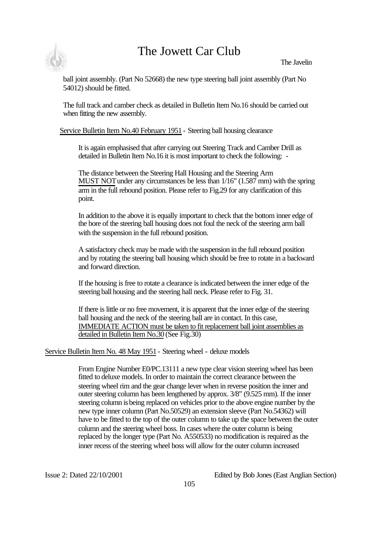The Javelin

ball joint assembly. (Part No 52668) the new type steering ball joint assembly (Part No 54012) should be fitted.

The full track and camber check as detailed in Bulletin Item No.16 should be carried out when fitting the new assembly.

### Service Bulletin Item No.40 February 1951 - Steering ball housing clearance

It is again emphasised that after carrying out Steering Track and Camber Drill as detailed in Bulletin Item No.16 it is most important to check the following: -

The distance between the Steering Hall Housing and the Steering Arm MUST NOT under any circumstances be less than 1/16" (1.587 mm) with the spring arm in the full rebound position. Please refer to Fig.29 for any clarification of this point.

In addition to the above it is equally important to check that the bottom inner edge of the bore of the steering ball housing does not foul the neck of the steering arm ball with the suspension in the full rebound position.

A satisfactory check may be made with the suspension in the full rebound position and by rotating the steering ball housing which should be free to rotate in a backward and forward direction.

If the housing is free to rotate a clearance is indicated between the inner edge of the steering ball housing and the steering hall neck. Please refer to Fig. 31.

If there is little or no free movement, it is apparent that the inner edge of the steering ball housing and the neck of the steering ball are in contact. In this case, IMMEDIATE ACTION must be taken to fit replacement ball joint assemblies as detailed in Bulletin Item No.30 (See Fig.30)

Service Bulletin Item No. 48 May 1951 - Steering wheel - deluxe models

From Engine Number E0/PC.13111 a new type clear vision steering wheel has been fitted to deluxe models. In order to maintain the correct clearance between the steering wheel rim and the gear change lever when in reverse position the inner and outer steering column has been lengthened by approx. 3/8" (9.525 mm). If the inner steering column is being replaced on vehicles prior to the above engine number by the new type inner column (Part No.50529) an extension sleeve (Part No.54362) will have to be fitted to the top of the outer column to take up the space between the outer column and the steering wheel boss. In cases where the outer column is being replaced by the longer type (Part No. A550533) no modification is required as the inner recess of the steering wheel boss will allow for the outer column increased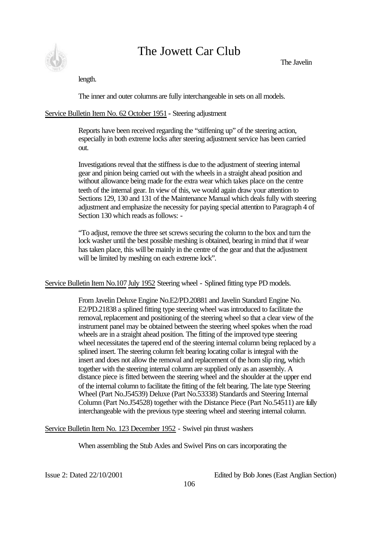

The Javelin

length.

The inner and outer columns are fully interchangeable in sets on all models.

#### Service Bulletin Item No. 62 October 1951 **-** Steering adjustment

Reports have been received regarding the "stiffening up" of the steering action, especially in both extreme locks after steering adjustment service has been carried out.

Investigations reveal that the stiffness is due to the adjustment of steering internal gear and pinion being carried out with the wheels in a straight ahead position and without allowance being made for the extra wear which takes place on the centre teeth of the internal gear. In view of this, we would again draw your attention to Sections 129, 130 and 131 of the Maintenance Manual which deals fully with steering adjustment and emphasize the necessity for paying special attention to Paragraph 4 of Section 130 which reads as follows: -

"To adjust, remove the three set screws securing the column to the box and turn the lock washer until the best possible meshing is obtained, bearing in mind that if wear has taken place, this will be mainly in the centre of the gear and that the adjustment will be limited by meshing on each extreme lock".

Service Bulletin Item No.107 July 1952 Steering wheel - Splined fitting type PD models.

From Javelin Deluxe Engine No.E2/PD.20881 and Javelin Standard Engine No. E2/PD.21838 a splined fitting type steering wheel was introduced to facilitate the removal, replacement and positioning of the steering wheel so that a clear view of the instrument panel may be obtained between the steering wheel spokes when the road wheels are in a straight ahead position. The fitting of the improved type steering wheel necessitates the tapered end of the steering internal column being replaced by a splined insert. The steering column felt bearing locating collar is integral with the insert and does not allow the removal and replacement of the horn slip ring, which together with the steering internal column are supplied only as an assembly. A distance piece is fitted between the steering wheel and the shoulder at the upper end of the internal column to facilitate the fitting of the felt bearing. The late type Steering Wheel (Part No.J54539) Deluxe (Part No.53338) Standards and Steering Internal Column (Part No.J54528) together with the Distance Piece (Part No.54511) are fully interchangeable with the previous type steering wheel and steering internal column.

Service Bulletin Item No. 123 December 1952 - Swivel pin thrust washers

When assembling the Stub Axles and Swivel Pins on cars incorporating the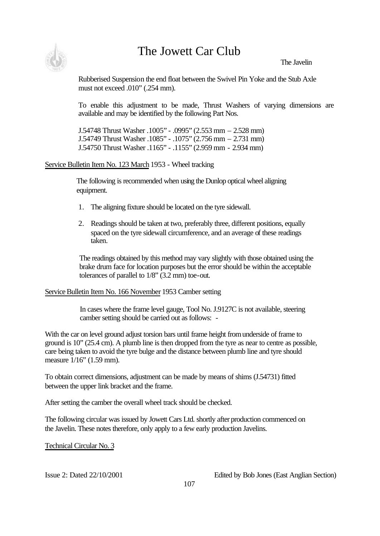

The Javelin

Rubberised Suspension the end float between the Swivel Pin Yoke and the Stub Axle must not exceed .010" (.254 mm).

To enable this adjustment to be made, Thrust Washers of varying dimensions are available and may be identified by the following Part Nos.

J.54748 Thrust Washer .1005" - .0995" (2.553 mm – 2.528 mm) J.54749 Thrust Washer .1085" - .1075" (2.756 mm – 2.731 mm) J.54750 Thrust Washer .1165" - .1155" (2.959 mm - 2.934 mm)

#### Service Bulletin Item No. 123 March 1953 - Wheel tracking

The following is recommended when using the Dunlop optical wheel aligning equipment.

- 1. The aligning fixture should be located on the tyre sidewall.
- 2. Readings should be taken at two, preferably three, different positions, equally spaced on the tyre sidewall circumference, and an average of these readings taken.

The readings obtained by this method may vary slightly with those obtained using the brake drum face for location purposes but the error should be within the acceptable tolerances of parallel to  $1/8$ " (3.2 mm) toe-out.

#### Service Bulletin Item No. 166 November 1953 Camber setting

In cases where the frame level gauge, Tool No. J.9127C is not available, steering camber setting should be carried out as follows: -

With the car on level ground adjust torsion bars until frame height from underside of frame to ground is 10" (25.4 cm). A plumb line is then dropped from the tyre as near to centre as possible, care being taken to avoid the tyre bulge and the distance between plumb line and tyre should measure 1/16" (1.59 mm).

To obtain correct dimensions, adjustment can be made by means of shims (J.54731) fitted between the upper link bracket and the frame.

After setting the camber the overall wheel track should be checked.

The following circular was issued by Jowett Cars Ltd. shortly after production commenced on the Javelin. These notes therefore, only apply to a few early production Javelins.

Technical Circular No. 3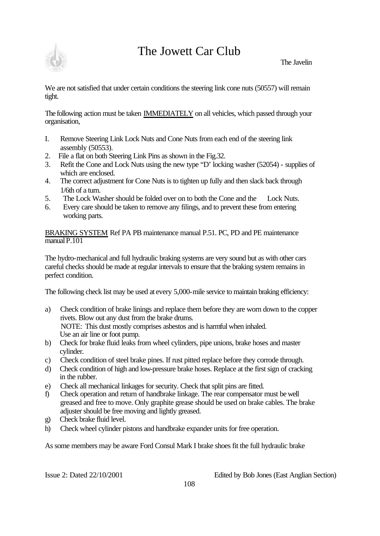

We are not satisfied that under certain conditions the steering link cone nuts (50557) will remain tight.

The following action must be taken IMMEDIATELY on all vehicles, which passed through your organisation,

- I. Remove Steering Link Lock Nuts and Cone Nuts from each end of the steering link assembly (50553).
- 2. File a flat on both Steering Link Pins as shown in the Fig.32.
- 3. Refit the Cone and Lock Nuts using the new type "D' locking washer (52054) supplies of which are enclosed.
- 4. The correct adjustment for Cone Nuts is to tighten up fully and then slack back through 1/6th of a turn.
- 5. The Lock Washer should be folded over on to both the Cone and the Lock Nuts.
- 6. Every care should be taken to remove any filings, and to prevent these from entering working parts.

BRAKING SYSTEM Ref PA PB maintenance manual P.51. PC, PD and PE maintenance manual P.101

The hydro-mechanical and full hydraulic braking systems are very sound but as with other cars careful checks should be made at regular intervals to ensure that the braking system remains in perfect condition.

The following check list may be used at every 5,000-mile service to maintain braking efficiency:

- a) Check condition of brake linings and replace them before they are worn down to the copper rivets. Blow out any dust from the brake drums. NOTE: This dust mostly comprises asbestos and is harmful when inhaled. Use an air line or foot pump.
- b) Check for brake fluid leaks from wheel cylinders, pipe unions, brake hoses and master cylinder.
- c) Check condition of steel brake pines. If rust pitted replace before they corrode through.
- d) Check condition of high and low-pressure brake hoses. Replace at the first sign of cracking in the rubber.
- e) Check all mechanical linkages for security. Check that split pins are fitted.
- f) Check operation and return of handbrake linkage. The rear compensator must be well greased and free to move. Only graphite grease should be used on brake cables. The brake adjuster should be free moving and lightly greased.
- g) Check brake fluid level.
- h) Check wheel cylinder pistons and handbrake expander units for free operation.

As some members may be aware Ford Consul Mark I brake shoes fit the full hydraulic brake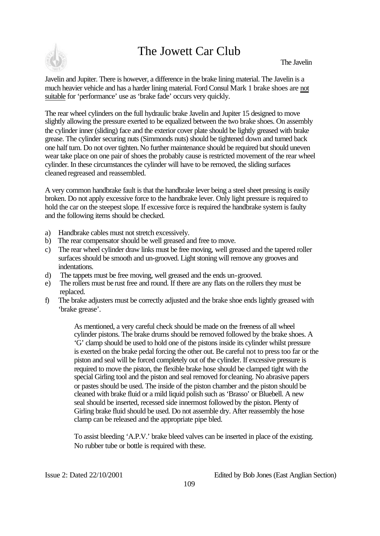

The Javelin

Javelin and Jupiter. There is however, a difference in the brake lining material. The Javelin is a much heavier vehicle and has a harder lining material. Ford Consul Mark 1 brake shoes are not suitable for 'performance' use as 'brake fade' occurs very quickly.

The rear wheel cylinders on the full hydraulic brake Javelin and Jupiter 15 designed to move slightly allowing the pressure exerted to be equalized between the two brake shoes. On assembly the cylinder inner (sliding) face and the exterior cover plate should be lightly greased with brake grease. The cylinder securing nuts (Simmonds nuts) should be tightened down and turned back one half turn. Do not over tighten. No further maintenance should be required but should uneven wear take place on one pair of shoes the probably cause is restricted movement of the rear wheel cylinder. In these circumstances the cylinder will have to be removed, the sliding surfaces cleaned regreased and reassembled.

A very common handbrake fault is that the handbrake lever being a steel sheet pressing is easily broken. Do not apply excessive force to the handbrake lever. Only light pressure is required to hold the car on the steepest slope. If excessive force is required the handbrake system is faulty and the following items should be checked.

- a) Handbrake cables must not stretch excessively.
- b) The rear compensator should be well greased and free to move.
- c) The rear wheel cylinder draw links must be free moving, well greased and the tapered roller surfaces should be smooth and un-grooved. Light stoning will remove any grooves and indentations.
- d) The tappets must be free moving, well greased and the ends un-grooved.
- e) The rollers must be rust free and round. If there are any flats on the rollers they must be replaced.
- f) The brake adjusters must be correctly adjusted and the brake shoe ends lightly greased with 'brake grease'.

As mentioned, a very careful check should be made on the freeness of all wheel cylinder pistons. The brake drums should be removed followed by the brake shoes. A 'G' clamp should be used to hold one of the pistons inside its cylinder whilst pressure is exerted on the brake pedal forcing the other out. Be careful not to press too far or the piston and seal will be forced completely out of the cylinder. If excessive pressure is required to move the piston, the flexible brake hose should be clamped tight with the special Girling tool and the piston and seal removed for cleaning. No abrasive papers or pastes should be used. The inside of the piston chamber and the piston should be cleaned with brake fluid or a mild liquid polish such as 'Brasso' or Bluebell. A new seal should be inserted, recessed side innermost followed by the piston. Plenty of Girling brake fluid should be used. Do not assemble dry. After reassembly the hose clamp can be released and the appropriate pipe bled.

To assist bleeding 'A.P.V.' brake bleed valves can be inserted in place of the existing. No rubber tube or bottle is required with these.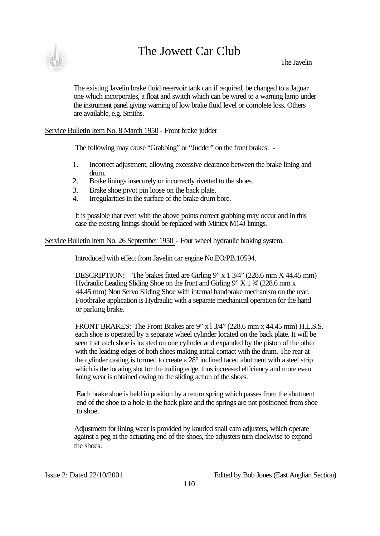

The Javelin

The existing Javelin brake fluid reservoir tank can if required, be changed to a Jaguar one which incorporates, a float and switch which can be wired to a warning lamp under the instrument panel giving warning of low brake fluid level or complete loss. Others are available, e.g. Smiths.

### Service Bulletin Item No. 8 March 1950 - Front brake judder

The following may cause "Grabbing" or "Judder" on the front brakes: -

- 1. Incorrect adjustment, allowing excessive clearance between the brake lining and drum.
- 2. Brake linings insecurely or incorrectly rivetted to the shoes.
- 3. Brake shoe pivot pin loose on the back plate.
- 4. Irregularities in the surface of the brake drum bore.

It is possible that even with the above points correct grabbing may occur and in this case the existing linings should be replaced with Mintex M14J linings.

Service Bulletin Item No. 26 September 1950 - Four wheel hydraulic braking system.

Introduced with effect from Javelin car engine No.EO/PB.10594.

DESCRIPTION: The brakes fitted are Girling  $9''$  x 1 3/4" (228.6 mm X 44.45 mm) Hydraulic Leading Sliding Shoe on the front and Girling  $9'$  X 1  $\frac{3}{4}$  (228.6 mm x 44.45 mm) Non Servo Sliding Shoe with internal handbrake mechanism on the rear. Footbrake application is Hydraulic with a separate mechanical operation for the hand or parking brake.

FRONT BRAKES: The Front Brakes are 9" x 1 3/4" (228.6 mm x 44.45 mm) H.L.S.S. each shoe is operated by a separate wheel cylinder located on the back plate. It will be seen that each shoe is located on one cylinder and expanded by the piston of the other with the leading edges of both shoes making initial contact with the drum. The rear at the cylinder casting is formed to create a 28° inclined faced abutment with a steel strip which is the locating slot for the trailing edge, thus increased efficiency and more even lining wear is obtained owing to the sliding action of the shoes.

Each brake shoe is held in position by a return spring which passes from the abutment end of the shoe to a hole in the back plate and the springs are not positioned from shoe to shoe.

Adjustment for lining wear is provided by knurled snail cam adjusters, which operate against a peg at the actuating end of the shoes, the adjusters turn clockwise to expand the shoes.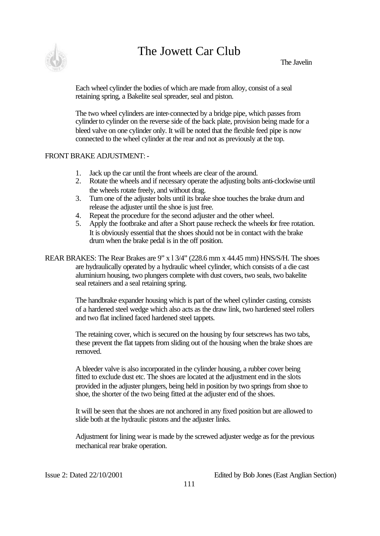

The Javelin

Each wheel cylinder the bodies of which are made from alloy, consist of a seal retaining spring, a Bakelite seal spreader, seal and piston.

The two wheel cylinders are inter-connected by a bridge pipe, which passes from cylinder to cylinder on the reverse side of the back plate, provision being made for a bleed valve on one cylinder only. It will be noted that the flexible feed pipe is now connected to the wheel cylinder at the rear and not as previously at the top.

### FRONT BRAKE ADJUSTMENT: -

- 1. Jack up the car until the front wheels are clear of the around.
- 2. Rotate the wheels and if necessary operate the adjusting bolts anti-clockwise until the wheels rotate freely, and without drag.
- 3. Turn one of the adjuster bolts until its brake shoe touches the brake drum and release the adjuster until the shoe is just free.
- 4. Repeat the procedure for the second adjuster and the other wheel.
- 5. Apply the footbrake and after a Short pause recheck the wheels for free rotation. It is obviously essential that the shoes should not be in contact with the brake drum when the brake pedal is in the off position.
- REAR BRAKES: The Rear Brakes are 9" x l 3/4" (228.6 mm x 44.45 mm) HNS/S/H. The shoes are hydraulically operated by a hydraulic wheel cylinder, which consists of a die cast aluminium housing, two plungers complete with dust covers, two seals, two bakelite seal retainers and a seal retaining spring.

The handbrake expander housing which is part of the wheel cylinder casting, consists of a hardened steel wedge which also acts as the draw link, two hardened steel rollers and two flat inclined faced hardened steel tappets.

The retaining cover, which is secured on the housing by four setscrews has two tabs, these prevent the flat tappets from sliding out of the housing when the brake shoes are removed.

A bleeder valve is also incorporated in the cylinder housing, a rubber cover being fitted to exclude dust etc. The shoes are located at the adjustment end in the slots provided in the adjuster plungers, being held in position by two springs from shoe to shoe, the shorter of the two being fitted at the adjuster end of the shoes.

It will be seen that the shoes are not anchored in any fixed position but are allowed to slide both at the hydraulic pistons and the adjuster links.

Adjustment for lining wear is made by the screwed adjuster wedge as for the previous mechanical rear brake operation.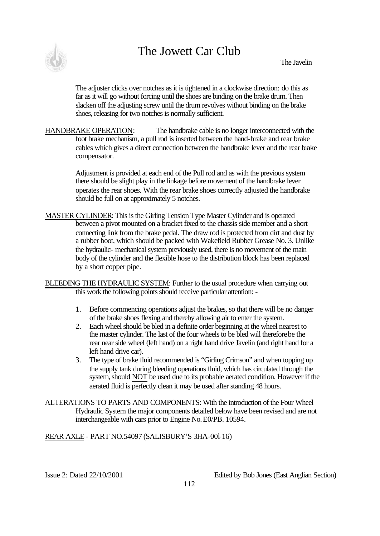

The Javelin

The adjuster clicks over notches as it is tightened in a clockwise direction: do this as far as it will go without forcing until the shoes are binding on the brake drum. Then slacken off the adjusting screw until the drum revolves without binding on the brake shoes, releasing for two notches is normally sufficient.

HANDBRAKE OPERATION: The handbrake cable is no longer interconnected with the foot brake mechanism, a pull rod is inserted between the hand-brake and rear brake cables which gives a direct connection between the handbrake lever and the rear brake compensator.

> Adjustment is provided at each end of the Pull rod and as with the previous system there should be slight play in the linkage before movement of the handbrake lever operates the rear shoes. With the rear brake shoes correctly adjusted the handbrake should be full on at approximately 5 notches.

MASTER CYLINDER: This is the Girling Tension Type Master Cylinder and is operated between a pivot mounted on a bracket fixed to the chassis side member and a short connecting link from the brake pedal. The draw rod is protected from dirt and dust by a rubber boot, which should be packed with Wakefield Rubber Grease No. 3. Unlike the hydraulic- mechanical system previously used, there is no movement of the main body of the cylinder and the flexible hose to the distribution block has been replaced by a short copper pipe.

BLEEDING THE HYDRAULIC SYSTEM: Further to the usual procedure when carrying out this work the following points should receive particular attention: -

- 1. Before commencing operations adjust the brakes, so that there will be no danger of the brake shoes flexing and thereby allowing air to enter the system.
- 2. Each wheel should be bled in a definite order beginning at the wheel nearest to the master cylinder. The last of the four wheels to be bled will thereforebe the rear near side wheel (left hand) on a right hand drive Javelin (and right hand for a left hand drive car).
- 3. The type of brake fluid recommended is "Girling Crimson" and when topping up the supply tank during bleeding operations fluid, which has circulated through the system, should NOT be used due to its probable aerated condition. However if the aerated fluid is perfectly clean it may be used after standing 48 hours.
- ALTERATIONS TO PARTS AND COMPONENTS: With the introduction of the Four Wheel Hydraulic System the major components detailed below have been revised and are not interchangeable with cars prior to Engine No. E0/PB. 10594.

REAR AXLE- PART NO.54097 (SALISBURY'S 3HA-00l-16)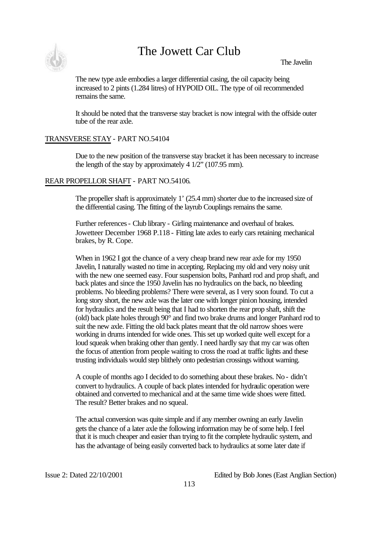

The Javelin

The new type axle embodies a larger differential casing, the oil capacity being increased to 2 pints (1.284 litres) of HYPOID OIL. The type of oil recommended remains the same.

It should be noted that the transverse stay bracket is now integral with the offside outer tube of the rear axle.

### TRANSVERSE STAY- PART NO.54104

Due to the new position of the transverse stay bracket it has been necessary to increase the length of the stay by approximately 4 1/2" (107.95 mm).

### REAR PROPELLOR SHAFT - PART NO.54106.

The propeller shaft is approximately 1' (25.4 mm) shorter due to the increased size of the differential casing. The fitting of the layrub Couplings remains the same.

Further references - Club library - Girling maintenance and overhaul of brakes. Jowetteer December 1968 P.118 - Fitting late axles to early cars retaining mechanical brakes, by R. Cope.

When in 1962 I got the chance of a very cheap brand new rear axle for my 1950 Javelin, I naturally wasted no time in accepting. Replacing my old and very noisy unit with the new one seemed easy. Four suspension bolts, Panhard rod and prop shaft, and back plates and since the 1950 Javelin has no hydraulics on the back, no bleeding problems. No bleeding problems? There were several, as I very soon found. To cut a long story short, the new axle was the later one with longer pinion housing, intended for hydraulics and the result being that I had to shorten the rear prop shaft, shift the (old) back plate holes through 90° and find two brake drums and longer Panhard rod to suit the new axle. Fitting the old back plates meant that the old narrow shoes were working in drums intended for wide ones. This set up worked quite well except for a loud squeak when braking other than gently. I need hardly say that my car was often the focus of attention from people waiting to cross the road at traffic lights and these trusting individuals would step blithely onto pedestrian crossings without warning.

A couple of months ago I decided to do something about these brakes. No - didn't convert to hydraulics. A couple of back plates intended for hydraulic operation were obtained and converted to mechanical and at the same time wide shoes were fitted. The result? Better brakes and no squeal.

The actual conversion was quite simple and if any member owning an early Javelin gets the chance of a later axle the following information may be of some help. I feel that it is much cheaper and easier than trying to fit the complete hydraulic system, and has the advantage of being easily converted back to hydraulics at some later date if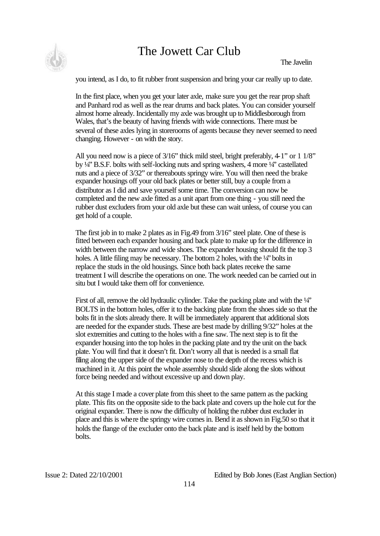

The Javelin

you intend, as I do, to fit rubber front suspension and bring your car really up to date.

In the first place, when you get your later axle, make sure you get the rear prop shaft and Panhard rod as well as the rear drums and back plates. You can consider yourself almost home already. Incidentally my axle was brought up to Middlesborough from Wales, that's the beauty of having friends with wide connections. There must be several of these axles lying in storerooms of agents because they never seemed to need changing. However - on with the story.

All you need now is a piece of 3/16" thick mild steel, bright preferably, 4-1" or 1 1/8" by ¼" B.S.F. bolts with self-locking nuts and spring washers, 4 more ¼" castellated nuts and a piece of 3/32" or thereabouts springy wire. You will then need the brake expander housings off your old back plates or better still, buy a couple from a distributor as I did and save yourself some time. The conversion can now be completed and the new axle fitted as a unit apart from one thing - you still need the rubber dust excluders from your old axle but these can wait unless, of course you can get hold of a couple.

The first job in to make 2 plates as in Fig.49 from 3/16" steel plate. One of these is fitted between each expander housing and back plate to make up for the difference in width between the narrow and wide shoes. The expander housing should fit the top 3 holes. A little filing may be necessary. The bottom 2 holes, with the 1/4' bolts in replace the studs in the old housings. Since both back plates receive the same treatment I will describe the operations on one. The work needed can be carried out in situ but I would take them off for convenience.

First of all, remove the old hydraulic cylinder. Take the packing plate and with the  $\frac{1}{4}$ " BOLTS in the bottom holes, offer it to the backing plate from the shoes side so that the bolts fit in the slots already there. It will be immediately apparent that additional slots are needed for the expander studs. These are best made by drilling 9/32" holes at the slot extremities and cutting to the holes with a fine saw. The next step is to fit the expander housing into the top holes in the packing plate and try the unit on the back plate. You will find that it doesn't fit. Don't worry all that is needed is a small flat filing along the upper side of the expander nose to the depth of the recess which is machined in it. At this point the whole assembly should slide along the slots without force being needed and without excessive up and down play.

At this stage I made a cover plate from this sheet to the same pattern as the packing plate. This fits on the opposite side to the back plate and covers up the hole cut for the original expander. There is now the difficulty of holding the rubber dust excluder in place and this is where the springy wire comes in. Bend it as shown in Fig.50 so that it holds the flange of the excluder onto the back plate and is itself held by the bottom bolts.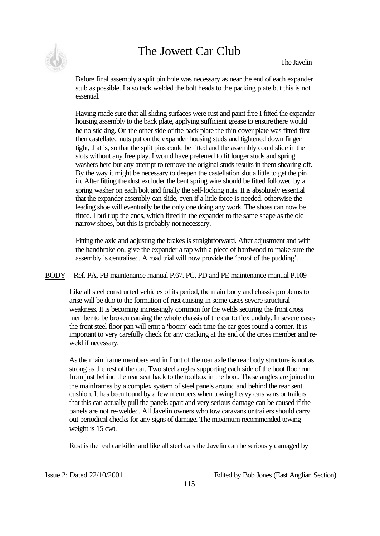

The Javelin

Before final assembly a split pin hole was necessary as near the end of each expander stub as possible. I also tack welded the bolt heads to the packing plate but this is not essential.

Having made sure that all sliding surfaces were rust and paint free I fitted the expander housing assembly to the back plate, applying sufficient grease to ensure there would be no sticking. On the other side of the back plate the thin cover plate was fitted first then castellated nuts put on the expander housing studs and tightened down finger tight, that is, so that the split pins could be fitted and the assembly could slide in the slots without any free play. I would have preferred to fit longer studs and spring washers here but any attempt to remove the original studs results in them shearing off. By the way it might be necessary to deepen the castellation slot a little to get the pin in. After fitting the dust excluder the bent spring wire should be fitted followed by a spring washer on each bolt and finally the self-locking nuts. It is absolutely essential that the expander assembly can slide, even if a little force is needed, otherwise the leading shoe will eventually be the only one doing any work. The shoes can now be fitted. I built up the ends, which fitted in the expander to the same shape as the old narrow shoes, but this is probably not necessary.

Fitting the axle and adjusting the brakes is straightforward. After adjustment and with the handbrake on, give the expander a tap with a piece of hardwood to make sure the assembly is centralised. A road trial will now provide the 'proof of the pudding'.

BODY - Ref. PA, PB maintenance manual P.67. PC, PD and PE maintenance manual P.109

Like all steel constructed vehicles of its period, the main body and chassis problems to arise will be duo to the formation of rust causing in some cases severe structural weakness. It is becoming increasingly common for the welds securing the front cross member to be broken causing the whole chassis of the car to flex unduly. In severe cases the front steel floor pan will emit a 'boom' each time the car goes round a corner. It is important to very carefully check for any cracking at the end of the cross member and reweld if necessary.

As the main frame members end in front of the roar axle the rear body structure is not as strong as the rest of the car. Two steel angles supporting each side of the boot floor run from just behind the rear seat back to the toolbox in the boot. These angles are joined to the mainframes by a complex system of steel panels around and behind the rear sent cushion. It has been found by a few members when towing heavy cars vans or trailers that this can actually pull the panels apart and very serious damage can be caused if the panels are not re-welded. All Javelin owners who tow caravans or trailers should carry out periodical checks for any signs of damage. The maximum recommended towing weight is 15 cwt.

Rust is the real car killer and like all steel cars the Javelin can be seriously damaged by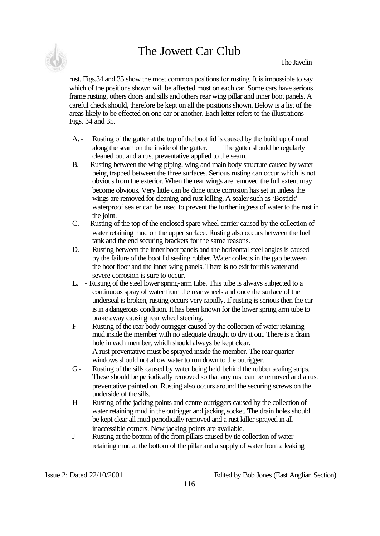

rust. Figs.34 and 35 show the most common positions for rusting. It is impossible to say which of the positions shown will be affected most on each car. Some cars have serious frame rusting, others doors and sills and others rear wing pillar and inner boot panels. A careful check should, therefore be kept on all the positions shown. Below is a list of the areas likely to be effected on one car or another. Each letter refers to the illustrations Figs. 34 and 35.

- A. Rusting of the gutter at the top of the boot lid is caused by the build up of mud along the seam on the inside of the gutter. The gutter should be regularly cleaned out and a rust preventative applied to the seam.
- B. Rusting between the wing piping, wing and main body structure caused by water being trapped between the three surfaces. Serious rusting can occur which is not obvious from the exterior. When the rear wings are removed the full extent may become obvious. Very little can be done once corrosion has set in unless the wings are removed for cleaning and rust killing. A sealer such as 'Bostick' waterproof sealer can be used to prevent the further ingress of water to the rust in the joint.
- C. Rusting of the top of the enclosed spare wheel carrier caused by the collection of water retaining mud on the upper surface. Rusting also occurs between the fuel tank and the end securing brackets for the same reasons.
- D. Rusting between the inner boot panels and the horizontal steel angles is caused by the failure of the boot lid sealing rubber. Water collects in the gap between the boot floor and the inner wing panels. There is no exit for this water and severe corrosion is sure to occur.
- E. Rusting of the steel lower spring-arm tube. This tube is always subjected to a continuous spray of water from the rear wheels and once the surface of the underseal is broken, rusting occurs very rapidly. If rusting is serious then the car is in a dangerous condition. It has been known for the lower spring arm tube to brake away causing rear wheel steering.
- F Rusting of the rear body outrigger caused by the collection of water retaining mud inside the member with no adequate draught to dry it out. There is a drain hole in each member, which should always be kept clear. A rust preventative must be sprayed inside the member. The rear quarter windows should not allow water to run down to the outrigger.
- G Rusting of the sills caused by water being held behind the rubber sealing strips. These should be periodically removed so that any rust can be removed and a rust preventative painted on. Rusting also occurs around the securing screws on the underside of the sills.
- H Rusting of the jacking points and centre outriggers caused by the collection of water retaining mud in the outrigger and jacking socket. The drain holes should be kept clear all mud periodically removed and a rust killer sprayed in all inaccessible corners. New jacking points are available.
- J Rusting at the bottom of the front pillars caused by tie collection of water retaining mud at the bottom of the pillar and a supply of water from a leaking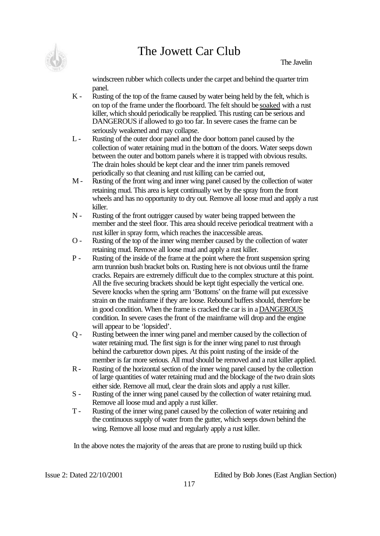

windscreen rubber which collects under the carpet and behind the quarter trim panel.

- K Rusting of the top of the frame caused by water being held by the felt, which is on top of the frame under the floorboard. The felt should be soaked with a rust killer, which should periodically be reapplied. This rusting can be serious and DANGEROUS if allowed to go too far. In severe cases the frame can be seriously weakened and may collapse.
- L Rusting of the outer door panel and the door bottom panel caused by the collection of water retaining mud in the bottom of the doors. Water seeps down between the outer and bottom panels where it is trapped with obvious results. The drain holes should be kept clear and the inner trim panels removed periodically so that cleaning and rust killing can be carried out,
- M Rusting of the front wing and inner wing panel caused by the collection of water retaining mud. This area is kept continually wet by the spray from the front wheels and has no opportunity to dry out. Remove all loose mud and apply a rust killer.
- N Rusting of the front outrigger caused by water being trapped between the member and the steel floor. This area should receive periodical treatment with a rust killer in spray form, which reaches the inaccessible areas.
- O Rusting of the top of the inner wing member caused by the collection of water retaining mud. Remove all loose mud and apply a rust killer.
- P Rusting of the inside of the frame at the point where the front suspension spring arm trunnion bush bracket bolts on. Rusting here is not obvious until the frame cracks. Repairs are extremely difficult due to the complex structure at this point. All the five securing brackets should be kept tight especially the vertical one. Severe knocks when the spring arm 'Bottoms' on the frame will put excessive strain on the mainframe if they are loose. Rebound buffers should, therefore be in good condition. When the frame is cracked the car is in a DANGEROUS condition. In severe cases the front of the mainframe will drop and the engine will appear to be 'lopsided'.
- Q Rusting between the inner wing panel and member caused by the collection of water retaining mud. The first sign is for the inner wing panel to rust through behind the carburettor down pipes. At this point rusting of the inside of the member is far more serious. All mud should be removed and a rust killer applied.
- R Rusting of the horizontal section of the inner wing panel caused by the collection of large quantities of water retaining mud and the blockage of the two drain slots either side. Remove all mud, clear the drain slots and apply a rust killer.
- S Rusting of the inner wing panel caused by the collection of water retaining mud. Remove all loose mud and apply a rust killer.
- T Rusting of the inner wing panel caused by the collection of water retaining and the continuous supply of water from the gutter, which seeps down behind the wing. Remove all loose mud and regularly apply a rust killer.

In the above notes the majority of the areas that are prone to rusting build up thick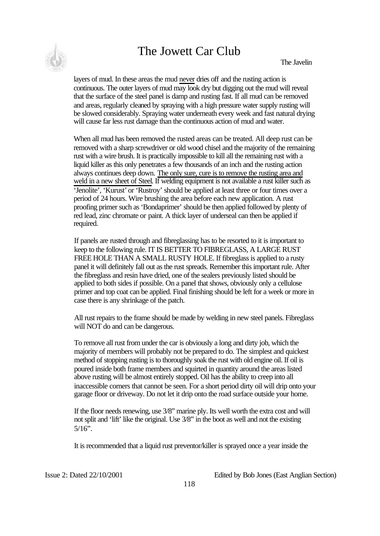

The Javelin

layers of mud. In these areas the mud never dries off and the rusting action is continuous. The outer layers of mud may look dry but digging out the mud will reveal that the surface of the steel panel is damp and rusting fast. If all mud can be removed and areas, regularly cleaned by spraying with a high pressure water supply rusting will be slowed considerably. Spraying water underneath every week and fast natural drying will cause far less rust damage than the continuous action of mud and water.

When all mud has been removed the rusted areas can be treated. All deep rust can be removed with a sharp screwdriver or old wood chisel and the majority of the remaining rust with a wire brush. It is practically impossible to kill all the remaining rust with a liquid killer as this only penetrates a few thousands of an inch and the rusting action always continues deep down. The only sure, cure is to remove the rusting area and weld in a new sheet of Steel. If welding equipment is not available a rust killer such as 'Jenolite', 'Kurust' or 'Rustroy' should be applied at least three or four times over a period of 24 hours. Wire brushing the area before each new application. A rust proofing primer such as 'Bondaprimer' should be then applied followed by plenty of red lead, zinc chromate or paint. A thick layer of underseal can then be applied if required.

If panels are rusted through and fibreglassing has to be resorted to it is important to keep to the following rule. IT IS BETTER TO FIBREGLASS, A LARGE RUST FREE HOLE THAN A SMALL RUSTY HOLE. If fibreglass is applied to a rusty panel it will definitely fall out as the rust spreads. Remember this important rule. After the fibreglass and resin have dried, one of the sealers previously listed should be applied to both sides if possible. On a panel that shows, obviously only a cellulose primer and top coat can be applied. Final finishing should be left for a week or more in case there is any shrinkage of the patch.

All rust repairs to the frame should be made by welding in new steel panels. Fibreglass will NOT do and can be dangerous.

To remove all rust from under the car is obviously a long and dirty job, which the majority of members will probably not be prepared to do. The simplest and quickest method of stopping rusting is to thoroughly soak the rust with old engine oil. If oil is poured inside both frame members and squirted in quantity around the areas listed above rusting will be almost entirely stopped. Oil has the ability to creep into all inaccessible corners that cannot be seen. For a short period dirty oil will drip onto your garage floor or driveway. Do not let it drip onto the road surface outside your home.

If the floor needs renewing, use 3/8" marine ply. Its well worth the extra cost and will not split and 'lift' like the original. Use 3/8" in the boot as well and not the existing  $5/16$ ".

It is recommended that a liquid rust preventor/killer is sprayed once a year inside the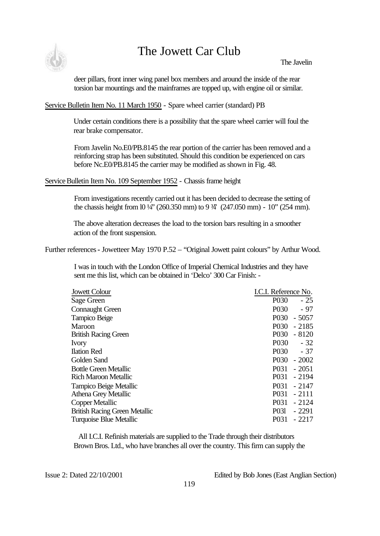

The Javelin

deer pillars, front inner wing panel box members and around the inside of the rear torsion bar mountings and the mainframes are topped up, with engine oil or similar.

#### Service Bulletin Item No. 11 March 1950 - Spare wheel carrier (standard) PB

Under certain conditions there is a possibility that the spare wheel carrier will foul the rear brake compensator.

From Javelin No.E0/PB.8145 the rear portion of the carrier has been removed and a reinforcing strap has been substituted. Should this condition be experienced on cars before Nc.E0/PB.8145 the carrier may be modified as shown in Fig. 48.

#### Service Bulletin Item No. 109 September 1952 - Chassis frame height

From investigations recently carried out it has been decided to decrease the setting of the chassis height from 10 ¼" (260.350 mm) to 9  $\frac{3}{4}$  (247.050 mm) - 10" (254 mm).

The above alteration decreases the load to the torsion bars resulting in a smoother action of the front suspension.

Further references **-** Jowetteer May 1970 P.52 – "Original Jowett paint colours" by Arthur Wood.

I was in touch with the London Office of Imperial Chemical Industries and they have sent me this list, which can be obtained in 'Delco' 300 Car Finish: -

| <b>Jowett Colour</b>                 | I.C.I. Reference No.         |
|--------------------------------------|------------------------------|
| Sage Green                           | P <sub>0</sub> 30<br>$-25$   |
| <b>Connaught Green</b>               | P <sub>0</sub> 30<br>$-97$   |
| Tampico Beige                        | P <sub>0</sub> 30<br>$-5057$ |
| Maroon                               | P <sub>0</sub> 30<br>$-2185$ |
| <b>British Racing Green</b>          | P <sub>0</sub> 30<br>$-8120$ |
| Ivory                                | P030<br>$-32$                |
| <b>Ilation Red</b>                   | P030<br>$-37$                |
| Golden Sand                          | P <sub>0</sub> 30<br>$-2002$ |
| <b>Bottle Green Metallic</b>         | P <sub>0</sub> 31<br>$-2051$ |
| Rich Maroon Metallic                 | $P031 - 2194$                |
| <b>Tampico Beige Metallic</b>        | P <sub>031</sub><br>$-2147$  |
| Athena Grey Metallic                 | P <sub>0</sub> 31<br>$-2111$ |
| Copper Metallic                      | $P031 - 2124$                |
| <b>British Racing Green Metallic</b> | P031<br>$-2291$              |
| <b>Turquoise Blue Metallic</b>       | P <sub>0</sub> 31<br>$-2217$ |
|                                      |                              |

All I.C.I. Refinish materials are supplied to the Trade through their distributors Brown Bros. Ltd., who have branches all over the country. This firm can supply the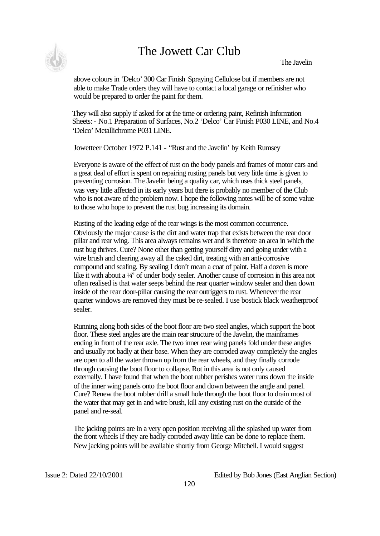

The Javelin

above colours in 'Delco' 300 Car Finish Spraying Cellulose but if members are not able to make Trade orders they will have to contact a local garage or refinisher who would be prepared to order the paint for them.

They will also supply if asked for at the time or ordering paint, Refinish Information Sheets: - No.1 Preparation of Surfaces, No.2 'Delco' Car Finish P030 LINE, and No.4 'Delco' Metallichrome P031 LINE.

Jowetteer October 1972 P.141 - "Rust and the Javelin' by Keith Rumsey

Everyone is aware of the effect of rust on the body panels and frames of motor cars and a great deal of effort is spent on repairing rusting panels but very little time is given to preventing corrosion. The Javelin being a quality car, which uses thick steel panels, was very little affected in its early years but there is probably no member of the Club who is not aware of the problem now. I hope the following notes will be of some value to those who hope to prevent the rust bug increasing its domain.

Rusting of the leading edge of the rear wings is the most common occurrence. Obviously the major cause is the dirt and water trap that exists between the rear door pillar and rear wing. This area always remains wet and is therefore an area in which the rust bug thrives. Cure? None other than getting yourself dirty and going under with a wire brush and clearing away all the caked dirt, treating with an anti-corrosive compound and sealing. By sealing I don't mean a coat of paint. Half a dozen is more like it with about a ¼' of under body sealer. Another cause of corrosion in this area not often realised is that water seeps behind the rear quarter window sealer and then down inside of the rear door-pillar causing the rear outriggers to rust. Whenever the rear quarter windows are removed they must be re-sealed. I use bostick black weatherproof sealer.

Running along both sides of the boot floor are two steel angles, which support the boot floor. These steel angles are the main rear structure of the Javelin, the mainframes ending in front of the rear axle. The two inner rear wing panels fold under these angles and usually rot badly at their base. When they are corroded away completely the angles are open to all the water thrown up from the rear wheels, and they finally corrode through causing the boot floor to collapse. Rot in this area is not only caused externally. I have found that when the boot rubber perishes water runs down the inside of the inner wing panels onto the boot floor and down between the angle and panel. Cure? Renew the boot rubber drill a small hole through the boot floor to drain most of the water that may get in and wire brush, kill any existing rust on the outside of the panel and re-seal.

The jacking points are in a very open position receiving all the splashed up water from the front wheels If they are badly corroded away little can be done to replace them. New jacking points will be available shortly from George Mitchell. I would suggest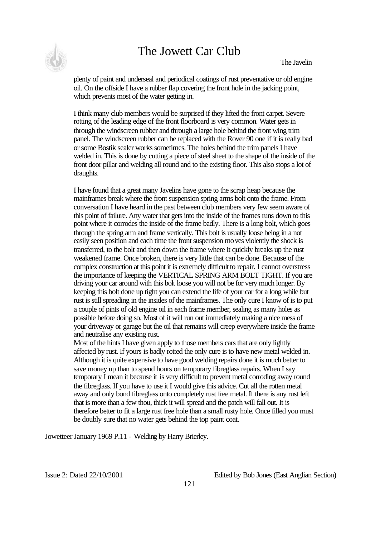plenty of paint and underseal and periodical coatings of rust preventative or old engine oil. On the offside I have a rubber flap covering the front hole in the jacking point, which prevents most of the water getting in.

I think many club members would be surprised if they lifted the front carpet. Severe rotting of the leading edge of the front floorboard is very common. Water gets in through the windscreen rubber and through a large hole behind the front wing trim panel. The windscreen rubber can be replaced with the Rover 90 one if it is really bad or some Bostik sealer works sometimes. The holes behind the trim panels I have welded in. This is done by cutting a piece of steel sheet to the shape of the inside of the front door pillar and welding all round and to the existing floor. This also stops a lot of draughts.

I have found that a great many Javelins have gone to the scrap heap because the mainframes break where the front suspension spring arms bolt onto the frame. From conversation I have heard in the past between club members very few seem aware of this point of failure. Any water that gets into the inside of the frames runs down to this point where it corrodes the inside of the frame badly. There is a long bolt, which goes through the spring arm and frame vertically. This bolt is usually loose being in a not easily seen position and each time the front suspension moves violently the shock is transferred, to the bolt and then down the frame where it quickly breaks up the rust weakened frame. Once broken, there is very little that can be done. Because of the complex construction at this point it is extremely difficult to repair. I cannot overstress the importance of keeping the VERTICAL SPRING ARM BOLT TIGHT. If you are driving your car around with this bolt loose you will not be for very much longer. By keeping this bolt done up tight you can extend the life of your car for a long while but rust is still spreading in the insides of the mainframes. The only cure I know of is to put a couple of pints of old engine oil in each frame member, sealing as many holes as possible before doing so. Most of it will run out immediately making a nice mess of your driveway or garage but the oil that remains will creep everywhere inside the frame and neutralise any existing rust.

Most of the hints I have given apply to those members cars that are only lightly affected by rust. If yours is badly rotted the only cure is to have new metal welded in. Although it is quite expensive to have good welding repairs done it is much better to save money up than to spend hours on temporary fibreglass repairs. When I say temporary I mean it because it is very difficult to prevent metal corroding away round the fibreglass. If you have to use it I would give this advice. Cut all the rotten metal away and only bond fibreglass onto completely rust free metal. If there is any rust left that is more than a few thou, thick it will spread and the patch will fall out. It is therefore better to fit a large rust free hole than a small rusty hole. Once filled you must be doubly sure that no water gets behind the top paint coat.

Jowetteer January 1969 P.11 - Welding by Harry Brierley.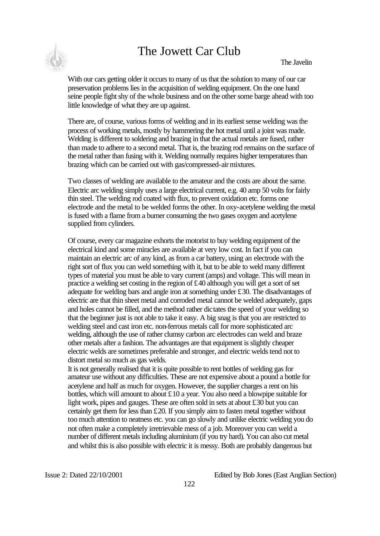

The Javelin

With our cars getting older it occurs to many of us that the solution to many of our car preservation problems lies in the acquisition of welding equipment. On the one hand seine people fight shy of the whole business and on the other some barge ahead with too little knowledge of what they are up against.

There are, of course, various forms of welding and in its earliest sense welding was the process of working metals, mostly by hammering the hot metal until a joint was made. Welding is different to soldering and brazing in that the actual metals are fused, rather than made to adhere to a second metal. That is, the brazing rod remains on the surface of the metal rather than fusing with it. Welding normally requires higher temperatures than brazing which can be carried out with gas/compressed-air mixtures.

Two classes of welding are available to the amateur and the costs are about the same. Electric arc welding simply uses a large electrical current, e.g. 40 amp 50 volts for fairly thin steel. The welding rod coated with flux, to prevent oxidation etc. forms one electrode and the metal to be welded forms the other. In oxy-acetylene welding the metal is fused with a flame from a burner consuming the two gases oxygen and acetylene supplied from cylinders.

Of course, every car magazine exhorts the motorist to buy welding equipment of the electrical kind and some miracles are available at very low cost. In fact if you can maintain an electric arc of any kind, as from a car battery, using an electrode with the right sort of flux you can weld something with it, but to be able to weld many different types of material you must be able to vary current (amps) and voltage. This will mean in practice a welding set costing in the region of £40 although you will get a sort of set adequate for welding bars and angle iron at something under £30. The disadvantages of electric are that thin sheet metal and corroded metal cannot be welded adequately, gaps and holes cannot be filled, and the method rather dictates the speed of your welding so that the beginner just is not able to take it easy. A big snag is that you are restricted to welding steel and cast iron etc. non-ferrous metals call for more sophisticated arc welding, although the use of rather clumsy carbon arc electrodes can weld and braze other metals after a fashion. The advantages are that equipment is slightly cheaper electric welds are sometimes preferable and stronger, and electric welds tend not to distort metal so much as gas welds.

It is not generally realised that it is quite possible to rent bottles of welding gas for amateur use without any difficulties. These are not expensive about a pound a bottle for acetylene and half as much for oxygen. However, the supplier charges a rent on his bottles, which will amount to about  $\pounds 10$  a year. You also need a blowpipe suitable for light work, pipes and gauges. These are often sold in sets at about £30 but you can certainly get them for less than  $£20$ . If you simply aim to fasten metal together without too much attention to neatness etc. you can go slowly and unlike electric welding you do not often make a completely irretrievable mess of a job. Moreover you can weld a number of different metals including aluminium (if you try hard). You can also cut metal and whilst this is also possible with electric it is messy. Both are probably dangerous but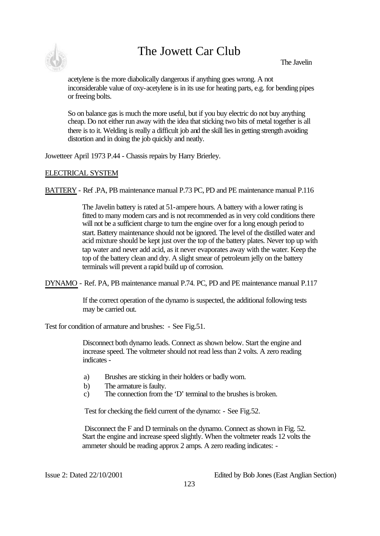

The Javelin

acetylene is the more diabolically dangerous if anything goes wrong. A not inconsiderable value of oxy-acetylene is in its use for heating parts, e.g. for bending pipes or freeing bolts.

So on balance gas is much the more useful, but if you buy electric do not buy anything cheap. Do not either run away with the idea that sticking two bits of metal together is all there is to it. Welding is really a difficult job and the skill lies in getting strength avoiding distortion and in doing the job quickly and neatly.

Jowetteer April 1973 P.44 - Chassis repairs by Harry Brierley.

### ELECTRICAL SYSTEM

BATTERY - Ref .PA, PB maintenance manual P.73 PC, PD and PE maintenance manual P.116

The Javelin battery is rated at 51-ampere hours. A battery with a lower rating is fitted to many modern cars and is not recommended as in very cold conditions there will not be a sufficient charge to turn the engine over for a long enough period to start. Battery maintenance should not be ignored. The level of the distilled water and acid mixture should be kept just over the top of the battery plates. Never top up with tap water and never add acid, as it never evaporates away with the water. Keep the top of the battery clean and dry. A slight smear of petroleum jelly on the battery terminals will prevent a rapid build up of corrosion.

DYNAMO - Ref. PA, PB maintenance manual P.74. PC, PD and PE maintenance manual P.117

If the correct operation of the dynamo is suspected, the additional following tests may be carried out.

Test for condition of armature and brushes: - See Fig.51.

Disconnect both dynamo leads. Connect as shown below. Start the engine and increase speed. The voltmeter should not read less than 2 volts. A zero reading indicates -

- a) Brushes are sticking in their holders or badly worn.
- b) The armature is faulty.
- c) The connection from the 'D' terminal to the brushes is broken.

Test for checking the field current of the dynamo: - See Fig.52.

Disconnect the F and D terminals on the dynamo. Connect as shown in Fig. 52. Start the engine and increase speed slightly. When the voltmeter reads 12 volts the ammeter should be reading approx 2 amps. A zero reading indicates: -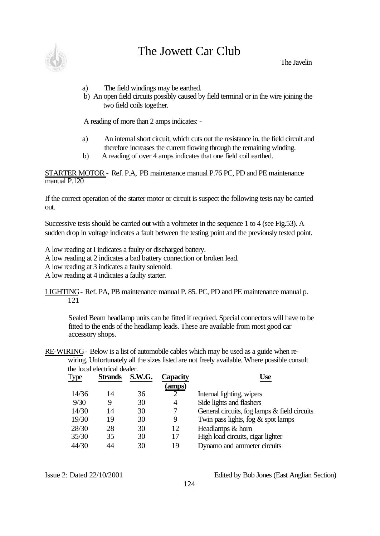

The Javelin

- a) The field windings may be earthed.
- b) An open field circuits possibly caused by field terminal or in the wire joining the two field coils together.

A reading of more than 2 amps indicates: -

- a) An internal short circuit, which cuts out the resistance in, the field circuit and therefore increases the current flowing through the remaining winding.
- b) A reading of over 4 amps indicates that one field coil earthed.

STARTER MOTOR - Ref. P.A, PB maintenance manual P.76 PC, PD and PE maintenance manual P.120

If the correct operation of the starter motor or circuit is suspect the following tests nay be carried out.

Successive tests should be carried out with a voltmeter in the sequence 1 to 4 (see Fig.53). A sudden drop in voltage indicates a fault between the testing point and the previously tested point.

A low reading at I indicates a faulty or discharged battery.

A low reading at 2 indicates a bad battery connection or broken lead.

A low reading at 3 indicates a faulty solenoid.

A low reading at 4 indicates a faulty starter.

LIGHTING- Ref. PA, PB maintenance manual P. 85. PC, PD and PE maintenance manual p. 121

Sealed Beam headlamp units can be fitted if required. Special connectors will have to be fitted to the ends of the headlamp leads. These are available from most good car accessory shops.

RE-WIRING- Below is a list of automobile cables which may be used as a guide when rewiring. Unfortunately all the sizes listed are not freely available. Where possible consult the local electrical dealer.

| <b>Type</b> | <b>Strands</b> | <b>S.W.G.</b> | Capacity       | Use                                          |
|-------------|----------------|---------------|----------------|----------------------------------------------|
|             |                |               | (amps)         |                                              |
| 14/36       | 14             | 36            | 2              | Internal lighting, wipers                    |
| 9/30        | 9              | 30            | $\overline{4}$ | Side lights and flashers                     |
| 14/30       | 14             | 30            |                | General circuits, fog lamps & field circuits |
| 19/30       | 19             | 30            | 9              | Twin pass lights, fog $&$ spot lamps         |
| 28/30       | 28             | 30            | 12             | Headlamps & horn                             |
| 35/30       | 35             | 30            | 17             | High load circuits, cigar lighter            |
| 44/30       | 44             | 30            | 19             | Dynamo and ammeter circuits                  |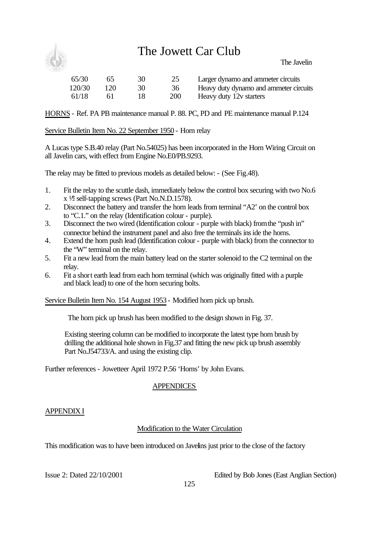

The Javelin

| 65/30  | 65  |    | 25  | Larger dynamo and ammeter circuits     |
|--------|-----|----|-----|----------------------------------------|
| 120/30 | 120 | 30 | 36  | Heavy duty dynamo and ammeter circuits |
| 61/18  | 6 I |    | 200 | Heavy duty 12v starters                |

HORNS - Ref. PA PB maintenance manual P. 88. PC, PD and PE maintenance manual P.124

#### Service Bulletin Item No. 22 September 1950 - Horn relay

A Lucas type S.B.40 relay (Part No.54025) has been incorporated in the Horn Wiring Circuit on all Javelin cars, with effect from Engine No.E0/PB.9293.

The relay may be fitted to previous models as detailed below: - (See Fig.48).

- 1. Fit the relay to the scuttle dash, immediately below the control box securing with two No.6  $x \frac{1}{2}$  self-tapping screws (Part No.N.D.1578).
- 2. Disconnect the battery and transfer the horn leads from terminal "A2' on the control box to "C.1." on the relay (Identification colour - purple).
- 3. Disconnect the two wired (Identification colour purple with black) fromthe "push in" connector behind the instrument panel and also free the terminals inside the horns.
- 4. Extend the horn push lead (Identification colour purple with black) from the connector to the "W" terminal on the relay.
- 5. Fit a new lead from the main battery lead on the starter solenoid to the C2 terminal on the relay.
- 6. Fit a short earth lead from each horn terminal (which was originally fitted with a purple and black lead) to one of the horn securing bolts.

Service Bulletin Item No. 154 August 1953 - Modified horn pick up brush.

The horn pick up brush has been modified to the design shown in Fig. 37.

Existing steering column can be modified to incorporate the latest type horn brush by drilling the additional hole shown in Fig.37 and fitting the new pick up brush assembly Part No.J54733/A. and using the existing clip.

Further references - Jowetteer April 1972 P.56 'Horns' by John Evans.

### **APPENDICES**

### APPENDIX I

### Modification to the Water Circulation

This modification was to have been introduced on Javelins just prior to the close of the factory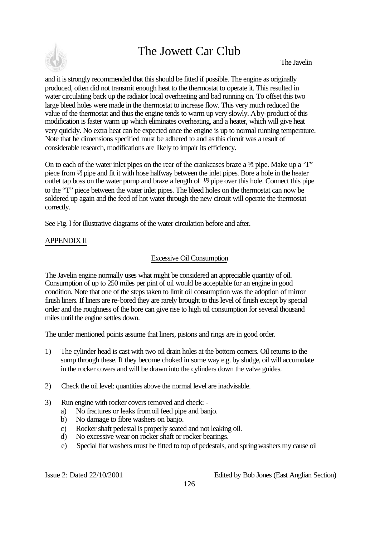

The Javelin

and it is strongly recommended that this should be fitted if possible. The engine as originally produced, often did not transmit enough heat to the thermostat to operate it. This resulted in water circulating back up the radiator local overheating and bad running on. To offset this two large bleed holes were made in the thermostat to increase flow. This very much reduced the value of the thermostat and thus the engine tends to warm up very slowly. Aby-product of this modification is faster warm up which eliminates overheating, and a heater, which will give heat very quickly. No extra heat can be expected once the engine is up to normal running temperature. Note that he dimensions specified must be adhered to and as this circuit was a result of considerable research, modifications are likely to impair its efficiency.

On to each of the water inlet pipes on the rear of the crankcases braze a  $\frac{1}{2}$  pipe. Make up a 'T' piece from <sup>1</sup>/2 pipe and fit it with hose halfway between the inlet pipes. Bore a hole in the heater outlet tap boss on the water pump and braze a length of ½" pipe over this hole. Connect this pipe to the "T" piece between the water inlet pipes. The bleed holes on the thermostat can now be soldered up again and the feed of hot water through the new circuit will operate the thermostat correctly.

See Fig. l for illustrative diagrams of the water circulation before and after.

### APPENDIX II

### Excessive Oil Consumption

The Javelin engine normally uses what might be considered an appreciable quantity of oil. Consumption of up to 250 miles per pint of oil would be acceptable for an engine in good condition. Note that one of the steps taken to limit oil consumption was the adoption of mirror finish liners. If liners are re-bored they are rarely brought to this level of finish except by special order and the roughness of the bore can give rise to high oil consumption for several thousand miles until the engine settles down.

The under mentioned points assume that liners, pistons and rings are in good order.

- 1) The cylinder head is cast with two oil drain holes at the bottom corners. Oil returns to the sump through these. If they become choked in some way e.g. by sludge, oil will accumulate in the rocker covers and will be drawn into the cylinders down the valve guides.
- 2) Check the oil level: quantities above the normal level are inadvisable.
- 3) Run engine with rocker covers removed and check:
	- a) No fractures or leaks fromoil feed pipe and banjo.
	- b) No damage to fibre washers on banjo.
	- c) Rocker shaft pedestal is properly seated and not leaking oil.
	- d) No excessive wear on rocker shaft or rocker bearings.
	- e) Special flat washers must be fitted to top of pedestals, and springwashers my cause oil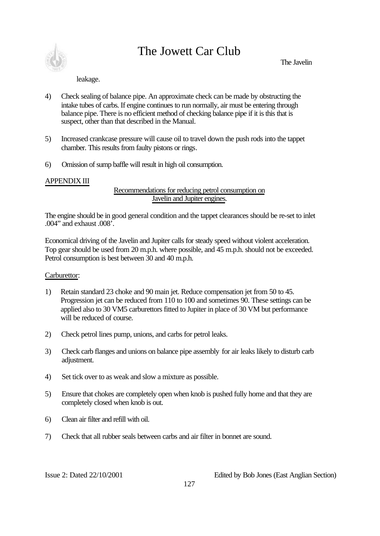

leakage.

- 4) Check sealing of balance pipe. An approximate check can be made by obstructing the intake tubes of carbs. If engine continues to run normally, air must be entering through balance pipe. There is no efficient method of checking balance pipe if it is this that is suspect, other than that described in the Manual.
- 5) Increased crankcase pressure will cause oil to travel down the push rods into the tappet chamber. This results from faulty pistons or rings.
- 6) Omission of sump baffle will result in high oil consumption.

#### APPENDIX III

#### Recommendations for reducing petrol consumption on Javelin and Jupiter engines.

The engine should be in good general condition and the tappet clearances should be re-set to inlet .004" and exhaust .008'.

Economical driving of the Javelin and Jupiter calls for steady speed without violent acceleration. Top gear should be used from 20 m.p.h. where possible, and 45 m.p.h. should not be exceeded. Petrol consumption is best between 30 and 40 m.p.h.

#### Carburettor:

- 1) Retain standard 23 choke and 90 main jet. Reduce compensation jet from 50 to 45. Progression jet can be reduced from 110 to 100 and sometimes 90. These settings can be applied also to 30 VM5 carburettors fitted to Jupiter in place of 30 VM but performance will be reduced of course.
- 2) Check petrol lines pump, unions, and carbs for petrol leaks.
- 3) Check carb flanges and unions on balance pipe assembly for air leaks likely to disturb carb adjustment.
- 4) Set tick over to as weak and slow a mixture as possible.
- 5) Ensure that chokes are completely open when knob is pushed fully home and that they are completely closed when knob is out.
- 6) Clean air filter and refill with oil.
- 7) Check that all rubber seals between carbs and air filter in bonnet are sound.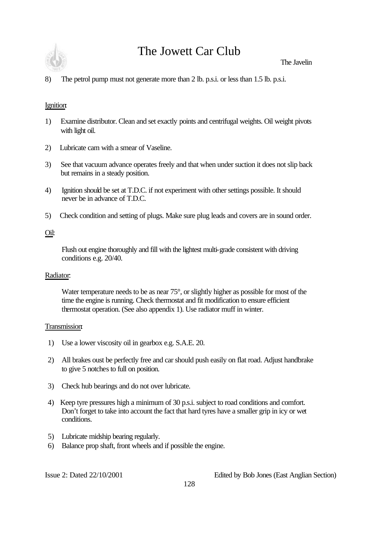

8) The petrol pump must not generate more than 2 lb. p.s.i. or less than 1.5 lb. p.s.i.

### Ignition:

- 1) Examine distributor. Clean and set exactly points and centrifugal weights. Oil weight pivots with light oil.
- 2) Lubricate cam with a smear of Vaseline.
- 3) See that vacuum advance operates freely and that when under suction it does not slip back but remains in a steady position.
- 4) Ignition should be set at T.D.C. if not experiment with other settings possible. It should never be in advance of T.D.C.
- 5) Check condition and setting of plugs. Make sure plug leads and covers are in sound order.

### Oil:

Flush out engine thoroughly and fill with the lightest multi-grade consistent with driving conditions e.g. 20/40.

#### Radiator:

Water temperature needs to be as near 75°, or slightly higher as possible for most of the time the engine is running. Check thermostat and fit modification to ensure efficient thermostat operation. (See also appendix 1). Use radiator muff in winter.

#### Transmission:

- 1) Use a lower viscosity oil in gearbox e.g. S.A.E. 20.
- 2) All brakes oust be perfectly free and car should push easily on flat road. Adjust handbrake to give 5 notches to full on position.
- 3) Check hub bearings and do not over lubricate.
- 4) Keep tyre pressures high a minimum of 30 p.s.i. subject to road conditions and comfort. Don't forget to take into account the fact that hard tyres have a smaller grip in icy or wet conditions.
- 5) Lubricate midship bearing regularly.
- 6) Balance prop shaft, front wheels and if possible the engine.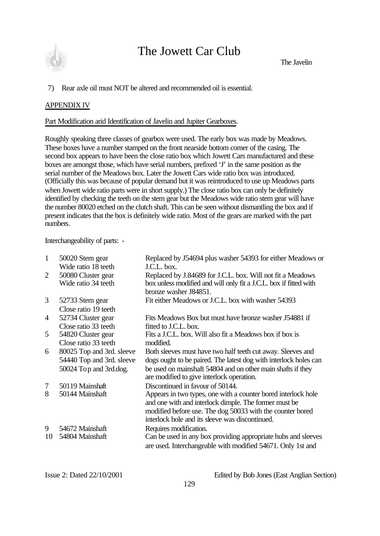

The Javelin

### 7) Rear axle oil must NOT be altered and recommended oil is essential.

### APPENDIX IV

Part Modification arid Identification of Javelin and Jupiter Gearboxes.

Roughly speaking three classes of gearbox were used. The early box was made by Meadows. These boxes have a number stamped on the front nearside bottom corner of the casing. The second box appears to have been the close ratio box which Jowett Cars manufactured and these boxes are amongst those, which have serial numbers, prefixed 'J' in the same position as the serial number of the Meadows box. Later the Jowett Cars wide ratio box was introduced. (Officially this was because of popular demand but it was reintroduced to use up Meadows parts when Jowett wide ratio parts were in short supply.) The close ratio box can only be definitely identified by checking the teeth on the stem gear but the Meadows wide ratio stem gear will have the number 80020 etched on the clutch shaft. This can be seen without dismantling the box and if present indicates that the box is definitely wide ratio. Most of the gears are marked with the part numbers.

Interchangeability of parts: -

| 1              | 50020 Stem gear<br>Wide ratio 18 teeth                                           | Replaced by J54694 plus washer 54393 for either Meadows or<br>J.C.L. box.                                                                                                                                                                   |
|----------------|----------------------------------------------------------------------------------|---------------------------------------------------------------------------------------------------------------------------------------------------------------------------------------------------------------------------------------------|
| 2              | 50080 Cluster gear<br>Wide ratio 34 teeth                                        | Replaced by J.84689 for J.C.L. box. Will not fit a Meadows<br>box unless modified and will only fit a J.C.L. box if fitted with<br>bronze washer J84851.                                                                                    |
| 3              | 52733 Stem gear<br>Close ratio 19 teeth                                          | Fit either Meadows or J.C.L. box with washer 54393                                                                                                                                                                                          |
| $\overline{4}$ | 52734 Cluster gear<br>Close ratio 33 teeth                                       | Fits Meadows Box but must have bronze washer J54881 if<br>fitted to J.C.L. box.                                                                                                                                                             |
| 5              | 54820 Cluster gear<br>Close ratio 33 teeth                                       | Fits a J.C.L. box. Will also fit a Meadows box if box is<br>modified.                                                                                                                                                                       |
| 6              | 80025 Top and 3rd. sleeve<br>54440 Top and 3rd. sleeve<br>50024 Top and 3rd.dog. | Both sleeves must have two half teeth cut away. Sleeves and<br>dogs ought to be paired. The latest dog with interlock holes can<br>be used on mainshaft 54804 and on other main shafts if they<br>are modified to give interlock operation. |
| 7              | 50119 Mainshaft                                                                  | Discontinued in favour of 50144.                                                                                                                                                                                                            |
| 8              | 50144 Mainshaft                                                                  | Appears in two types, one with a counter bored interlock hole<br>and one with and interlock dimple. The former must be<br>modified before use. The dog 50033 with the counter bored<br>interlock hole and its sleeve was discontinued.      |
| 9              | 54672 Mainshaft                                                                  | Requires modification.                                                                                                                                                                                                                      |
| 10             | 54804 Mainshaft                                                                  | Can be used in any box providing appropriate hubs and sleeves<br>are used. Interchangeable with modified 54671. Only 1st and                                                                                                                |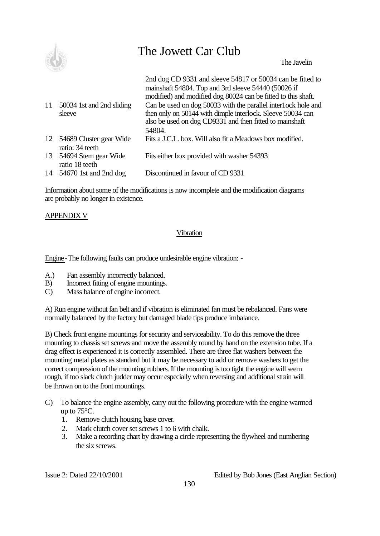

The Javelin

|    |                                           | 2nd dog CD 9331 and sleeve 54817 or 50034 can be fitted to                                                                                                                                       |
|----|-------------------------------------------|--------------------------------------------------------------------------------------------------------------------------------------------------------------------------------------------------|
|    |                                           | mainshaft 54804. Top and 3rd sleeve 54440 (50026 if                                                                                                                                              |
|    |                                           | modified) and modified dog 80024 can be fitted to this shaft.                                                                                                                                    |
| 11 | 50034 1st and 2nd sliding<br>sleeve       | Can be used on dog 50033 with the parallel interlock hole and<br>then only on 50144 with dimple interlock. Sleeve 50034 can<br>also be used on dog CD9331 and then fitted to mainshaft<br>54804. |
|    | 12 54689 Cluster gear Wide                | Fits a J.C.L. box. Will also fit a Meadows box modified.                                                                                                                                         |
|    | ratio: 34 teeth                           |                                                                                                                                                                                                  |
|    | 13 54694 Stem gear Wide<br>ratio 18 teeth | Fits either box provided with washer 54393                                                                                                                                                       |
|    | 14 54670 1st and 2nd dog                  | Discontinued in favour of CD 9331                                                                                                                                                                |

Information about some of the modifications is now incomplete and the modification diagrams are probably no longer in existence.

### APPENDIX V

### Vibration

Engine -The following faults can produce undesirable engine vibration: -

- A.) Fan assembly incorrectly balanced.
- B) Incorrect fitting of engine mountings.
- C) Mass balance of engine incorrect.

A) Run engine without fan belt and if vibration is eliminated fan must be rebalanced. Fans were normally balanced by the factory but damaged blade tips produce imbalance.

B) Check front engine mountings for security and serviceability. To do this remove the three mounting to chassis set screws and move the assembly round by hand on the extension tube. If a drag effect is experienced it is correctly assembled. There are three flat washers between the mounting metal plates as standard but it may be necessary to add or remove washers to get the correct compression of the mounting rubbers. If the mounting is too tight the engine will seem rough, if too slack clutch judder may occur especially when reversing and additional strain will be thrown on to the front mountings.

- C) To balance the engine assembly, carry out the following procedure with the engine warmed up to 75°C.
	- 1. Remove clutch housing base cover.
	- 2. Mark clutch cover set screws 1 to 6 with chalk.
	- 3. Make a recording chart by drawing a circle representing the flywheel and numbering the six screws.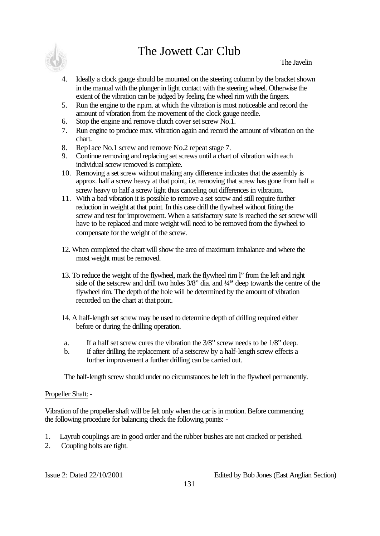

- Ideally a clock gauge should be mounted on the steering column by the bracket shown in the manual with the plunger in light contact with the steering wheel. Otherwise the extent of the vibration can be judged by feeling the wheel rim with the fingers.
- 5. Run the engine to the r.p.m. at which the vibration is most noticeable and record the amount of vibration from the movement of the clock gauge needle.
- 6. Stop the engine and remove clutch cover set screw No.1.
- 7. Run engine to produce max. vibration again and record the amount of vibration on the chart.
- 8. Rep1ace No.1 screw and remove No.2 repeat stage 7.
- 9. Continue removing and replacing set screws until a chart of vibration with each individual screw removed is complete.
- 10. Removing a set screw without making any difference indicates that the assembly is approx. half a screw heavy at that point, i.e. removing that screw has gone from half a screw heavy to half a screw light thus canceling out differences in vibration.
- 11. With a bad vibration it is possible to remove a set screw and still require further reduction in weight at that point. In this case drill the flywheel without fitting the screw and test for improvement. When a satisfactory state is reached the set screw will have to be replaced and more weight will need to be removed from the flywheel to compensate for the weight of the screw.
- 12. When completed the chart will show the area of maximum imbalance and where the most weight must be removed.
- 13. To reduce the weight of the flywheel, mark the flywheel rim l" from the left and right side of the setscrew and drill two holes 3/8" dia. and **¼"** deep towards the centre of the flywheel rim. The depth of the hole will be determined by the amount of vibration recorded on the chart at that point.
- 14. A half-length set screw may be used to determine depth of drilling required either before or during the drilling operation.
- a. If a half set screw cures the vibration the 3/8" screw needs to be 1/8" deep.
- b. If after drilling the replacement of a setscrew by a half-length screw effects a further improvement a further drilling can be carried out.

The half-length screw should under no circumstances be left in the flywheel permanently.

### Propeller Shaft:-

Vibration of the propeller shaft will be felt only when the car is in motion. Before commencing the following procedure for balancing check the following points: -

- 1. Layrub couplings are in good order and the rubber bushes are not cracked or perished.
- 2. Coupling bolts are tight.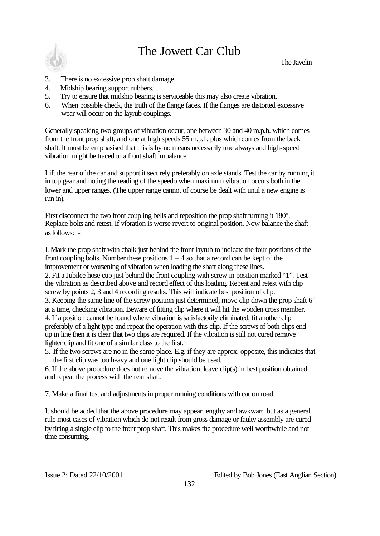

The Javelin

- 3. There is no excessive prop shaft damage.
- 4. Midship bearing support rubbers.<br>5. Try to ensure that midship bearing
- Try to ensure that midship bearing is serviceable this may also create vibration.
- 6. When possible check, the truth of the flange faces. If the flanges are distorted excessive wear will occur on the layrub couplings.

Generally speaking two groups of vibration occur, one between 30 and 40 m.p.h. which comes from the front prop shaft, and one at high speeds 55 m.p.h. plus which comes from the back shaft. It must be emphasised that this is by no means necessarily true always and high-speed vibration might be traced to a front shaft imbalance.

Lift the rear of the car and support it securely preferably on axle stands. Test the car by running it in top gear and noting the reading of the speedo when maximum vibration occurs both in the lower and upper ranges. (The upper range cannot of course be dealt with until a new engine is run in).

First disconnect the two front coupling bells and reposition the prop shaft turning it 180°. Replace bolts and retest. If vibration is worse revert to original position. Now balance the shaft as follows: -

I. Mark the prop shaft with chalk just behind the front layrub to indicate the four positions of the front coupling bolts. Number these positions  $1 - 4$  so that a record can be kept of the improvement or worsening of vibration when loading the shaft along these lines. 2. Fit a Jubilee hose cup just behind the front coupling with screw in position marked "1". Test the vibration as described above and record effect of this loading. Repeat and retest with clip screw by points 2, 3 and 4 recording results. This will indicate best position of clip. 3. Keeping the same line of the screw position just determined, move clip down the prop shaft 6" at a time, checking vibration. Beware of fitting clip where it will hit the wooden cross member. 4. If a position cannot be found where vibration is satisfactorily eliminated, fit another clip preferably of a light type and repeat the operation with this clip. If the screws of both clips end up in line then it is clear that two clips are required. If the vibration is still not cured remove lighter clip and fit one of a similar class to the first.

5. If the two screws are no in the same place. E.g. if they are approx. opposite, this indicates that the first clip was too heavy and one light clip should be used.

6. If the above procedure does not remove the vibration, leave clip(s) in best position obtained and repeat the process with the rear shaft.

7. Make a final test and adjustments in proper running conditions with car on road.

It should be added that the above procedure may appear lengthy and awkward but as a general rule most cases of vibration which do not result from gross damage or faulty assembly are cured by fitting a single clip to the front prop shaft. This makes the procedure well worthwhile and not time consuming.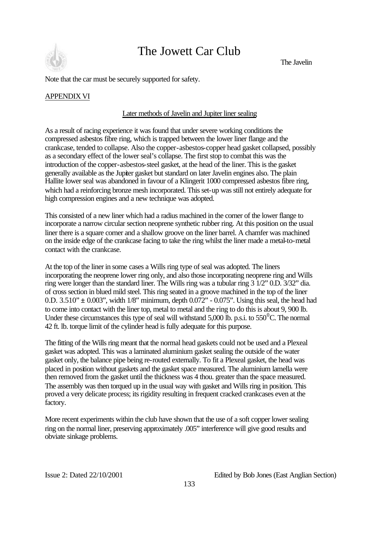

The Javelin

Note that the car must be securely supported for safety.

### APPENDIX VI

#### Later methods of Javelin and Jupiter liner sealing

As a result of racing experience it was found that under severe working conditions the compressed asbestos fibre ring, which is trapped between the lower liner flange and the crankcase, tended to collapse. Also the copper-asbestos-copper head gasket collapsed, possibly as a secondary effect of the lower seal's collapse. The first stop to combat this was the introduction of the copper-asbestos-steel gasket, at the head of the liner. This is the gasket generally available as the Jupiter gasket but standard on later Javelin engines also. The plain Hallite lower seal was abandoned in favour of a Klingerit 1000 compressed asbestos fibre ring, which had a reinforcing bronze mesh incorporated. This set-up was still not entirely adequate for high compression engines and a new technique was adopted.

This consisted of a new liner which had a radius machined in the corner of the lower flange to incorporate a narrow circular section neoprene synthetic rubber ring. At this position on the usual liner there is a square corner and a shallow groove on the liner barrel. A chamfer was machined on the inside edge of the crankcase facing to take the ring whilst the liner made a metal-to-metal contact with the crankcase.

At the top of the liner in some cases a Wills ring type of seal was adopted. The liners incorporating the neoprene lower ring only, and also those incorporating neoprene ring and Wills ring were longer than the standard liner. The Wills ring was a tubular ring 3 1/2" 0.D. 3/32" dia. of cross section in blued mild steel. This ring seated in a groove machined in the top of the liner 0.D. 3.510" **±** 0.003", width 1/8" minimum, depth 0.072" - 0.075". Using this seal, the head had to come into contact with the liner top, metal to metal and the ring to do this is about 9, 900 lb. Under these circumstances this type of seal will withstand  $5,000$  lb. p.s.i. to  $550^{\circ}$ C. The normal 42 ft. lb. torque limit of the cylinder head is fully adequate for this purpose.

The fitting of the Wills ring meant that the normal head gaskets could not be used and a Plexeal gasket was adopted. This was a laminated aluminium gasket sealing the outside of the water gasket only, the balance pipe being re-routed externally. To fit a Plexeal gasket, the head was placed in position without gaskets and the gasket space measured. The aluminium lamella were then removed from the gasket until the thickness was 4 thou. greater than the space measured. The assembly was then torqued up in the usual way with gasket and Wills ring in position. This proved a very delicate process; its rigidity resulting in frequent cracked crankcases even at the factory.

More recent experiments within the club have shown that the use of a soft copper lower sealing ring on the normal liner, preserving approximately .005" interference will give good results and obviate sinkage problems.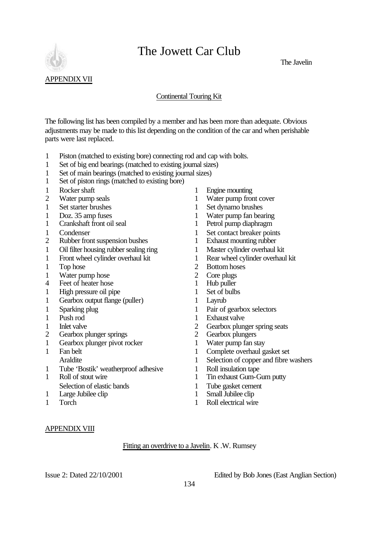

The Javelin

### Continental Touring Kit

The following list has been compiled by a member and has been more than adequate. Obvious adjustments may be made to this list depending on the condition of the car and when perishable parts were last replaced.

- 1 Piston (matched to existing bore) connecting rod and cap with bolts.
- 1 Set of big end bearings (matched to existing journal sizes)
- 1 Set of main bearings (matched to existing journal sizes)
- 1 Set of piston rings (matched to existing bore)
- 
- 
- 1 Set starter brushes 1 Set dynamo brushes
- 
- 1 Crankshaft front oil seal 1 Petrol pump diaphragm
- 
- 1 Condenser<br>
2 Rubber front suspension bushes<br>
1 Set contact breaker points<br>
1 Exhaust mounting rubber 2 Rubber front suspension bushes 1
- 1 Oil filter housing rubber sealing ring 1 Master cylinder overhaul kit
- 1 Front wheel cylinder overhaul kit 1 Rear wheel cylinder overhaul kit
- 
- 1 Water pump hose 2 Core plugs
- 4 Feet of heater hose 1 Hub puller
- 1 High pressure oil pipe 1 Set of bulbs
- 1 Gearbox output flange (puller) 1 Layrub
- 
- 
- 
- 2 Gearbox plunger springs 2 Gearbox plungers
- 1 Gearbox plunger pivot rocker 1 Water pump fan stay
- 
- 
- 1 Tube 'Bostik' weatherproof adhesive 1 Roll insulation tape
- 
- Selection of elastic bands<br>
1 Tube gasket cement<br>
1 Small Jubilee clip<br>
1 Small Jubilee clip 1 Large Jubilee clip
- 
- 
- 1 Rocker shaft 1 Engine mounting
- 2 Water pump seals 1 Water pump front cover
	-
- 1 Doz. 35 amp fuses 1 Water pump fan bearing
	-
	-
	-
	-
	-
- 1 Top hose 2 Bottom hoses
	-
	-
	-
	-
- 1 Sparking plug 1 Pair of gearbox selectors
- 1 Push rod 1 Exhaust valve
- 1 Inlet valve 2 Gearbox plunger spring seats
	-
	-
- 1 Fan belt 1 Complete overhaul gasket set
	- Araldite 1 Selection of copper and fibre washers
		-
- 1 Roll of stout wire 1 Tin exhaust Gum-Gum putty
	-
	-
- 1 Torch 1 Roll electrical wire

### **APPENDIX VIII**

Fitting an overdrive to a Javelin. K .W. Rumsey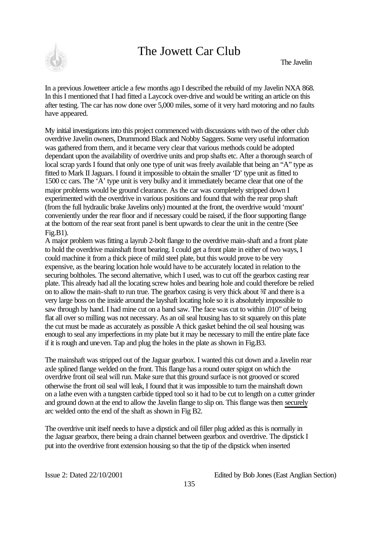

The Javelin

In a previous Jowetteer article a few months ago I described the rebuild of my Javelin NXA 868. In this I mentioned that I had fitted a Laycock over-drive and would be writing an article on this after testing. The car has now done over 5,000 miles, some of it very hard motoring and no faults have appeared.

My initial investigations into this project commenced with discussions with two of the other club overdrive Javelin owners, Drummond Black and Nobby Saggers. Some very useful information was gathered from them, and it became very clear that various methods could be adopted dependant upon the availability of overdrive units and prop shafts etc. After a thorough search of local scrap yards I found that only one type of unit was freely available that being an "A" type as fitted to Mark II Jaguars. I found it impossible to obtain the smaller 'D' type unit as fitted to 1500 cc cars. The 'A' type unit is very bulky and it immediately became clear that one of the major problems would be ground clearance. As the car was completely stripped down I experimented with the overdrive in various positions and found that with the rear prop shaft (from the full hydraulic brake Javelins only) mounted at the front, the overdrive would 'mount' conveniently under the rear floor and if necessary could be raised, if the floor supporting flange at the bottom of the rear seat front panel is bent upwards to clear the unit in the centre (See Fig.B1).

A major problem was fitting a layrub 2-bolt flange to the overdrive main-shaft and a front plate to hold the overdrive mainshaft front bearing. I could get a front plate in either of two ways, I could machine it from a thick piece of mild steel plate, but this would prove to be very expensive, as the bearing location hole would have to be accurately located in relation to the securing boltholes. The second alternative, which I used, was to cut off the gearbox casting rear plate. This already had all the locating screw holes and bearing hole and could therefore be relied on to allow the main-shaft to run true. The gearbox casing is very thick about  $\frac{3}{4}$  and there is a very large boss on the inside around the layshaft locating hole so it is absolutely impossible to saw through by hand. I had mine cut on a band saw. The face was cut to within .010" of being flat all over so milling was not necessary. As an oil seal housing has to sit squarely on this plate the cut must be made as accurately as possible A thick gasket behind the oil seal housing was enough to seal any imperfections in my plate but it may be necessary to mill the entire plate face if it is rough and uneven. Tap and plug the holes in the plate as shown in Fig.B3.

The mainshaft was stripped out of the Jaguar gearbox. I wanted this cut down and a Javelin rear axle splined flange welded on the front. This flange has a round outer spigot on which the overdrive front oil seal will run. Make sure that this ground surface is not grooved or scored otherwise the front oil seal will leak, I found that it was impossible to turn the mainshaft down on a lathe even with a tungsten carbide tipped tool so it had to be cut to length on a cutter grinder and ground down at the end to allow the Javelin flange to slip on. This flange was then securely arc welded onto the end of the shaft as shown in Fig B2.

The overdrive unit itself needs to have a dipstick and oil filler plug added as this is normally in the Jaguar gearbox, there being a drain channel between gearbox and overdrive. The dipstick I put into the overdrive front extension housing so that the tip of the dipstick when inserted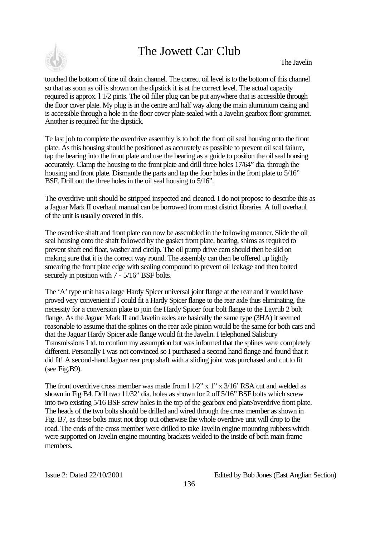

The Javelin

touched the bottom of tine oil drain channel. The correct oil level is to the bottom of this channel so that as soon as oil is shown on the dipstick it is at the correct level. The actual capacity required is approx. l 1/2 pints. The oil filler plug can be put anywhere that is accessible through the floor cover plate. My plug is in the centre and half way along the main aluminium casing and is accessible through a hole in the floor cover plate sealed with a Javelin gearbox floor grommet. Another is required for the dipstick.

Te last job to complete the overdrive assembly is to bolt the front oil seal housing onto the front plate. As this housing should be positioned as accurately as possible to prevent oil seal failure, tap the bearing into the front plate and use the bearing as a guide to position the oil seal housing accurately. Clamp the housing to the front plate and drill three holes 17/64" dia. through the housing and front plate. Dismantle the parts and tap the four holes in the front plate to 5/16" BSF. Drill out the three holes in the oil seal housing to 5/16".

The overdrive unit should be stripped inspected and cleaned. I do not propose to describe this as a Jaguar Mark II overhaul manual can be borrowed from most district libraries. A full overhaul of the unit is usually covered in this.

The overdrive shaft and front plate can now be assembled in the following manner. Slide the oil seal housing onto the shaft followed by the gasket front plate, bearing, shims as required to prevent shaft end float, washer and circlip. The oil pump drive cam should then be slid on making sure that it is the correct way round. The assembly can then be offered up lightly smearing the front plate edge with sealing compound to prevent oil leakage and then bolted securely in position with 7 - 5/16" BSF bolts.

The 'A' type unit has a large Hardy Spicer universal joint flange at the rear and it would have proved very convenient if I could fit a Hardy Spicer flange to the rear axle thus eliminating, the necessity for a conversion plate to join the Hardy Spicer four bolt flange to the Layrub 2 bolt flange. As the Jaguar Mark II and Javelin axles are basically the same type (3HA) it seemed reasonable to assume that the splines on the rear axle pinion would be the same for both cars and that the Jaguar Hardy Spicer axle flange would fit the Javelin. I telephoned Salisbury Transmissions Ltd. to confirm my assumption but was informed that the splines were completely different. Personally I was not convinced so I purchased a second hand flange and found that it did fit! A second-hand Jaguar rear prop shaft with a sliding joint was purchased and cut to fit (see Fig.B9).

The front overdrive cross member was made from 1 1/2" x 1" x 3/16' RSA cut and welded as shown in Fig B4. Drill two 11/32' dia. holes as shown for 2 off 5/16" BSF bolts which screw into two existing 5/16 BSF screw holes in the top of the gearbox end plate/overdrive front plate. The heads of the two bolts should be drilled and wired through the cross member as shown in Fig. B7, as these bolts must not drop out otherwise the whole overdrive unit will drop to the road. The ends of the cross member were drilled to take Javelin engine mounting rubbers which were supported on Javelin engine mounting brackets welded to the inside of both main frame members.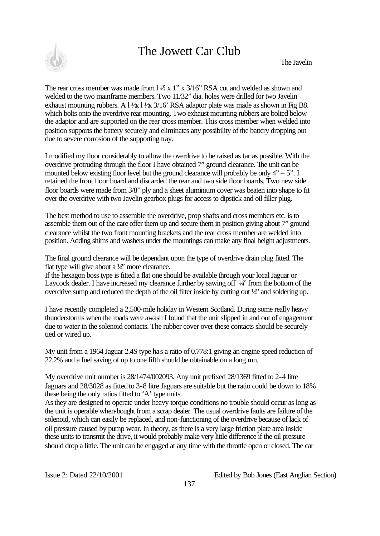

The rear cross member was made from  $1\frac{1}{2}$  x  $1''$  x  $3/16''$  RSA cut and welded as shown and welded to the two mainframe members. Two 11/32" dia. holes were drilled for two Javelin exhaust mounting rubbers. A  $1\frac{1}{x}$   $1\frac{1}{x}$  3/16' RSA adaptor plate was made as shown in Fig B8. which bolts onto the overdrive rear mounting. Two exhaust mounting rubbers are bolted below the adaptor and are supported on the rear cross member. This cross member when welded into position supports the battery securely and eliminates any possibility of the battery dropping out due to severe corrosion of the supporting tray.

I modified my floor considerably to allow the overdrive to be raised as far as possible. With the overdrive protruding through the floor I have obtained 7" ground clearance. The unit can be mounted below existing floor level but the ground clearance will probably be only  $4" - 5"$ . I retained the front floor board and discarded the rear and two side floor boards, Two new side floor boards were made from 3/8" ply and a sheet aluminium cover was beaten into shape to fit over the overdrive with two Javelin gearbox plugs for access to dipstick and oil filler plug.

The best method to use to assemble the overdrive, prop shafts and cross members etc. is to assemble them out of the care offer them up and secure them in position giving about 7" ground clearance whilst the two front mounting brackets and the rear cross member are welded into position. Adding shims and washers under the mountings can make any final height adjustments.

The final ground clearance will be dependant upon the type of overdrive drain plug fitted. The flat type will give about a  $\frac{1}{4}$  more clearance.

If the hexagon boss type is fitted a flat one should be available through your local Jaguar or Laycock dealer. I have increased my clearance further by sawing off  $\frac{1}{4}$  from the bottom of the overdrive sump and reduced the depth of the oil filter inside by cutting out ¼" and soldering up.

I have recently completed a 2,500-mile holiday in Western Scotland. During some really heavy thunderstorms when the roads were awash I found that the unit slipped in and out of engagement due to water in the solenoid contacts. The rubber cover over these contacts should be securely tied or wired up.

My unit from a 1964 Jaguar 2.4S type has a ratio of 0.778:1 giving an engine speed reduction of 22.2% and a fuel saving of up to one fifth should be obtainable on a long run.

My overdrive unit number is 28/1474/002093. Any unit prefixed 28/1369 fitted to 2-4 litre Jaguars and 28/3028 as fitted to 3-8 litre Jaguars are suitable but the ratio could be down to 18% these being the only ratios fitted to 'A' type units.

Asthey are designed to operate under heavy torque conditions no trouble should occur as long as the unit is operable when-bought from a scrap dealer. The usual overdrive faults are failure of the solenoid, which can easily be replaced, and non-functioning of the overdrive because of lack of oil pressure caused by pump wear. In theory, as there is a very large friction plate area inside these units to transmit the drive, it would probably make very little difference if the oil pressure should drop a little. The unit can be engaged at any time with the throttle open or closed. The car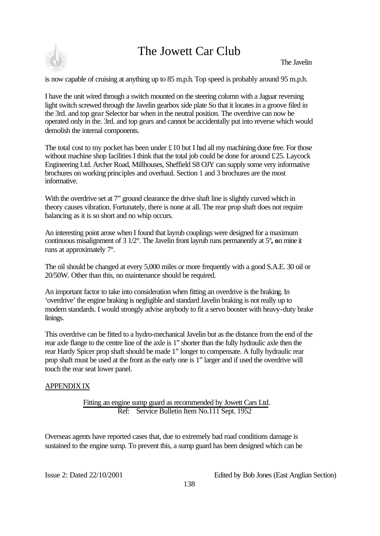

The Javelin

is now capable of cruising at anything up to 85 m.p.h. Top speed is probably around 95 m.p.h.

I have the unit wired through a switch mounted on the steering column with a Jaguar reversing light switch screwed through the Javelin gearbox side plate So that it locates in a groove filed in the 3rd. and top gear Selector bar when in the neutral position. The overdrive can now be operated only in the. 3rd. and top gears and cannot be accidentally put into reverse which would demolish the internal components.

The total cost to my pocket has been under  $\pounds 10$  but I had all my machining done free. For those without machine shop facilities I think that the total job could be done for around £25. Laycock Engineering Ltd. Archer Road, Millhouses, Sheffield S8 OJY can supply some very informative brochures on working principles and overhaul. Section 1 and 3 brochures are the most informative.

With the overdrive set at  $7$ " ground clearance the drive shaft line is slightly curved which in theory causes vibration. Fortunately, there is none at all. The rear prop shaft does not require balancing as it is so short and no whip occurs.

An interesting point arose when I found that layrub couplings were designed for a maximum continuous misalignment of 3 1/2°. The Javelin front layrub runs permanently at 5°**, o**n mine it runs at approximately 7°.

The oil should be changed at every 5,000 miles or more frequently with a good S.A.E. 30 oil or 20/50W. Other than this, no maintenance should be required.

An important factor to take into consideration when fitting an overdrive is the braking. In 'overdrive' the engine braking is negligible and standard Javelin braking is not really up to modern standards. I would strongly advise anybody to fit a servo booster with heavy-duty brake linings.

This overdrive can be fitted to a hydro-mechanical Javelin but as the distance from the end of the rear axle flange to the centre line of the axle is 1" shorter than the fully hydraulic axle then the rear Hardy Spicer prop shaft should be made 1" longer to compensate. A fully hydraulic rear prop shaft must be used at the front as the early one is 1" larger and if used the overdrive will touch the rear seat lower panel.

### APPENDIX IX

Fitting an engine sump guard as recommended by Jowett Cars Ltd. Ref: Service Bulletin Item No.111 Sept. 1952

Overseas agents have reported cases that, due to extremely bad road conditions damage is sustained to the engine sump. To prevent this, a sump guard has been designed which can be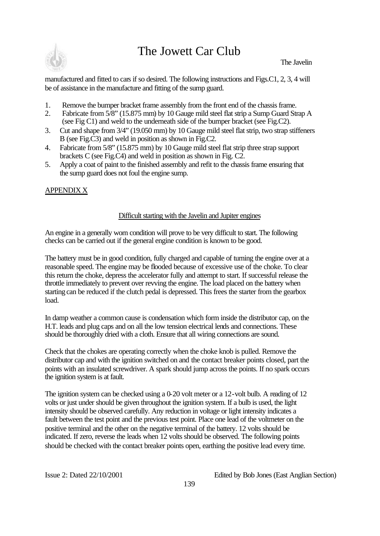

manufactured and fitted to cars if so desired. The following instructions and Figs.C1, 2, 3, 4 will be of assistance in the manufacture and fitting of the sump guard.

- 1. Remove the bumper bracket frame assembly from the front end of the chassis frame.
- 2. Fabricate from 5/8" (15.875 mm) by 10 Gauge mild steel flat strip a Sump Guard Strap A (see Fig C1) and weld to the underneath side of the bumper bracket (see Fig.C2).
- 3. Cut and shape from 3/4" (19.050 mm) by 10 Gauge mild steel flat strip, two strap stiffeners B (see Fig.C3) and weld in position as shown in Fig.C2.
- 4. Fabricate from 5/8" (15.875 mm) by 10 Gauge mild steel flat strip three strap support brackets C (see Fig.C4) and weld in position as shown in Fig. C2.
- 5. Apply a coat of paint to the finished assembly and refit to the chassis frame ensuring that the sump guard does not foul the engine sump.

### APPENDIX X

#### Difficult starting with the Javelin and Jupiter engines

An engine in a generally worn condition will prove to be very difficult to start. The following checks can be carried out if the general engine condition is known to be good.

The battery must be in good condition, fully charged and capable of turning the engine over at a reasonable speed. The engine may be flooded because of excessive use of the choke. To clear this return the choke, depress the accelerator fully and attempt to start. If successful release the throttle immediately to prevent over revving the engine. The load placed on the battery when starting can be reduced if the clutch pedal is depressed. This frees the starter from the gearbox load.

In damp weather a common cause is condensation which form inside the distributor cap, on the H.T. leads and plug caps and on all the low tension electrical lends and connections. These should be thoroughly dried with a cloth. Ensure that all wiring connections are sound.

Check that the chokes are operating correctly when the choke knob is pulled. Remove the distributor cap and with the ignition switched on and the contact breaker points closed, part the points with an insulated screwdriver. A spark should jump across the points. If no spark occurs the ignition system is at fault.

The ignition system can be checked using a 0-20 volt meter or a 12-volt bulb. A reading of 12 volts or just under should be given throughout the ignition system. If a bulb is used, the light intensity should be observed carefully. Any reduction in voltage or light intensity indicates a fault between the test point and the previous test point. Place one lead of the voltmeter on the positive terminal and the other on the negative terminal of the battery. 12 volts should be indicated. If zero, reverse the leads when 12 volts should be observed. The following points should be checked with the contact breaker points open, earthing the positive lead every time.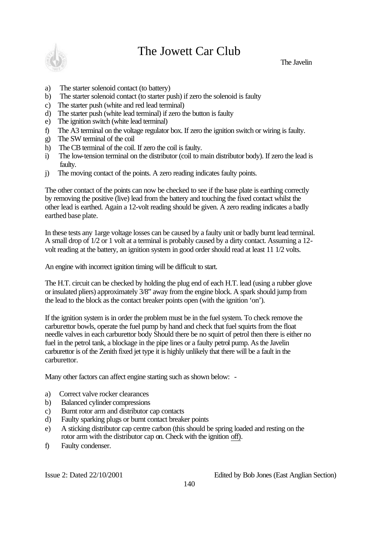

The Javelin

- a) The starter solenoid contact (to battery)
- b) The starter solenoid contact (to starter push) if zero the solenoid is faulty
- c) The starter push (white and red lead terminal)
- d) The starter push (white lead terminal) if zero the button is faulty
- e) The ignition switch (white lead terminal)
- f) The A3 terminal on the voltage regulator box. If zero the ignition switch or wiring is faulty.
- g) The SW terminal of the coil
- h) The CB terminal of the coil. If zero the coil is faulty.
- i) The low-tension terminal on the distributor (coil to main distributor body). If zero the lead is faulty.
- j) The moving contact of the points. A zero reading indicates faulty points.

The other contact of the points can now be checked to see if the base plate is earthing correctly by removing the positive (live) lead from the battery and touching the fixed contact whilst the other lead is earthed. Again a 12-volt reading should be given. A zero reading indicates a badly earthed base plate.

In these tests any 1arge voltage losses can be caused by a faulty unit or badly burnt lead terminal. A small drop of 1/2 or 1 volt at a terminal is probably caused by a dirty contact. Assuming a 12 volt reading at the battery, an ignition system in good order should read at least 11 1/2 volts.

An engine with incorrect ignition timing will be difficult to start.

The H.T. circuit can be checked by holding the plug end of each H.T. lead (using a rubber glove or insulated pliers) approximately 3/8" away from the engine block. A spark should jump from the lead to the block as the contact breaker points open (with the ignition 'on').

If the ignition system is in order the problem must be in the fuel system. To check remove the carburettor bowls, operate the fuel pump by hand and check that fuel squirts from the float needle valves in each carburettor body Should there be no squirt of petrol then there is either no fuel in the petrol tank, a blockage in the pipe lines or a faulty petrol pump. As the Javelin carburettor is of the Zenith fixed jet type it is highly unlikely that there will be a fault in the carburettor.

Many other factors can affect engine starting such as shown below: -

- a) Correct valve rocker clearances
- b) Balanced cylinder compressions
- c) Burnt rotor arm and distributor cap contacts
- d) Faulty sparking plugs or burnt contact breaker points
- e) A sticking distributor cap centre carbon (this should be spring loaded and resting on the rotor arm with the distributor cap on. Check with the ignition off).
- f) Faulty condenser.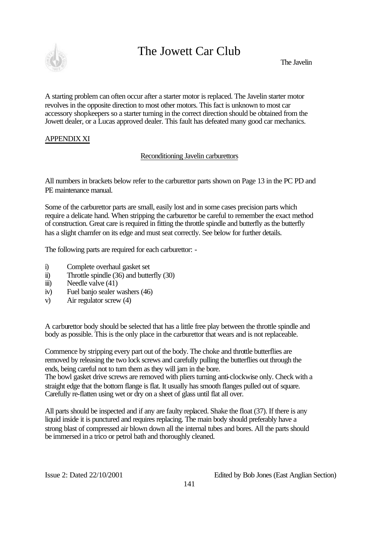

A starting problem can often occur after a starter motor is replaced. The Javelin starter motor revolves in the opposite direction to most other motors. This fact is unknown to most car accessory shopkeepers so a starter turning in the correct direction should be obtained from the Jowett dealer, or a Lucas approved dealer. This fault has defeated many good car mechanics.

### APPENDIX XI

### Reconditioning Javelin carburettors

All numbers in brackets below refer to the carburettor parts shown on Page 13 in the PC PD and PE maintenance manual.

Some of the carburettor parts are small, easily lost and in some cases precision parts which require a delicate hand. When stripping the carburettor be careful to remember the exact method of construction. Great care is required in fitting the throttle spindle and butterfly as the butterfly has a slight chamfer on its edge and must seat correctly. See below for further details.

The following parts are required for each carburettor: -

- i) Complete overhaul gasket set
- ii) Throttle spindle (36) and butterfly (30)
- iii) Needle valve (41)
- iv) Fuel banjo sealer washers (46)
- v) Air regulator screw (4)

A carburettor body should be selected that has a little free play between the throttle spindle and body as possible. This is the only place in the carburettor that wears and is not replaceable.

Commence by stripping every part out of the body. The choke and throttle butterflies are removed by releasing the two lock screws and carefully pulling the butterflies out through the ends, being careful not to turn them as they will jam in the bore.

The bowl gasket drive screws are removed with pliers turning anti-clockwise only. Check with a straight edge that the bottom flange is flat. It usually has smooth flanges pulled out of square. Carefully re-flatten using wet or dry on a sheet of glass until flat all over.

All parts should be inspected and if any are faulty replaced. Shake the float (37). If there is any liquid inside it is punctured and requires replacing. The main body should preferably have a strong blast of compressed air blown down all the internal tubes and bores. All the parts should be immersed in a trico or petrol bath and thoroughly cleaned.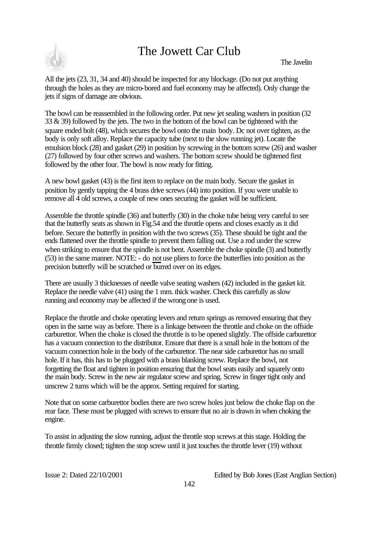

The Javelin

All the jets (23, 31, 34 and 40) should be inspected for any blockage. (Do not put anything through the holes as they are micro-bored and fuel economy may be affected). Only change the jets if signs of damage are obvious.

The bowl can be reassembled in the following order. Put new jet sealing washers in position (32 33 & 39) followed by the jets. The two in the bottom of the bowl can be tightened with the square ended bolt (48), which secures the bowl onto the main body. Dc not over tighten, as the body is only soft alloy. Replace the capacity tube (next to the slow running jet). Locate the emulsion block (28) and gasket (29) in position by screwing in the bottom screw (26) and washer (27) followed by four other screws and washers. The bottom screw should be tightened first followed by the other four. The bowl is now ready for fitting.

A new bowl gasket (43) is the first item to replace on the main body. Secure the gasket in position by gently tapping the 4 brass drive screws (44) into position. If you were unable to remove all 4 old screws, a couple of new ones securing the gasket will be sufficient.

Assemble the throttle spindle (36) and butterfly (30) in the choke tube being very careful to see that the butterfly seats as shown in Fig.54 and the throttle opens and closes exactly as it did before. Secure the butterfly in position with the two screws (35). These should be tight and the ends flattened over the throttle spindle to prevent them falling out. Use a rod under the screw when striking to ensure that the spindle is not bent. Assemble the choke spindle (3) and butterfly (53) in the same manner. NOTE: - do not use pliers to force the butterflies into position as the precision butterfly will be scratched or burred over on its edges.

There are usually 3 thicknesses of needle valve seating washers (42) included in the gasket kit. Replace the needle valve (41) using the 1 mm. thick washer. Check this carefully as slow running and economy may be affected if the wrong one is used.

Replace the throttle and choke operating levers and return springs as removed ensuring that they open in the same way as before. There is a linkage between the throttle and choke on the offside carburettor. When the choke is closed the throttle is to be opened slightly. The offside carburettor has a vacuum connection to the distributor. Ensure that there is a small hole in the bottom of the vacuum connection hole in the body of the carburettor. The near side carburettor has no small hole. If it has, this has to be plugged with a brass blanking screw. Replace the bowl, not forgetting the float and tighten in position ensuring that the bowl seats easily and squarely onto the main body. Screw in the new air regulator screw and spring. Screw in finger tight only and unscrew 2 turns which will be the approx. Setting required for starting.

Note that on some carburettor bodies there are two screw holes just below the choke flap on the rear face. These must be plugged with screws to ensure that no air is drawn in when choking the engine.

To assist in adjusting the slow running, adjust the throttle stop screws at this stage. Holding the throttle firmly closed; tighten the stop screw until it just touches the throttle lever (19) without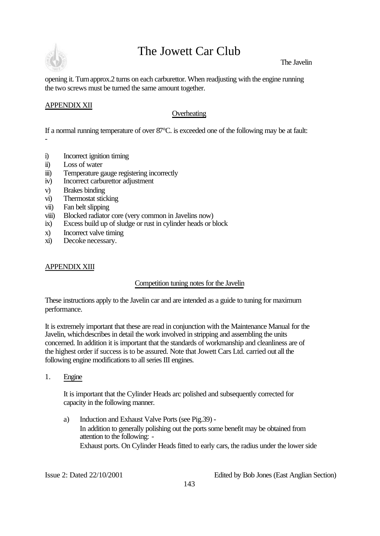

The Javelin

opening it. Turn approx.2 turns on each carburettor. When readjusting with the engine running the two screws must be turned the same amount together.

### APPENDIX XII

### **Overheating**

If a normal running temperature of over 87°C. is exceeded one of the following may be at fault: -

- i) Incorrect ignition timing
- ii) Loss of water
- iii) Temperature gauge registering incorrectly
- iv) Incorrect carburettor adjustment
- v) Brakes binding
- vi) Thermostat sticking
- vii) Fan belt slipping
- viii) Blocked radiator core (very common in Javelins now)
- ix) Excess build up of sludge or rust in cylinder heads or block
- x) Incorrect valve timing
- xi) Decoke necessary.

#### APPENDIX XIII

#### Competition tuning notes for the Javelin

These instructions apply to the Javelin car and are intended as a guide to tuning for maximum performance.

It is extremely important that these are read in conjunction with the Maintenance Manual for the Javelin, which describes in detail the work involved in stripping and assembling the units concerned. In addition it is important that the standards of workmanship and cleanliness are of the highest order if success is to be assured. Note that Jowett Cars Ltd. carried out all the following engine modifications to all series III engines.

1. Engine

It is important that the Cylinder Heads arc polished and subsequently corrected for capacity in the following manner.

a) Induction and Exhaust Valve Ports (see Pig.39) - In addition to generally polishing out the ports some benefit may be obtained from attention to the following: - Exhaust ports. On Cylinder Heads fitted to early cars, the radius under the lower side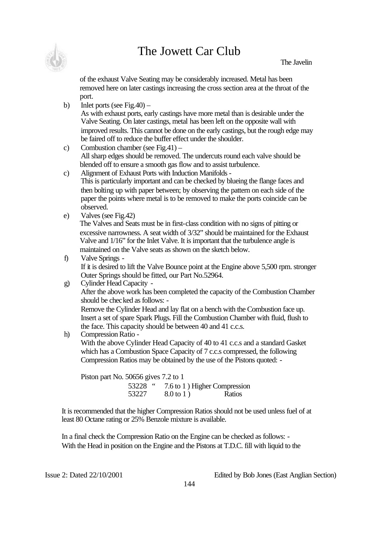

The Javelin

of the exhaust Valve Seating may be considerably increased. Metal has been removed here on later castings increasing the cross section area at the throat of the port.

- b) Inlet ports (see Fig. 40)  $-$ As with exhaust ports, early castings have more metal than is desirable under the Valve Seating. On later castings, metal has been left on the opposite wall with improved results. This cannot be done on the early castings, but the rough edge may be faired off to reduce the buffer effect under the shoulder.
- c) Combustion chamber (see Fig. 41) All sharp edges should be removed. The undercuts round each valve should be blended off to ensure a smooth gas flow and to assist turbulence.
- c) Alignment of Exhaust Ports with Induction Manifolds This is particularly important and can be checked by blueing the flange faces and then bolting up with paper between; by observing the pattern on each side of the paper the points where metal is to be removed to make the ports coincide can be observed.
- e) Valves (see Fig.42)

The Valves and Seats must be in first-class condition with no signs of pitting or excessive narrowness. A seat width of 3/32" should be maintained for the Exhaust Valve and 1/16" for the Inlet Valve. It is important that the turbulence angle is maintained on the Valve seats as shown on the sketch below.

- f) Valve Springs If it is desired to lift the Valve Bounce point at the Engine above 5,500 rpm. stronger Outer Springs should be fitted, our Part No.52964.
- g) Cylinder Head Capacity After the above work has been completed the capacity of the Combustion Chamber should be checked as follows: -Remove the Cylinder Head and lay flat on a bench with the Combustion face up. Insert a set of spare Spark Plugs. Fill the Combustion Chamber with fluid, flush to the face. This capacity should be between 40 and 41 c.c.s.
- h) Compression Ratio With the above Cylinder Head Capacity of 40 to 41 c.c.s and a standard Gasket which has a Combustion Space Capacity of 7 c.c.s compressed, the following Compression Ratios may be obtained by the use of the Pistons quoted: -

Piston part No. 50656 gives 7.2 to 1 53228 " 7.6 to 1) Higher Compression<br>53227 8.0 to 1) Ratios  $8.0 \text{ to } 1$  ) Ratios

It is recommended that the higher Compression Ratios should not be used unless fuel of at least 80 Octane rating or 25% Benzole mixture is available.

In a final check the Compression Ratio on the Engine can be checked as follows: - With the Head in position on the Engine and the Pistons at T.D.C. fill with liquid to the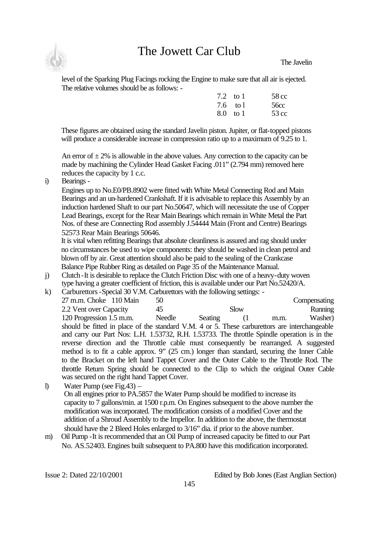

The Javelin

level of the Sparking Plug Facings rocking the Engine to make sure that all air is ejected. The relative volumes should be as follows: -

| $7.2 \pm 0.1$       | 58 cc |
|---------------------|-------|
| 7.6 to $\mathbf{I}$ | 56cc  |
| 8.0 to 1            | 53 cc |

These figures are obtained using the standard Javelin piston. Jupiter, or flat-topped pistons will produce a considerable increase in compression ratio up to a maximum of 9.25 to 1.

An error of  $\pm 2\%$  is allowable in the above values. Any correction to the capacity can be made by machining the Cylinder Head Gasket Facing .011" (2.794 mm) removed here reduces the capacity by 1 c.c.

i) Bearings -

Engines up to No.E0/PB.8902 were fitted with White Metal Connecting Rod and Main Bearings and an un-hardened Crankshaft. If it is advisable to replace this Assembly by an induction hardened Shaft to our part No.50647, which will necessitate the use of Copper Lead Bearings, except for the Rear Main Bearings which remain in White Metal the Part Nos. of these are Connecting Rod assembly J.54444 Main (Front and Centre) Bearings 52573 Rear Main Bearings 50646.

It is vital when refitting Bearings that absolute cleanliness is assured and rag should under no circumstances be used to wipe components: they should be washed in clean petrol and blown off by air. Great attention should also be paid to the sealing of the Crankcase Balance Pipe Rubber Ring as detailed on Page 35 of the Maintenance Manual.

- j) Clutch -It is desirable to replace the Clutch Friction Disc with one of a heavy-duty woven type having a greater coefficient of friction, this is available under our Part No.52420/A.
- k) Carburettors -Special 30 V.M. Carburettors with the following settings: -

27 m.m. Choke 110 Main 50 Compensating 2.2 Vent over Capacity  $45$  Slow Slow Running 120 Progression 1.5 m.m. Needle Seating (1 m.m. Washer) should be fitted in place of the standard V.M. 4 or 5. These carburettors are interchangeable and carry our Part Nos: L.H. 1.53732, R.H. 1.53733. The throttle Spindle operation is in the reverse direction and the Throttle cable must consequently be rearranged. A suggested method is to fit a cable approx. 9" (25 cm.) longer than standard, securing the Inner Cable to the Bracket on the left hand Tappet Cover and the Outer Cable to the Throttle Rod. The throttle Return Spring should be connected to the Clip to which the original Outer Cable was secured on the right hand Tappet Cover.

- l) Water Pump (see Fig.43) On all engines prior to PA.5857 the Water Pump should be modified to increase its capacity to 7 gallons/min. at 1500 r.p.m. On Engines subsequent to the above number the modification was incorporated. The modification consists of a modified Cover and the addition of a Shroud Assembly to the Impellor. In addition to the above, the thermostat should have the 2 Bleed Holes enlarged to 3/16" dia. if prior to the above number.
- m) Oil Pump -It is recommended that an Oil Pump of increased capacity be fitted to our Part No. AS.52403. Engines built subsequent to PA.800 have this modification incorporated.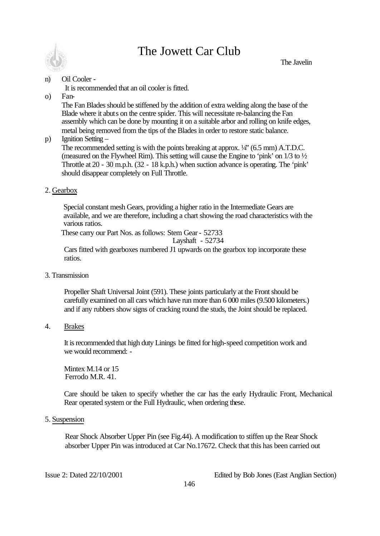

The Javelin

### n) Oil Cooler -

It is recommended that an oil cooler is fitted.

o) Fan-

The Fan Blades should be stiffened by the addition of extra welding along the base of the Blade where it abuts on the centre spider. This will necessitate re-balancing the Fan assembly which can be done by mounting it on a suitable arbor and rolling on knife edges, metal being removed from the tips of the Blades in order to restore static balance.

p) Ignition Setting –

The recommended setting is with the points breaking at approx. ¼" (6.5 mm) A.T.D.C. (measured on the Flywheel Rim). This setting will cause the Engine to 'pink' on 1/3 to ½ Throttle at 20 - 30 m.p.h. (32 - 18 k.p.h.) when suction advance is operating. The 'pink' should disappear completely on Full Throttle.

### 2. Gearbox

Special constant mesh Gears, providing a higher ratio in the Intermediate Gears are available, and we are therefore, including a chart showing the road characteristics with the various ratios.

These carry our Part Nos. as follows: Stem Gear - 52733

Layshaft - 52734

Cars fitted with gearboxes numbered J1 upwards on the gearbox top incorporate these ratios.

3. Transmission

Propeller Shaft Universal Joint (591). These joints particularly at the Front should be carefully examined on all cars which have run more than 6 000 miles (9.500 kilometers.) and if any rubbers show signs of cracking round the studs, the Joint should be replaced.

4. Brakes

It is recommended that high duty Linings be fitted for high-speed competition work and we would recommend: -

Mintex M.14 or 15 Ferrodo M.R. 41.

Care should be taken to specify whether the car has the early Hydraulic Front, Mechanical Rear operated system or the Full Hydraulic, when ordering these.

5. Suspension

Rear Shock Absorber Upper Pin (see Fig.44). A modification to stiffen up the Rear Shock absorber Upper Pin was introduced at Car No.17672. Check that this has been carried out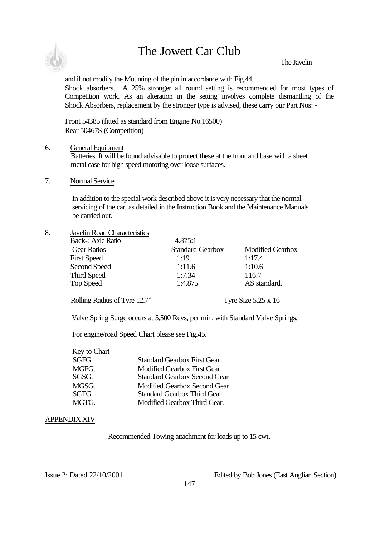

The Javelin

and if not modify the Mounting of the pin in accordance with Fig.44.

Shock absorbers. A 25% stronger all round setting is recommended for most types of Competition work. As an alteration in the setting involves complete dismantling of the Shock Absorbers, replacement by the stronger type is advised, these carry our Part Nos: -

Front 54385 (fitted as standard from Engine No.16500) Rear 50467S (Competition)

#### 6. General Equipment

Batteries. It will be found advisable to protect these at the front and base with a sheet metal case for high speed motoring over loose surfaces.

#### 7. Normal Service

In addition to the special work described above it is very necessary that the normal servicing of the car, as detailed in the Instruction Book and the Maintenance Manuals be carried out.

#### 8. Javelin Road Characteristics

| Back-: Axle Ratio  | 4.875:1                 |                         |
|--------------------|-------------------------|-------------------------|
| <b>Gear Ratios</b> | <b>Standard Gearbox</b> | <b>Modified Gearbox</b> |
| <b>First Speed</b> | 1:19                    | 1:17.4                  |
| Second Speed       | 1:11.6                  | 1:10.6                  |
| Third Speed        | 1:7.34                  | 116.7                   |
| Top Speed          | 1:4.875                 | AS standard.            |
|                    |                         |                         |

Rolling Radius of Tyre 12.7" Tyre Size 5.25 x 16

Valve Spring Surge occurs at 5,500 Revs, per min. with Standard Valve Springs.

For engine/road Speed Chart please see Fig.45.

| <b>Standard Gearbox First Gear</b>  |
|-------------------------------------|
| Modified Gearbox First Gear         |
| <b>Standard Gearbox Second Gear</b> |
| Modified Gearbox Second Gear        |
| Standard Gearbox Third Gear         |
| Modified Gearbox Third Gear.        |
|                                     |

#### APPENDIX XIV

Recommended Towing attachment for loads up to 15 cwt.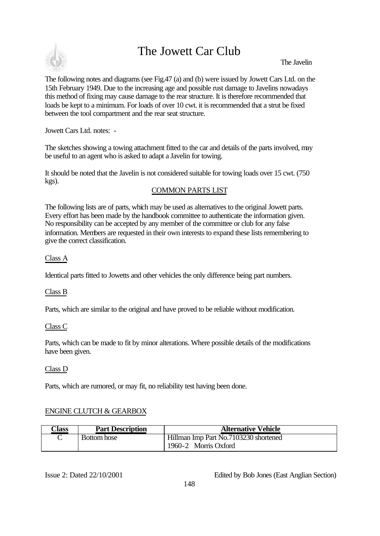

The Javelin

The following notes and diagrams (see Fig.47 (a) and (b) were issued by Jowett Cars Ltd. on the 15th February 1949. Due to the increasing age and possible rust damage to Javelins nowadays this method of fixing may cause damage to the rear structure. It is therefore recommended that loads be kept to a minimum. For loads of over 10 cwt. it is recommended that a strut be fixed between the tool compartment and the rear seat structure.

Jowett Cars Ltd. notes: -

The sketches showing a towing attachment fitted to the car and details of the parts involved, may be useful to an agent who is asked to adapt a Javelin for towing.

It should be noted that the Javelin is not considered suitable for towing loads over 15 cwt. (750 kgs).

#### COMMON PARTS LIST

The following lists are of parts, which may be used as alternatives to the original Jowett parts. Every effort has been made by the handbook committee to authenticate the information given. No responsibility can be accepted by any member of the committee or club for any false information. Members are requested in their own interests to expand these lists remembering to give the correct classification.

#### Class A

Identical parts fitted to Jowetts and other vehicles the only difference being part numbers.

#### Class B

Parts, which are similar to the original and have proved to be reliable without modification.

#### Class C

Parts, which can be made to fit by minor alterations. Where possible details of the modifications have been given.

#### Class D

Parts, which are rumored, or may fit, no reliability test having been done.

### ENGINE CLUTCH & GEARBOX

| <b>Tass</b> | <b>Part Description</b> | <b>Alternative Vehicle</b>                                    |
|-------------|-------------------------|---------------------------------------------------------------|
|             | Bottom hose             | Hillman Imp Part No.7103230 shortened<br>1960-2 Morris Oxford |
|             |                         |                                                               |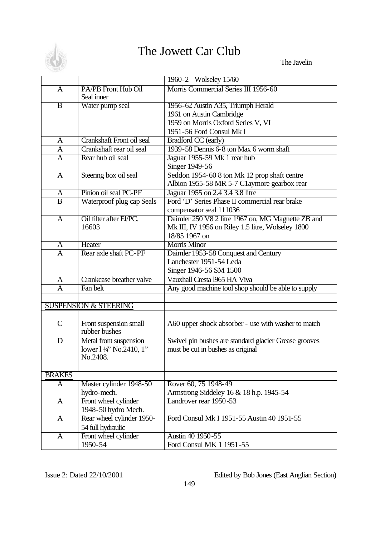

The Javelin

|                |                                  | 1960-2 Wolseley 15/60                                 |
|----------------|----------------------------------|-------------------------------------------------------|
| $\overline{A}$ | PA/PB Front Hub Oil              | Morris Commercial Series III 1956-60                  |
|                | Seal inner                       |                                                       |
| $\overline{B}$ | Water pump seal                  | 1956-62 Austin A35, Triumph Herald                    |
|                |                                  | 1961 on Austin Cambridge                              |
|                |                                  | 1959 on Morris Oxford Series V, VI                    |
|                |                                  | 1951-56 Ford Consul Mk I                              |
| $\mathbf{A}$   | Crankshaft Front oil seal        | <b>Bradford CC (early)</b>                            |
| $\mathbf{A}$   | Crankshaft rear oil seal         | 1939-58 Dennis 6-8 ton Max 6 worm shaft               |
| $\overline{A}$ | Rear hub oil seal                | Jaguar 1955-59 Mk 1 rear hub                          |
|                |                                  | Singer 1949-56                                        |
| $\overline{A}$ | Steering box oil seal            | Seddon 1954-60 8 ton Mk 12 prop shaft centre          |
|                |                                  | Albion 1955-58 MR 5-7 C1aymore gearbox rear           |
| A              | Pinion oil seal PC-PF            | Jaguar 1955 on 2.4 3.4 3.8 litre                      |
| $\overline{B}$ | Waterproof plug cap Seals        | Ford 'D' Series Phase II commercial rear brake        |
|                |                                  | compensator seal 111036                               |
| $\overline{A}$ | Oil filter after El/PC.          | Daimler 250 V8 2 litre 1967 on, MG Magnette ZB and    |
|                | 16603                            | Mk III, IV 1956 on Riley 1.5 litre, Wolseley 1800     |
|                |                                  | 18/85 1967 on                                         |
| $\mathbf{A}$   | Heater                           | <b>Morris Minor</b>                                   |
| $\overline{A}$ | Rear axle shaft PC-PF            | Daimler 1953-58 Conquest and Century                  |
|                |                                  | Lanchester 1951-54 Leda                               |
|                |                                  | Singer 1946-56 SM 1500                                |
| $\mathbf{A}$   | Crankcase breather valve         | Vauxhall Cresta 1965 HA Viva                          |
| $\overline{A}$ | Fan belt                         | Any good machine tool shop should be able to supply   |
|                |                                  |                                                       |
|                | <b>SUSPENSION &amp; STEERING</b> |                                                       |
|                |                                  |                                                       |
| $\overline{C}$ | Front suspension small           | A60 upper shock absorber - use with washer to match   |
|                | rubber bushes                    |                                                       |
| $\overline{D}$ | Metal front suspension           | Swivel pin bushes are standard glacier Grease grooves |
|                | lower 1 1/4' No.2410, 1"         | must be cut in bushes as original                     |
|                | No.2408.                         |                                                       |
|                |                                  |                                                       |
| <b>BRAKES</b>  |                                  |                                                       |
| A              | Master cylinder 1948-50          | Rover 60, 75 1948-49                                  |
|                | hydro-mech.                      | Armstrong Siddeley 16 & 18 h.p. 1945-54               |
| $\overline{A}$ | Front wheel cylinder             | Landrover rear 1950-53                                |
|                | 1948-50 hydro Mech.              |                                                       |
| $\mathbf{A}$   | Rear wheel cylinder 1950-        | Ford Consul Mk I 1951-55 Austin 40 1951-55            |
|                | 54 full hydraulic                |                                                       |
| A              | Front wheel cylinder             | Austin 40 1950-55                                     |
|                | 1950-54                          | Ford Consul MK 1 1951-55                              |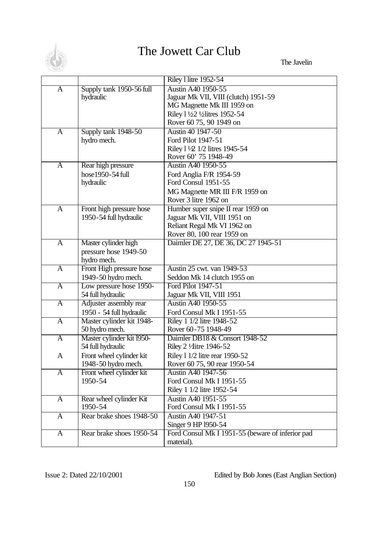

The Javelin

|                |                           | Riley 1 litre 1952-54                                             |
|----------------|---------------------------|-------------------------------------------------------------------|
| $\overline{A}$ | Supply tank 1950-56 full  | Austin A40 1950-55                                                |
|                | hydraulic                 | Jaguar Mk VII, VIII (clutch) 1951-59                              |
|                |                           | MG Magnette Mk III 1959 on                                        |
|                |                           | Riley 11/22 1/2litres 1952-54                                     |
|                |                           | Rover 60 75, 90 1949 on                                           |
| $\overline{A}$ | Supply tank 1948-50       | Austin 40 1947-50                                                 |
|                | hydro mech.               | Ford Pilot 1947-51                                                |
|                |                           | Riley 11/2 1/2 litres 1945-54                                     |
|                |                           | Rover 60' 75 1948-49                                              |
| $\mathbf{A}$   | Rear high pressure        | Austin A40 1950-55                                                |
|                | hose1950-54 full          | Ford Anglia F/R 1954-59                                           |
|                | hydraulic                 | Ford Consul 1951-55                                               |
|                |                           | MG Magnette MR III F/R 1959 on<br>Rover 3 litre 1962 on           |
|                |                           |                                                                   |
| $\mathbf{A}$   | Front high pressure hose  | Humber super snipe II rear 1959 on<br>Jaguar Mk VII, VIII 1951 on |
|                | 1950-54 full hydraulic    | Reliant Regal Mk VI 1962 on                                       |
|                |                           | Rover 80, 100 rear 1959 on                                        |
| $\mathbf{A}$   | Master cylinder high      | Daimler DE 27, DE 36, DC 27 1945-51                               |
|                | pressure hose 1949-50     |                                                                   |
|                | hydro mech.               |                                                                   |
| $\mathbf{A}$   | Front High pressure hose  | Austin 25 cwt. van 1949-53                                        |
|                | 1949-50 hydro mech.       | Seddon Mk 14 clutch 1955 on                                       |
| $\mathbf{A}$   | Low pressure hose 1950-   | Ford Pilot 1947-51                                                |
|                | 54 full hydraulic         | Jaguar Mk VII, VIII 1951                                          |
| $\mathbf{A}$   | Adjuster assembly rear    | Austin A40 1950-55                                                |
|                | 1950 - 54 full hydraulic  | Ford Consul Mk I 1951-55                                          |
| $\overline{A}$ | Master cylinder kit 1948- | Riley 1 1/2 litre 1948-52                                         |
|                | 50 hydro mech.            | Rover 60-75 1948-49                                               |
| A              | Master cylinder kit 1950- | Daimler DB18 & Consort 1948-52                                    |
|                | 54 full hydraulic         | Riley 2 1/ <i>A</i> itre 1946-52                                  |
| A              | Front wheel cylinder kit  | Riley 1 1/2 litre rear 1950-52                                    |
|                | 1948-50 hydro mech.       | Rover 60 75, 90 rear 1950-54                                      |
| A              | Front wheel cylinder kit  | <b>Austin A40 1947-56</b>                                         |
|                | 1950-54                   | Ford Consul Mk I 1951-55                                          |
| A              | Rear wheel cylinder Kit   | Riley 1 1/2 litre 1952-54<br>Austin A40 1951-55                   |
|                | 1950-54                   | Ford Consul Mk I 1951-55                                          |
| $\mathbf{A}$   | Rear brake shoes 1948-50  | Austin A40 1947-51                                                |
|                |                           | Singer 9 HP 1950-54                                               |
| $\mathbf{A}$   | Rear brake shoes 1950-54  | Ford Consul Mk I 1951-55 (beware of inferior pad                  |
|                |                           | material).                                                        |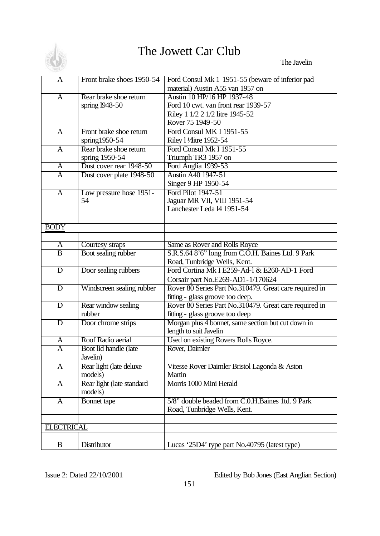

The Javelin

| $\overline{A}$    | Front brake shoes 1950-54 | Ford Consul Mk 1 1951-55 (beware of inferior pad       |
|-------------------|---------------------------|--------------------------------------------------------|
|                   |                           | material) Austin A55 van 1957 on                       |
| $\overline{A}$    | Rear brake shoe return    | Austin 10 HP/16 HP 1937-48                             |
|                   | spring 1948-50            | Ford 10 cwt. van front rear 1939-57                    |
|                   |                           | Riley 1 1/2 2 1/2 litre 1945-52                        |
|                   |                           | Rover 75 1949-50                                       |
| $\overline{A}$    | Front brake shoe return   | Ford Consul MK I 1951-55                               |
|                   | spring1950-54             | Riley 1 1/ <i>A</i> itre 1952-54                       |
| $\mathbf{A}$      | Rear brake shoe return    | Ford Consul Mk I 1951-55                               |
|                   | spring 1950-54            | Triumph TR3 1957 on                                    |
| $\overline{A}$    | Dust cover rear 1948-50   | Ford Anglia 1939-53                                    |
| $\overline{A}$    | Dust cover plate 1948-50  | Austin A40 1947-51                                     |
|                   |                           | Singer 9 HP 1950-54                                    |
| $\overline{A}$    | Low pressure hose 1951-   | Ford Pilot 1947-51                                     |
|                   | 54                        | Jaguar MR VII, VIII 1951-54                            |
|                   |                           | Lanchester Leda 14 1951-54                             |
|                   |                           |                                                        |
| <b>BODY</b>       |                           |                                                        |
|                   |                           |                                                        |
| $\mathbf{A}$      | Courtesy straps           | Same as Rover and Rolls Royce                          |
| $\overline{B}$    | Boot sealing rubber       | S.R.S.64 8'6" long from C.O.H. Baines Ltd. 9 Park      |
|                   |                           | Road, Tunbridge Wells, Kent.                           |
| $\overline{D}$    | Door sealing rubbers      | Ford Cortina Mk I E259-Ad-1 & E260-AD-1 Ford           |
|                   |                           | Corsair part No.E269-AD1-1/170624                      |
| $\overline{D}$    | Windscreen sealing rubber | Rover 80 Series Part No.310479. Great care required in |
|                   |                           | fitting - glass groove too deep.                       |
| $\overline{D}$    | Rear window sealing       | Rover 80 Series Part No.310479. Great care required in |
|                   | rubber                    | fitting - glass groove too deep                        |
| $\overline{D}$    | Door chrome strips        | Morgan plus 4 bonnet, same section but cut down in     |
|                   |                           | length to suit Javelin                                 |
| A                 | Roof Radio aerial         | Used on existing Rovers Rolls Royce.                   |
| $\overline{A}$    | Boot lid handle (late     | Rover, Daimler                                         |
|                   | Javelin)                  |                                                        |
| $\mathbf{A}$      | Rear light (late deluxe   | Vitesse Rover Daimler Bristol Lagonda & Aston          |
|                   | models)                   | Martin                                                 |
| $\overline{A}$    | Rear light (late standard | Morris 1000 Mini Herald                                |
|                   | models)                   |                                                        |
| $\mathbf{A}$      | Bonnet tape               | 5/8" double beaded from C.O.H.Baines 1td. 9 Park       |
|                   |                           | Road, Tunbridge Wells, Kent.                           |
|                   |                           |                                                        |
| <b>ELECTRICAL</b> |                           |                                                        |
|                   |                           |                                                        |
| B                 | Distributor               | Lucas '25D4' type part No.40795 (latest type)          |